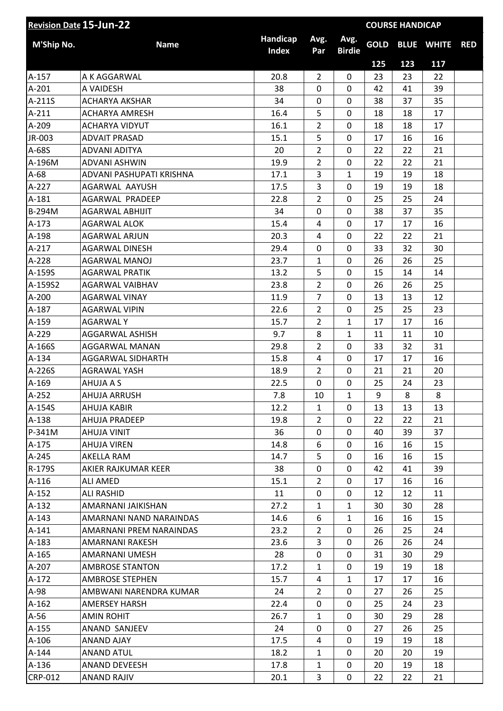|                | <b>Revision Date 15-Jun-22</b> |                          |                | <b>COURSE HANDICAP</b> |             |     |                   |            |  |  |
|----------------|--------------------------------|--------------------------|----------------|------------------------|-------------|-----|-------------------|------------|--|--|
| M'Ship No.     | <b>Name</b>                    | Handicap<br><b>Index</b> | Avg.<br>Par    | Avg.<br><b>Birdie</b>  | <b>GOLD</b> |     | <b>BLUE WHITE</b> | <b>RED</b> |  |  |
|                |                                |                          |                |                        | 125         | 123 | 117               |            |  |  |
| A-157          | A K AGGARWAL                   | 20.8                     | $\overline{2}$ | 0                      | 23          | 23  | 22                |            |  |  |
| $A-201$        | A VAIDESH                      | 38                       | 0              | $\mathbf 0$            | 42          | 41  | 39                |            |  |  |
| A-211S         | <b>ACHARYA AKSHAR</b>          | 34                       | 0              | $\mathbf 0$            | 38          | 37  | 35                |            |  |  |
| $A-211$        | <b>ACHARYA AMRESH</b>          | 16.4                     | 5              | $\mathbf 0$            | 18          | 18  | 17                |            |  |  |
| A-209          | <b>ACHARYA VIDYUT</b>          | 16.1                     | $\overline{2}$ | 0                      | 18          | 18  | 17                |            |  |  |
| JR-003         | <b>ADVAIT PRASAD</b>           | 15.1                     | 5              | 0                      | 17          | 16  | 16                |            |  |  |
| A-68S          | <b>ADVANI ADITYA</b>           | 20                       | $\overline{2}$ | 0                      | 22          | 22  | 21                |            |  |  |
| A-196M         | ADVANI ASHWIN                  | 19.9                     | $\overline{2}$ | $\mathbf 0$            | 22          | 22  | 21                |            |  |  |
| $A-68$         | ADVANI PASHUPATI KRISHNA       | 17.1                     | 3              | $\mathbf{1}$           | 19          | 19  | 18                |            |  |  |
| A-227          | AGARWAL AAYUSH                 | 17.5                     | 3              | 0                      | 19          | 19  | 18                |            |  |  |
| $A-181$        | AGARWAL PRADEEP                | 22.8                     | $\overline{2}$ | $\mathbf 0$            | 25          | 25  | 24                |            |  |  |
| <b>B-294M</b>  | <b>AGARWAL ABHIJIT</b>         | 34                       | 0              | 0                      | 38          | 37  | 35                |            |  |  |
| $A-173$        | <b>AGARWAL ALOK</b>            | 15.4                     | 4              | $\mathbf 0$            | 17          | 17  | 16                |            |  |  |
| A-198          | <b>AGARWAL ARJUN</b>           | 20.3                     | $\overline{4}$ | $\mathbf 0$            | 22          | 22  | 21                |            |  |  |
| $A-217$        | <b>AGARWAL DINESH</b>          | 29.4                     | 0              | $\mathbf 0$            | 33          | 32  | 30                |            |  |  |
| A-228          | AGARWAL MANOJ                  | 23.7                     | $\mathbf{1}$   | $\mathbf 0$            | 26          | 26  | 25                |            |  |  |
| A-159S         | AGARWAL PRATIK                 | 13.2                     | 5              | 0                      | 15          | 14  | 14                |            |  |  |
| A-159S2        | AGARWAL VAIBHAV                | 23.8                     | $\overline{2}$ | 0                      | 26          | 26  | 25                |            |  |  |
| A-200          | <b>AGARWAL VINAY</b>           | 11.9                     | $\overline{7}$ | 0                      | 13          | 13  | 12                |            |  |  |
| A-187          | <b>AGARWAL VIPIN</b>           | 22.6                     | $\overline{2}$ | $\mathbf 0$            | 25          | 25  | 23                |            |  |  |
| A-159          | <b>AGARWALY</b>                | 15.7                     | $\overline{2}$ | $\mathbf{1}$           | 17          | 17  | 16                |            |  |  |
| A-229          | AGGARWAL ASHISH                | 9.7                      | 8              | $\mathbf{1}$           | 11          | 11  | 10                |            |  |  |
| A-166S         | AGGARWAL MANAN                 | 29.8                     | $\overline{2}$ | $\mathbf 0$            | 33          | 32  | 31                |            |  |  |
| $A-134$        | AGGARWAL SIDHARTH              | 15.8                     | 4              | 0                      | 17          | 17  | 16                |            |  |  |
| A-226S         | <b>AGRAWAL YASH</b>            | 18.9                     | $\overline{2}$ | $\mathbf 0$            | 21          | 21  | 20                |            |  |  |
| A-169          | AHUJA A S                      | 22.5                     | 0              | $\mathbf 0$            | 25          | 24  | 23                |            |  |  |
| A-252          | AHUJA ARRUSH                   | 7.8                      | 10             | $\mathbf{1}$           | 9           | 8   | 8                 |            |  |  |
| A-154S         | AHUJA KABIR                    | 12.2                     | $\mathbf{1}$   | $\mathbf{0}$           | 13          | 13  | 13                |            |  |  |
| A-138          | AHUJA PRADEEP                  | 19.8                     | $\overline{2}$ | 0                      | 22          | 22  | 21                |            |  |  |
| P-341M         | AHUJA VINIT                    | 36                       | $\mathbf{0}$   | 0                      | 40          | 39  | 37                |            |  |  |
| A-175          | <b>AHUJA VIREN</b>             | 14.8                     | 6              | 0                      | 16          | 16  | 15                |            |  |  |
| $A-245$        | AKELLA RAM                     | 14.7                     | 5              | 0                      | 16          | 16  | 15                |            |  |  |
| R-179S         | AKIER RAJKUMAR KEER            | 38                       | 0              | $\Omega$               | 42          | 41  | 39                |            |  |  |
| $A-116$        | ALI AMED                       | 15.1                     | $\overline{2}$ | 0                      | 17          | 16  | 16                |            |  |  |
| $A-152$        | <b>ALI RASHID</b>              | 11                       | 0              | 0                      | 12          | 12  | 11                |            |  |  |
| $A-132$        | AMARNANI JAIKISHAN             | 27.2                     | 1              | $\mathbf{1}$           | 30          | 30  | 28                |            |  |  |
| $A-143$        | AMARNANI NAND NARAINDAS        | 14.6                     | 6              | $\mathbf{1}$           | 16          | 16  | 15                |            |  |  |
| $A-141$        | AMARNANI PREM NARAINDAS        | 23.2                     | $\overline{2}$ | 0                      | 26          | 25  | 24                |            |  |  |
| A-183          | AMARNANI RAKESH                | 23.6                     | 3              | 0                      | 26          | 26  | 24                |            |  |  |
| A-165          | AMARNANI UMESH                 | 28                       | 0              | 0                      | 31          | 30  | 29                |            |  |  |
| A-207          | <b>AMBROSE STANTON</b>         | 17.2                     | $\mathbf{1}$   | 0                      | 19          | 19  | 18                |            |  |  |
| $A-172$        | <b>AMBROSE STEPHEN</b>         | 15.7                     | 4              | $\mathbf{1}$           | 17          | 17  | 16                |            |  |  |
| A-98           | AMBWANI NARENDRA KUMAR         | 24                       | $\overline{2}$ | 0                      | 27          | 26  | 25                |            |  |  |
| $A-162$        | <b>AMERSEY HARSH</b>           | 22.4                     | 0              | 0                      | 25          | 24  | 23                |            |  |  |
| $A-56$         | <b>AMIN ROHIT</b>              | 26.7                     | $\mathbf{1}$   | 0                      | 30          | 29  | 28                |            |  |  |
| $A-155$        | ANAND SANJEEV                  | 24                       | 0              | 0                      | 27          | 26  | 25                |            |  |  |
| A-106          | ANAND AJAY                     | 17.5                     | 4              | 0                      | 19          | 19  | 18                |            |  |  |
| $A-144$        | <b>ANAND ATUL</b>              | 18.2                     | $\mathbf{1}$   | 0                      | 20          | 20  | 19                |            |  |  |
| $A-136$        | <b>ANAND DEVEESH</b>           | 17.8                     | $\mathbf{1}$   | 0                      | 20          | 19  | 18                |            |  |  |
| <b>CRP-012</b> | <b>ANAND RAJIV</b>             | 20.1                     | 3              | 0                      | 22          | 22  | 21                |            |  |  |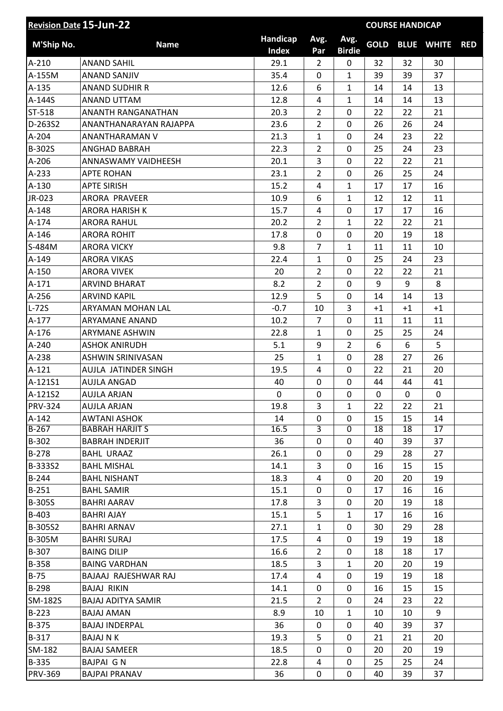| <b>Revision Date 15-Jun-22</b> |                                               | <b>COURSE HANDICAP</b>   |                |                       |             |          |                   |            |
|--------------------------------|-----------------------------------------------|--------------------------|----------------|-----------------------|-------------|----------|-------------------|------------|
| M'Ship No.                     | <b>Name</b>                                   | Handicap<br><b>Index</b> | Avg.<br>Par    | Avg.<br><b>Birdie</b> | <b>GOLD</b> |          | <b>BLUE WHITE</b> | <b>RED</b> |
| $A-210$                        | <b>ANAND SAHIL</b>                            | 29.1                     | $\overline{2}$ | 0                     | 32          | 32       | 30                |            |
| A-155M                         | <b>ANAND SANJIV</b>                           | 35.4                     | 0              | $\mathbf{1}$          | 39          | 39       | 37                |            |
| A-135                          | <b>ANAND SUDHIR R</b>                         | 12.6                     | 6              | $\mathbf{1}$          | 14          | 14       | 13                |            |
| A-144S                         | ANAND UTTAM                                   | 12.8                     | 4              | $\mathbf{1}$          | 14          | 14       | 13                |            |
| ST-518                         | ANANTH RANGANATHAN                            | 20.3                     | $\overline{2}$ | 0                     | 22          | 22       | 21                |            |
| D-263S2                        | ANANTHANARAYAN RAJAPPA                        | 23.6                     | $\overline{2}$ | 0                     | 26          | 26       | 24                |            |
| A-204                          | ANANTHARAMAN V                                | 21.3                     | $\mathbf{1}$   | 0                     | 24          | 23       | 22                |            |
| B-302S                         | <b>ANGHAD BABRAH</b>                          | 22.3                     | $\overline{2}$ | 0                     | 25          | 24       | 23                |            |
| $A-206$                        | ANNASWAMY VAIDHEESH                           | 20.1                     | 3              | 0                     | 22          | 22       | 21                |            |
| $A-233$                        | <b>APTE ROHAN</b>                             | 23.1                     | $\overline{2}$ | 0                     | 26          | 25       | 24                |            |
| A-130                          | <b>APTE SIRISH</b>                            | 15.2                     | $\overline{4}$ | $\mathbf{1}$          | 17          | 17       | 16                |            |
| JR-023                         | <b>ARORA PRAVEER</b>                          | 10.9                     | 6              | $\mathbf{1}$          | 12          | 12       | 11                |            |
| $A-148$                        | <b>ARORA HARISH K</b>                         | 15.7                     | 4              | $\mathbf 0$           | 17          | 17       | 16                |            |
| A-174                          | <b>ARORA RAHUL</b>                            | 20.2                     | $\overline{2}$ | 1                     | 22          | 22       | 21                |            |
| $A-146$                        | <b>ARORA ROHIT</b>                            | 17.8                     | 0              | 0                     | 20          | 19       | 18                |            |
| S-484M                         | <b>ARORA VICKY</b>                            | 9.8                      | $\overline{7}$ | $\mathbf{1}$          | 11          | 11       | 10                |            |
| A-149                          | <b>ARORA VIKAS</b>                            | 22.4                     | $\mathbf{1}$   | 0                     | 25          | 24       | 23                |            |
| A-150                          | <b>ARORA VIVEK</b>                            | 20                       | $\overline{2}$ | 0                     | 22          | 22       | 21                |            |
| $A-171$                        | <b>ARVIND BHARAT</b>                          | 8.2                      | $\overline{2}$ | 0                     | 9           | 9        | 8                 |            |
| $A-256$                        | <b>ARVIND KAPIL</b>                           | 12.9                     | 5              | 0                     | 14          | 14       | 13                |            |
| L-72S                          | ARYAMAN MOHAN LAL                             | $-0.7$                   | 10             | 3                     | $+1$        | $+1$     | $+1$              |            |
| A-177                          | <b>ARYAMANE ANAND</b>                         | 10.2                     | $\overline{7}$ | 0                     | 11          | 11       | 11                |            |
| A-176                          | <b>ARYMANE ASHWIN</b>                         | 22.8                     | 1              | 0                     | 25          | 25       | 24                |            |
| A-240                          | <b>ASHOK ANIRUDH</b>                          | 5.1                      | 9              | $\overline{2}$        | 6           | 6        | 5                 |            |
| A-238                          | <b>ASHWIN SRINIVASAN</b>                      | 25                       | 1              | 0                     | 28          | 27       | 26                |            |
| $A-121$                        | AUJLA JATINDER SINGH                          | 19.5                     | 4              | 0                     | 22          | 21       | 20                |            |
|                                | <b>AUJLA ANGAD</b>                            | 40                       | 0              | 0                     | 44          | 44       | 41                |            |
| A-121S1                        |                                               |                          |                |                       |             |          |                   |            |
| A-121S2                        | <b>AUJLA ARJAN</b>                            | 0                        | 0              | 0                     | 0           | 0        | 0                 |            |
| <b>PRV-324</b>                 | <b>AUJLA ARJAN</b>                            | 19.8                     | 3              | $\mathbf{1}$          | 22          | 22       | 21                |            |
| $A-142$<br>$B-267$             | <b>AWTANI ASHOK</b><br><b>BABRAH HARJIT S</b> | 14<br>16.5               | 0<br>3         | 0<br>0                | 15<br>18    | 15<br>18 | 14<br>17          |            |
| B-302                          | <b>BABRAH INDERJIT</b>                        | 36                       | 0              | 0                     | 40          | 39       | 37                |            |
| $B-278$                        | <b>BAHL URAAZ</b>                             | 26.1                     | 0              | 0                     | 29          | 28       | 27                |            |
| B-333S2                        | <b>BAHL MISHAL</b>                            | 14.1                     | 3              | 0                     | 16          | 15       | 15                |            |
| $B-244$                        | <b>BAHL NISHANT</b>                           | 18.3                     | 4              | 0                     | 20          | 20       | 19                |            |
|                                | <b>BAHL SAMIR</b>                             | 15.1                     | 0              | 0                     | 17          | 16       | 16                |            |
| $B-251$<br><b>B-305S</b>       | <b>BAHRI AARAV</b>                            | 17.8                     | 3              | 0                     | 20          | 19       | 18                |            |
| B-403                          | <b>BAHRI AJAY</b>                             | 15.1                     | 5              | $\mathbf{1}$          | 17          | 16       | 16                |            |
|                                |                                               |                          |                |                       |             |          |                   |            |
| B-305S2                        | <b>BAHRI ARNAV</b>                            | 27.1<br>17.5             | $\mathbf{1}$   | 0<br>0                | 30          | 29       | 28<br>18          |            |
| <b>B-305M</b>                  | <b>BAHRI SURAJ</b>                            |                          | 4              |                       | 19          | 19       |                   |            |
| B-307                          | <b>BAING DILIP</b>                            | 16.6                     | $\overline{2}$ | 0                     | 18          | 18       | 17                |            |
| <b>B-358</b>                   | <b>BAING VARDHAN</b>                          | 18.5                     | 3              | $\mathbf{1}$          | 20          | 20       | 19                |            |
| $B-75$                         | BAJAAJ RAJESHWAR RAJ                          | 17.4                     | 4              | 0                     | 19          | 19       | 18                |            |
| B-298                          | <b>BAJAJ RIKIN</b>                            | 14.1                     | 0              | 0                     | 16          | 15       | 15                |            |
| SM-182S                        | <b>BAJAJ ADITYA SAMIR</b>                     | 21.5                     | $\overline{2}$ | 0                     | 24          | 23       | 22                |            |
| $B-223$                        | <b>BAJAJ AMAN</b>                             | 8.9                      | 10             | $\mathbf{1}$          | 10          | 10       | 9                 |            |
| B-375                          | <b>BAJAJ INDERPAL</b>                         | 36                       | 0              | 0                     | 40          | 39       | 37                |            |
| $B-317$                        | <b>BAJAJ N K</b>                              | 19.3                     | 5              | 0                     | 21          | 21       | 20                |            |
| SM-182                         | <b>BAJAJ SAMEER</b>                           | 18.5                     | 0              | 0                     | 20          | 20       | 19                |            |
| B-335                          | <b>BAJPAI GN</b>                              | 22.8                     | 4              | 0                     | 25          | 25       | 24                |            |
| <b>PRV-369</b>                 | <b>BAJPAI PRANAV</b>                          | 36                       | 0              | 0                     | 40          | 39       | 37                |            |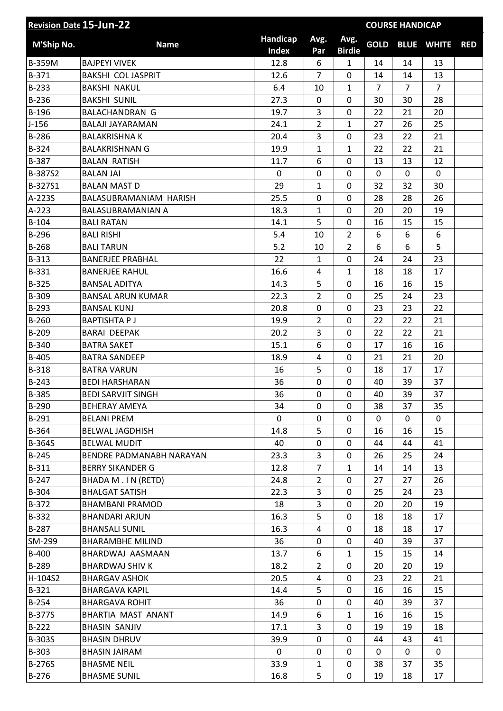| Handicap<br>Avg.<br>Avg.<br><b>GOLD</b><br>M'Ship No.<br><b>Name</b><br><b>BLUE WHITE</b><br><b>RED</b><br><b>Index</b><br><b>Birdie</b><br>Par<br>B-359M<br>12.8<br><b>BAJPEYI VIVEK</b><br>6<br>$\mathbf{1}$<br>14<br>14<br>13<br>B-371<br><b>BAKSHI COL JASPRIT</b><br>12.6<br>$\overline{7}$<br>0<br>14<br>14<br>13<br>$B-233$<br>6.4<br>$\mathbf{1}$<br>$\overline{7}$<br>$\overline{7}$<br><b>BAKSHI NAKUL</b><br>10<br>$\overline{7}$<br>0<br>$B-236$<br><b>BAKSHI SUNIL</b><br>27.3<br>$\mathbf 0$<br>30<br>30<br>28<br>B-196<br><b>BALACHANDRAN G</b><br>19.7<br>3<br>0<br>22<br>21<br>20<br>$\overline{2}$<br>$\mathbf{1}$<br>$J-156$<br>24.1<br>27<br>26<br>25<br><b>BALAJI JAYARAMAN</b><br>B-286<br><b>BALAKRISHNA K</b><br>20.4<br>3<br>0<br>22<br>21<br>23<br>B-324<br>19.9<br>$\mathbf{1}$<br>22<br>22<br>21<br><b>BALAKRISHNAN G</b><br>$\mathbf{1}$<br>B-387<br>0<br>13<br><b>BALAN RATISH</b><br>11.7<br>6<br>13<br>12<br>B-387S2<br>$\mathbf 0$<br>$\mathbf 0$<br>$\mathbf 0$<br><b>BALAN JAI</b><br>$\mathbf 0$<br>$\mathbf 0$<br>0<br>B-327S1<br>29<br>0<br>32<br>30<br><b>BALAN MAST D</b><br>1<br>32<br>A-223S<br>25.5<br>0<br>28<br>26<br>BALASUBRAMANIAM HARISH<br>0<br>28<br>$\mathbf 0$<br>$A-223$<br>18.3<br>1<br>20<br>20<br>19<br><b>BALASUBRAMANIAN A</b><br>$B-104$<br>14.1<br>5<br>0<br>15<br><b>BALI RATAN</b><br>16<br>15<br>$\overline{2}$<br>B-296<br>6<br>6<br><b>BALI RISHI</b><br>5.4<br>10<br>6<br>$\overline{2}$<br>6<br>5<br>$B-268$<br>6<br><b>BALITARUN</b><br>5.2<br>10<br>B-313<br>22<br>0<br>23<br><b>BANERJEE PRABHAL</b><br>1<br>24<br>24<br>B-331<br>16.6<br>$\mathbf{1}$<br>17<br><b>BANERJEE RAHUL</b><br>4<br>18<br>18<br>B-325<br><b>BANSAL ADITYA</b><br>14.3<br>5<br>0<br>16<br>16<br>15<br>$\overline{2}$<br>B-309<br>22.3<br>0<br>25<br>24<br>23<br><b>BANSAL ARUN KUMAR</b><br>$B-293$<br>0<br>23<br>22<br><b>BANSAL KUNJ</b><br>20.8<br>0<br>23<br>$B-260$<br>19.9<br>$\overline{2}$<br>$\overline{0}$<br>21<br><b>BAPTISHTA PJ</b><br>22<br>22<br>3<br>0<br>B-209<br>20.2<br>22<br>22<br>21<br><b>BARAI DEEPAK</b><br>6<br>B-340<br><b>BATRA SAKET</b><br>15.1<br>0<br>17<br>16<br>16<br>B-405<br>4<br>0<br>21<br>20<br><b>BATRA SANDEEP</b><br>18.9<br>21<br>B-318<br>5<br>0<br>17<br>17<br><b>BATRA VARUN</b><br>16<br>18<br>$B-243$<br>36<br>$\pmb{0}$<br>0<br>40<br>39<br>37<br><b>BEDI HARSHARAN</b><br>37<br><b>B-385</b><br>36<br>$\pmb{0}$<br>0<br>39<br><b>BEDI SARVJIT SINGH</b><br>40<br>B-290<br>34<br>$\mathbf 0$<br>0<br>38<br>37<br>35<br><b>BEHERAY AMEYA</b><br>$B-291$<br><b>BELANI PREM</b><br>0<br>0<br>0<br>0<br>0<br>0<br>B-364<br>5<br>0<br><b>BELWAL JAGDHISH</b><br>14.8<br>16<br>15<br>16<br>B-364S<br>40<br>0<br>0<br>44<br>44<br>41<br><b>BELWAL MUDIT</b><br>23.3<br>$B-245$<br>BENDRE PADMANABH NARAYAN<br>3<br>0<br>25<br>24<br>26<br>$\overline{7}$<br>$B-311$<br>12.8<br>$\mathbf{1}$<br><b>BERRY SIKANDER G</b><br>14<br>14<br>13<br>$B-247$<br>24.8<br>0<br>26<br>BHADA M . I N (RETD)<br>$\overline{2}$<br>27<br>27<br>B-304<br><b>BHALGAT SATISH</b><br>22.3<br>3<br>0<br>25<br>23<br>24<br>3<br>B-372<br>0<br><b>BHAMBANI PRAMOD</b><br>18<br>20<br>20<br>19<br>B-332<br>16.3<br>5<br>0<br><b>BHANDARI ARJUN</b><br>18<br>18<br>17<br>$B-287$<br>16.3<br>0<br><b>BHANSALI SUNIL</b><br>4<br>18<br>18<br>17<br>SM-299<br>36<br>0<br>37<br><b>BHARAMBHE MILIND</b><br>0<br>40<br>39<br><b>B-400</b><br>BHARDWAJ AASMAAN<br>13.7<br>6<br>$\mathbf{1}$<br>15<br>15<br>14<br>B-289<br>18.2<br>$\overline{2}$<br>0<br><b>BHARDWAJ SHIV K</b><br>20<br>20<br>19<br>H-104S2<br>20.5<br>0<br><b>BHARGAV ASHOK</b><br>4<br>23<br>22<br>21<br>$B-321$<br>5<br>0<br><b>BHARGAVA KAPIL</b><br>14.4<br>16<br>15<br>16<br>$B-254$<br>36<br>0<br>37<br><b>BHARGAVA ROHIT</b><br>0<br>40<br>39<br>6<br>14.9<br>$\mathbf{1}$<br>B-377S<br>BHARTIA MAST ANANT<br>16<br>16<br>15<br>$B-222$<br><b>BHASIN SANJIV</b><br>17.1<br>3<br>0<br>19<br>19<br>18<br>39.9<br>B-303S<br>0<br>0<br>43<br>41<br><b>BHASIN DHRUV</b><br>44<br>B-303<br>0<br><b>BHASIN JAIRAM</b><br>$\mathbf 0$<br>0<br>0<br>0<br>0<br>B-276S<br>0<br>35<br><b>BHASME NEIL</b><br>33.9<br>$\mathbf{1}$<br>38<br>37<br>5<br>0<br>$B-276$<br>16.8<br>18<br><b>BHASME SUNIL</b><br>19<br>17 | <b>Revision Date 15-Jun-22</b> |  |  | <b>COURSE HANDICAP</b> |  |
|---------------------------------------------------------------------------------------------------------------------------------------------------------------------------------------------------------------------------------------------------------------------------------------------------------------------------------------------------------------------------------------------------------------------------------------------------------------------------------------------------------------------------------------------------------------------------------------------------------------------------------------------------------------------------------------------------------------------------------------------------------------------------------------------------------------------------------------------------------------------------------------------------------------------------------------------------------------------------------------------------------------------------------------------------------------------------------------------------------------------------------------------------------------------------------------------------------------------------------------------------------------------------------------------------------------------------------------------------------------------------------------------------------------------------------------------------------------------------------------------------------------------------------------------------------------------------------------------------------------------------------------------------------------------------------------------------------------------------------------------------------------------------------------------------------------------------------------------------------------------------------------------------------------------------------------------------------------------------------------------------------------------------------------------------------------------------------------------------------------------------------------------------------------------------------------------------------------------------------------------------------------------------------------------------------------------------------------------------------------------------------------------------------------------------------------------------------------------------------------------------------------------------------------------------------------------------------------------------------------------------------------------------------------------------------------------------------------------------------------------------------------------------------------------------------------------------------------------------------------------------------------------------------------------------------------------------------------------------------------------------------------------------------------------------------------------------------------------------------------------------------------------------------------------------------------------------------------------------------------------------------------------------------------------------------------------------------------------------------------------------------------------------------------------------------------------------------------------------------------------------------------------------------------------------------------------------------------------------------------------------------------------------------------------------------------------------------------------------------------------------------------------------------------------------------------------------------------------------------------------------------------------------------------------------------------------------------------------------------------------------------------------------------------------------------------------------------------------------------------------------------------------------------------------------------------------------------------------------------------------|--------------------------------|--|--|------------------------|--|
|                                                                                                                                                                                                                                                                                                                                                                                                                                                                                                                                                                                                                                                                                                                                                                                                                                                                                                                                                                                                                                                                                                                                                                                                                                                                                                                                                                                                                                                                                                                                                                                                                                                                                                                                                                                                                                                                                                                                                                                                                                                                                                                                                                                                                                                                                                                                                                                                                                                                                                                                                                                                                                                                                                                                                                                                                                                                                                                                                                                                                                                                                                                                                                                                                                                                                                                                                                                                                                                                                                                                                                                                                                                                                                                                                                                                                                                                                                                                                                                                                                                                                                                                                                                                                                             |                                |  |  |                        |  |
|                                                                                                                                                                                                                                                                                                                                                                                                                                                                                                                                                                                                                                                                                                                                                                                                                                                                                                                                                                                                                                                                                                                                                                                                                                                                                                                                                                                                                                                                                                                                                                                                                                                                                                                                                                                                                                                                                                                                                                                                                                                                                                                                                                                                                                                                                                                                                                                                                                                                                                                                                                                                                                                                                                                                                                                                                                                                                                                                                                                                                                                                                                                                                                                                                                                                                                                                                                                                                                                                                                                                                                                                                                                                                                                                                                                                                                                                                                                                                                                                                                                                                                                                                                                                                                             |                                |  |  |                        |  |
|                                                                                                                                                                                                                                                                                                                                                                                                                                                                                                                                                                                                                                                                                                                                                                                                                                                                                                                                                                                                                                                                                                                                                                                                                                                                                                                                                                                                                                                                                                                                                                                                                                                                                                                                                                                                                                                                                                                                                                                                                                                                                                                                                                                                                                                                                                                                                                                                                                                                                                                                                                                                                                                                                                                                                                                                                                                                                                                                                                                                                                                                                                                                                                                                                                                                                                                                                                                                                                                                                                                                                                                                                                                                                                                                                                                                                                                                                                                                                                                                                                                                                                                                                                                                                                             |                                |  |  |                        |  |
|                                                                                                                                                                                                                                                                                                                                                                                                                                                                                                                                                                                                                                                                                                                                                                                                                                                                                                                                                                                                                                                                                                                                                                                                                                                                                                                                                                                                                                                                                                                                                                                                                                                                                                                                                                                                                                                                                                                                                                                                                                                                                                                                                                                                                                                                                                                                                                                                                                                                                                                                                                                                                                                                                                                                                                                                                                                                                                                                                                                                                                                                                                                                                                                                                                                                                                                                                                                                                                                                                                                                                                                                                                                                                                                                                                                                                                                                                                                                                                                                                                                                                                                                                                                                                                             |                                |  |  |                        |  |
|                                                                                                                                                                                                                                                                                                                                                                                                                                                                                                                                                                                                                                                                                                                                                                                                                                                                                                                                                                                                                                                                                                                                                                                                                                                                                                                                                                                                                                                                                                                                                                                                                                                                                                                                                                                                                                                                                                                                                                                                                                                                                                                                                                                                                                                                                                                                                                                                                                                                                                                                                                                                                                                                                                                                                                                                                                                                                                                                                                                                                                                                                                                                                                                                                                                                                                                                                                                                                                                                                                                                                                                                                                                                                                                                                                                                                                                                                                                                                                                                                                                                                                                                                                                                                                             |                                |  |  |                        |  |
|                                                                                                                                                                                                                                                                                                                                                                                                                                                                                                                                                                                                                                                                                                                                                                                                                                                                                                                                                                                                                                                                                                                                                                                                                                                                                                                                                                                                                                                                                                                                                                                                                                                                                                                                                                                                                                                                                                                                                                                                                                                                                                                                                                                                                                                                                                                                                                                                                                                                                                                                                                                                                                                                                                                                                                                                                                                                                                                                                                                                                                                                                                                                                                                                                                                                                                                                                                                                                                                                                                                                                                                                                                                                                                                                                                                                                                                                                                                                                                                                                                                                                                                                                                                                                                             |                                |  |  |                        |  |
|                                                                                                                                                                                                                                                                                                                                                                                                                                                                                                                                                                                                                                                                                                                                                                                                                                                                                                                                                                                                                                                                                                                                                                                                                                                                                                                                                                                                                                                                                                                                                                                                                                                                                                                                                                                                                                                                                                                                                                                                                                                                                                                                                                                                                                                                                                                                                                                                                                                                                                                                                                                                                                                                                                                                                                                                                                                                                                                                                                                                                                                                                                                                                                                                                                                                                                                                                                                                                                                                                                                                                                                                                                                                                                                                                                                                                                                                                                                                                                                                                                                                                                                                                                                                                                             |                                |  |  |                        |  |
|                                                                                                                                                                                                                                                                                                                                                                                                                                                                                                                                                                                                                                                                                                                                                                                                                                                                                                                                                                                                                                                                                                                                                                                                                                                                                                                                                                                                                                                                                                                                                                                                                                                                                                                                                                                                                                                                                                                                                                                                                                                                                                                                                                                                                                                                                                                                                                                                                                                                                                                                                                                                                                                                                                                                                                                                                                                                                                                                                                                                                                                                                                                                                                                                                                                                                                                                                                                                                                                                                                                                                                                                                                                                                                                                                                                                                                                                                                                                                                                                                                                                                                                                                                                                                                             |                                |  |  |                        |  |
|                                                                                                                                                                                                                                                                                                                                                                                                                                                                                                                                                                                                                                                                                                                                                                                                                                                                                                                                                                                                                                                                                                                                                                                                                                                                                                                                                                                                                                                                                                                                                                                                                                                                                                                                                                                                                                                                                                                                                                                                                                                                                                                                                                                                                                                                                                                                                                                                                                                                                                                                                                                                                                                                                                                                                                                                                                                                                                                                                                                                                                                                                                                                                                                                                                                                                                                                                                                                                                                                                                                                                                                                                                                                                                                                                                                                                                                                                                                                                                                                                                                                                                                                                                                                                                             |                                |  |  |                        |  |
|                                                                                                                                                                                                                                                                                                                                                                                                                                                                                                                                                                                                                                                                                                                                                                                                                                                                                                                                                                                                                                                                                                                                                                                                                                                                                                                                                                                                                                                                                                                                                                                                                                                                                                                                                                                                                                                                                                                                                                                                                                                                                                                                                                                                                                                                                                                                                                                                                                                                                                                                                                                                                                                                                                                                                                                                                                                                                                                                                                                                                                                                                                                                                                                                                                                                                                                                                                                                                                                                                                                                                                                                                                                                                                                                                                                                                                                                                                                                                                                                                                                                                                                                                                                                                                             |                                |  |  |                        |  |
|                                                                                                                                                                                                                                                                                                                                                                                                                                                                                                                                                                                                                                                                                                                                                                                                                                                                                                                                                                                                                                                                                                                                                                                                                                                                                                                                                                                                                                                                                                                                                                                                                                                                                                                                                                                                                                                                                                                                                                                                                                                                                                                                                                                                                                                                                                                                                                                                                                                                                                                                                                                                                                                                                                                                                                                                                                                                                                                                                                                                                                                                                                                                                                                                                                                                                                                                                                                                                                                                                                                                                                                                                                                                                                                                                                                                                                                                                                                                                                                                                                                                                                                                                                                                                                             |                                |  |  |                        |  |
|                                                                                                                                                                                                                                                                                                                                                                                                                                                                                                                                                                                                                                                                                                                                                                                                                                                                                                                                                                                                                                                                                                                                                                                                                                                                                                                                                                                                                                                                                                                                                                                                                                                                                                                                                                                                                                                                                                                                                                                                                                                                                                                                                                                                                                                                                                                                                                                                                                                                                                                                                                                                                                                                                                                                                                                                                                                                                                                                                                                                                                                                                                                                                                                                                                                                                                                                                                                                                                                                                                                                                                                                                                                                                                                                                                                                                                                                                                                                                                                                                                                                                                                                                                                                                                             |                                |  |  |                        |  |
|                                                                                                                                                                                                                                                                                                                                                                                                                                                                                                                                                                                                                                                                                                                                                                                                                                                                                                                                                                                                                                                                                                                                                                                                                                                                                                                                                                                                                                                                                                                                                                                                                                                                                                                                                                                                                                                                                                                                                                                                                                                                                                                                                                                                                                                                                                                                                                                                                                                                                                                                                                                                                                                                                                                                                                                                                                                                                                                                                                                                                                                                                                                                                                                                                                                                                                                                                                                                                                                                                                                                                                                                                                                                                                                                                                                                                                                                                                                                                                                                                                                                                                                                                                                                                                             |                                |  |  |                        |  |
|                                                                                                                                                                                                                                                                                                                                                                                                                                                                                                                                                                                                                                                                                                                                                                                                                                                                                                                                                                                                                                                                                                                                                                                                                                                                                                                                                                                                                                                                                                                                                                                                                                                                                                                                                                                                                                                                                                                                                                                                                                                                                                                                                                                                                                                                                                                                                                                                                                                                                                                                                                                                                                                                                                                                                                                                                                                                                                                                                                                                                                                                                                                                                                                                                                                                                                                                                                                                                                                                                                                                                                                                                                                                                                                                                                                                                                                                                                                                                                                                                                                                                                                                                                                                                                             |                                |  |  |                        |  |
|                                                                                                                                                                                                                                                                                                                                                                                                                                                                                                                                                                                                                                                                                                                                                                                                                                                                                                                                                                                                                                                                                                                                                                                                                                                                                                                                                                                                                                                                                                                                                                                                                                                                                                                                                                                                                                                                                                                                                                                                                                                                                                                                                                                                                                                                                                                                                                                                                                                                                                                                                                                                                                                                                                                                                                                                                                                                                                                                                                                                                                                                                                                                                                                                                                                                                                                                                                                                                                                                                                                                                                                                                                                                                                                                                                                                                                                                                                                                                                                                                                                                                                                                                                                                                                             |                                |  |  |                        |  |
|                                                                                                                                                                                                                                                                                                                                                                                                                                                                                                                                                                                                                                                                                                                                                                                                                                                                                                                                                                                                                                                                                                                                                                                                                                                                                                                                                                                                                                                                                                                                                                                                                                                                                                                                                                                                                                                                                                                                                                                                                                                                                                                                                                                                                                                                                                                                                                                                                                                                                                                                                                                                                                                                                                                                                                                                                                                                                                                                                                                                                                                                                                                                                                                                                                                                                                                                                                                                                                                                                                                                                                                                                                                                                                                                                                                                                                                                                                                                                                                                                                                                                                                                                                                                                                             |                                |  |  |                        |  |
|                                                                                                                                                                                                                                                                                                                                                                                                                                                                                                                                                                                                                                                                                                                                                                                                                                                                                                                                                                                                                                                                                                                                                                                                                                                                                                                                                                                                                                                                                                                                                                                                                                                                                                                                                                                                                                                                                                                                                                                                                                                                                                                                                                                                                                                                                                                                                                                                                                                                                                                                                                                                                                                                                                                                                                                                                                                                                                                                                                                                                                                                                                                                                                                                                                                                                                                                                                                                                                                                                                                                                                                                                                                                                                                                                                                                                                                                                                                                                                                                                                                                                                                                                                                                                                             |                                |  |  |                        |  |
|                                                                                                                                                                                                                                                                                                                                                                                                                                                                                                                                                                                                                                                                                                                                                                                                                                                                                                                                                                                                                                                                                                                                                                                                                                                                                                                                                                                                                                                                                                                                                                                                                                                                                                                                                                                                                                                                                                                                                                                                                                                                                                                                                                                                                                                                                                                                                                                                                                                                                                                                                                                                                                                                                                                                                                                                                                                                                                                                                                                                                                                                                                                                                                                                                                                                                                                                                                                                                                                                                                                                                                                                                                                                                                                                                                                                                                                                                                                                                                                                                                                                                                                                                                                                                                             |                                |  |  |                        |  |
|                                                                                                                                                                                                                                                                                                                                                                                                                                                                                                                                                                                                                                                                                                                                                                                                                                                                                                                                                                                                                                                                                                                                                                                                                                                                                                                                                                                                                                                                                                                                                                                                                                                                                                                                                                                                                                                                                                                                                                                                                                                                                                                                                                                                                                                                                                                                                                                                                                                                                                                                                                                                                                                                                                                                                                                                                                                                                                                                                                                                                                                                                                                                                                                                                                                                                                                                                                                                                                                                                                                                                                                                                                                                                                                                                                                                                                                                                                                                                                                                                                                                                                                                                                                                                                             |                                |  |  |                        |  |
|                                                                                                                                                                                                                                                                                                                                                                                                                                                                                                                                                                                                                                                                                                                                                                                                                                                                                                                                                                                                                                                                                                                                                                                                                                                                                                                                                                                                                                                                                                                                                                                                                                                                                                                                                                                                                                                                                                                                                                                                                                                                                                                                                                                                                                                                                                                                                                                                                                                                                                                                                                                                                                                                                                                                                                                                                                                                                                                                                                                                                                                                                                                                                                                                                                                                                                                                                                                                                                                                                                                                                                                                                                                                                                                                                                                                                                                                                                                                                                                                                                                                                                                                                                                                                                             |                                |  |  |                        |  |
|                                                                                                                                                                                                                                                                                                                                                                                                                                                                                                                                                                                                                                                                                                                                                                                                                                                                                                                                                                                                                                                                                                                                                                                                                                                                                                                                                                                                                                                                                                                                                                                                                                                                                                                                                                                                                                                                                                                                                                                                                                                                                                                                                                                                                                                                                                                                                                                                                                                                                                                                                                                                                                                                                                                                                                                                                                                                                                                                                                                                                                                                                                                                                                                                                                                                                                                                                                                                                                                                                                                                                                                                                                                                                                                                                                                                                                                                                                                                                                                                                                                                                                                                                                                                                                             |                                |  |  |                        |  |
|                                                                                                                                                                                                                                                                                                                                                                                                                                                                                                                                                                                                                                                                                                                                                                                                                                                                                                                                                                                                                                                                                                                                                                                                                                                                                                                                                                                                                                                                                                                                                                                                                                                                                                                                                                                                                                                                                                                                                                                                                                                                                                                                                                                                                                                                                                                                                                                                                                                                                                                                                                                                                                                                                                                                                                                                                                                                                                                                                                                                                                                                                                                                                                                                                                                                                                                                                                                                                                                                                                                                                                                                                                                                                                                                                                                                                                                                                                                                                                                                                                                                                                                                                                                                                                             |                                |  |  |                        |  |
|                                                                                                                                                                                                                                                                                                                                                                                                                                                                                                                                                                                                                                                                                                                                                                                                                                                                                                                                                                                                                                                                                                                                                                                                                                                                                                                                                                                                                                                                                                                                                                                                                                                                                                                                                                                                                                                                                                                                                                                                                                                                                                                                                                                                                                                                                                                                                                                                                                                                                                                                                                                                                                                                                                                                                                                                                                                                                                                                                                                                                                                                                                                                                                                                                                                                                                                                                                                                                                                                                                                                                                                                                                                                                                                                                                                                                                                                                                                                                                                                                                                                                                                                                                                                                                             |                                |  |  |                        |  |
|                                                                                                                                                                                                                                                                                                                                                                                                                                                                                                                                                                                                                                                                                                                                                                                                                                                                                                                                                                                                                                                                                                                                                                                                                                                                                                                                                                                                                                                                                                                                                                                                                                                                                                                                                                                                                                                                                                                                                                                                                                                                                                                                                                                                                                                                                                                                                                                                                                                                                                                                                                                                                                                                                                                                                                                                                                                                                                                                                                                                                                                                                                                                                                                                                                                                                                                                                                                                                                                                                                                                                                                                                                                                                                                                                                                                                                                                                                                                                                                                                                                                                                                                                                                                                                             |                                |  |  |                        |  |
|                                                                                                                                                                                                                                                                                                                                                                                                                                                                                                                                                                                                                                                                                                                                                                                                                                                                                                                                                                                                                                                                                                                                                                                                                                                                                                                                                                                                                                                                                                                                                                                                                                                                                                                                                                                                                                                                                                                                                                                                                                                                                                                                                                                                                                                                                                                                                                                                                                                                                                                                                                                                                                                                                                                                                                                                                                                                                                                                                                                                                                                                                                                                                                                                                                                                                                                                                                                                                                                                                                                                                                                                                                                                                                                                                                                                                                                                                                                                                                                                                                                                                                                                                                                                                                             |                                |  |  |                        |  |
|                                                                                                                                                                                                                                                                                                                                                                                                                                                                                                                                                                                                                                                                                                                                                                                                                                                                                                                                                                                                                                                                                                                                                                                                                                                                                                                                                                                                                                                                                                                                                                                                                                                                                                                                                                                                                                                                                                                                                                                                                                                                                                                                                                                                                                                                                                                                                                                                                                                                                                                                                                                                                                                                                                                                                                                                                                                                                                                                                                                                                                                                                                                                                                                                                                                                                                                                                                                                                                                                                                                                                                                                                                                                                                                                                                                                                                                                                                                                                                                                                                                                                                                                                                                                                                             |                                |  |  |                        |  |
|                                                                                                                                                                                                                                                                                                                                                                                                                                                                                                                                                                                                                                                                                                                                                                                                                                                                                                                                                                                                                                                                                                                                                                                                                                                                                                                                                                                                                                                                                                                                                                                                                                                                                                                                                                                                                                                                                                                                                                                                                                                                                                                                                                                                                                                                                                                                                                                                                                                                                                                                                                                                                                                                                                                                                                                                                                                                                                                                                                                                                                                                                                                                                                                                                                                                                                                                                                                                                                                                                                                                                                                                                                                                                                                                                                                                                                                                                                                                                                                                                                                                                                                                                                                                                                             |                                |  |  |                        |  |
|                                                                                                                                                                                                                                                                                                                                                                                                                                                                                                                                                                                                                                                                                                                                                                                                                                                                                                                                                                                                                                                                                                                                                                                                                                                                                                                                                                                                                                                                                                                                                                                                                                                                                                                                                                                                                                                                                                                                                                                                                                                                                                                                                                                                                                                                                                                                                                                                                                                                                                                                                                                                                                                                                                                                                                                                                                                                                                                                                                                                                                                                                                                                                                                                                                                                                                                                                                                                                                                                                                                                                                                                                                                                                                                                                                                                                                                                                                                                                                                                                                                                                                                                                                                                                                             |                                |  |  |                        |  |
|                                                                                                                                                                                                                                                                                                                                                                                                                                                                                                                                                                                                                                                                                                                                                                                                                                                                                                                                                                                                                                                                                                                                                                                                                                                                                                                                                                                                                                                                                                                                                                                                                                                                                                                                                                                                                                                                                                                                                                                                                                                                                                                                                                                                                                                                                                                                                                                                                                                                                                                                                                                                                                                                                                                                                                                                                                                                                                                                                                                                                                                                                                                                                                                                                                                                                                                                                                                                                                                                                                                                                                                                                                                                                                                                                                                                                                                                                                                                                                                                                                                                                                                                                                                                                                             |                                |  |  |                        |  |
|                                                                                                                                                                                                                                                                                                                                                                                                                                                                                                                                                                                                                                                                                                                                                                                                                                                                                                                                                                                                                                                                                                                                                                                                                                                                                                                                                                                                                                                                                                                                                                                                                                                                                                                                                                                                                                                                                                                                                                                                                                                                                                                                                                                                                                                                                                                                                                                                                                                                                                                                                                                                                                                                                                                                                                                                                                                                                                                                                                                                                                                                                                                                                                                                                                                                                                                                                                                                                                                                                                                                                                                                                                                                                                                                                                                                                                                                                                                                                                                                                                                                                                                                                                                                                                             |                                |  |  |                        |  |
|                                                                                                                                                                                                                                                                                                                                                                                                                                                                                                                                                                                                                                                                                                                                                                                                                                                                                                                                                                                                                                                                                                                                                                                                                                                                                                                                                                                                                                                                                                                                                                                                                                                                                                                                                                                                                                                                                                                                                                                                                                                                                                                                                                                                                                                                                                                                                                                                                                                                                                                                                                                                                                                                                                                                                                                                                                                                                                                                                                                                                                                                                                                                                                                                                                                                                                                                                                                                                                                                                                                                                                                                                                                                                                                                                                                                                                                                                                                                                                                                                                                                                                                                                                                                                                             |                                |  |  |                        |  |
|                                                                                                                                                                                                                                                                                                                                                                                                                                                                                                                                                                                                                                                                                                                                                                                                                                                                                                                                                                                                                                                                                                                                                                                                                                                                                                                                                                                                                                                                                                                                                                                                                                                                                                                                                                                                                                                                                                                                                                                                                                                                                                                                                                                                                                                                                                                                                                                                                                                                                                                                                                                                                                                                                                                                                                                                                                                                                                                                                                                                                                                                                                                                                                                                                                                                                                                                                                                                                                                                                                                                                                                                                                                                                                                                                                                                                                                                                                                                                                                                                                                                                                                                                                                                                                             |                                |  |  |                        |  |
|                                                                                                                                                                                                                                                                                                                                                                                                                                                                                                                                                                                                                                                                                                                                                                                                                                                                                                                                                                                                                                                                                                                                                                                                                                                                                                                                                                                                                                                                                                                                                                                                                                                                                                                                                                                                                                                                                                                                                                                                                                                                                                                                                                                                                                                                                                                                                                                                                                                                                                                                                                                                                                                                                                                                                                                                                                                                                                                                                                                                                                                                                                                                                                                                                                                                                                                                                                                                                                                                                                                                                                                                                                                                                                                                                                                                                                                                                                                                                                                                                                                                                                                                                                                                                                             |                                |  |  |                        |  |
|                                                                                                                                                                                                                                                                                                                                                                                                                                                                                                                                                                                                                                                                                                                                                                                                                                                                                                                                                                                                                                                                                                                                                                                                                                                                                                                                                                                                                                                                                                                                                                                                                                                                                                                                                                                                                                                                                                                                                                                                                                                                                                                                                                                                                                                                                                                                                                                                                                                                                                                                                                                                                                                                                                                                                                                                                                                                                                                                                                                                                                                                                                                                                                                                                                                                                                                                                                                                                                                                                                                                                                                                                                                                                                                                                                                                                                                                                                                                                                                                                                                                                                                                                                                                                                             |                                |  |  |                        |  |
|                                                                                                                                                                                                                                                                                                                                                                                                                                                                                                                                                                                                                                                                                                                                                                                                                                                                                                                                                                                                                                                                                                                                                                                                                                                                                                                                                                                                                                                                                                                                                                                                                                                                                                                                                                                                                                                                                                                                                                                                                                                                                                                                                                                                                                                                                                                                                                                                                                                                                                                                                                                                                                                                                                                                                                                                                                                                                                                                                                                                                                                                                                                                                                                                                                                                                                                                                                                                                                                                                                                                                                                                                                                                                                                                                                                                                                                                                                                                                                                                                                                                                                                                                                                                                                             |                                |  |  |                        |  |
|                                                                                                                                                                                                                                                                                                                                                                                                                                                                                                                                                                                                                                                                                                                                                                                                                                                                                                                                                                                                                                                                                                                                                                                                                                                                                                                                                                                                                                                                                                                                                                                                                                                                                                                                                                                                                                                                                                                                                                                                                                                                                                                                                                                                                                                                                                                                                                                                                                                                                                                                                                                                                                                                                                                                                                                                                                                                                                                                                                                                                                                                                                                                                                                                                                                                                                                                                                                                                                                                                                                                                                                                                                                                                                                                                                                                                                                                                                                                                                                                                                                                                                                                                                                                                                             |                                |  |  |                        |  |
|                                                                                                                                                                                                                                                                                                                                                                                                                                                                                                                                                                                                                                                                                                                                                                                                                                                                                                                                                                                                                                                                                                                                                                                                                                                                                                                                                                                                                                                                                                                                                                                                                                                                                                                                                                                                                                                                                                                                                                                                                                                                                                                                                                                                                                                                                                                                                                                                                                                                                                                                                                                                                                                                                                                                                                                                                                                                                                                                                                                                                                                                                                                                                                                                                                                                                                                                                                                                                                                                                                                                                                                                                                                                                                                                                                                                                                                                                                                                                                                                                                                                                                                                                                                                                                             |                                |  |  |                        |  |
|                                                                                                                                                                                                                                                                                                                                                                                                                                                                                                                                                                                                                                                                                                                                                                                                                                                                                                                                                                                                                                                                                                                                                                                                                                                                                                                                                                                                                                                                                                                                                                                                                                                                                                                                                                                                                                                                                                                                                                                                                                                                                                                                                                                                                                                                                                                                                                                                                                                                                                                                                                                                                                                                                                                                                                                                                                                                                                                                                                                                                                                                                                                                                                                                                                                                                                                                                                                                                                                                                                                                                                                                                                                                                                                                                                                                                                                                                                                                                                                                                                                                                                                                                                                                                                             |                                |  |  |                        |  |
|                                                                                                                                                                                                                                                                                                                                                                                                                                                                                                                                                                                                                                                                                                                                                                                                                                                                                                                                                                                                                                                                                                                                                                                                                                                                                                                                                                                                                                                                                                                                                                                                                                                                                                                                                                                                                                                                                                                                                                                                                                                                                                                                                                                                                                                                                                                                                                                                                                                                                                                                                                                                                                                                                                                                                                                                                                                                                                                                                                                                                                                                                                                                                                                                                                                                                                                                                                                                                                                                                                                                                                                                                                                                                                                                                                                                                                                                                                                                                                                                                                                                                                                                                                                                                                             |                                |  |  |                        |  |
|                                                                                                                                                                                                                                                                                                                                                                                                                                                                                                                                                                                                                                                                                                                                                                                                                                                                                                                                                                                                                                                                                                                                                                                                                                                                                                                                                                                                                                                                                                                                                                                                                                                                                                                                                                                                                                                                                                                                                                                                                                                                                                                                                                                                                                                                                                                                                                                                                                                                                                                                                                                                                                                                                                                                                                                                                                                                                                                                                                                                                                                                                                                                                                                                                                                                                                                                                                                                                                                                                                                                                                                                                                                                                                                                                                                                                                                                                                                                                                                                                                                                                                                                                                                                                                             |                                |  |  |                        |  |
|                                                                                                                                                                                                                                                                                                                                                                                                                                                                                                                                                                                                                                                                                                                                                                                                                                                                                                                                                                                                                                                                                                                                                                                                                                                                                                                                                                                                                                                                                                                                                                                                                                                                                                                                                                                                                                                                                                                                                                                                                                                                                                                                                                                                                                                                                                                                                                                                                                                                                                                                                                                                                                                                                                                                                                                                                                                                                                                                                                                                                                                                                                                                                                                                                                                                                                                                                                                                                                                                                                                                                                                                                                                                                                                                                                                                                                                                                                                                                                                                                                                                                                                                                                                                                                             |                                |  |  |                        |  |
|                                                                                                                                                                                                                                                                                                                                                                                                                                                                                                                                                                                                                                                                                                                                                                                                                                                                                                                                                                                                                                                                                                                                                                                                                                                                                                                                                                                                                                                                                                                                                                                                                                                                                                                                                                                                                                                                                                                                                                                                                                                                                                                                                                                                                                                                                                                                                                                                                                                                                                                                                                                                                                                                                                                                                                                                                                                                                                                                                                                                                                                                                                                                                                                                                                                                                                                                                                                                                                                                                                                                                                                                                                                                                                                                                                                                                                                                                                                                                                                                                                                                                                                                                                                                                                             |                                |  |  |                        |  |
|                                                                                                                                                                                                                                                                                                                                                                                                                                                                                                                                                                                                                                                                                                                                                                                                                                                                                                                                                                                                                                                                                                                                                                                                                                                                                                                                                                                                                                                                                                                                                                                                                                                                                                                                                                                                                                                                                                                                                                                                                                                                                                                                                                                                                                                                                                                                                                                                                                                                                                                                                                                                                                                                                                                                                                                                                                                                                                                                                                                                                                                                                                                                                                                                                                                                                                                                                                                                                                                                                                                                                                                                                                                                                                                                                                                                                                                                                                                                                                                                                                                                                                                                                                                                                                             |                                |  |  |                        |  |
|                                                                                                                                                                                                                                                                                                                                                                                                                                                                                                                                                                                                                                                                                                                                                                                                                                                                                                                                                                                                                                                                                                                                                                                                                                                                                                                                                                                                                                                                                                                                                                                                                                                                                                                                                                                                                                                                                                                                                                                                                                                                                                                                                                                                                                                                                                                                                                                                                                                                                                                                                                                                                                                                                                                                                                                                                                                                                                                                                                                                                                                                                                                                                                                                                                                                                                                                                                                                                                                                                                                                                                                                                                                                                                                                                                                                                                                                                                                                                                                                                                                                                                                                                                                                                                             |                                |  |  |                        |  |
|                                                                                                                                                                                                                                                                                                                                                                                                                                                                                                                                                                                                                                                                                                                                                                                                                                                                                                                                                                                                                                                                                                                                                                                                                                                                                                                                                                                                                                                                                                                                                                                                                                                                                                                                                                                                                                                                                                                                                                                                                                                                                                                                                                                                                                                                                                                                                                                                                                                                                                                                                                                                                                                                                                                                                                                                                                                                                                                                                                                                                                                                                                                                                                                                                                                                                                                                                                                                                                                                                                                                                                                                                                                                                                                                                                                                                                                                                                                                                                                                                                                                                                                                                                                                                                             |                                |  |  |                        |  |
|                                                                                                                                                                                                                                                                                                                                                                                                                                                                                                                                                                                                                                                                                                                                                                                                                                                                                                                                                                                                                                                                                                                                                                                                                                                                                                                                                                                                                                                                                                                                                                                                                                                                                                                                                                                                                                                                                                                                                                                                                                                                                                                                                                                                                                                                                                                                                                                                                                                                                                                                                                                                                                                                                                                                                                                                                                                                                                                                                                                                                                                                                                                                                                                                                                                                                                                                                                                                                                                                                                                                                                                                                                                                                                                                                                                                                                                                                                                                                                                                                                                                                                                                                                                                                                             |                                |  |  |                        |  |
|                                                                                                                                                                                                                                                                                                                                                                                                                                                                                                                                                                                                                                                                                                                                                                                                                                                                                                                                                                                                                                                                                                                                                                                                                                                                                                                                                                                                                                                                                                                                                                                                                                                                                                                                                                                                                                                                                                                                                                                                                                                                                                                                                                                                                                                                                                                                                                                                                                                                                                                                                                                                                                                                                                                                                                                                                                                                                                                                                                                                                                                                                                                                                                                                                                                                                                                                                                                                                                                                                                                                                                                                                                                                                                                                                                                                                                                                                                                                                                                                                                                                                                                                                                                                                                             |                                |  |  |                        |  |
|                                                                                                                                                                                                                                                                                                                                                                                                                                                                                                                                                                                                                                                                                                                                                                                                                                                                                                                                                                                                                                                                                                                                                                                                                                                                                                                                                                                                                                                                                                                                                                                                                                                                                                                                                                                                                                                                                                                                                                                                                                                                                                                                                                                                                                                                                                                                                                                                                                                                                                                                                                                                                                                                                                                                                                                                                                                                                                                                                                                                                                                                                                                                                                                                                                                                                                                                                                                                                                                                                                                                                                                                                                                                                                                                                                                                                                                                                                                                                                                                                                                                                                                                                                                                                                             |                                |  |  |                        |  |
|                                                                                                                                                                                                                                                                                                                                                                                                                                                                                                                                                                                                                                                                                                                                                                                                                                                                                                                                                                                                                                                                                                                                                                                                                                                                                                                                                                                                                                                                                                                                                                                                                                                                                                                                                                                                                                                                                                                                                                                                                                                                                                                                                                                                                                                                                                                                                                                                                                                                                                                                                                                                                                                                                                                                                                                                                                                                                                                                                                                                                                                                                                                                                                                                                                                                                                                                                                                                                                                                                                                                                                                                                                                                                                                                                                                                                                                                                                                                                                                                                                                                                                                                                                                                                                             |                                |  |  |                        |  |
|                                                                                                                                                                                                                                                                                                                                                                                                                                                                                                                                                                                                                                                                                                                                                                                                                                                                                                                                                                                                                                                                                                                                                                                                                                                                                                                                                                                                                                                                                                                                                                                                                                                                                                                                                                                                                                                                                                                                                                                                                                                                                                                                                                                                                                                                                                                                                                                                                                                                                                                                                                                                                                                                                                                                                                                                                                                                                                                                                                                                                                                                                                                                                                                                                                                                                                                                                                                                                                                                                                                                                                                                                                                                                                                                                                                                                                                                                                                                                                                                                                                                                                                                                                                                                                             |                                |  |  |                        |  |
|                                                                                                                                                                                                                                                                                                                                                                                                                                                                                                                                                                                                                                                                                                                                                                                                                                                                                                                                                                                                                                                                                                                                                                                                                                                                                                                                                                                                                                                                                                                                                                                                                                                                                                                                                                                                                                                                                                                                                                                                                                                                                                                                                                                                                                                                                                                                                                                                                                                                                                                                                                                                                                                                                                                                                                                                                                                                                                                                                                                                                                                                                                                                                                                                                                                                                                                                                                                                                                                                                                                                                                                                                                                                                                                                                                                                                                                                                                                                                                                                                                                                                                                                                                                                                                             |                                |  |  |                        |  |
|                                                                                                                                                                                                                                                                                                                                                                                                                                                                                                                                                                                                                                                                                                                                                                                                                                                                                                                                                                                                                                                                                                                                                                                                                                                                                                                                                                                                                                                                                                                                                                                                                                                                                                                                                                                                                                                                                                                                                                                                                                                                                                                                                                                                                                                                                                                                                                                                                                                                                                                                                                                                                                                                                                                                                                                                                                                                                                                                                                                                                                                                                                                                                                                                                                                                                                                                                                                                                                                                                                                                                                                                                                                                                                                                                                                                                                                                                                                                                                                                                                                                                                                                                                                                                                             |                                |  |  |                        |  |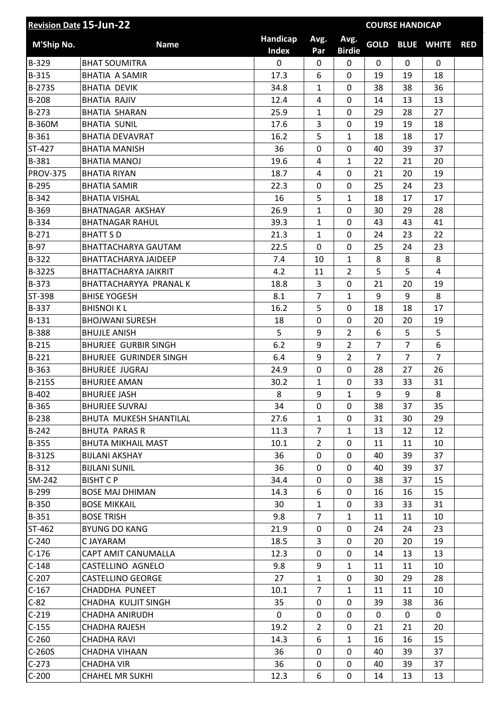| <b>Revision Date 15-Jun-22</b> |                               |                          |                |                       |                | <b>COURSE HANDICAP</b> |                   |            |
|--------------------------------|-------------------------------|--------------------------|----------------|-----------------------|----------------|------------------------|-------------------|------------|
| M'Ship No.                     | <b>Name</b>                   | Handicap<br><b>Index</b> | Avg.<br>Par    | Avg.<br><b>Birdie</b> | <b>GOLD</b>    |                        | <b>BLUE WHITE</b> | <b>RED</b> |
| B-329                          | <b>BHAT SOUMITRA</b>          | $\mathbf 0$              | $\mathbf 0$    | 0                     | $\mathbf 0$    | $\mathbf 0$            | $\mathbf 0$       |            |
| B-315                          | <b>BHATIA A SAMIR</b>         | 17.3                     | 6              | 0                     | 19             | 19                     | 18                |            |
| B-273S                         | <b>BHATIA DEVIK</b>           | 34.8                     | $\mathbf{1}$   | 0                     | 38             | 38                     | 36                |            |
| $B-208$                        | <b>BHATIA RAJIV</b>           | 12.4                     | 4              | 0                     | 14             | 13                     | 13                |            |
| $B-273$                        | <b>BHATIA SHARAN</b>          | 25.9                     | 1              | 0                     | 29             | 28                     | 27                |            |
| <b>B-360M</b>                  | <b>BHATIA SUNIL</b>           | 17.6                     | 3              | 0                     | 19             | 19                     | 18                |            |
| B-361                          | <b>BHATIA DEVAVRAT</b>        | 16.2                     | 5              | $\mathbf{1}$          | 18             | 18                     | 17                |            |
| ST-427                         | <b>BHATIA MANISH</b>          | 36                       | 0              | 0                     | 40             | 39                     | 37                |            |
| B-381                          | <b>BHATIA MANOJ</b>           | 19.6                     | 4              | $\mathbf{1}$          | 22             | 21                     | 20                |            |
| <b>PROV-375</b>                | <b>BHATIA RIYAN</b>           | 18.7                     | 4              | 0                     | 21             | 20                     | 19                |            |
| B-295                          | <b>BHATIA SAMIR</b>           | 22.3                     | 0              | 0                     | 25             | 24                     | 23                |            |
| B-342                          | <b>BHATIA VISHAL</b>          | 16                       | 5              | $\mathbf{1}$          | 18             | 17                     | 17                |            |
| B-369                          | <b>BHATNAGAR AKSHAY</b>       | 26.9                     | $\mathbf{1}$   | $\overline{0}$        | 30             | 29                     | 28                |            |
| B-334                          | <b>BHATNAGAR RAHUL</b>        | 39.3                     | $\mathbf{1}$   | 0                     | 43             | 43                     | 41                |            |
| $B-271$                        | <b>BHATT SD</b>               | 21.3                     | $\mathbf{1}$   | 0                     | 24             | 23                     | 22                |            |
| $B-97$                         | BHATTACHARYA GAUTAM           | 22.5                     | 0              | 0                     | 25             | 24                     | 23                |            |
| <b>B-322</b>                   | <b>BHATTACHARYA JAIDEEP</b>   | 7.4                      | 10             | $\mathbf{1}$          | 8              | 8                      | 8                 |            |
| <b>B-322S</b>                  | BHATTACHARYA JAIKRIT          | 4.2                      | 11             | $\overline{2}$        | 5              | 5                      | $\overline{4}$    |            |
| B-373                          | BHATTACHARYYA PRANAL K        | 18.8                     | 3              | 0                     | 21             | 20                     | 19                |            |
| ST-398                         | <b>BHISE YOGESH</b>           | 8.1                      | $\overline{7}$ | $\mathbf{1}$          | 9              | 9                      | 8                 |            |
| B-337                          | <b>BHISNOIKL</b>              | 16.2                     | 5              | 0                     | 18             | 18                     | 17                |            |
| B-131                          | <b>BHOJWANI SURESH</b>        | 18                       | 0              | 0                     | 20             | 20                     | 19                |            |
| <b>B-388</b>                   | <b>BHUJLE ANISH</b>           | 5                        | 9              | $\overline{2}$        | 6              | 5                      | 5                 |            |
| $B-215$                        | <b>BHURJEE GURBIR SINGH</b>   | 6.2                      | 9              | $\overline{2}$        | $\overline{7}$ | $\overline{7}$         | 6                 |            |
| $B-221$                        | <b>BHURJEE GURINDER SINGH</b> | 6.4                      | 9              | $\overline{2}$        | $\overline{7}$ | $\overline{7}$         | $\overline{7}$    |            |
| B-363                          | <b>BHURJEE JUGRAJ</b>         | 24.9                     | 0              | 0                     | 28             | 27                     | 26                |            |
| <b>B-215S</b>                  | <b>BHURJEE AMAN</b>           | 30.2                     | $\mathbf{1}$   | 0                     | 33             | 33                     | 31                |            |
| B-402                          | <b>BHURJEE JASH</b>           | 8                        | 9              | $\mathbf{1}$          | 9              | 9                      | 8                 |            |
| B-365                          | <b>BHURJEE SUVRAJ</b>         | 34                       | 0              | 0                     | 38             | 37                     | 35                |            |
| <b>B-238</b>                   | BHUTA MUKESH SHANTILAL        | 27.6                     | $\mathbf{1}$   | 0                     | 31             | 30                     | 29                |            |
| $B-242$                        | <b>BHUTA PARAS R</b>          | 11.3                     | $\overline{7}$ | $\mathbf{1}$          | 13             | 12                     | 12                |            |
| B-355                          | <b>BHUTA MIKHAIL MAST</b>     | 10.1                     | $\overline{2}$ | 0                     | 11             | 11                     | 10                |            |
| <b>B-312S</b>                  | <b>BIJLANI AKSHAY</b>         | 36                       | 0              | 0                     | 40             | 39                     | 37                |            |
| $B-312$                        | <b>BIJLANI SUNIL</b>          | 36                       | 0              | 0                     | 40             | 39                     | 37                |            |
| SM-242                         | <b>BISHT CP</b>               | 34.4                     | 0              | 0                     | 38             | 37                     | 15                |            |
| B-299                          | <b>BOSE MAJ DHIMAN</b>        | 14.3                     | 6              | 0                     | 16             | 16                     | 15                |            |
| B-350                          | <b>BOSE MIKKAIL</b>           | 30                       | $\mathbf{1}$   | 0                     | 33             | 33                     | 31                |            |
| $B-351$                        | <b>BOSE TRISH</b>             | 9.8                      | $\overline{7}$ | $\mathbf{1}$          | 11             | 11                     | 10                |            |
| ST-462                         | <b>BYUNG DO KANG</b>          | 21.9                     | $\mathbf{0}$   | 0                     | 24             | 24                     | 23                |            |
| $C-240$                        | C JAYARAM                     | 18.5                     | 3              | 0                     | 20             | 20                     | 19                |            |
| $C-176$                        | CAPT AMIT CANUMALLA           | 12.3                     | 0              | 0                     | 14             | 13                     | 13                |            |
| $C-148$                        | CASTELLINO AGNELO             | 9.8                      | 9              | $\mathbf{1}$          | 11             | 11                     | 10                |            |
| $C-207$                        | <b>CASTELLINO GEORGE</b>      | 27                       | $\mathbf{1}$   | 0                     | 30             | 29                     | 28                |            |
| $C-167$                        | CHADDHA PUNEET                | 10.1                     | $\overline{7}$ | $\mathbf{1}$          | 11             | 11                     | 10                |            |
| $C-82$                         | CHADHA KULJIT SINGH           | 35                       | 0              | 0                     | 39             | 38                     | 36                |            |
| $C-219$                        | CHADHA ANIRUDH                | 0                        | 0              | 0                     | 0              | $\mathbf 0$            | $\mathbf 0$       |            |
| $C-155$                        | <b>CHADHA RAJESH</b>          | 19.2                     | $\overline{2}$ | 0                     | 21             | 21                     | 20                |            |
| $C-260$                        | <b>CHADHA RAVI</b>            | 14.3                     | 6              | $\mathbf{1}$          | 16             | 16                     | 15                |            |
| $C-260S$                       | CHADHA VIHAAN                 | 36                       | 0              | 0                     | 40             | 39                     | 37                |            |
| $C-273$                        | <b>CHADHA VIR</b>             | 36                       | 0              | 0                     | 40             | 39                     | 37                |            |
| $C-200$                        | <b>CHAHEL MR SUKHI</b>        | 12.3                     | 6              | 0                     | 14             | 13                     | 13                |            |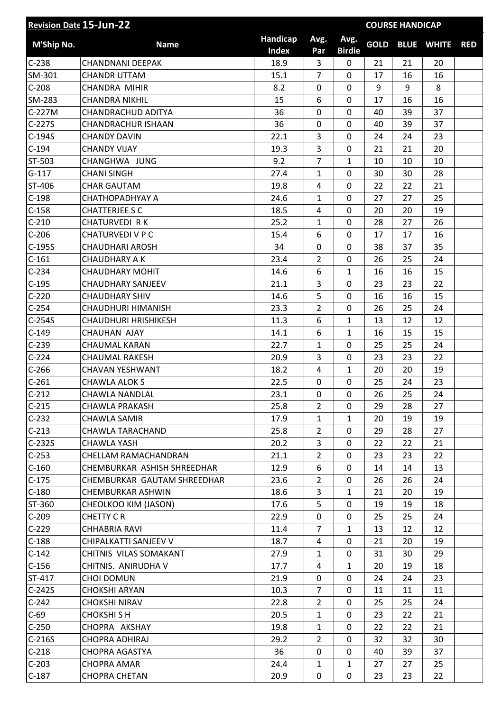| <b>Revision Date 15-Jun-22</b> |                             |                          |                |                       |             | <b>COURSE HANDICAP</b> |                   |            |
|--------------------------------|-----------------------------|--------------------------|----------------|-----------------------|-------------|------------------------|-------------------|------------|
| M'Ship No.                     | <b>Name</b>                 | Handicap<br><b>Index</b> | Avg.<br>Par    | Avg.<br><b>Birdie</b> | <b>GOLD</b> |                        | <b>BLUE WHITE</b> | <b>RED</b> |
| $C-238$                        | <b>CHANDNANI DEEPAK</b>     | 18.9                     | 3              | $\mathbf 0$           | 21          | 21                     | 20                |            |
| SM-301                         | <b>CHANDR UTTAM</b>         | 15.1                     | $\overline{7}$ | 0                     | 17          | 16                     | 16                |            |
| $C-208$                        | CHANDRA MIHIR               | 8.2                      | 0              | 0                     | 9           | 9                      | 8                 |            |
| SM-283                         | <b>CHANDRA NIKHIL</b>       | 15                       | 6              | 0                     | 17          | 16                     | 16                |            |
| C-227M                         | <b>CHANDRACHUD ADITYA</b>   | 36                       | $\mathbf 0$    | $\mathbf 0$           | 40          | 39                     | 37                |            |
| $C-227S$                       | <b>CHANDRACHUR ISHAAN</b>   | 36                       | $\mathbf 0$    | 0                     | 40          | 39                     | 37                |            |
| C-194S                         | <b>CHANDY DAVIN</b>         | 22.1                     | 3              | 0                     | 24          | 24                     | 23                |            |
| $C-194$                        | <b>CHANDY VIJAY</b>         | 19.3                     | 3              | 0                     | 21          | 21                     | 20                |            |
| ST-503                         | CHANGHWA JUNG               | 9.2                      | $\overline{7}$ | $\mathbf{1}$          | 10          | 10                     | 10                |            |
| $G-117$                        | <b>CHANI SINGH</b>          | 27.4                     | 1              | 0                     | 30          | 30                     | 28                |            |
| ST-406                         | <b>CHAR GAUTAM</b>          | 19.8                     | 4              | $\mathbf 0$           | 22          | 22                     | 21                |            |
| $C-198$                        | СНАТНОРАDНУАУ А             | 24.6                     | 1              | 0                     | 27          | 27                     | 25                |            |
| $C-158$                        | <b>CHATTERJEE S C</b>       | 18.5                     | 4              | $\mathbf 0$           | 20          | 20                     | 19                |            |
| $C-210$                        | <b>CHATURVEDI RK</b>        | 25.2                     | 1              | 0                     | 28          | 27                     | 26                |            |
| $C-206$                        | <b>CHATURVEDI V P C</b>     | 15.4                     | 6              | $\overline{0}$        | 17          | 17                     | 16                |            |
| $C-195S$                       | <b>CHAUDHARI AROSH</b>      | 34                       | 0              | 0                     | 38          | 37                     | 35                |            |
| $C-161$                        | <b>CHAUDHARY A K</b>        | 23.4                     | $\overline{2}$ | 0                     | 26          | 25                     | 24                |            |
| $C-234$                        | <b>CHAUDHARY MOHIT</b>      | 14.6                     | 6              | $\mathbf{1}$          | 16          | 16                     | 15                |            |
| $C-195$                        | <b>CHAUDHARY SANJEEV</b>    | 21.1                     | 3              | 0                     | 23          | 23                     | 22                |            |
| $C-220$                        | <b>CHAUDHARY SHIV</b>       | 14.6                     | 5              | $\overline{0}$        | 16          | 16                     | 15                |            |
| $C-254$                        | CHAUDHURI HIMANISH          | 23.3                     | $\overline{2}$ | 0                     | 26          | 25                     | 24                |            |
| $C-254S$                       | <b>CHAUDHURI HRISHIKESH</b> | 11.3                     | 6              | $\mathbf{1}$          | 13          | 12                     | 12                |            |
| $C-149$                        | <b>CHAUHAN AJAY</b>         | 14.1                     | 6              | $\mathbf{1}$          | 16          | 15                     | 15                |            |
| $C-239$                        | <b>CHAUMAL KARAN</b>        | 22.7                     | 1              | 0                     | 25          | 25                     | 24                |            |
| $C-224$                        | <b>CHAUMAL RAKESH</b>       | 20.9                     | 3              | 0                     | 23          | 23                     | 22                |            |
| $C-266$                        | <b>CHAVAN YESHWANT</b>      | 18.2                     | 4              | $\mathbf{1}$          | 20          | 20                     | 19                |            |
| $C-261$                        | CHAWLA ALOK S               | 22.5                     | $\mathbf 0$    | $\overline{0}$        | 25          | 24                     | 23                |            |
| $C-212$                        | CHAWLA NANDLAL              | 23.1                     | 0              | 0                     | 26          | 25                     | 24                |            |
| $C-215$                        | <b>CHAWLA PRAKASH</b>       | 25.8                     | $\overline{2}$ | 0                     | 29          | 28                     | 27                |            |
| $C-232$                        | CHAWLA SAMIR                | 17.9                     | 1              | $\mathbf{1}$          | 20          | 19                     | 19                |            |
| $C-213$                        | CHAWLA TARACHAND            | 25.8                     | $\overline{2}$ | 0                     | 29          | 28                     | 27                |            |
| $C-232S$                       | <b>CHAWLA YASH</b>          | 20.2                     | 3              | $\mathbf 0$           | 22          | 22                     | 21                |            |
| $C-253$                        | CHELLAM RAMACHANDRAN        | 21.1                     | $\overline{2}$ | 0                     | 23          | 23                     | 22                |            |
| $C-160$                        | CHEMBURKAR ASHISH SHREEDHAR | 12.9                     | 6              | 0                     | 14          | 14                     | 13                |            |
| $C-175$                        | CHEMBURKAR GAUTAM SHREEDHAR | 23.6                     | $\overline{2}$ | 0                     | 26          | 26                     | 24                |            |
| $C-180$                        | CHEMBURKAR ASHWIN           | 18.6                     | 3              | $\mathbf{1}$          | 21          | 20                     | 19                |            |
| ST-360                         | CHEOLKOO KIM (JASON)        | 17.6                     | 5              | 0                     | 19          | 19                     | 18                |            |
| $C-209$                        | <b>CHETTY CR</b>            | 22.9                     | 0              | 0                     | 25          | 25                     | 24                |            |
| $C-229$                        | <b>CHHABRIA RAVI</b>        | 11.4                     | $\overline{7}$ | $\mathbf{1}$          | 13          | 12                     | 12                |            |
| $C-188$                        | CHIPALKATTI SANJEEV V       | 18.7                     | 4              | 0                     | 21          | 20                     | 19                |            |
| $C-142$                        | CHITNIS VILAS SOMAKANT      | 27.9                     | 1              | 0                     | 31          | 30                     | 29                |            |
| $C-156$                        | CHITNIS. ANIRUDHA V         | 17.7                     | 4              | $\mathbf{1}$          | 20          | 19                     | 18                |            |
| ST-417                         | <b>CHOI DOMUN</b>           | 21.9                     | 0              | 0                     | 24          | 24                     | 23                |            |
| $C-242S$                       | <b>CHOKSHI ARYAN</b>        | 10.3                     | $\overline{7}$ | 0                     | 11          | 11                     | 11                |            |
| $C-242$                        | <b>CHOKSHI NIRAV</b>        | 22.8                     | $\overline{2}$ | 0                     | 25          | 25                     | 24                |            |
| $C-69$                         | <b>CHOKSHISH</b>            | 20.5                     | $\mathbf{1}$   | 0                     | 23          | 22                     | 21                |            |
| $C-250$                        | CHOPRA AKSHAY               | 19.8                     | 1              | 0                     | 22          | 22                     | 21                |            |
| $C-216S$                       | <b>CHOPRA ADHIRAJ</b>       | 29.2                     | $\overline{2}$ | 0                     | 32          | 32                     | 30                |            |
| $C-218$                        | CHOPRA AGASTYA              | 36                       | 0              | $\mathbf 0$           | 40          | 39                     | 37                |            |
| $C-203$                        | <b>CHOPRA AMAR</b>          | 24.4                     | $\mathbf{1}$   | $\mathbf{1}$          | 27          | 27                     | 25                |            |
| $C-187$                        | <b>CHOPRA CHETAN</b>        | 20.9                     | $\pmb{0}$      | 0                     | 23          | 23                     | 22                |            |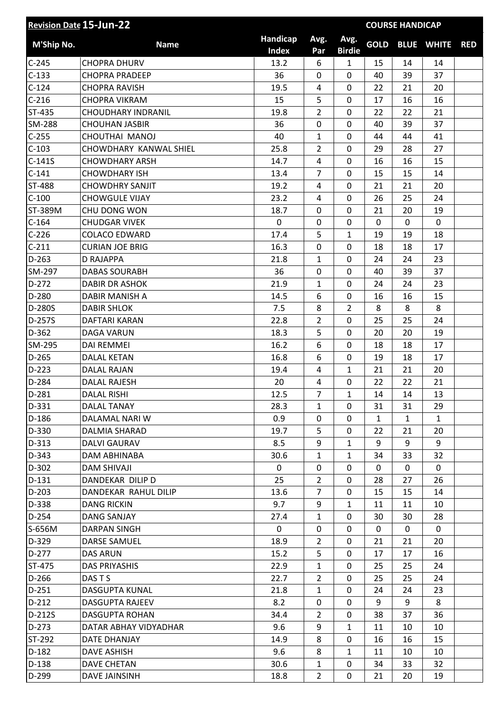| <b>Revision Date 15-Jun-22</b> |                           | <b>COURSE HANDICAP</b>   |                |                       |              |              |                   |            |
|--------------------------------|---------------------------|--------------------------|----------------|-----------------------|--------------|--------------|-------------------|------------|
| M'Ship No.                     | <b>Name</b>               | Handicap<br><b>Index</b> | Avg.<br>Par    | Avg.<br><b>Birdie</b> | <b>GOLD</b>  |              | <b>BLUE WHITE</b> | <b>RED</b> |
| $C-245$                        | <b>CHOPRA DHURV</b>       | 13.2                     | 6              | $\mathbf{1}$          | 15           | 14           | 14                |            |
| $C-133$                        | <b>CHOPRA PRADEEP</b>     | 36                       | 0              | 0                     | 40           | 39           | 37                |            |
| $C-124$                        | <b>CHOPRA RAVISH</b>      | 19.5                     | 4              | 0                     | 22           | 21           | 20                |            |
| $C-216$                        | <b>CHOPRA VIKRAM</b>      | 15                       | 5              | 0                     | 17           | 16           | 16                |            |
| ST-435                         | <b>CHOUDHARY INDRANIL</b> | 19.8                     | $\overline{2}$ | 0                     | 22           | 22           | 21                |            |
| SM-288                         | <b>CHOUHAN JASBIR</b>     | 36                       | 0              | 0                     | 40           | 39           | 37                |            |
| $C-255$                        | CHOUTHAI MANOJ            | 40                       | $\mathbf{1}$   | 0                     | 44           | 44           | 41                |            |
| $C-103$                        | CHOWDHARY KANWAL SHIEL    | 25.8                     | $\overline{2}$ | 0                     | 29           | 28           | 27                |            |
| $C-141S$                       | <b>CHOWDHARY ARSH</b>     | 14.7                     | 4              | 0                     | 16           | 16           | 15                |            |
| $C-141$                        | <b>CHOWDHARY ISH</b>      | 13.4                     | $\overline{7}$ | 0                     | 15           | 15           | 14                |            |
| <b>ST-488</b>                  | <b>CHOWDHRY SANJIT</b>    | 19.2                     | $\overline{4}$ | 0                     | 21           | 21           | 20                |            |
| $C-100$                        | <b>CHOWGULE VIJAY</b>     | 23.2                     | 4              | 0                     | 26           | 25           | 24                |            |
| ST-389M                        | CHU DONG WON              | 18.7                     | 0              | 0                     | 21           | 20           | 19                |            |
| $C-164$                        | <b>CHUDGAR VIVEK</b>      | 0                        | 0              | 0                     | 0            | 0            | $\mathbf 0$       |            |
| $C-226$                        | <b>COLACO EDWARD</b>      | 17.4                     | 5              | $\mathbf{1}$          | 19           | 19           | 18                |            |
| $C-211$                        | <b>CURIAN JOE BRIG</b>    | 16.3                     | 0              | 0                     | 18           | 18           | 17                |            |
| $D-263$                        | D RAJAPPA                 | 21.8                     | $\mathbf{1}$   | 0                     | 24           | 24           | 23                |            |
| SM-297                         | <b>DABAS SOURABH</b>      | 36                       | 0              | 0                     | 40           | 39           | 37                |            |
| $D-272$                        | <b>DABIR DR ASHOK</b>     | 21.9                     | 1              | 0                     | 24           | 24           | 23                |            |
| D-280                          | DABIR MANISH A            | 14.5                     | 6              | $\mathbf 0$           | 16           | 16           | 15                |            |
| D-280S                         | <b>DABIR SHLOK</b>        | 7.5                      | 8              | $\overline{2}$        | 8            | 8            | 8                 |            |
| D-257S                         | DAFTARI KARAN             | 22.8                     | $\overline{2}$ | 0                     | 25           | 25           | 24                |            |
| $D-362$                        | <b>DAGA VARUN</b>         | 18.3                     | 5              | 0                     | 20           | 20           | 19                |            |
| SM-295                         | <b>DAI REMMEI</b>         | 16.2                     | 6              | 0                     | 18           | 18           | 17                |            |
| $D-265$                        | <b>DALAL KETAN</b>        | 16.8                     | 6              | 0                     | 19           | 18           | 17                |            |
| $D-223$                        | DALAL RAJAN               | 19.4                     | 4              | $\mathbf{1}$          | 21           | 21           | 20                |            |
| $D-284$                        | <b>DALAL RAJESH</b>       | 20                       | 4              | 0                     | 22           | 22           | 21                |            |
| $D-281$                        | <b>DALAL RISHI</b>        | 12.5                     | $\overline{7}$ | $\mathbf{1}$          | 14           | 14           | 13                |            |
| $D-331$                        | DALAL TANAY               | 28.3                     | $\mathbf{1}$   | 0                     | 31           | 31           | 29                |            |
| D-186                          | DALAMAL NARI W            | 0.9                      | 0              | $\Omega$              | 1            | $\mathbf{1}$ | $\mathbf{1}$      |            |
| D-330                          | DALMIA SHARAD             | 19.7                     | 5              | 0                     | 22           | 21           | 20                |            |
| $D-313$                        | DALVI GAURAV              | 8.5                      | 9              | $\mathbf{1}$          | 9            | 9            | 9                 |            |
| D-343                          | DAM ABHINABA              | 30.6                     | $\mathbf{1}$   | $\mathbf{1}$          | 34           | 33           | 32                |            |
| $D-302$                        | <b>DAM SHIVAJI</b>        | 0                        | 0              | 0                     | $\mathbf{0}$ | $\mathbf{0}$ | $\mathbf{0}$      |            |
| $D-131$                        | DANDEKAR DILIP D          | 25                       | $\overline{2}$ | 0                     | 28           | 27           | 26                |            |
| $D-203$                        | DANDEKAR RAHUL DILIP      | 13.6                     | $\overline{7}$ | 0                     | 15           | 15           | 14                |            |
| D-338                          | <b>DANG RICKIN</b>        | 9.7                      | 9              | $\mathbf{1}$          | 11           | 11           | 10                |            |
| $D-254$                        | <b>DANG SANJAY</b>        | 27.4                     | $\mathbf{1}$   | 0                     | 30           | 30           | 28                |            |
| S-656M                         | <b>DARPAN SINGH</b>       | 0                        | 0              | 0                     | $\mathbf{0}$ | 0            | 0                 |            |
| D-329                          | <b>DARSE SAMUEL</b>       | 18.9                     | $\overline{2}$ | 0                     | 21           | 21           | 20                |            |
| $D-277$                        | <b>DAS ARUN</b>           | 15.2                     | 5              | 0                     | 17           | 17           | 16                |            |
| ST-475                         | <b>DAS PRIYASHIS</b>      | 22.9                     | $\mathbf{1}$   | 0                     | 25           | 25           | 24                |            |
| $D-266$                        | DAS T S                   | 22.7                     | $\overline{2}$ | 0                     | 25           | 25           | 24                |            |
| $D-251$                        | DASGUPTA KUNAL            | 21.8                     | $\mathbf{1}$   | 0                     | 24           | 24           | 23                |            |
| $D-212$                        | DASGUPTA RAJEEV           | 8.2                      | 0              | 0                     | 9            | 9            | 8                 |            |
| D-212S                         | DASGUPTA ROHAN            | 34.4                     | $\overline{2}$ | 0                     | 38           | 37           | 36                |            |
| $D-273$                        | DATAR ABHAY VIDYADHAR     | 9.6                      | 9              | $\mathbf{1}$          | 11           | 10           | 10                |            |
| ST-292                         | DATE DHANJAY              | 14.9                     | 8              | 0                     | 16           | 16           | 15                |            |
| $D-182$                        | DAVE ASHISH               | 9.6                      | 8              | $\mathbf{1}$          | 11           | 10           | 10                |            |
| $D-138$                        | <b>DAVE CHETAN</b>        | 30.6                     | $\mathbf{1}$   | 0                     | 34           | 33           | 32                |            |
| D-299                          | <b>DAVE JAINSINH</b>      | 18.8                     | $\overline{2}$ | 0                     | 21           | 20           | 19                |            |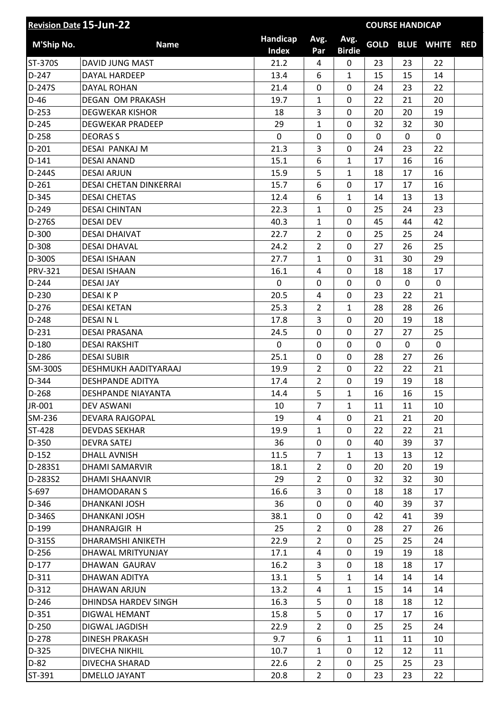| <b>Revision Date 15-Jun-22</b> |                               | <b>COURSE HANDICAP</b>   |                  |                       |              |    |                   |            |
|--------------------------------|-------------------------------|--------------------------|------------------|-----------------------|--------------|----|-------------------|------------|
| M'Ship No.                     | <b>Name</b>                   | Handicap<br><b>Index</b> | Avg.<br>Par      | Avg.<br><b>Birdie</b> | <b>GOLD</b>  |    | <b>BLUE WHITE</b> | <b>RED</b> |
| ST-370S                        | DAVID JUNG MAST               | 21.2                     | 4                | 0                     | 23           | 23 | 22                |            |
| $D-247$                        | DAYAL HARDEEP                 | 13.4                     | 6                | $\mathbf{1}$          | 15           | 15 | 14                |            |
| D-247S                         | <b>DAYAL ROHAN</b>            | 21.4                     | 0                | 0                     | 24           | 23 | 22                |            |
| $D-46$                         | <b>DEGAN OM PRAKASH</b>       | 19.7                     | 1                | 0                     | 22           | 21 | 20                |            |
| $D-253$                        | <b>DEGWEKAR KISHOR</b>        | 18                       | 3                | 0                     | 20           | 20 | 19                |            |
| $D-245$                        | <b>DEGWEKAR PRADEEP</b>       | 29                       | 1                | $\mathbf 0$           | 32           | 32 | 30                |            |
| D-258                          | <b>DEORAS S</b>               | $\mathbf 0$              | 0                | 0                     | $\mathbf{0}$ | 0  | 0                 |            |
| $D-201$                        | DESAI PANKAJ M                | 21.3                     | 3                | $\mathbf 0$           | 24           | 23 | 22                |            |
| $D-141$                        | <b>DESAI ANAND</b>            | 15.1                     | $\boldsymbol{6}$ | $\mathbf{1}$          | 17           | 16 | 16                |            |
| D-244S                         | <b>DESAI ARJUN</b>            | 15.9                     | 5                | $\mathbf{1}$          | 18           | 17 | 16                |            |
| $D-261$                        | <b>DESAI CHETAN DINKERRAI</b> | 15.7                     | 6                | $\mathbf 0$           | 17           | 17 | 16                |            |
| D-345                          | <b>DESAI CHETAS</b>           | 12.4                     | 6                | $\mathbf{1}$          | 14           | 13 | 13                |            |
| D-249                          | <b>DESAI CHINTAN</b>          | 22.3                     | $\mathbf{1}$     | 0                     | 25           | 24 | 23                |            |
| D-276S                         | <b>DESAI DEV</b>              | 40.3                     | $\mathbf{1}$     | 0                     | 45           | 44 | 42                |            |
| $D-300$                        | <b>DESAI DHAIVAT</b>          | 22.7                     | $\overline{2}$   | 0                     | 25           | 25 | 24                |            |
| D-308                          | <b>DESAI DHAVAL</b>           | 24.2                     | $\overline{2}$   | 0                     | 27           | 26 | 25                |            |
| D-300S                         | <b>DESAI ISHAAN</b>           | 27.7                     | $\mathbf{1}$     | 0                     | 31           | 30 | 29                |            |
| <b>PRV-321</b>                 | <b>DESAI ISHAAN</b>           | 16.1                     | 4                | 0                     | 18           | 18 | 17                |            |
| D-244                          | <b>DESAI JAY</b>              | $\mathbf 0$              | 0                | 0                     | $\mathbf{0}$ | 0  | 0                 |            |
| D-230                          | <b>DESAIKP</b>                | 20.5                     | 4                | 0                     | 23           | 22 | 21                |            |
| $D-276$                        | <b>DESAI KETAN</b>            | 25.3                     | 2                | $\mathbf{1}$          | 28           | 28 | 26                |            |
| D-248                          | <b>DESAINL</b>                | 17.8                     | 3                | 0                     | 20           | 19 | 18                |            |
| $D-231$                        | <b>DESAI PRASANA</b>          | 24.5                     | $\mathbf 0$      | 0                     | 27           | 27 | 25                |            |
| $D-180$                        | <b>DESAI RAKSHIT</b>          | $\mathbf 0$              | 0                | 0                     | 0            | 0  | $\mathbf 0$       |            |
| D-286                          | <b>DESAI SUBIR</b>            | 25.1                     | $\mathbf 0$      | $\mathbf 0$           | 28           | 27 | 26                |            |
| SM-300S                        | DESHMUKH AADITYARAAJ          | 19.9                     | $\overline{2}$   | 0                     | 22           | 22 | 21                |            |
| D-344                          | <b>DESHPANDE ADITYA</b>       | 17.4                     | $\overline{2}$   | 0                     | 19           | 19 | 18                |            |
| $D-268$                        | DESHPANDE NIAYANTA            | 14.4                     | 5                | $\mathbf{1}$          | 16           | 16 | 15                |            |
| JR-001                         | <b>DEV ASWANI</b>             | 10                       | $\overline{7}$   | $\mathbf{1}$          | 11           | 11 | 10                |            |
| SM-236                         | DEVARA RAJGOPAL               | 19                       | 4                | 0                     | 21           | 21 | 20                |            |
| ST-428                         | <b>DEVDAS SEKHAR</b>          | 19.9                     | $\mathbf{1}$     | 0                     | 22           | 22 | 21                |            |
| D-350                          | <b>DEVRA SATEJ</b>            | 36                       | 0                | 0                     | 40           | 39 | 37                |            |
| $D-152$                        | DHALL AVNISH                  | 11.5                     | $\overline{7}$   | $\mathbf{1}$          | 13           | 13 | 12                |            |
| D-283S1                        | <b>DHAMI SAMARVIR</b>         | 18.1                     | $\overline{2}$   | 0                     | 20           | 20 | 19                |            |
| D-283S2                        | DHAMI SHAANVIR                | 29                       | $\overline{2}$   | $\mathbf 0$           | 32           | 32 | 30                |            |
| S-697                          | DHAMODARAN S                  | 16.6                     | 3                | 0                     | 18           | 18 | 17                |            |
| D-346                          | DHANKANI JOSH                 | 36                       | 0                | $\mathbf 0$           | 40           | 39 | 37                |            |
| D-346S                         | DHANKANI JOSH                 | 38.1                     | 0                | 0                     | 42           | 41 | 39                |            |
| D-199                          | DHANRAJGIR H                  | 25                       | $\overline{2}$   | 0                     | 28           | 27 | 26                |            |
| D-315S                         | DHARAMSHI ANIKETH             | 22.9                     | $\overline{2}$   | 0                     | 25           | 25 | 24                |            |
| D-256                          | DHAWAL MRITYUNJAY             | 17.1                     | 4                | 0                     | 19           | 19 | 18                |            |
| $D-177$                        | DHAWAN GAURAV                 | 16.2                     | 3                | 0                     | 18           | 18 | 17                |            |
| $D-311$                        | DHAWAN ADITYA                 | 13.1                     | 5                | $\mathbf{1}$          | 14           | 14 | 14                |            |
| D-312                          | DHAWAN ARJUN                  | 13.2                     | 4                | $\mathbf{1}$          | 15           | 14 | 14                |            |
| $D-246$                        | DHINDSA HARDEV SINGH          | 16.3                     | 5                | 0                     | 18           | 18 | 12                |            |
| $D-351$                        | DIGWAL HEMANT                 | 15.8                     | 5                | 0                     | 17           | 17 | 16                |            |
| D-250                          | DIGWAL JAGDISH                | 22.9                     | $\overline{2}$   | 0                     | 25           | 25 | 24                |            |
| D-278                          | <b>DINESH PRAKASH</b>         | 9.7                      | 6                | $\mathbf{1}$          | 11           | 11 | 10                |            |
| D-325                          | DIVECHA NIKHIL                | 10.7                     | $\mathbf{1}$     | 0                     | 12           | 12 | 11                |            |
| $D-82$                         | DIVECHA SHARAD                | 22.6                     | $\overline{2}$   | 0                     | 25           | 25 | 23                |            |
| ST-391                         | <b>DMELLO JAYANT</b>          | 20.8                     | $\overline{2}$   | 0                     | 23           | 23 | 22                |            |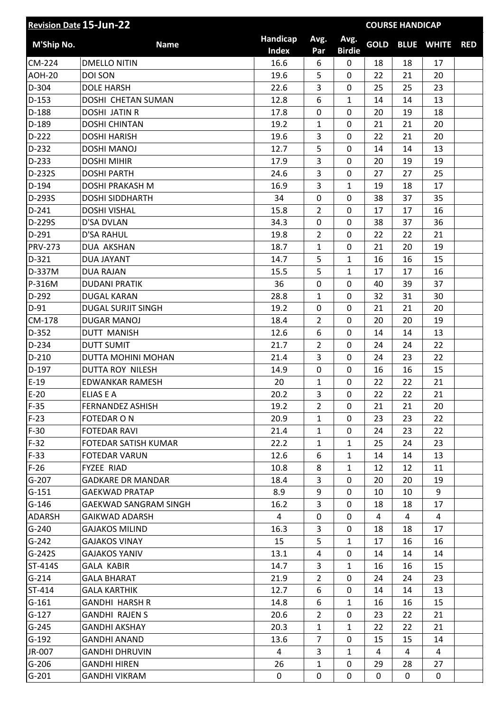|                | <b>Revision Date 15-Jun-22</b> |                          |                |                       |             | <b>COURSE HANDICAP</b> |                   |            |
|----------------|--------------------------------|--------------------------|----------------|-----------------------|-------------|------------------------|-------------------|------------|
| M'Ship No.     | <b>Name</b>                    | Handicap<br><b>Index</b> | Avg.<br>Par    | Avg.<br><b>Birdie</b> | <b>GOLD</b> |                        | <b>BLUE WHITE</b> | <b>RED</b> |
| CM-224         | <b>DMELLO NITIN</b>            | 16.6                     | 6              | $\mathbf 0$           | 18          | 18                     | 17                |            |
| <b>AOH-20</b>  | <b>DOI SON</b>                 | 19.6                     | 5              | $\mathbf 0$           | 22          | 21                     | 20                |            |
| D-304          | <b>DOLE HARSH</b>              | 22.6                     | 3              | $\mathbf 0$           | 25          | 25                     | 23                |            |
| $D-153$        | DOSHI CHETAN SUMAN             | 12.8                     | 6              | $\mathbf{1}$          | 14          | 14                     | 13                |            |
| $D-188$        | <b>DOSHI JATIN R</b>           | 17.8                     | 0              | $\mathbf 0$           | 20          | 19                     | 18                |            |
| D-189          | <b>DOSHI CHINTAN</b>           | 19.2                     | 1              | $\mathbf 0$           | 21          | 21                     | 20                |            |
| $D-222$        | <b>DOSHI HARISH</b>            | 19.6                     | 3              | $\mathbf 0$           | 22          | 21                     | 20                |            |
| D-232          | <b>DOSHI MANOJ</b>             | 12.7                     | 5              | $\mathbf 0$           | 14          | 14                     | 13                |            |
| $D-233$        | <b>DOSHI MIHIR</b>             | 17.9                     | 3              | $\mathbf 0$           | 20          | 19                     | 19                |            |
| D-232S         | <b>DOSHI PARTH</b>             | 24.6                     | 3              | 0                     | 27          | 27                     | 25                |            |
| D-194          | DOSHI PRAKASH M                | 16.9                     | 3              | $\mathbf{1}$          | 19          | 18                     | 17                |            |
| D-293S         | <b>DOSHI SIDDHARTH</b>         | 34                       | $\mathbf 0$    | $\mathbf 0$           | 38          | 37                     | 35                |            |
| $D-241$        | <b>DOSHI VISHAL</b>            | 15.8                     | $\overline{2}$ | $\mathbf 0$           | 17          | 17                     | 16                |            |
| D-229S         | D'SA DVLAN                     | 34.3                     | 0              | $\mathbf 0$           | 38          | 37                     | 36                |            |
| $D-291$        | <b>D'SA RAHUL</b>              | 19.8                     | $\overline{2}$ | $\mathbf 0$           | 22          | 22                     | 21                |            |
| <b>PRV-273</b> | DUA AKSHAN                     | 18.7                     | 1              | 0                     | 21          | 20                     | 19                |            |
| D-321          | <b>DUA JAYANT</b>              | 14.7                     | 5              | $\mathbf{1}$          | 16          | 16                     | 15                |            |
| D-337M         | <b>DUA RAJAN</b>               | 15.5                     | 5              | $\mathbf{1}$          | 17          | 17                     | 16                |            |
| P-316M         | <b>DUDANI PRATIK</b>           | 36                       | $\mathbf 0$    | $\mathbf 0$           | 40          | 39                     | 37                |            |
| $D-292$        | <b>DUGAL KARAN</b>             | 28.8                     | $\mathbf{1}$   | $\mathbf 0$           | 32          | 31                     | 30                |            |
| $D-91$         | <b>DUGAL SURJIT SINGH</b>      | 19.2                     | 0              | $\mathbf 0$           | 21          | 21                     | 20                |            |
| CM-178         | <b>DUGAR MANOJ</b>             | 18.4                     | $\overline{2}$ | $\overline{0}$        | 20          | 20                     | 19                |            |
| $D-352$        | <b>DUTT MANISH</b>             | 12.6                     | 6              | 0                     | 14          | 14                     | 13                |            |
| D-234          | <b>DUTT SUMIT</b>              | 21.7                     | $\overline{2}$ | $\mathbf 0$           | 24          | 24                     | 22                |            |
| $D-210$        | <b>DUTTA MOHINI MOHAN</b>      | 21.4                     | 3              | $\mathbf 0$           | 24          | 23                     | 22                |            |
| $D-197$        | DUTTA ROY NILESH               | 14.9                     | 0              | 0                     | 16          | 16                     | 15                |            |
| $E-19$         | <b>EDWANKAR RAMESH</b>         | 20                       | 1              | $\mathbf 0$           | 22          | 22                     | 21                |            |
| $E-20$         | ELIAS E A                      | 20.2                     | 3              | $\mathbf 0$           | 22          | 22                     | 21                |            |
| $F-35$         | <b>FERNANDEZ ASHISH</b>        | 19.2                     | $\overline{2}$ | 0                     | 21          | 21                     | 20                |            |
| $F-23$         | <b>FOTEDAR ON</b>              | 20.9                     | 1              | $\mathbf 0$           | 23          | 23                     | 22                |            |
| $F-30$         | <b>FOTEDAR RAVI</b>            | 21.4                     | $\mathbf{1}$   | $\mathbf 0$           | 24          | 23                     | 22                |            |
| $F-32$         | FOTEDAR SATISH KUMAR           | 22.2                     | 1              | $\mathbf{1}$          | 25          | 24                     | 23                |            |
| $F-33$         | <b>FOTEDAR VARUN</b>           | 12.6                     | 6              | $\mathbf{1}$          | 14          | 14                     | 13                |            |
| $F-26$         | FYZEE RIAD                     | 10.8                     | 8              | $\mathbf{1}$          | 12          | 12                     | 11                |            |
| $G-207$        | <b>GADKARE DR MANDAR</b>       | 18.4                     | 3              | $\mathbf 0$           | 20          | 20                     | 19                |            |
| $G-151$        | <b>GAEKWAD PRATAP</b>          | 8.9                      | 9              | $\mathbf 0$           | 10          | 10                     | 9                 |            |
| $G-146$        | <b>GAEKWAD SANGRAM SINGH</b>   | 16.2                     | 3              | $\mathbf 0$           | 18          | 18                     | 17                |            |
| <b>ADARSH</b>  | GAIKWAD ADARSH                 | 4                        | 0              | 0                     | 4           | 4                      | 4                 |            |
| $G-240$        | <b>GAJAKOS MILIND</b>          | 16.3                     | 3              | $\mathbf 0$           | 18          | 18                     | 17                |            |
| $G-242$        | <b>GAJAKOS VINAY</b>           | 15                       | 5              | $\mathbf{1}$          | 17          | 16                     | 16                |            |
| $G-242S$       | <b>GAJAKOS YANIV</b>           | 13.1                     | 4              | 0                     | 14          | 14                     | 14                |            |
| ST-414S        | <b>GALA KABIR</b>              | 14.7                     | 3              | $\mathbf{1}$          | 16          | 16                     | 15                |            |
| $G-214$        | <b>GALA BHARAT</b>             | 21.9                     | $\overline{2}$ | 0                     | 24          | 24                     | 23                |            |
| ST-414         | <b>GALA KARTHIK</b>            | 12.7                     | 6              | $\mathbf 0$           | 14          | 14                     | 13                |            |
| $G-161$        | <b>GANDHI HARSH R</b>          | 14.8                     | 6              | $\mathbf{1}$          | 16          | 16                     | 15                |            |
| $G-127$        | <b>GANDHI RAJEN S</b>          | 20.6                     | $\overline{2}$ | 0                     | 23          | 22                     | 21                |            |
| $G - 245$      | <b>GANDHI AKSHAY</b>           | 20.3                     | $\mathbf{1}$   | $\mathbf{1}$          | 22          | 22                     | 21                |            |
| $G-192$        | <b>GANDHI ANAND</b>            | 13.6                     | $\overline{7}$ | 0                     | 15          | 15                     | 14                |            |
| JR-007         | <b>GANDHI DHRUVIN</b>          | 4                        | 3              | $\mathbf{1}$          | 4           | 4                      | 4                 |            |
| $G-206$        | <b>GANDHI HIREN</b>            | 26                       | $\mathbf{1}$   | $\mathbf 0$           | 29          | 28                     | 27                |            |
| $G-201$        | <b>GANDHI VIKRAM</b>           | 0                        | 0              | 0                     | 0           | 0                      | 0                 |            |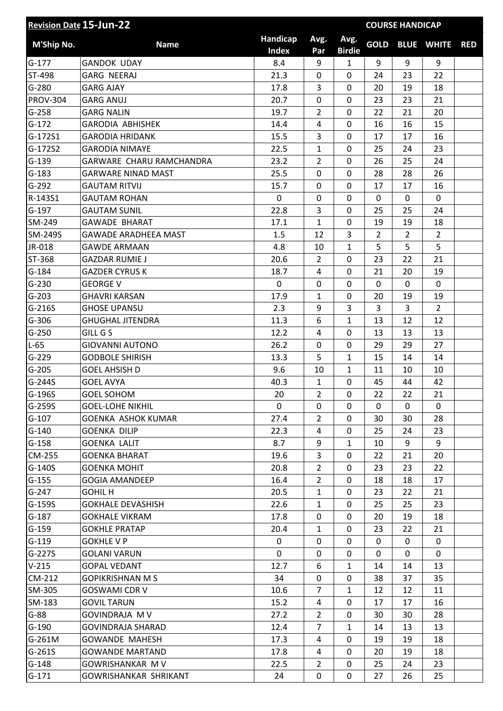| <b>Revision Date 15-Jun-22</b> |                             | <b>COURSE HANDICAP</b>   |                |                       |                |                |                   |            |
|--------------------------------|-----------------------------|--------------------------|----------------|-----------------------|----------------|----------------|-------------------|------------|
| M'Ship No.                     | <b>Name</b>                 | Handicap<br><b>Index</b> | Avg.<br>Par    | Avg.<br><b>Birdie</b> | <b>GOLD</b>    |                | <b>BLUE WHITE</b> | <b>RED</b> |
| $G-177$                        | <b>GANDOK UDAY</b>          | 8.4                      | 9              | $\mathbf{1}$          | 9              | 9              | 9                 |            |
| ST-498                         | <b>GARG NEERAJ</b>          | 21.3                     | 0              | $\mathbf 0$           | 24             | 23             | 22                |            |
| $G-280$                        | <b>GARG AJAY</b>            | 17.8                     | 3              | $\mathbf 0$           | 20             | 19             | 18                |            |
| <b>PROV-304</b>                | <b>GARG ANUJ</b>            | 20.7                     | 0              | $\mathbf 0$           | 23             | 23             | 21                |            |
| $G-258$                        | <b>GARG NALIN</b>           | 19.7                     | $\overline{2}$ | $\mathbf 0$           | 22             | 21             | 20                |            |
| $G-172$                        | <b>GARODIA ABHISHEK</b>     | 14.4                     | 4              | $\mathbf 0$           | 16             | 16             | 15                |            |
| G-172S1                        | <b>GARODIA HRIDANK</b>      | 15.5                     | 3              | $\mathbf 0$           | 17             | 17             | 16                |            |
| G-172S2                        | <b>GARODIA NIMAYE</b>       | 22.5                     | $\mathbf{1}$   | $\mathbf 0$           | 25             | 24             | 23                |            |
| $G-139$                        | GARWARE CHARU RAMCHANDRA    | 23.2                     | $\overline{2}$ | $\mathbf 0$           | 26             | 25             | 24                |            |
| $G-183$                        | <b>GARWARE NINAD MAST</b>   | 25.5                     | 0              | $\mathbf 0$           | 28             | 28             | 26                |            |
| $G-292$                        | <b>GAUTAM RITVIJ</b>        | 15.7                     | 0              | $\mathbf 0$           | 17             | 17             | 16                |            |
| R-143S1                        | <b>GAUTAM ROHAN</b>         | 0                        | 0              | $\mathbf 0$           | 0              | 0              | 0                 |            |
| $G-197$                        | <b>GAUTAM SUNIL</b>         | 22.8                     | 3              | $\mathbf 0$           | 25             | 25             | 24                |            |
| SM-249                         | <b>GAWADE BHARAT</b>        | 17.1                     | $\mathbf{1}$   | 0                     | 19             | 19             | 18                |            |
| SM-249S                        | <b>GAWADE ARADHEEA MAST</b> | 1.5                      | 12             | 3                     | $\overline{2}$ | $\overline{2}$ | $\overline{2}$    |            |
| JR-018                         | <b>GAWDE ARMAAN</b>         | 4.8                      | 10             | $\mathbf{1}$          | 5              | 5              | 5                 |            |
| ST-368                         | <b>GAZDAR RUMIE J</b>       | 20.6                     | $\overline{2}$ | $\mathbf 0$           | 23             | 22             | 21                |            |
| $G-184$                        | <b>GAZDER CYRUS K</b>       | 18.7                     | 4              | 0                     | 21             | 20             | 19                |            |
| $G-230$                        | <b>GEORGE V</b>             | 0                        | 0              | $\mathbf 0$           | $\mathbf 0$    | 0              | 0                 |            |
| $G-203$                        | <b>GHAVRI KARSAN</b>        | 17.9                     | $\mathbf{1}$   | $\mathbf 0$           | 20             | 19             | 19                |            |
| $G-216S$                       | <b>GHOSE UPANSU</b>         | 2.3                      | 9              | 3                     | 3              | 3              | $\overline{2}$    |            |
| $G-306$                        | <b>GHUGHAL JITENDRA</b>     | 11.3                     | 6              | 1                     | 13             | 12             | 12                |            |
| $G-250$                        | GILL G S                    | 12.2                     | $\overline{4}$ | $\mathbf 0$           | 13             | 13             | 13                |            |
| $L-65$                         | <b>GIOVANNI AUTONO</b>      | 26.2                     | 0              | $\mathbf 0$           | 29             | 29             | 27                |            |
| $G-229$                        | <b>GODBOLE SHIRISH</b>      | 13.3                     | 5              | $\mathbf{1}$          | 15             | 14             | 14                |            |
| $G-205$                        | <b>GOEL AHSISH D</b>        | 9.6                      | 10             | 1                     | 11             | 10             | 10                |            |
| $G-244S$                       | <b>GOEL AVYA</b>            | 40.3                     | $\mathbf{1}$   | $\mathbf 0$           | 45             | 44             | 42                |            |
| G-196S                         | <b>GOEL SOHOM</b>           | 20                       | $\overline{2}$ | 0                     | 22             | 22             | 21                |            |
| $G-259S$                       | <b>GOEL-LOHE NIKHIL</b>     | 0                        | 0              | 0                     | 0              | 0              | $\mathbf{0}$      |            |
| $G-107$                        | <b>GOENKA ASHOK KUMAR</b>   | 27.4                     | $\overline{2}$ | $\mathbf 0$           | 30             | 30             | 28                |            |
| $G-140$                        | <b>GOENKA DILIP</b>         | 22.3                     | 4              | 0                     | 25             | 24             | 23                |            |
| $G-158$                        | <b>GOENKA LALIT</b>         | 8.7                      | 9              | $\mathbf{1}$          | 10             | 9              | 9                 |            |
| CM-255                         | <b>GOENKA BHARAT</b>        | 19.6                     | 3              | 0                     | 22             | 21             | 20                |            |
| $G-140S$                       | <b>GOENKA MOHIT</b>         | 20.8                     | $\overline{2}$ | 0                     | 23             | 23             | 22                |            |
| $G-155$                        | <b>GOGIA AMANDEEP</b>       | 16.4                     | $\overline{2}$ | 0                     | 18             | 18             | 17                |            |
| $G-247$                        | <b>GOHIL H</b>              | 20.5                     | $\mathbf{1}$   | $\mathbf 0$           | 23             | 22             | 21                |            |
| $G-159S$                       | <b>GOKHALE DEVASHISH</b>    | 22.6                     | $\mathbf{1}$   | $\mathbf 0$           | 25             | 25             | 23                |            |
| $G-187$                        | <b>GOKHALE VIKRAM</b>       | 17.8                     | 0              | 0                     | 20             | 19             | 18                |            |
| $G-159$                        | <b>GOKHLE PRATAP</b>        | 20.4                     | $\mathbf{1}$   | $\mathbf 0$           | 23             | 22             | 21                |            |
| $G-119$                        | <b>GOKHLE V P</b>           | 0                        | 0              | $\mathbf{0}$          | 0              | 0              | 0                 |            |
| $G-227S$                       | <b>GOLANI VARUN</b>         | 0                        | 0              | 0                     | $\mathbf{0}$   | 0              | $\mathbf{0}$      |            |
| $V-215$                        | <b>GOPAL VEDANT</b>         | 12.7                     | 6              | $\mathbf{1}$          | 14             | 14             | 13                |            |
| CM-212                         | <b>GOPIKRISHNAN M S</b>     | 34                       | 0              | 0                     | 38             | 37             | 35                |            |
| SM-305                         | <b>GOSWAMI CDR V</b>        | 10.6                     | $\overline{7}$ | $\mathbf{1}$          | 12             | 12             | 11                |            |
| SM-183                         | <b>GOVIL TARUN</b>          | 15.2                     | 4              | $\mathbf{0}$          | 17             | 17             | 16                |            |
| $G-88$                         | <b>GOVINDRAJA MV</b>        | 27.2                     | $\overline{2}$ | 0                     | 30             | 30             | 28                |            |
| $G-190$                        | <b>GOVINDRAJA SHARAD</b>    | 12.4                     | $\overline{7}$ | 1                     | 14             | 13             | 13                |            |
| $G-261M$                       | <b>GOWANDE MAHESH</b>       | 17.3                     | 4              | 0                     | 19             | 19             | 18                |            |
| $G-261S$                       | <b>GOWANDE MARTAND</b>      | 17.8                     | 4              | $\mathbf 0$           | 20             | 19             | 18                |            |
| $G-148$                        | <b>GOWRISHANKAR MV</b>      | 22.5                     | $\overline{2}$ | 0                     | 25             | 24             | 23                |            |
| $G-171$                        | GOWRISHANKAR SHRIKANT       | 24                       | 0              | 0                     | 27             | 26             | 25                |            |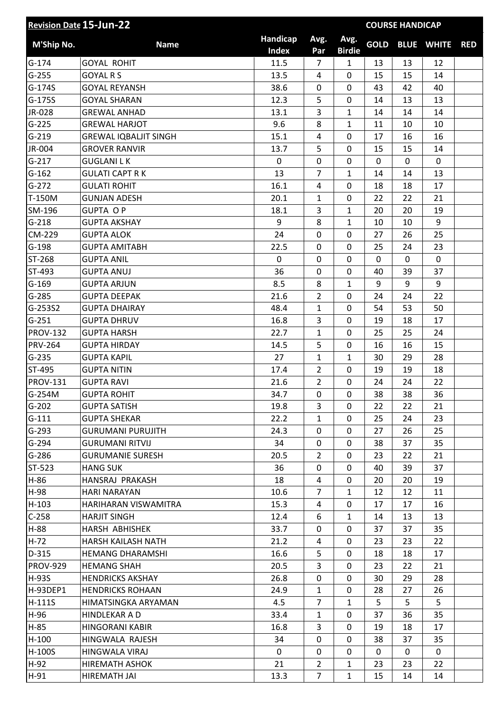| <b>Revision Date 15-Jun-22</b> |                              |                          |                         |                       |              | <b>COURSE HANDICAP</b> |                   |            |
|--------------------------------|------------------------------|--------------------------|-------------------------|-----------------------|--------------|------------------------|-------------------|------------|
| M'Ship No.                     | <b>Name</b>                  | Handicap<br><b>Index</b> | Avg.<br>Par             | Avg.<br><b>Birdie</b> | <b>GOLD</b>  |                        | <b>BLUE WHITE</b> | <b>RED</b> |
| $G-174$                        | <b>GOYAL ROHIT</b>           | 11.5                     | $\overline{7}$          | $\mathbf{1}$          | 13           | 13                     | 12                |            |
| $G-255$                        | <b>GOYAL R S</b>             | 13.5                     | 4                       | 0                     | 15           | 15                     | 14                |            |
| $G-174S$                       | <b>GOYAL REYANSH</b>         | 38.6                     | 0                       | 0                     | 43           | 42                     | 40                |            |
| $G-175S$                       | <b>GOYAL SHARAN</b>          | 12.3                     | 5                       | $\mathbf 0$           | 14           | 13                     | 13                |            |
| JR-028                         | <b>GREWAL ANHAD</b>          | 13.1                     | 3                       | $\mathbf{1}$          | 14           | 14                     | 14                |            |
| $G-225$                        | <b>GREWAL HARJOT</b>         | 9.6                      | 8                       | $\mathbf{1}$          | 11           | 10                     | 10                |            |
| $G-219$                        | <b>GREWAL IQBALJIT SINGH</b> | 15.1                     | 4                       | 0                     | 17           | 16                     | 16                |            |
| JR-004                         | <b>GROVER RANVIR</b>         | 13.7                     | 5                       | $\mathbf 0$           | 15           | 15                     | 14                |            |
| $G-217$                        | <b>GUGLANILK</b>             | 0                        | 0                       | 0                     | 0            | 0                      | $\mathbf 0$       |            |
| $G-162$                        | <b>GULATI CAPT RK</b>        | 13                       | $\overline{7}$          | $\mathbf{1}$          | 14           | 14                     | 13                |            |
| $G-272$                        | <b>GULATI ROHIT</b>          | 16.1                     | $\overline{\mathbf{4}}$ | $\mathbf 0$           | 18           | 18                     | 17                |            |
| T-150M                         | <b>GUNJAN ADESH</b>          | 20.1                     | $\mathbf{1}$            | 0                     | 22           | 22                     | 21                |            |
| SM-196                         | <b>GUPTA OP</b>              | 18.1                     | 3                       | $\mathbf{1}$          | 20           | 20                     | 19                |            |
| $G-218$                        | <b>GUPTA AKSHAY</b>          | 9                        | 8                       | $\mathbf{1}$          | 10           | 10                     | 9                 |            |
| CM-229                         | <b>GUPTA ALOK</b>            | 24                       | 0                       | $\mathbf 0$           | 27           | 26                     | 25                |            |
| $G-198$                        | <b>GUPTA AMITABH</b>         | 22.5                     | $\pmb{0}$               | 0                     | 25           | 24                     | 23                |            |
| ST-268                         | <b>GUPTA ANIL</b>            | $\mathbf 0$              | $\mathbf 0$             | $\mathbf 0$           | $\mathbf{0}$ | $\mathbf 0$            | $\mathbf 0$       |            |
| $ST-493$                       | <b>GUPTA ANUJ</b>            | 36                       | $\mathbf 0$             | $\mathbf 0$           | 40           | 39                     | 37                |            |
| $G-169$                        | <b>GUPTA ARJUN</b>           | 8.5                      | 8                       | $\mathbf{1}$          | 9            | 9                      | 9                 |            |
| $G-285$                        | <b>GUPTA DEEPAK</b>          | 21.6                     | $\overline{2}$          | $\mathbf 0$           | 24           | 24                     | 22                |            |
| G-253S2                        | <b>GUPTA DHAIRAY</b>         | 48.4                     | $\mathbf{1}$            | $\overline{0}$        | 54           | 53                     | 50                |            |
| $G-251$                        | <b>GUPTA DHRUV</b>           | 16.8                     | 3                       | 0                     | 19           | 18                     | 17                |            |
| <b>PROV-132</b>                | <b>GUPTA HARSH</b>           | 22.7                     | 1                       | $\mathbf 0$           | 25           | 25                     | 24                |            |
| <b>PRV-264</b>                 | <b>GUPTA HIRDAY</b>          | 14.5                     | 5                       | 0                     | 16           | 16                     | 15                |            |
| $G-235$                        | <b>GUPTA KAPIL</b>           | 27                       | $\mathbf{1}$            | $\mathbf{1}$          | 30           | 29                     | 28                |            |
| ST-495                         | <b>GUPTA NITIN</b>           | 17.4                     | $\overline{2}$          | 0                     | 19           | 19                     | 18                |            |
| <b>PROV-131</b>                | <b>GUPTA RAVI</b>            | 21.6                     | $\overline{2}$          | 0                     | 24           | 24                     | 22                |            |
| G-254M                         | <b>GUPTA ROHIT</b>           | 34.7                     | $\pmb{0}$               | 0                     | 38           | 38                     | 36                |            |
| $G-202$                        | <b>GUPTA SATISH</b>          | 19.8                     | 3                       | 0                     | 22           | 22                     | 21                |            |
| $G-111$                        | <b>GUPTA SHEKAR</b>          | 22.2                     | $\mathbf{1}$            | 0                     | 25           | 24                     | 23                |            |
| $G-293$                        | <b>GURUMANI PURUJITH</b>     | 24.3                     | 0                       | 0                     | 27           | 26                     | 25                |            |
| $G-294$                        | <b>GURUMANI RITVIJ</b>       | 34                       | 0                       | 0                     | 38           | 37                     | 35                |            |
| $G-286$                        | <b>GURUMANIE SURESH</b>      | 20.5                     | $\overline{2}$          | 0                     | 23           | 22                     | 21                |            |
| ST-523                         | <b>HANG SUK</b>              | 36                       | 0                       | 0                     | 40           | 39                     | 37                |            |
| $H-86$                         | HANSRAJ PRAKASH              | 18                       | 4                       | 0                     | 20           | 20                     | 19                |            |
| H-98                           | <b>HARI NARAYAN</b>          | 10.6                     | $\overline{7}$          | $\mathbf{1}$          | 12           | 12                     | 11                |            |
| $H-103$                        | HARIHARAN VISWAMITRA         | 15.3                     | 4                       | 0                     | 17           | 17                     | 16                |            |
| $C-258$                        | <b>HARJIT SINGH</b>          | 12.4                     | 6                       | $\mathbf{1}$          | 14           | 13                     | 13                |            |
| $H-88$                         | HARSH ABHISHEK               | 33.7                     | $\mathbf{0}$            | 0                     | 37           | 37                     | 35                |            |
| $H-72$                         | HARSH KAILASH NATH           | 21.2                     | 4                       | 0                     | 23           | 23                     | 22                |            |
| $D-315$                        | <b>HEMANG DHARAMSHI</b>      | 16.6                     | 5                       | 0                     | 18           | 18                     | 17                |            |
| <b>PROV-929</b>                | <b>HEMANG SHAH</b>           | 20.5                     | 3                       | 0                     | 23           | 22                     | 21                |            |
| H-93S                          | <b>HENDRICKS AKSHAY</b>      | 26.8                     | 0                       | 0                     | 30           | 29                     | 28                |            |
| H-93DEP1                       | <b>HENDRICKS ROHAAN</b>      | 24.9                     | $\mathbf{1}$            | 0                     | 28           | 27                     | 26                |            |
| $H-111S$                       | HIMATSINGKA ARYAMAN          | 4.5                      | $\overline{7}$          | $\mathbf{1}$          | 5            | 5                      | 5                 |            |
| H-96                           | HINDLEKAR A D                | 33.4                     | $\mathbf{1}$            | 0                     | 37           | 36                     | 35                |            |
| $H-85$                         | <b>HINGORANI KABIR</b>       | 16.8                     | 3                       | 0                     | 19           | 18                     | 17                |            |
| $H-100$                        | HINGWALA RAJESH              | 34                       | 0                       | 0                     | 38           | 37                     | 35                |            |
| H-100S                         | HINGWALA VIRAJ               | $\mathbf 0$              | 0                       | 0                     | 0            | $\mathbf{0}$           | 0                 |            |
| $H-92$                         | <b>HIREMATH ASHOK</b>        | 21                       | $\overline{2}$          | $\mathbf{1}$          | 23           | 23                     | 22                |            |
| $H-91$                         | HIREMATH JAI                 | 13.3                     | $\overline{7}$          | $\mathbf{1}$          | 15           | 14                     | 14                |            |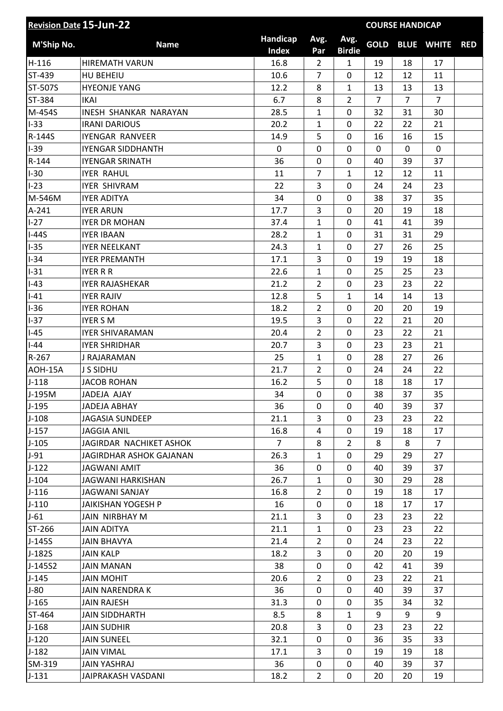| <b>Revision Date 15-Jun-22</b> |                                          |                          |                                |                       |                | <b>COURSE HANDICAP</b> |                   |            |
|--------------------------------|------------------------------------------|--------------------------|--------------------------------|-----------------------|----------------|------------------------|-------------------|------------|
| M'Ship No.                     | <b>Name</b>                              | Handicap<br><b>Index</b> | Avg.<br>Par                    | Avg.<br><b>Birdie</b> | <b>GOLD</b>    |                        | <b>BLUE WHITE</b> | <b>RED</b> |
| $H-116$                        | <b>HIREMATH VARUN</b>                    | 16.8                     | $\overline{2}$                 | $\mathbf{1}$          | 19             | 18                     | 17                |            |
| ST-439                         | HU BEHEIU                                | 10.6                     | 7                              | 0                     | 12             | 12                     | 11                |            |
| ST-507S                        | <b>HYEONJE YANG</b>                      | 12.2                     | 8                              | $\mathbf{1}$          | 13             | 13                     | 13                |            |
| ST-384                         | <b>IKAI</b>                              | 6.7                      | 8                              | $\overline{2}$        | $\overline{7}$ | $\overline{7}$         | $\overline{7}$    |            |
| M-454S                         | <b>INESH SHANKAR NARAYAN</b>             | 28.5                     | 1                              | 0                     | 32             | 31                     | 30                |            |
| $I-33$                         | <b>IRANI DARIOUS</b>                     | 20.2                     | $\mathbf{1}$                   | $\mathbf 0$           | 22             | 22                     | 21                |            |
| R-144S                         | <b>IYENGAR RANVEER</b>                   | 14.9                     | 5                              | 0                     | 16             | 16                     | 15                |            |
| $I-39$                         | <b>IYENGAR SIDDHANTH</b>                 | $\mathbf 0$              | $\mathbf 0$                    | $\overline{0}$        | 0              | 0                      | 0                 |            |
| $R-144$                        | <b>IYENGAR SRINATH</b>                   | 36                       | $\mathbf 0$                    | $\mathbf 0$           | 40             | 39                     | 37                |            |
| $I-30$                         | <b>IYER RAHUL</b>                        | 11                       | $\overline{7}$                 | $\mathbf{1}$          | 12             | 12                     | 11                |            |
| $I-23$                         | <b>IYER SHIVRAM</b>                      | 22                       | 3                              | $\mathbf 0$           | 24             | 24                     | 23                |            |
| M-546M                         | <b>IYER ADITYA</b>                       | 34                       | $\mathbf 0$                    | 0                     | 38             | 37                     | 35                |            |
| $A-241$                        | <b>IYER ARUN</b>                         | 17.7                     | 3                              | 0                     | 20             | 19                     | 18                |            |
| $1-27$                         | <b>IYER DR MOHAN</b>                     | 37.4                     | $\mathbf{1}$                   | 0                     | 41             | 41                     | 39                |            |
| $I-44S$                        | <b>IYER IBAAN</b>                        | 28.2                     | $\mathbf{1}$                   | $\overline{0}$        | 31             | 31                     | 29                |            |
| $I-35$                         | <b>IYER NEELKANT</b>                     | 24.3                     | 1                              | 0                     | 27             | 26                     | 25                |            |
| $I-34$                         | <b>IYER PREMANTH</b>                     | 17.1                     | 3                              | 0                     | 19             | 19                     | 18                |            |
| $I-31$                         | <b>IYER R R</b>                          | 22.6                     | 1                              | 0                     | 25             | 25                     | 23                |            |
| $I-43$                         | <b>IYER RAJASHEKAR</b>                   | 21.2                     | $\overline{2}$                 | 0                     | 23             | 23                     | 22                |            |
| $I-41$                         | <b>IYER RAJIV</b>                        | 12.8                     | 5                              | $\mathbf{1}$          | 14             | 14                     | 13                |            |
| $I-36$                         | <b>IYER ROHAN</b>                        | 18.2                     | $\overline{2}$                 | 0                     | 20             | 20                     | 19                |            |
| $I-37$                         | <b>IYER S M</b>                          | 19.5                     | 3                              | 0                     | 22             | 21                     | 20                |            |
| $I-45$                         | <b>IYER SHIVARAMAN</b>                   | 20.4                     | $\overline{2}$                 | 0                     | 23             | 22                     | 21                |            |
| $I-44$                         | <b>IYER SHRIDHAR</b>                     | 20.7                     | 3                              | 0                     | 23             | 23                     | 21                |            |
| $R-267$                        | <b>J RAJARAMAN</b>                       | 25                       | 1                              | 0                     | 28             | 27                     | 26                |            |
| AOH-15A                        | <b>J S SIDHU</b>                         | 21.7                     | $\overline{2}$                 | 0                     | 24             | 24                     | 22                |            |
| $J-118$                        | <b>JACOB ROHAN</b>                       | 16.2                     | 5                              | 0                     | 18             | 18                     | 17                |            |
| J-195M                         | JADEJA AJAY                              | 34                       | $\mathbf 0$                    | 0                     | 38             | 37                     | 35                |            |
| $J-195$                        | JADEJA ABHAY                             | 36                       | 0                              | 0                     | 40             | 39                     | 37                |            |
| $J-108$                        | <b>JAGASIA SUNDEEP</b>                   | 21.1                     | 3                              | 0                     | 23             | 23                     | 22                |            |
| $J-157$                        | <b>JAGGIA ANIL</b>                       | 16.8                     | 4                              | 0                     | 19             | 18                     | 17                |            |
| $J-105$                        | JAGIRDAR NACHIKET ASHOK                  | $\overline{7}$           | 8                              | $\overline{2}$        | 8              | 8                      | $\overline{7}$    |            |
| $J-91$                         | JAGIRDHAR ASHOK GAJANAN                  | 26.3                     | $\mathbf{1}$                   | 0                     | 29             | 29                     | 27                |            |
| $J-122$                        | <b>JAGWANI AMIT</b>                      | 36                       | 0                              | 0                     | 40             | 39                     | 37                |            |
| $J-104$                        | JAGWANI HARKISHAN                        | 26.7                     |                                | 0                     | 30             | 29                     | 28                |            |
| $J-116$                        | <b>JAGWANI SANJAY</b>                    | 16.8                     | $\mathbf{1}$<br>$\overline{2}$ | 0                     | 19             | 18                     | 17                |            |
| $J-110$                        | <b>JAIKISHAN YOGESH P</b>                | 16                       | 0                              | 0                     | 18             | 17                     | 17                |            |
| $J-61$                         | JAIN NIRBHAY M                           | 21.1                     | 3                              | 0                     | 23             | 23                     | 22                |            |
| ST-266                         |                                          | 21.1                     | $\mathbf{1}$                   | 0                     | 23             | 23                     | 22                |            |
|                                | <b>JAIN ADITYA</b><br><b>JAIN BHAVYA</b> |                          |                                |                       |                |                        |                   |            |
| $J-145S$<br>$J-182S$           | <b>JAIN KALP</b>                         | 21.4<br>18.2             | $\overline{2}$<br>3            | 0<br>0                | 24<br>20       | 23<br>20               | 22<br>19          |            |
|                                |                                          | 38                       |                                |                       |                |                        | 39                |            |
| J-145S2                        | <b>JAIN MANAN</b>                        |                          | 0                              | 0                     | 42             | 41                     |                   |            |
| $J-145$                        | <b>JAIN MOHIT</b>                        | 20.6                     | $\overline{2}$                 | 0                     | 23             | 22                     | 21                |            |
| $J-80$                         | <b>JAIN NARENDRAK</b>                    | 36                       | 0                              | 0                     | 40             | 39                     | 37                |            |
| $J-165$                        | <b>JAIN RAJESH</b>                       | 31.3                     | 0                              | 0                     | 35             | 34                     | 32                |            |
| ST-464                         | <b>JAIN SIDDHARTH</b>                    | 8.5                      | 8                              | $\mathbf{1}$          | 9              | 9                      | 9                 |            |
| $J-168$                        | <b>JAIN SUDHIR</b>                       | 20.8                     | 3                              | 0                     | 23             | 23                     | 22                |            |
| $J-120$                        | <b>JAIN SUNEEL</b>                       | 32.1                     | 0                              | 0                     | 36             | 35                     | 33                |            |
| $J-182$                        | <b>JAIN VIMAL</b>                        | 17.1                     | 3                              | 0                     | 19             | 19                     | 18                |            |
| SM-319                         | <b>JAIN YASHRAJ</b>                      | 36                       | 0                              | 0                     | 40             | 39                     | 37                |            |
| $J-131$                        | JAIPRAKASH VASDANI                       | 18.2                     | $\overline{2}$                 | 0                     | 20             | 20                     | 19                |            |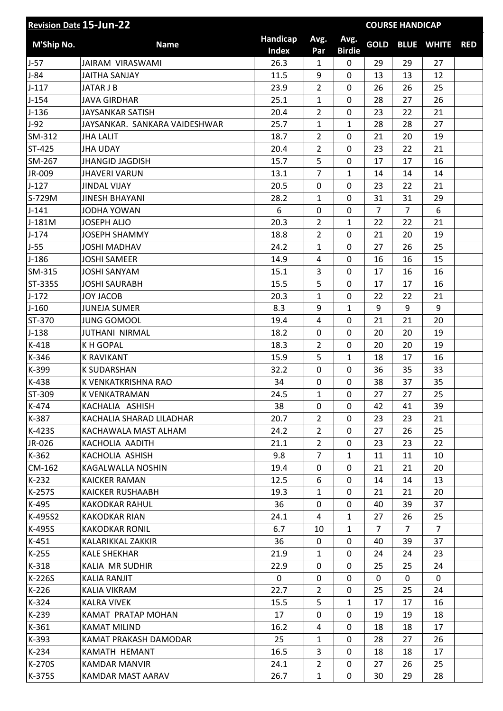| Handicap<br>Avg.<br>Avg.<br><b>GOLD</b><br>M'Ship No.<br><b>Name</b><br><b>BLUE WHITE</b><br>Index<br><b>Birdie</b><br>Par<br>26.3<br>$J-57$<br>$\mathbf{1}$<br>0<br>29<br>29<br>27<br>JAIRAM VIRASWAMI<br>$J-84$<br>11.5<br>9<br>0<br>13<br>13<br>12<br><b>JAITHA SANJAY</b><br>$J-117$<br>$\overline{2}$<br>23.9<br>0<br>26<br>26<br>25<br>JATAR J B<br>$J-154$<br>25.1<br>$\mathbf{1}$<br>0<br>28<br>27<br>26<br><b>JAVA GIRDHAR</b><br>$J-136$<br><b>JAYSANKAR SATISH</b><br>20.4<br>$\overline{2}$<br>0<br>23<br>22<br>21<br>$J-92$<br>25.7<br>27<br>JAYSANKAR. SANKARA VAIDESHWAR<br>$\mathbf{1}$<br>$\mathbf{1}$<br>28<br>28<br>SM-312<br>18.7<br>$\overline{2}$<br>0<br>21<br>20<br><b>JHA LALIT</b><br>19 | <b>RED</b> |
|--------------------------------------------------------------------------------------------------------------------------------------------------------------------------------------------------------------------------------------------------------------------------------------------------------------------------------------------------------------------------------------------------------------------------------------------------------------------------------------------------------------------------------------------------------------------------------------------------------------------------------------------------------------------------------------------------------------------|------------|
|                                                                                                                                                                                                                                                                                                                                                                                                                                                                                                                                                                                                                                                                                                                    |            |
|                                                                                                                                                                                                                                                                                                                                                                                                                                                                                                                                                                                                                                                                                                                    |            |
|                                                                                                                                                                                                                                                                                                                                                                                                                                                                                                                                                                                                                                                                                                                    |            |
|                                                                                                                                                                                                                                                                                                                                                                                                                                                                                                                                                                                                                                                                                                                    |            |
|                                                                                                                                                                                                                                                                                                                                                                                                                                                                                                                                                                                                                                                                                                                    |            |
|                                                                                                                                                                                                                                                                                                                                                                                                                                                                                                                                                                                                                                                                                                                    |            |
|                                                                                                                                                                                                                                                                                                                                                                                                                                                                                                                                                                                                                                                                                                                    |            |
|                                                                                                                                                                                                                                                                                                                                                                                                                                                                                                                                                                                                                                                                                                                    |            |
| ST-425<br>20.4<br>$\overline{2}$<br>$\mathbf 0$<br>23<br>21<br><b>JHA UDAY</b><br>22                                                                                                                                                                                                                                                                                                                                                                                                                                                                                                                                                                                                                               |            |
| 5<br>$\mathbf 0$<br>SM-267<br>15.7<br>17<br>17<br>16<br><b>JHANGID JAGDISH</b>                                                                                                                                                                                                                                                                                                                                                                                                                                                                                                                                                                                                                                     |            |
| $\overline{7}$<br>JR-009<br><b>JHAVERI VARUN</b><br>13.1<br>14<br>14<br>14<br>$\mathbf{1}$                                                                                                                                                                                                                                                                                                                                                                                                                                                                                                                                                                                                                         |            |
| 20.5<br>$\mathbf 0$<br>$J-127$<br>0<br>23<br>22<br>21<br><b>JINDAL VIJAY</b>                                                                                                                                                                                                                                                                                                                                                                                                                                                                                                                                                                                                                                       |            |
| S-729M<br>28.2<br>0<br>31<br>31<br>29<br><b>JINESH BHAYANI</b><br>$\mathbf{1}$                                                                                                                                                                                                                                                                                                                                                                                                                                                                                                                                                                                                                                     |            |
| 6<br>$J-141$<br>$\mathbf 0$<br>$\overline{7}$<br>6<br><b>JODHA YOWAN</b><br>0<br>$\overline{7}$                                                                                                                                                                                                                                                                                                                                                                                                                                                                                                                                                                                                                    |            |
| 21<br>J-181M<br><b>JOSEPH ALJO</b><br>20.3<br>$\overline{2}$<br>$\mathbf{1}$<br>22<br>22                                                                                                                                                                                                                                                                                                                                                                                                                                                                                                                                                                                                                           |            |
| $J-174$<br><b>JOSEPH SHAMMY</b><br>18.8<br>$\overline{2}$<br>0<br>20<br>19<br>21                                                                                                                                                                                                                                                                                                                                                                                                                                                                                                                                                                                                                                   |            |
| $J-55$<br>24.2<br>1<br>0<br>27<br>26<br>25<br><b>JOSHI MADHAV</b>                                                                                                                                                                                                                                                                                                                                                                                                                                                                                                                                                                                                                                                  |            |
| $J-186$<br><b>JOSHI SAMEER</b><br>14.9<br>$\overline{4}$<br>0<br>16<br>16<br>15                                                                                                                                                                                                                                                                                                                                                                                                                                                                                                                                                                                                                                    |            |
| SM-315<br>15.1<br>3<br>0<br>17<br>16<br>16<br><b>JOSHI SANYAM</b>                                                                                                                                                                                                                                                                                                                                                                                                                                                                                                                                                                                                                                                  |            |
| 5<br>16<br><b>ST-335S</b><br>15.5<br>0<br><b>JOSHI SAURABH</b><br>17<br>17                                                                                                                                                                                                                                                                                                                                                                                                                                                                                                                                                                                                                                         |            |
| $J-172$<br>20.3<br>21<br><b>JOY JACOB</b><br>$\mathbf{1}$<br>0<br>22<br>22                                                                                                                                                                                                                                                                                                                                                                                                                                                                                                                                                                                                                                         |            |
| $J-160$<br><b>JUNEJA SUMER</b><br>8.3<br>9<br>$\mathbf{1}$<br>9<br>9<br>9                                                                                                                                                                                                                                                                                                                                                                                                                                                                                                                                                                                                                                          |            |
| ST-370<br>20<br><b>JUNG GOMOOL</b><br>19.4<br>$\overline{4}$<br>0<br>21<br>21                                                                                                                                                                                                                                                                                                                                                                                                                                                                                                                                                                                                                                      |            |
| $J-138$<br><b>JUTHANI NIRMAL</b><br>18.2<br>0<br>0<br>20<br>20<br>19                                                                                                                                                                                                                                                                                                                                                                                                                                                                                                                                                                                                                                               |            |
| $K-418$<br><b>KH GOPAL</b><br>18.3<br>0<br>20<br>20<br>19<br>$\overline{2}$                                                                                                                                                                                                                                                                                                                                                                                                                                                                                                                                                                                                                                        |            |
| K-346<br>5<br>$\mathbf{1}$<br><b>K RAVIKANT</b><br>15.9<br>18<br>17<br>16                                                                                                                                                                                                                                                                                                                                                                                                                                                                                                                                                                                                                                          |            |
| K-399<br><b>K SUDARSHAN</b><br>32.2<br>0<br>0<br>36<br>35<br>33                                                                                                                                                                                                                                                                                                                                                                                                                                                                                                                                                                                                                                                    |            |
| K-438<br>34<br>0<br>38<br>37<br>35<br>K VENKATKRISHNA RAO<br>0                                                                                                                                                                                                                                                                                                                                                                                                                                                                                                                                                                                                                                                     |            |
| ST-309<br>24.5<br>$\mathbf{1}$<br>0<br>27<br>27<br>25<br>K VENKATRAMAN                                                                                                                                                                                                                                                                                                                                                                                                                                                                                                                                                                                                                                             |            |
| K-474<br>KACHALIA ASHISH<br>38<br>0<br>0<br>39<br>42<br>41                                                                                                                                                                                                                                                                                                                                                                                                                                                                                                                                                                                                                                                         |            |
| $\overline{2}$<br>0<br>K-387<br>KACHALIA SHARAD LILADHAR<br>20.7<br>23<br>23<br>21                                                                                                                                                                                                                                                                                                                                                                                                                                                                                                                                                                                                                                 |            |
| K-423S<br>KACHAWALA MAST ALHAM<br>24.2<br>$\overline{2}$<br>0<br>27<br>26<br>25                                                                                                                                                                                                                                                                                                                                                                                                                                                                                                                                                                                                                                    |            |
| $\overline{2}$<br>JR-026<br>KACHOLIA AADITH<br>21.1<br>0<br>22<br>23<br>23                                                                                                                                                                                                                                                                                                                                                                                                                                                                                                                                                                                                                                         |            |
| $K-362$<br>9.8<br>$\overline{7}$<br>KACHOLIA ASHISH<br>$\mathbf{1}$<br>10<br>11<br>11                                                                                                                                                                                                                                                                                                                                                                                                                                                                                                                                                                                                                              |            |
| CM-162<br>19.4<br>KAGALWALLA NOSHIN<br>0<br>0<br>21<br>21<br>20                                                                                                                                                                                                                                                                                                                                                                                                                                                                                                                                                                                                                                                    |            |
| $K-232$<br>12.5<br>6<br>0<br>14<br>14<br>13<br><b>KAICKER RAMAN</b>                                                                                                                                                                                                                                                                                                                                                                                                                                                                                                                                                                                                                                                |            |
| K-257S<br>20<br><b>KAICKER RUSHAABH</b><br>19.3<br>$\mathbf{1}$<br>0<br>21<br>21                                                                                                                                                                                                                                                                                                                                                                                                                                                                                                                                                                                                                                   |            |
| K-495<br>36<br><b>KAKODKAR RAHUL</b><br>0<br>0<br>40<br>39<br>37                                                                                                                                                                                                                                                                                                                                                                                                                                                                                                                                                                                                                                                   |            |
| K-495S2<br>24.1<br>$\mathbf{1}$<br>26<br>25<br><b>KAKODKAR RIAN</b><br>4<br>27                                                                                                                                                                                                                                                                                                                                                                                                                                                                                                                                                                                                                                     |            |
| K-495S<br>6.7<br>$\mathbf{1}$<br>$\overline{7}$<br>$\overline{7}$<br><b>KAKODKAR RONIL</b><br>10<br>$\overline{7}$                                                                                                                                                                                                                                                                                                                                                                                                                                                                                                                                                                                                 |            |
| $K-451$<br>36<br>0<br>39<br>37<br>KALARIKKAL ZAKKIR<br>0<br>40                                                                                                                                                                                                                                                                                                                                                                                                                                                                                                                                                                                                                                                     |            |
| $K-255$<br><b>KALE SHEKHAR</b><br>21.9<br>0<br>24<br>23<br>$\mathbf{1}$<br>24                                                                                                                                                                                                                                                                                                                                                                                                                                                                                                                                                                                                                                      |            |
| $K-318$<br>0<br>KALIA MR SUDHIR<br>22.9<br>0<br>25<br>25<br>24                                                                                                                                                                                                                                                                                                                                                                                                                                                                                                                                                                                                                                                     |            |
| K-226S<br><b>KALIA RANJIT</b><br>0<br>0<br>0<br>0<br>0<br>0                                                                                                                                                                                                                                                                                                                                                                                                                                                                                                                                                                                                                                                        |            |
| $K-226$<br>22.7<br>$\overline{2}$<br>0<br>25<br>25<br>24<br>KALIA VIKRAM                                                                                                                                                                                                                                                                                                                                                                                                                                                                                                                                                                                                                                           |            |
| K-324<br>5<br><b>KALRA VIVEK</b><br>15.5<br>$\mathbf{1}$<br>16<br>17<br>17                                                                                                                                                                                                                                                                                                                                                                                                                                                                                                                                                                                                                                         |            |
| K-239<br>KAMAT PRATAP MOHAN<br>17<br>0<br>0<br>19<br>19<br>18                                                                                                                                                                                                                                                                                                                                                                                                                                                                                                                                                                                                                                                      |            |
| K-361<br><b>KAMAT MILIND</b><br>16.2<br>4<br>0<br>18<br>17<br>18                                                                                                                                                                                                                                                                                                                                                                                                                                                                                                                                                                                                                                                   |            |
| K-393<br>KAMAT PRAKASH DAMODAR<br>25<br>0<br>26<br>$\mathbf{1}$<br>28<br>27                                                                                                                                                                                                                                                                                                                                                                                                                                                                                                                                                                                                                                        |            |
| 3<br>0<br>$K-234$<br>KAMATH HEMANT<br>16.5<br>18<br>17<br>18                                                                                                                                                                                                                                                                                                                                                                                                                                                                                                                                                                                                                                                       |            |
| K-270S<br>24.1<br>$\overline{2}$<br>0<br>27<br>26<br>25<br>KAMDAR MANVIR                                                                                                                                                                                                                                                                                                                                                                                                                                                                                                                                                                                                                                           |            |
| K-375S<br>28<br>KAMDAR MAST AARAV<br>26.7<br>$\mathbf{1}$<br>0<br>30<br>29                                                                                                                                                                                                                                                                                                                                                                                                                                                                                                                                                                                                                                         |            |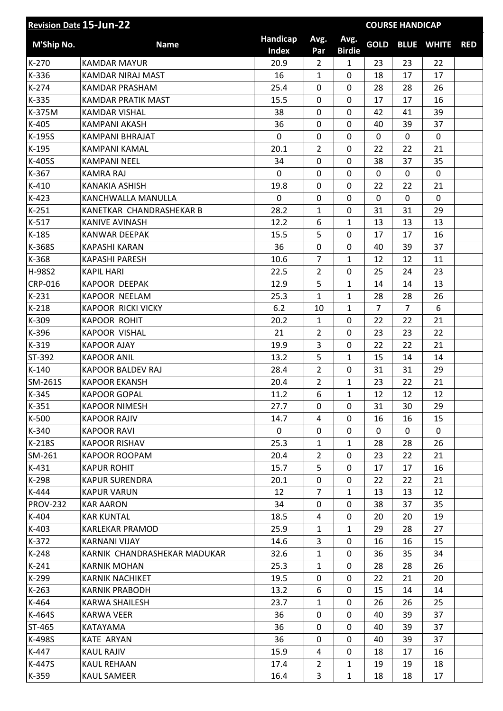| <b>Revision Date 15-Jun-22</b> |                              |                          |                |                       |              | <b>COURSE HANDICAP</b> |                   |            |
|--------------------------------|------------------------------|--------------------------|----------------|-----------------------|--------------|------------------------|-------------------|------------|
| <b>M'Ship No.</b>              | <b>Name</b>                  | Handicap<br><b>Index</b> | Avg.<br>Par    | Avg.<br><b>Birdie</b> | <b>GOLD</b>  |                        | <b>BLUE WHITE</b> | <b>RED</b> |
| K-270                          | <b>KAMDAR MAYUR</b>          | 20.9                     | $\overline{2}$ | $\mathbf{1}$          | 23           | 23                     | 22                |            |
| K-336                          | KAMDAR NIRAJ MAST            | 16                       | $\mathbf{1}$   | 0                     | 18           | 17                     | 17                |            |
| $K-274$                        | KAMDAR PRASHAM               | 25.4                     | 0              | 0                     | 28           | 28                     | 26                |            |
| K-335                          | <b>KAMDAR PRATIK MAST</b>    | 15.5                     | 0              | 0                     | 17           | 17                     | 16                |            |
| K-375M                         | <b>KAMDAR VISHAL</b>         | 38                       | 0              | 0                     | 42           | 41                     | 39                |            |
| K-405                          | <b>KAMPANI AKASH</b>         | 36                       | 0              | 0                     | 40           | 39                     | 37                |            |
| K-195S                         | KAMPANI BHRAJAT              | 0                        | 0              | 0                     | $\mathbf 0$  | $\mathbf 0$            | 0                 |            |
| $K-195$                        | <b>KAMPANI KAMAL</b>         | 20.1                     | $\overline{2}$ | 0                     | 22           | 22                     | 21                |            |
| K-405S                         | <b>KAMPANI NEEL</b>          | 34                       | 0              | 0                     | 38           | 37                     | 35                |            |
| K-367                          | <b>KAMRA RAJ</b>             | $\mathbf 0$              | 0              | $\mathbf 0$           | 0            | 0                      | $\mathbf 0$       |            |
| $K-410$                        | <b>KANAKIA ASHISH</b>        | 19.8                     | 0              | 0                     | 22           | 22                     | 21                |            |
| $K-423$                        | KANCHWALLA MANULLA           | 0                        | 0              | 0                     | 0            | 0                      | 0                 |            |
| $K-251$                        | KANETKAR CHANDRASHEKAR B     | 28.2                     | $\mathbf{1}$   | 0                     | 31           | 31                     | 29                |            |
| $K-517$                        | <b>KANIVE AVINASH</b>        | 12.2                     | 6              | $\mathbf{1}$          | 13           | 13                     | 13                |            |
| $K-185$                        | <b>KANWAR DEEPAK</b>         | 15.5                     | 5              | 0                     | 17           | 17                     | 16                |            |
| K-368S                         | <b>KAPASHI KARAN</b>         | 36                       | 0              | 0                     | 40           | 39                     | 37                |            |
| K-368                          | <b>KAPASHI PARESH</b>        | 10.6                     | $\overline{7}$ | $\mathbf{1}$          | 12           | 12                     | 11                |            |
| H-98S2                         | <b>KAPIL HARI</b>            | 22.5                     | $\overline{2}$ | $\mathbf 0$           | 25           | 24                     | 23                |            |
| <b>CRP-016</b>                 | <b>KAPOOR DEEPAK</b>         | 12.9                     | 5              | $\mathbf{1}$          | 14           | 14                     | 13                |            |
| $K-231$                        | <b>KAPOOR NEELAM</b>         | 25.3                     | $\mathbf{1}$   | $\mathbf{1}$          | 28           | 28                     | 26                |            |
| $K-218$                        | <b>KAPOOR RICKI VICKY</b>    | 6.2                      | 10             | $\mathbf{1}$          | 7            | $\overline{7}$         | 6                 |            |
| K-309                          | <b>KAPOOR ROHIT</b>          | 20.2                     | $\mathbf{1}$   | 0                     | 22           | 22                     | 21                |            |
| K-396                          | <b>KAPOOR VISHAL</b>         | 21                       | 2              | 0                     | 23           | 23                     | 22                |            |
| $K-319$                        | <b>KAPOOR AJAY</b>           | 19.9                     | 3              | 0                     | 22           | 22                     | 21                |            |
| ST-392                         | <b>KAPOOR ANIL</b>           | 13.2                     | 5              | $\mathbf{1}$          | 15           | 14                     | 14                |            |
| $K-140$                        | <b>KAPOOR BALDEV RAJ</b>     | 28.4                     | $\overline{2}$ | 0                     | 31           | 31                     | 29                |            |
| SM-261S                        | <b>KAPOOR EKANSH</b>         | 20.4                     | $\overline{2}$ | $\mathbf{1}$          | 23           | 22                     | 21                |            |
| K-345                          | <b>KAPOOR GOPAL</b>          | 11.2                     | 6              | 1                     | 12           | 12                     | 12                |            |
| K-351                          | <b>KAPOOR NIMESH</b>         | 27.7                     | 0              | $\Omega$              | 31           | 30                     | 29                |            |
| K-500                          | <b>KAPOOR RAJIV</b>          | 14.7                     | 4              | 0                     | 16           | 16                     | 15                |            |
| K-340                          | <b>KAPOOR RAVI</b>           | 0                        | 0              | 0                     | $\mathbf{0}$ | 0                      | 0                 |            |
| K-218S                         | <b>KAPOOR RISHAV</b>         | 25.3                     | $\mathbf{1}$   | $\mathbf{1}$          | 28           | 28                     | 26                |            |
| SM-261                         | <b>KAPOOR ROOPAM</b>         | 20.4                     | $\overline{2}$ | 0                     | 23           | 22                     | 21                |            |
| $K-431$                        | <b>KAPUR ROHIT</b>           | 15.7                     | 5              | 0                     | 17           | 17                     | 16                |            |
| K-298                          | <b>KAPUR SURENDRA</b>        | 20.1                     | 0              | $\mathbf 0$           | 22           | 22                     | 21                |            |
| K-444                          | <b>KAPUR VARUN</b>           | 12                       | 7              | $\mathbf{1}$          | 13           | 13                     | 12                |            |
| <b>PROV-232</b>                | <b>KAR AARON</b>             | 34                       | 0              | $\mathbf 0$           | 38           | 37                     | 35                |            |
| K-404                          | <b>KAR KUNTAL</b>            | 18.5                     | 4              | 0                     | 20           | 20                     | 19                |            |
| K-403                          | KARLEKAR PRAMOD              | 25.9                     | $\mathbf{1}$   | $\mathbf{1}$          | 29           | 28                     | 27                |            |
| K-372                          | <b>KARNANI VIJAY</b>         | 14.6                     | 3              | 0                     | 16           | 16                     | 15                |            |
| $K-248$                        | KARNIK CHANDRASHEKAR MADUKAR | 32.6                     | $\mathbf{1}$   | $\mathbf 0$           | 36           | 35                     | 34                |            |
| $K-241$                        | <b>KARNIK MOHAN</b>          | 25.3                     | $\mathbf{1}$   | 0                     | 28           | 28                     | 26                |            |
| K-299                          | <b>KARNIK NACHIKET</b>       | 19.5                     | 0              | 0                     | 22           | 21                     | 20                |            |
| $K-263$                        | <b>KARNIK PRABODH</b>        | 13.2                     | 6              | 0                     | 15           | 14                     | 14                |            |
| K-464                          | KARWA SHAILESH               | 23.7                     | $\mathbf{1}$   | 0                     | 26           | 26                     | 25                |            |
| K-464S                         | <b>KARWA VEER</b>            | 36                       | 0              | $\mathbf 0$           | 40           | 39                     | 37                |            |
| ST-465                         | KATAYAMA                     | 36                       | 0              | 0                     | 40           | 39                     | 37                |            |
| K-498S                         | <b>KATE ARYAN</b>            | 36                       | 0              | $\mathbf 0$           | 40           | 39                     | 37                |            |
| K-447                          | <b>KAUL RAJIV</b>            | 15.9                     | 4              | 0                     | 18           | 17                     | 16                |            |
| K-447S                         | <b>KAUL REHAAN</b>           | 17.4                     | $\overline{2}$ | $\mathbf{1}$          | 19           | 19                     | 18                |            |
| K-359                          | <b>KAUL SAMEER</b>           | 16.4                     | 3              | $\mathbf{1}$          | 18           | 18                     | 17                |            |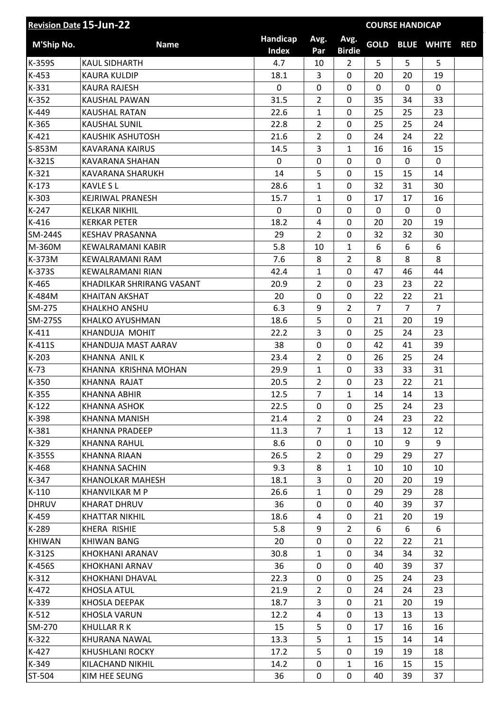| <b>Revision Date 15-Jun-22</b> |                           | <b>COURSE HANDICAP</b>   |                |                       |                |    |                   |            |
|--------------------------------|---------------------------|--------------------------|----------------|-----------------------|----------------|----|-------------------|------------|
| M'Ship No.                     | <b>Name</b>               | Handicap<br><b>Index</b> | Avg.<br>Par    | Avg.<br><b>Birdie</b> | <b>GOLD</b>    |    | <b>BLUE WHITE</b> | <b>RED</b> |
| K-359S                         | <b>KAUL SIDHARTH</b>      | 4.7                      | 10             | $\overline{2}$        | 5              | 5  | 5                 |            |
| K-453                          | <b>KAURA KULDIP</b>       | 18.1                     | 3              | $\mathbf 0$           | 20             | 20 | 19                |            |
| K-331                          | <b>KAURA RAJESH</b>       | $\mathbf 0$              | $\Omega$       | 0                     | $\mathbf 0$    | 0  | 0                 |            |
| $K-352$                        | KAUSHAL PAWAN             | 31.5                     | $\overline{2}$ | 0                     | 35             | 34 | 33                |            |
| K-449                          | <b>KAUSHAL RATAN</b>      | 22.6                     | $\mathbf{1}$   | $\mathbf 0$           | 25             | 25 | 23                |            |
| K-365                          | <b>KAUSHAL SUNIL</b>      | 22.8                     | $\overline{2}$ | $\mathbf 0$           | 25             | 25 | 24                |            |
| $K-421$                        | <b>KAUSHIK ASHUTOSH</b>   | 21.6                     | $\overline{2}$ | $\mathbf 0$           | 24             | 24 | 22                |            |
| S-853M                         | <b>KAVARANA KAIRUS</b>    | 14.5                     | 3              | $\mathbf{1}$          | 16             | 16 | 15                |            |
| K-321S                         | KAVARANA SHAHAN           | 0                        | 0              | $\mathbf 0$           | $\mathbf{0}$   | 0  | 0                 |            |
| $K-321$                        | KAVARANA SHARUKH          | 14                       | 5              | $\mathbf 0$           | 15             | 15 | 14                |            |
| $K-173$                        | <b>KAVLE SL</b>           | 28.6                     | $\mathbf{1}$   | 0                     | 32             | 31 | 30                |            |
| K-303                          | KEJRIWAL PRANESH          | 15.7                     | $\mathbf{1}$   | $\mathbf 0$           | 17             | 17 | 16                |            |
| $K-247$                        | <b>KELKAR NIKHIL</b>      | $\mathbf 0$              | 0              | $\mathbf 0$           | $\mathbf 0$    | 0  | $\mathbf 0$       |            |
| $K-416$                        | <b>KERKAR PETER</b>       | 18.2                     | 4              | $\mathbf 0$           | 20             | 20 | 19                |            |
| <b>SM-244S</b>                 | <b>KESHAV PRASANNA</b>    | 29                       | $\overline{2}$ | 0                     | 32             | 32 | 30                |            |
| M-360M                         | KEWALRAMANI KABIR         | 5.8                      | 10             | $\mathbf{1}$          | 6              | 6  | 6                 |            |
| K-373M                         | KEWALRAMANI RAM           | 7.6                      | 8              | $\overline{2}$        | 8              | 8  | 8                 |            |
| K-373S                         | <b>KEWALRAMANI RIAN</b>   | 42.4                     | 1              | $\mathbf 0$           | 47             | 46 | 44                |            |
| K-465                          | KHADILKAR SHRIRANG VASANT | 20.9                     | $\overline{2}$ | $\mathbf 0$           | 23             | 23 | 22                |            |
| K-484M                         | <b>KHAITAN AKSHAT</b>     | 20                       | 0              | $\mathbf 0$           | 22             | 22 | 21                |            |
| SM-275                         | KHALKHO ANSHU             | 6.3                      | 9              | 2                     | $\overline{7}$ | 7  | $\overline{7}$    |            |
| SM-275S                        | KHALKO AYUSHMAN           | 18.6                     | 5              | $\mathbf 0$           | 21             | 20 | 19                |            |
| $K-411$                        | KHANDUJA MOHIT            | 22.2                     | 3              | 0                     | 25             | 24 | 23                |            |
| K-411S                         | KHANDUJA MAST AARAV       | 38                       | 0              | $\mathbf 0$           | 42             | 41 | 39                |            |
| $K-203$                        | KHANNA ANIL K             | 23.4                     | $\overline{2}$ | $\mathbf 0$           | 26             | 25 | 24                |            |
| $K-73$                         | KHANNA KRISHNA MOHAN      | 29.9                     | $\mathbf{1}$   | $\mathbf 0$           | 33             | 33 | 31                |            |
| K-350                          | <b>KHANNA RAJAT</b>       | 20.5                     | $\overline{2}$ | 0                     | 23             | 22 | 21                |            |
| K-355                          | KHANNA ABHIR              | 12.5                     | 7              | 1                     | 14             | 14 | 13                |            |
| $K-122$                        | <b>KHANNA ASHOK</b>       | 22.5                     | $\mathbf{0}$   | $\mathbf{0}$          | 25             | 24 | 23                |            |
| K-398                          | KHANNA MANISH             | 21.4                     | $\overline{2}$ | 0                     | 24             | 23 | 22                |            |
| K-381                          | <b>KHANNA PRADEEP</b>     | 11.3                     | $\overline{7}$ | $\mathbf{1}$          | 13             | 12 | 12                |            |
| K-329                          | KHANNA RAHUL              | 8.6                      | 0              | 0                     | 10             | 9  | 9                 |            |
| K-355S                         | KHANNA RIAAN              | 26.5                     | $\overline{2}$ | 0                     | 29             | 29 | 27                |            |
| K-468                          | KHANNA SACHIN             | 9.3                      | 8              | $\mathbf{1}$          | 10             | 10 | 10                |            |
| K-347                          | <b>KHANOLKAR MAHESH</b>   | 18.1                     | 3              | $\mathbf 0$           | 20             | 20 | 19                |            |
| $K-110$                        | <b>KHANVILKAR M P</b>     | 26.6                     | $\mathbf{1}$   | 0                     | 29             | 29 | 28                |            |
| <b>DHRUV</b>                   | <b>KHARAT DHRUV</b>       | 36                       | 0              | 0                     | 40             | 39 | 37                |            |
| K-459                          | KHATTAR NIKHIL            | 18.6                     | 4              | 0                     | 21             | 20 | 19                |            |
| K-289                          | KHERA RISHIE              | 5.8                      | 9              | $\overline{2}$        | 6              | 6  | 6                 |            |
| <b>KHIWAN</b>                  | <b>KHIWAN BANG</b>        | 20                       | 0              | 0                     | 22             | 22 | 21                |            |
| K-312S                         | KHOKHANI ARANAV           | 30.8                     | $\mathbf{1}$   | 0                     | 34             | 34 | 32                |            |
| K-456S                         | KHOKHANI ARNAV            | 36                       | 0              | 0                     | 40             | 39 | 37                |            |
| $K-312$                        | KHOKHANI DHAVAL           | 22.3                     | 0              | 0                     | 25             | 24 | 23                |            |
| K-472                          | KHOSLA ATUL               | 21.9                     | $\overline{2}$ | 0                     | 24             | 24 | 23                |            |
| K-339                          | KHOSLA DEEPAK             | 18.7                     | 3              | 0                     | 21             | 20 | 19                |            |
| $K-512$                        | <b>KHOSLA VARUN</b>       | 12.2                     | 4              | $\mathbf 0$           | 13             | 13 | 13                |            |
| SM-270                         | KHULLAR R K               | 15                       | 5              | 0                     | 17             | 16 | 16                |            |
| $K-322$                        | KHURANA NAWAL             | 13.3                     | 5              | $\mathbf{1}$          | 15             | 14 | 14                |            |
| K-427                          | <b>KHUSHLANI ROCKY</b>    | 17.2                     | 5              | 0                     | 19             | 19 | 18                |            |
| K-349                          | KILACHAND NIKHIL          | 14.2                     | 0              | $\mathbf{1}$          | 16             | 15 | 15                |            |
| ST-504                         | KIM HEE SEUNG             | 36                       | 0              | $\mathbf 0$           | 40             | 39 | 37                |            |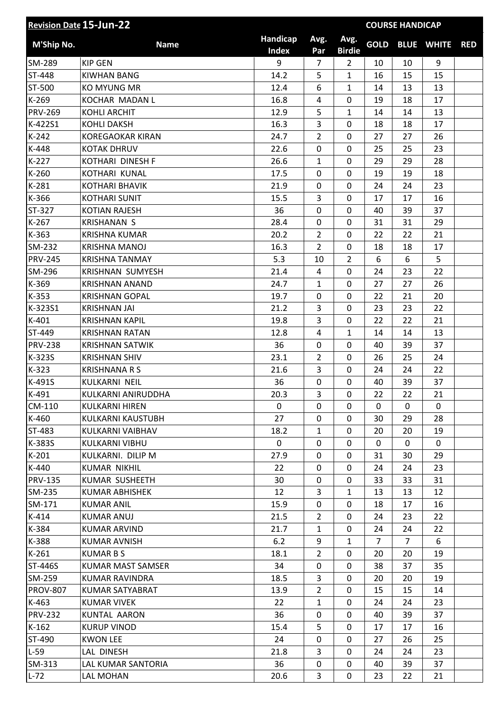| <b>Revision Date 15-Jun-22</b> |                          | <b>COURSE HANDICAP</b>   |                |                       |             |              |                   |            |
|--------------------------------|--------------------------|--------------------------|----------------|-----------------------|-------------|--------------|-------------------|------------|
| M'Ship No.                     | <b>Name</b>              | Handicap<br><b>Index</b> | Avg.<br>Par    | Avg.<br><b>Birdie</b> | <b>GOLD</b> |              | <b>BLUE WHITE</b> | <b>RED</b> |
| SM-289                         | <b>KIP GEN</b>           | 9                        | 7              | $\overline{2}$        | 10          | 10           | 9                 |            |
| ST-448                         | <b>KIWHAN BANG</b>       | 14.2                     | 5              | 1                     | 16          | 15           | 15                |            |
| ST-500                         | <b>KO MYUNG MR</b>       | 12.4                     | 6              | 1                     | 14          | 13           | 13                |            |
| K-269                          | KOCHAR MADAN L           | 16.8                     | 4              | $\mathbf 0$           | 19          | 18           | 17                |            |
| <b>PRV-269</b>                 | <b>KOHLI ARCHIT</b>      | 12.9                     | 5              | 1                     | 14          | 14           | 13                |            |
| K-422S1                        | <b>KOHLI DAKSH</b>       | 16.3                     | 3              | $\mathbf 0$           | 18          | 18           | 17                |            |
| $K-242$                        | <b>KOREGAOKAR KIRAN</b>  | 24.7                     | $\overline{2}$ | $\mathbf 0$           | 27          | 27           | 26                |            |
| K-448                          | <b>KOTAK DHRUV</b>       | 22.6                     | 0              | $\mathbf 0$           | 25          | 25           | 23                |            |
| $K-227$                        | KOTHARI DINESH F         | 26.6                     | $\mathbf{1}$   | 0                     | 29          | 29           | 28                |            |
| $K-260$                        | KOTHARI KUNAL            | 17.5                     | 0              | $\mathbf 0$           | 19          | 19           | 18                |            |
| K-281                          | <b>KOTHARI BHAVIK</b>    | 21.9                     | 0              | $\mathbf 0$           | 24          | 24           | 23                |            |
| K-366                          | <b>KOTHARI SUNIT</b>     | 15.5                     | 3              | $\mathbf 0$           | 17          | 17           | 16                |            |
| ST-327                         | <b>KOTIAN RAJESH</b>     | 36                       | 0              | $\mathbf 0$           | 40          | 39           | 37                |            |
| $K-267$                        | <b>KRISHANAN S</b>       | 28.4                     | 0              | $\mathbf 0$           | 31          | 31           | 29                |            |
| K-363                          | <b>KRISHNA KUMAR</b>     | 20.2                     | $\overline{2}$ | $\mathbf 0$           | 22          | 22           | 21                |            |
| SM-232                         | <b>KRISHNA MANOJ</b>     | 16.3                     | $\overline{2}$ | $\mathbf 0$           | 18          | 18           | 17                |            |
| <b>PRV-245</b>                 | <b>KRISHNA TANMAY</b>    | 5.3                      | 10             | $\overline{2}$        | 6           | 6            | 5                 |            |
| SM-296                         | KRISHNAN SUMYESH         | 21.4                     | 4              | $\mathbf 0$           | 24          | 23           | 22                |            |
| K-369                          | <b>KRISHNAN ANAND</b>    | 24.7                     | $\mathbf{1}$   | $\mathbf 0$           | 27          | 27           | 26                |            |
| K-353                          | <b>KRISHNAN GOPAL</b>    | 19.7                     | 0              | $\mathbf 0$           | 22          | 21           | 20                |            |
| K-323S1                        | <b>KRISHNAN JAI</b>      | 21.2                     | 3              | $\mathbf 0$           | 23          | 23           | 22                |            |
| $K-401$                        | <b>KRISHNAN KAPIL</b>    | 19.8                     | 3              | $\mathbf 0$           | 22          | 22           | 21                |            |
| ST-449                         | <b>KRISHNAN RATAN</b>    | 12.8                     | 4              | 1                     | 14          | 14           | 13                |            |
| <b>PRV-238</b>                 | <b>KRISHNAN SATWIK</b>   | 36                       | 0              | $\mathbf 0$           | 40          | 39           | 37                |            |
| K-323S                         | <b>KRISHNAN SHIV</b>     | 23.1                     | $\overline{2}$ | $\mathbf 0$           | 26          | 25           | 24                |            |
| K-323                          | <b>KRISHNANA R S</b>     | 21.6                     | 3              | $\mathbf 0$           | 24          | 24           | 22                |            |
| K-491S                         | KULKARNI NEIL            | 36                       | 0              | $\mathbf 0$           | 40          | 39           | 37                |            |
| K-491                          | KULKARNI ANIRUDDHA       | 20.3                     | 3              | $\mathbf 0$           | 22          | 22           | 21                |            |
| CM-110                         | <b>KULKARNI HIREN</b>    | 0                        | 0              | 0                     | 0           | $\mathbf{0}$ | $\mathbf{0}$      |            |
| K-460                          | KULKARNI KAUSTUBH        | 27                       | 0              | $\mathbf 0$           | 30          | 29           | 28                |            |
| ST-483                         | KULKARNI VAIBHAV         | 18.2                     | $\mathbf{1}$   | 0                     | 20          | 20           | 19                |            |
| K-383S                         | KULKARNI VIBHU           | 0                        | 0              | $\mathbf 0$           | 0           | 0            | 0                 |            |
| $K-201$                        | KULKARNI. DILIP M        | 27.9                     | 0              | $\mathbf{0}$          | 31          | 30           | 29                |            |
| K-440                          | <b>KUMAR NIKHIL</b>      | 22                       | 0              | $\mathbf 0$           | 24          | 24           | 23                |            |
| <b>PRV-135</b>                 | <b>KUMAR SUSHEETH</b>    | 30                       | 0              | 0                     | 33          | 33           | 31                |            |
| SM-235                         | KUMAR ABHISHEK           | 12                       | 3              | 1                     | 13          | 13           | 12                |            |
| SM-171                         | <b>KUMAR ANIL</b>        | 15.9                     | 0              | $\mathbf 0$           | 18          | 17           | 16                |            |
| $K-414$                        | <b>KUMAR ANUJ</b>        | 21.5                     | $\overline{2}$ | 0                     | 24          | 23           | 22                |            |
| K-384                          | KUMAR ARVIND             | 21.7                     | $\mathbf{1}$   | $\mathbf 0$           | 24          | 24           | 22                |            |
| K-388                          | KUMAR AVNISH             | 6.2                      | 9              | 1                     | 7           | 7            | 6                 |            |
| $K-261$                        | <b>KUMAR B S</b>         | 18.1                     | $\overline{2}$ | $\mathbf 0$           | 20          | 20           | 19                |            |
| ST-446S                        | <b>KUMAR MAST SAMSER</b> | 34                       | 0              | 0                     | 38          | 37           | 35                |            |
| SM-259                         | <b>KUMAR RAVINDRA</b>    | 18.5                     | 3              | 0                     | 20          | 20           | 19                |            |
| <b>PROV-807</b>                | KUMAR SATYABRAT          | 13.9                     | $\overline{2}$ | $\mathbf 0$           | 15          | 15           | 14                |            |
| K-463                          | <b>KUMAR VIVEK</b>       | 22                       | $\mathbf{1}$   | 0                     | 24          | 24           | 23                |            |
| <b>PRV-232</b>                 | KUNTAL AARON             | 36                       | 0              | $\mathbf 0$           | 40          | 39           | 37                |            |
| $K-162$                        | <b>KURUP VINOD</b>       | 15.4                     | 5              | 0                     | 17          | 17           | 16                |            |
| ST-490                         | <b>KWON LEE</b>          | 24                       | 0              | 0                     | 27          | 26           | 25                |            |
| $L-59$                         | LAL DINESH               | 21.8                     | 3              | $\mathbf{0}$          | 24          | 24           | 23                |            |
| SM-313                         | LAL KUMAR SANTORIA       | 36                       | 0              | 0                     | 40          | 39           | 37                |            |
| $L-72$                         | <b>LAL MOHAN</b>         | 20.6                     | 3              | $\mathbf 0$           | 23          | 22           | 21                |            |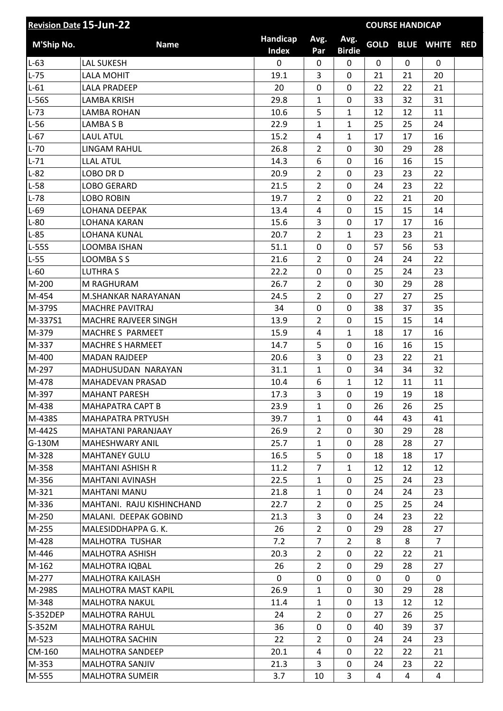| <b>Revision Date 15-Jun-22</b> |                           |                          |                |                       |             | <b>COURSE HANDICAP</b> |                   |            |
|--------------------------------|---------------------------|--------------------------|----------------|-----------------------|-------------|------------------------|-------------------|------------|
| M'Ship No.                     | <b>Name</b>               | Handicap<br><b>Index</b> | Avg.<br>Par    | Avg.<br><b>Birdie</b> | <b>GOLD</b> |                        | <b>BLUE WHITE</b> | <b>RED</b> |
| $L-63$                         | <b>LAL SUKESH</b>         | 0                        | 0              | 0                     | 0           | $\mathbf 0$            | 0                 |            |
| $L-75$                         | <b>LALA MOHIT</b>         | 19.1                     | 3              | 0                     | 21          | 21                     | 20                |            |
| $L-61$                         | <b>LALA PRADEEP</b>       | 20                       | 0              | 0                     | 22          | 22                     | 21                |            |
| L-56S                          | <b>LAMBA KRISH</b>        | 29.8                     | $\mathbf{1}$   | 0                     | 33          | 32                     | 31                |            |
| $L-73$                         | <b>LAMBA ROHAN</b>        | 10.6                     | 5              | $\mathbf{1}$          | 12          | 12                     | 11                |            |
| $L-56$                         | LAMBA S B                 | 22.9                     | $\mathbf{1}$   | $\mathbf{1}$          | 25          | 25                     | 24                |            |
| $L-67$                         | <b>LAUL ATUL</b>          | 15.2                     | 4              | $\mathbf{1}$          | 17          | 17                     | 16                |            |
| $L-70$                         | <b>LINGAM RAHUL</b>       | 26.8                     | $\overline{2}$ | 0                     | 30          | 29                     | 28                |            |
| $L-71$                         | <b>LLAL ATUL</b>          | 14.3                     | 6              | 0                     | 16          | 16                     | 15                |            |
| $L-82$                         | LOBO DR D                 | 20.9                     | $\overline{2}$ | $\mathbf 0$           | 23          | 23                     | 22                |            |
| $L-58$                         | LOBO GERARD               | 21.5                     | $\overline{2}$ | 0                     | 24          | 23                     | 22                |            |
| $L-78$                         | <b>LOBO ROBIN</b>         | 19.7                     | $\overline{2}$ | 0                     | 22          | 21                     | 20                |            |
| $L-69$                         | LOHANA DEEPAK             | 13.4                     | $\overline{4}$ | $\mathbf 0$           | 15          | 15                     | 14                |            |
| $L-80$                         | <b>LOHANA KARAN</b>       | 15.6                     | 3              | 0                     | 17          | 17                     | 16                |            |
| $L-85$                         | LOHANA KUNAL              | 20.7                     | $\overline{2}$ | $\mathbf{1}$          | 23          | 23                     | 21                |            |
| L-55S                          | LOOMBA ISHAN              | 51.1                     | 0              | 0                     | 57          | 56                     | 53                |            |
| $L-55$                         | LOOMBA S S                | 21.6                     | $\overline{2}$ | 0                     | 24          | 24                     | 22                |            |
| $L-60$                         | <b>LUTHRAS</b>            | 22.2                     | 0              | 0                     | 25          | 24                     | 23                |            |
| M-200                          | M RAGHURAM                | 26.7                     | $\overline{2}$ | 0                     | 30          | 29                     | 28                |            |
| M-454                          | M.SHANKAR NARAYANAN       | 24.5                     | $\overline{2}$ | 0                     | 27          | 27                     | 25                |            |
| M-379S                         | <b>MACHRE PAVITRAJ</b>    | 34                       | 0              | 0                     | 38          | 37                     | 35                |            |
| M-337S1                        | MACHRE RAJVEER SINGH      | 13.9                     | $\overline{2}$ | 0                     | 15          | 15                     | 14                |            |
| M-379                          | MACHRE S PARMEET          | 15.9                     | 4              | $\mathbf{1}$          | 18          | 17                     | 16                |            |
| M-337                          | <b>MACHRE S HARMEET</b>   | 14.7                     | 5              | 0                     | 16          | 16                     | 15                |            |
| M-400                          | <b>MADAN RAJDEEP</b>      | 20.6                     | 3              | 0                     | 23          | 22                     | 21                |            |
| M-297                          | MADHUSUDAN NARAYAN        | 31.1                     | $\mathbf{1}$   | 0                     | 34          | 34                     | 32                |            |
| M-478                          | MAHADEVAN PRASAD          | 10.4                     | 6              | $\mathbf{1}$          | 12          | 11                     | 11                |            |
| M-397                          | <b>MAHANT PARESH</b>      | 17.3                     | 3              | 0                     | 19          | 19                     | 18                |            |
| M-438                          | <b>MAHAPATRA CAPT B</b>   | 23.9                     | $\mathbf{1}$   | $\Omega$              | 26          | 26                     | 25                |            |
| M-438S                         | MAHAPATRA PRTYUSH         | 39.7                     | $\mathbf{1}$   | 0                     | 44          | 43                     | 41                |            |
| M-442S                         | MAHATANI PARANJAAY        | 26.9                     | $\overline{2}$ | 0                     | 30          | 29                     | 28                |            |
| G-130M                         | MAHESHWARY ANIL           | 25.7                     | $\mathbf{1}$   | 0                     | 28          | 28                     | 27                |            |
| M-328                          | <b>MAHTANEY GULU</b>      | 16.5                     | 5              | 0                     | 18          | 18                     | 17                |            |
| M-358                          | <b>MAHTANI ASHISH R</b>   | 11.2                     | $\overline{7}$ | $\mathbf{1}$          | 12          | 12                     | 12                |            |
| M-356                          | MAHTANI AVINASH           | 22.5                     | $\mathbf{1}$   | 0                     | 25          | 24                     | 23                |            |
| M-321                          | <b>MAHTANI MANU</b>       | 21.8                     | $\mathbf{1}$   | 0                     | 24          | 24                     | 23                |            |
| M-336                          | MAHTANI. RAJU KISHINCHAND | 22.7                     | $\overline{2}$ | 0                     | 25          | 25                     | 24                |            |
| M-250                          | MALANI. DEEPAK GOBIND     | 21.3                     | 3              | 0                     | 24          | 23                     | 22                |            |
| M-255                          | MALESIDDHAPPA G. K.       | 26                       | $\overline{2}$ | 0                     | 29          | 28                     | 27                |            |
| M-428                          | MALHOTRA TUSHAR           | 7.2                      | $\overline{7}$ | $\overline{2}$        | 8           | 8                      | $\overline{7}$    |            |
| M-446                          | <b>MALHOTRA ASHISH</b>    | 20.3                     | $\overline{2}$ | 0                     | 22          | 22                     | 21                |            |
| M-162                          | MALHOTRA IQBAL            | 26                       | $\overline{2}$ | 0                     | 29          | 28                     | 27                |            |
| M-277                          | MALHOTRA KAILASH          | 0                        | 0              | 0                     | 0           | 0                      | 0                 |            |
| M-298S                         | MALHOTRA MAST KAPIL       | 26.9                     | $\mathbf{1}$   | 0                     | 30          | 29                     | 28                |            |
| M-348                          | <b>MALHOTRA NAKUL</b>     | 11.4                     | $\mathbf{1}$   | 0                     | 13          | 12                     | 12                |            |
| S-352DEP                       | <b>MALHOTRA RAHUL</b>     | 24                       | $\overline{2}$ | 0                     | 27          | 26                     | 25                |            |
| S-352M                         | <b>MALHOTRA RAHUL</b>     | 36                       | 0              | 0                     | 40          | 39                     | 37                |            |
| M-523                          | MALHOTRA SACHIN           | 22                       | $\overline{2}$ | 0                     | 24          | 24                     | 23                |            |
| CM-160                         | MALHOTRA SANDEEP          | 20.1                     | 4              | 0                     | 22          | 22                     | 21                |            |
| M-353                          | MALHOTRA SANJIV           | 21.3                     | 3              | 0                     | 24          | 23                     | 22                |            |
| M-555                          | <b>MALHOTRA SUMEIR</b>    | 3.7                      | 10             | 3                     | 4           | 4                      | 4                 |            |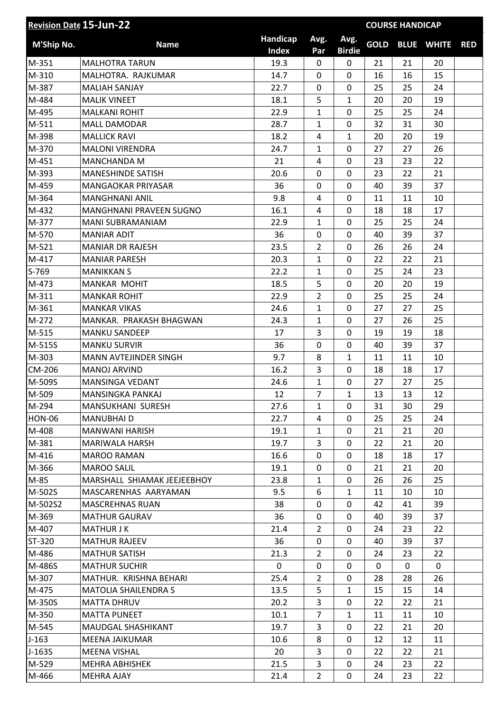| Handicap<br>Avg.<br>Avg.<br><b>GOLD</b><br>M'Ship No.<br><b>BLUE WHITE</b><br><b>Name</b><br><b>RED</b><br><b>Index</b><br><b>Birdie</b><br>Par<br>M-351<br>19.3<br>$\mathbf 0$<br>21<br>20<br><b>MALHOTRA TARUN</b><br>0<br>21<br>M-310<br>0<br>16<br>MALHOTRA. RAJKUMAR<br>14.7<br>16<br>15<br>0<br>22.7<br>M-387<br><b>MALIAH SANJAY</b><br>0<br>0<br>25<br>25<br>24<br>M-484<br>5<br><b>MALIK VINEET</b><br>18.1<br>1<br>20<br>20<br>19<br>M-495<br><b>MALKANI ROHIT</b><br>22.9<br>1<br>0<br>24<br>25<br>25<br>M-511<br>28.7<br>$\mathbf{1}$<br>$\mathbf 0$<br>32<br>31<br>30<br><b>MALL DAMODAR</b><br>18.2<br>M-398<br><b>MALLICK RAVI</b><br>4<br>$\mathbf{1}$<br>20<br>20<br>19<br>M-370<br>24.7<br>$\mathbf{1}$<br>0<br>27<br>27<br>26<br><b>MALONI VIRENDRA</b><br>M-451<br>21<br>0<br>23<br>22<br><b>MANCHANDA M</b><br>4<br>23<br>M-393<br><b>MANESHINDE SATISH</b><br>20.6<br>$\mathbf 0$<br>23<br>22<br>21<br>0<br>M-459<br>36<br>0<br>$\mathbf 0$<br>39<br>37<br><b>MANGAOKAR PRIYASAR</b><br>40<br>M-364<br>9.8<br>$\mathbf 0$<br>11<br><b>MANGHNANI ANIL</b><br>4<br>11<br>10<br>M-432<br>16.1<br>0<br>17<br><b>MANGHNANI PRAVEEN SUGNO</b><br>4<br>18<br>18<br>M-377<br>22.9<br>0<br>25<br>25<br>24<br>MANI SUBRAMANIAM<br>$\mathbf{1}$<br>M-570<br>36<br>39<br>37<br><b>MANIAR ADIT</b><br>0<br>0<br>40<br>$\overline{2}$<br>M-521<br>23.5<br>0<br>26<br>26<br>24<br><b>MANIAR DR RAJESH</b><br>M-417<br>20.3<br>$\mathbf 0$<br>22<br>22<br>21<br><b>MANIAR PARESH</b><br>$\mathbf{1}$<br>S-769<br>22.2<br>$\mathbf{1}$<br>$\mathbf 0$<br>24<br>23<br><b>MANIKKAN S</b><br>25<br>M-473<br><b>MANKAR MOHIT</b><br>18.5<br>5<br>0<br>20<br>20<br>19<br>$\overline{2}$<br>$\mathbf 0$<br>M-311<br>22.9<br>25<br>25<br>24<br><b>MANKAR ROHIT</b><br>0<br>27<br>27<br>25<br>M-361<br><b>MANKAR VIKAS</b><br>24.6<br>$\mathbf{1}$<br>M-272<br>25<br>MANKAR. PRAKASH BHAGWAN<br>24.3<br>$\mathbf{1}$<br>0<br>27<br>26<br>M-515<br>3<br>0<br><b>MANKU SANDEEP</b><br>17<br>19<br>19<br>18<br>M-515S<br><b>MANKU SURVIR</b><br>36<br>0<br>$\mathbf 0$<br>39<br>37<br>40<br>M-303<br>9.7<br>8<br>$\mathbf{1}$<br>11<br>11<br>10<br><b>MANN AVTEJINDER SINGH</b><br>3<br>CM-206<br><b>MANOJ ARVIND</b><br>16.2<br>0<br>18<br>18<br>17<br>27<br>25<br>M-509S<br>MANSINGA VEDANT<br>24.6<br>$\mathbf{1}$<br>0<br>27<br>$\overline{7}$<br>12<br>M-509<br>$\mathbf{1}$<br>13<br>13<br><b>MANSINGKA PANKAJ</b><br>12<br>M-294<br>MANSUKHANI SURESH<br>27.6<br>$\mathbf{1}$<br>31<br>30<br>29<br>0<br><b>HON-06</b><br>22.7<br>0<br><b>MANUBHAID</b><br>4<br>25<br>25<br>24<br>M-408<br><b>MANWANI HARISH</b><br>19.1<br>$\mathbf{1}$<br>0<br>21<br>21<br>20<br>19.7<br>3<br>$\mathbf 0$<br>M-381<br>MARIWALA HARSH<br>22<br>21<br>20<br>16.6<br>M-416<br>0<br><b>MAROO RAMAN</b><br>0<br>18<br>18<br>17<br>19.1<br>$\mathbf 0$<br>M-366<br>MAROO SALIL<br>0<br>21<br>21<br>20<br>M-85<br>MARSHALL SHIAMAK JEEJEEBHOY<br>23.8<br>0<br>25<br>26<br>26<br>1<br>M-502S<br>9.5<br>MASCARENHAS AARYAMAN<br>6<br>$\mathbf{1}$<br>11<br>10<br>10<br>0<br>M-502S2<br>38<br>0<br>42<br>41<br>39<br><b>MASCREHNAS RUAN</b><br>36<br>M-369<br><b>MATHUR GAURAV</b><br>0<br>39<br>37<br>0<br>40<br>M-407<br>21.4<br>$\overline{2}$<br>$\mathbf 0$<br>24<br>23<br>22<br><b>MATHUR J K</b><br>ST-320<br><b>MATHUR RAJEEV</b><br>36<br>0<br>37<br>0<br>40<br>39<br>M-486<br>21.3<br>$\overline{2}$<br>$\mathbf 0$<br>23<br>22<br><b>MATHUR SATISH</b><br>24<br>M-486S<br><b>MATHUR SUCHIR</b><br>0<br>0<br>0<br>0<br>0<br>0<br>M-307<br>MATHUR. KRISHNA BEHARI<br>25.4<br>$\overline{2}$<br>0<br>28<br>26<br>28<br>13.5<br>5<br>$\mathbf{1}$<br>M-475<br>15<br>15<br>14<br><b>MATOLIA SHAILENDRA S</b><br>M-350S<br>20.2<br>3<br>0<br>22<br>22<br>21<br>MATTA DHRUV<br>M-350<br>10.1<br>$\overline{7}$<br>$\mathbf{1}$<br><b>MATTA PUNEET</b><br>11<br>11<br>10<br>19.7<br>3<br>M-545<br>MAUDGAL SHASHIKANT<br>0<br>22<br>21<br>20<br>$J-163$<br>10.6<br>MEENA JAIKUMAR<br>8<br>0<br>12<br>12<br>11<br>3<br>$J-163S$<br>20<br>0<br>22<br>21<br><b>MEENA VISHAL</b><br>22<br>M-529<br>3<br>22<br>MEHRA ABHISHEK<br>21.5<br>0<br>23<br>24<br>21.4<br>$\overline{2}$<br>0<br>M-466<br><b>MEHRA AJAY</b><br>23<br>22<br>24 | <b>Revision Date 15-Jun-22</b><br><b>COURSE HANDICAP</b> |  |  |  |  |  |  |
|------------------------------------------------------------------------------------------------------------------------------------------------------------------------------------------------------------------------------------------------------------------------------------------------------------------------------------------------------------------------------------------------------------------------------------------------------------------------------------------------------------------------------------------------------------------------------------------------------------------------------------------------------------------------------------------------------------------------------------------------------------------------------------------------------------------------------------------------------------------------------------------------------------------------------------------------------------------------------------------------------------------------------------------------------------------------------------------------------------------------------------------------------------------------------------------------------------------------------------------------------------------------------------------------------------------------------------------------------------------------------------------------------------------------------------------------------------------------------------------------------------------------------------------------------------------------------------------------------------------------------------------------------------------------------------------------------------------------------------------------------------------------------------------------------------------------------------------------------------------------------------------------------------------------------------------------------------------------------------------------------------------------------------------------------------------------------------------------------------------------------------------------------------------------------------------------------------------------------------------------------------------------------------------------------------------------------------------------------------------------------------------------------------------------------------------------------------------------------------------------------------------------------------------------------------------------------------------------------------------------------------------------------------------------------------------------------------------------------------------------------------------------------------------------------------------------------------------------------------------------------------------------------------------------------------------------------------------------------------------------------------------------------------------------------------------------------------------------------------------------------------------------------------------------------------------------------------------------------------------------------------------------------------------------------------------------------------------------------------------------------------------------------------------------------------------------------------------------------------------------------------------------------------------------------------------------------------------------------------------------------------------------------------------------------------------------------------------------------------------------------------------------------------------------------------------------------------------------------------------------------------------------------------------------------------------------------------------------------------------------------------------------------------------------------------------------------------------------------------------------------------------------------------------------------------------------------------|----------------------------------------------------------|--|--|--|--|--|--|
|                                                                                                                                                                                                                                                                                                                                                                                                                                                                                                                                                                                                                                                                                                                                                                                                                                                                                                                                                                                                                                                                                                                                                                                                                                                                                                                                                                                                                                                                                                                                                                                                                                                                                                                                                                                                                                                                                                                                                                                                                                                                                                                                                                                                                                                                                                                                                                                                                                                                                                                                                                                                                                                                                                                                                                                                                                                                                                                                                                                                                                                                                                                                                                                                                                                                                                                                                                                                                                                                                                                                                                                                                                                                                                                                                                                                                                                                                                                                                                                                                                                                                                                                                                                                            |                                                          |  |  |  |  |  |  |
|                                                                                                                                                                                                                                                                                                                                                                                                                                                                                                                                                                                                                                                                                                                                                                                                                                                                                                                                                                                                                                                                                                                                                                                                                                                                                                                                                                                                                                                                                                                                                                                                                                                                                                                                                                                                                                                                                                                                                                                                                                                                                                                                                                                                                                                                                                                                                                                                                                                                                                                                                                                                                                                                                                                                                                                                                                                                                                                                                                                                                                                                                                                                                                                                                                                                                                                                                                                                                                                                                                                                                                                                                                                                                                                                                                                                                                                                                                                                                                                                                                                                                                                                                                                                            |                                                          |  |  |  |  |  |  |
|                                                                                                                                                                                                                                                                                                                                                                                                                                                                                                                                                                                                                                                                                                                                                                                                                                                                                                                                                                                                                                                                                                                                                                                                                                                                                                                                                                                                                                                                                                                                                                                                                                                                                                                                                                                                                                                                                                                                                                                                                                                                                                                                                                                                                                                                                                                                                                                                                                                                                                                                                                                                                                                                                                                                                                                                                                                                                                                                                                                                                                                                                                                                                                                                                                                                                                                                                                                                                                                                                                                                                                                                                                                                                                                                                                                                                                                                                                                                                                                                                                                                                                                                                                                                            |                                                          |  |  |  |  |  |  |
|                                                                                                                                                                                                                                                                                                                                                                                                                                                                                                                                                                                                                                                                                                                                                                                                                                                                                                                                                                                                                                                                                                                                                                                                                                                                                                                                                                                                                                                                                                                                                                                                                                                                                                                                                                                                                                                                                                                                                                                                                                                                                                                                                                                                                                                                                                                                                                                                                                                                                                                                                                                                                                                                                                                                                                                                                                                                                                                                                                                                                                                                                                                                                                                                                                                                                                                                                                                                                                                                                                                                                                                                                                                                                                                                                                                                                                                                                                                                                                                                                                                                                                                                                                                                            |                                                          |  |  |  |  |  |  |
|                                                                                                                                                                                                                                                                                                                                                                                                                                                                                                                                                                                                                                                                                                                                                                                                                                                                                                                                                                                                                                                                                                                                                                                                                                                                                                                                                                                                                                                                                                                                                                                                                                                                                                                                                                                                                                                                                                                                                                                                                                                                                                                                                                                                                                                                                                                                                                                                                                                                                                                                                                                                                                                                                                                                                                                                                                                                                                                                                                                                                                                                                                                                                                                                                                                                                                                                                                                                                                                                                                                                                                                                                                                                                                                                                                                                                                                                                                                                                                                                                                                                                                                                                                                                            |                                                          |  |  |  |  |  |  |
|                                                                                                                                                                                                                                                                                                                                                                                                                                                                                                                                                                                                                                                                                                                                                                                                                                                                                                                                                                                                                                                                                                                                                                                                                                                                                                                                                                                                                                                                                                                                                                                                                                                                                                                                                                                                                                                                                                                                                                                                                                                                                                                                                                                                                                                                                                                                                                                                                                                                                                                                                                                                                                                                                                                                                                                                                                                                                                                                                                                                                                                                                                                                                                                                                                                                                                                                                                                                                                                                                                                                                                                                                                                                                                                                                                                                                                                                                                                                                                                                                                                                                                                                                                                                            |                                                          |  |  |  |  |  |  |
|                                                                                                                                                                                                                                                                                                                                                                                                                                                                                                                                                                                                                                                                                                                                                                                                                                                                                                                                                                                                                                                                                                                                                                                                                                                                                                                                                                                                                                                                                                                                                                                                                                                                                                                                                                                                                                                                                                                                                                                                                                                                                                                                                                                                                                                                                                                                                                                                                                                                                                                                                                                                                                                                                                                                                                                                                                                                                                                                                                                                                                                                                                                                                                                                                                                                                                                                                                                                                                                                                                                                                                                                                                                                                                                                                                                                                                                                                                                                                                                                                                                                                                                                                                                                            |                                                          |  |  |  |  |  |  |
|                                                                                                                                                                                                                                                                                                                                                                                                                                                                                                                                                                                                                                                                                                                                                                                                                                                                                                                                                                                                                                                                                                                                                                                                                                                                                                                                                                                                                                                                                                                                                                                                                                                                                                                                                                                                                                                                                                                                                                                                                                                                                                                                                                                                                                                                                                                                                                                                                                                                                                                                                                                                                                                                                                                                                                                                                                                                                                                                                                                                                                                                                                                                                                                                                                                                                                                                                                                                                                                                                                                                                                                                                                                                                                                                                                                                                                                                                                                                                                                                                                                                                                                                                                                                            |                                                          |  |  |  |  |  |  |
|                                                                                                                                                                                                                                                                                                                                                                                                                                                                                                                                                                                                                                                                                                                                                                                                                                                                                                                                                                                                                                                                                                                                                                                                                                                                                                                                                                                                                                                                                                                                                                                                                                                                                                                                                                                                                                                                                                                                                                                                                                                                                                                                                                                                                                                                                                                                                                                                                                                                                                                                                                                                                                                                                                                                                                                                                                                                                                                                                                                                                                                                                                                                                                                                                                                                                                                                                                                                                                                                                                                                                                                                                                                                                                                                                                                                                                                                                                                                                                                                                                                                                                                                                                                                            |                                                          |  |  |  |  |  |  |
|                                                                                                                                                                                                                                                                                                                                                                                                                                                                                                                                                                                                                                                                                                                                                                                                                                                                                                                                                                                                                                                                                                                                                                                                                                                                                                                                                                                                                                                                                                                                                                                                                                                                                                                                                                                                                                                                                                                                                                                                                                                                                                                                                                                                                                                                                                                                                                                                                                                                                                                                                                                                                                                                                                                                                                                                                                                                                                                                                                                                                                                                                                                                                                                                                                                                                                                                                                                                                                                                                                                                                                                                                                                                                                                                                                                                                                                                                                                                                                                                                                                                                                                                                                                                            |                                                          |  |  |  |  |  |  |
|                                                                                                                                                                                                                                                                                                                                                                                                                                                                                                                                                                                                                                                                                                                                                                                                                                                                                                                                                                                                                                                                                                                                                                                                                                                                                                                                                                                                                                                                                                                                                                                                                                                                                                                                                                                                                                                                                                                                                                                                                                                                                                                                                                                                                                                                                                                                                                                                                                                                                                                                                                                                                                                                                                                                                                                                                                                                                                                                                                                                                                                                                                                                                                                                                                                                                                                                                                                                                                                                                                                                                                                                                                                                                                                                                                                                                                                                                                                                                                                                                                                                                                                                                                                                            |                                                          |  |  |  |  |  |  |
|                                                                                                                                                                                                                                                                                                                                                                                                                                                                                                                                                                                                                                                                                                                                                                                                                                                                                                                                                                                                                                                                                                                                                                                                                                                                                                                                                                                                                                                                                                                                                                                                                                                                                                                                                                                                                                                                                                                                                                                                                                                                                                                                                                                                                                                                                                                                                                                                                                                                                                                                                                                                                                                                                                                                                                                                                                                                                                                                                                                                                                                                                                                                                                                                                                                                                                                                                                                                                                                                                                                                                                                                                                                                                                                                                                                                                                                                                                                                                                                                                                                                                                                                                                                                            |                                                          |  |  |  |  |  |  |
|                                                                                                                                                                                                                                                                                                                                                                                                                                                                                                                                                                                                                                                                                                                                                                                                                                                                                                                                                                                                                                                                                                                                                                                                                                                                                                                                                                                                                                                                                                                                                                                                                                                                                                                                                                                                                                                                                                                                                                                                                                                                                                                                                                                                                                                                                                                                                                                                                                                                                                                                                                                                                                                                                                                                                                                                                                                                                                                                                                                                                                                                                                                                                                                                                                                                                                                                                                                                                                                                                                                                                                                                                                                                                                                                                                                                                                                                                                                                                                                                                                                                                                                                                                                                            |                                                          |  |  |  |  |  |  |
|                                                                                                                                                                                                                                                                                                                                                                                                                                                                                                                                                                                                                                                                                                                                                                                                                                                                                                                                                                                                                                                                                                                                                                                                                                                                                                                                                                                                                                                                                                                                                                                                                                                                                                                                                                                                                                                                                                                                                                                                                                                                                                                                                                                                                                                                                                                                                                                                                                                                                                                                                                                                                                                                                                                                                                                                                                                                                                                                                                                                                                                                                                                                                                                                                                                                                                                                                                                                                                                                                                                                                                                                                                                                                                                                                                                                                                                                                                                                                                                                                                                                                                                                                                                                            |                                                          |  |  |  |  |  |  |
|                                                                                                                                                                                                                                                                                                                                                                                                                                                                                                                                                                                                                                                                                                                                                                                                                                                                                                                                                                                                                                                                                                                                                                                                                                                                                                                                                                                                                                                                                                                                                                                                                                                                                                                                                                                                                                                                                                                                                                                                                                                                                                                                                                                                                                                                                                                                                                                                                                                                                                                                                                                                                                                                                                                                                                                                                                                                                                                                                                                                                                                                                                                                                                                                                                                                                                                                                                                                                                                                                                                                                                                                                                                                                                                                                                                                                                                                                                                                                                                                                                                                                                                                                                                                            |                                                          |  |  |  |  |  |  |
|                                                                                                                                                                                                                                                                                                                                                                                                                                                                                                                                                                                                                                                                                                                                                                                                                                                                                                                                                                                                                                                                                                                                                                                                                                                                                                                                                                                                                                                                                                                                                                                                                                                                                                                                                                                                                                                                                                                                                                                                                                                                                                                                                                                                                                                                                                                                                                                                                                                                                                                                                                                                                                                                                                                                                                                                                                                                                                                                                                                                                                                                                                                                                                                                                                                                                                                                                                                                                                                                                                                                                                                                                                                                                                                                                                                                                                                                                                                                                                                                                                                                                                                                                                                                            |                                                          |  |  |  |  |  |  |
|                                                                                                                                                                                                                                                                                                                                                                                                                                                                                                                                                                                                                                                                                                                                                                                                                                                                                                                                                                                                                                                                                                                                                                                                                                                                                                                                                                                                                                                                                                                                                                                                                                                                                                                                                                                                                                                                                                                                                                                                                                                                                                                                                                                                                                                                                                                                                                                                                                                                                                                                                                                                                                                                                                                                                                                                                                                                                                                                                                                                                                                                                                                                                                                                                                                                                                                                                                                                                                                                                                                                                                                                                                                                                                                                                                                                                                                                                                                                                                                                                                                                                                                                                                                                            |                                                          |  |  |  |  |  |  |
|                                                                                                                                                                                                                                                                                                                                                                                                                                                                                                                                                                                                                                                                                                                                                                                                                                                                                                                                                                                                                                                                                                                                                                                                                                                                                                                                                                                                                                                                                                                                                                                                                                                                                                                                                                                                                                                                                                                                                                                                                                                                                                                                                                                                                                                                                                                                                                                                                                                                                                                                                                                                                                                                                                                                                                                                                                                                                                                                                                                                                                                                                                                                                                                                                                                                                                                                                                                                                                                                                                                                                                                                                                                                                                                                                                                                                                                                                                                                                                                                                                                                                                                                                                                                            |                                                          |  |  |  |  |  |  |
|                                                                                                                                                                                                                                                                                                                                                                                                                                                                                                                                                                                                                                                                                                                                                                                                                                                                                                                                                                                                                                                                                                                                                                                                                                                                                                                                                                                                                                                                                                                                                                                                                                                                                                                                                                                                                                                                                                                                                                                                                                                                                                                                                                                                                                                                                                                                                                                                                                                                                                                                                                                                                                                                                                                                                                                                                                                                                                                                                                                                                                                                                                                                                                                                                                                                                                                                                                                                                                                                                                                                                                                                                                                                                                                                                                                                                                                                                                                                                                                                                                                                                                                                                                                                            |                                                          |  |  |  |  |  |  |
|                                                                                                                                                                                                                                                                                                                                                                                                                                                                                                                                                                                                                                                                                                                                                                                                                                                                                                                                                                                                                                                                                                                                                                                                                                                                                                                                                                                                                                                                                                                                                                                                                                                                                                                                                                                                                                                                                                                                                                                                                                                                                                                                                                                                                                                                                                                                                                                                                                                                                                                                                                                                                                                                                                                                                                                                                                                                                                                                                                                                                                                                                                                                                                                                                                                                                                                                                                                                                                                                                                                                                                                                                                                                                                                                                                                                                                                                                                                                                                                                                                                                                                                                                                                                            |                                                          |  |  |  |  |  |  |
|                                                                                                                                                                                                                                                                                                                                                                                                                                                                                                                                                                                                                                                                                                                                                                                                                                                                                                                                                                                                                                                                                                                                                                                                                                                                                                                                                                                                                                                                                                                                                                                                                                                                                                                                                                                                                                                                                                                                                                                                                                                                                                                                                                                                                                                                                                                                                                                                                                                                                                                                                                                                                                                                                                                                                                                                                                                                                                                                                                                                                                                                                                                                                                                                                                                                                                                                                                                                                                                                                                                                                                                                                                                                                                                                                                                                                                                                                                                                                                                                                                                                                                                                                                                                            |                                                          |  |  |  |  |  |  |
|                                                                                                                                                                                                                                                                                                                                                                                                                                                                                                                                                                                                                                                                                                                                                                                                                                                                                                                                                                                                                                                                                                                                                                                                                                                                                                                                                                                                                                                                                                                                                                                                                                                                                                                                                                                                                                                                                                                                                                                                                                                                                                                                                                                                                                                                                                                                                                                                                                                                                                                                                                                                                                                                                                                                                                                                                                                                                                                                                                                                                                                                                                                                                                                                                                                                                                                                                                                                                                                                                                                                                                                                                                                                                                                                                                                                                                                                                                                                                                                                                                                                                                                                                                                                            |                                                          |  |  |  |  |  |  |
|                                                                                                                                                                                                                                                                                                                                                                                                                                                                                                                                                                                                                                                                                                                                                                                                                                                                                                                                                                                                                                                                                                                                                                                                                                                                                                                                                                                                                                                                                                                                                                                                                                                                                                                                                                                                                                                                                                                                                                                                                                                                                                                                                                                                                                                                                                                                                                                                                                                                                                                                                                                                                                                                                                                                                                                                                                                                                                                                                                                                                                                                                                                                                                                                                                                                                                                                                                                                                                                                                                                                                                                                                                                                                                                                                                                                                                                                                                                                                                                                                                                                                                                                                                                                            |                                                          |  |  |  |  |  |  |
|                                                                                                                                                                                                                                                                                                                                                                                                                                                                                                                                                                                                                                                                                                                                                                                                                                                                                                                                                                                                                                                                                                                                                                                                                                                                                                                                                                                                                                                                                                                                                                                                                                                                                                                                                                                                                                                                                                                                                                                                                                                                                                                                                                                                                                                                                                                                                                                                                                                                                                                                                                                                                                                                                                                                                                                                                                                                                                                                                                                                                                                                                                                                                                                                                                                                                                                                                                                                                                                                                                                                                                                                                                                                                                                                                                                                                                                                                                                                                                                                                                                                                                                                                                                                            |                                                          |  |  |  |  |  |  |
|                                                                                                                                                                                                                                                                                                                                                                                                                                                                                                                                                                                                                                                                                                                                                                                                                                                                                                                                                                                                                                                                                                                                                                                                                                                                                                                                                                                                                                                                                                                                                                                                                                                                                                                                                                                                                                                                                                                                                                                                                                                                                                                                                                                                                                                                                                                                                                                                                                                                                                                                                                                                                                                                                                                                                                                                                                                                                                                                                                                                                                                                                                                                                                                                                                                                                                                                                                                                                                                                                                                                                                                                                                                                                                                                                                                                                                                                                                                                                                                                                                                                                                                                                                                                            |                                                          |  |  |  |  |  |  |
|                                                                                                                                                                                                                                                                                                                                                                                                                                                                                                                                                                                                                                                                                                                                                                                                                                                                                                                                                                                                                                                                                                                                                                                                                                                                                                                                                                                                                                                                                                                                                                                                                                                                                                                                                                                                                                                                                                                                                                                                                                                                                                                                                                                                                                                                                                                                                                                                                                                                                                                                                                                                                                                                                                                                                                                                                                                                                                                                                                                                                                                                                                                                                                                                                                                                                                                                                                                                                                                                                                                                                                                                                                                                                                                                                                                                                                                                                                                                                                                                                                                                                                                                                                                                            |                                                          |  |  |  |  |  |  |
|                                                                                                                                                                                                                                                                                                                                                                                                                                                                                                                                                                                                                                                                                                                                                                                                                                                                                                                                                                                                                                                                                                                                                                                                                                                                                                                                                                                                                                                                                                                                                                                                                                                                                                                                                                                                                                                                                                                                                                                                                                                                                                                                                                                                                                                                                                                                                                                                                                                                                                                                                                                                                                                                                                                                                                                                                                                                                                                                                                                                                                                                                                                                                                                                                                                                                                                                                                                                                                                                                                                                                                                                                                                                                                                                                                                                                                                                                                                                                                                                                                                                                                                                                                                                            |                                                          |  |  |  |  |  |  |
|                                                                                                                                                                                                                                                                                                                                                                                                                                                                                                                                                                                                                                                                                                                                                                                                                                                                                                                                                                                                                                                                                                                                                                                                                                                                                                                                                                                                                                                                                                                                                                                                                                                                                                                                                                                                                                                                                                                                                                                                                                                                                                                                                                                                                                                                                                                                                                                                                                                                                                                                                                                                                                                                                                                                                                                                                                                                                                                                                                                                                                                                                                                                                                                                                                                                                                                                                                                                                                                                                                                                                                                                                                                                                                                                                                                                                                                                                                                                                                                                                                                                                                                                                                                                            |                                                          |  |  |  |  |  |  |
|                                                                                                                                                                                                                                                                                                                                                                                                                                                                                                                                                                                                                                                                                                                                                                                                                                                                                                                                                                                                                                                                                                                                                                                                                                                                                                                                                                                                                                                                                                                                                                                                                                                                                                                                                                                                                                                                                                                                                                                                                                                                                                                                                                                                                                                                                                                                                                                                                                                                                                                                                                                                                                                                                                                                                                                                                                                                                                                                                                                                                                                                                                                                                                                                                                                                                                                                                                                                                                                                                                                                                                                                                                                                                                                                                                                                                                                                                                                                                                                                                                                                                                                                                                                                            |                                                          |  |  |  |  |  |  |
|                                                                                                                                                                                                                                                                                                                                                                                                                                                                                                                                                                                                                                                                                                                                                                                                                                                                                                                                                                                                                                                                                                                                                                                                                                                                                                                                                                                                                                                                                                                                                                                                                                                                                                                                                                                                                                                                                                                                                                                                                                                                                                                                                                                                                                                                                                                                                                                                                                                                                                                                                                                                                                                                                                                                                                                                                                                                                                                                                                                                                                                                                                                                                                                                                                                                                                                                                                                                                                                                                                                                                                                                                                                                                                                                                                                                                                                                                                                                                                                                                                                                                                                                                                                                            |                                                          |  |  |  |  |  |  |
|                                                                                                                                                                                                                                                                                                                                                                                                                                                                                                                                                                                                                                                                                                                                                                                                                                                                                                                                                                                                                                                                                                                                                                                                                                                                                                                                                                                                                                                                                                                                                                                                                                                                                                                                                                                                                                                                                                                                                                                                                                                                                                                                                                                                                                                                                                                                                                                                                                                                                                                                                                                                                                                                                                                                                                                                                                                                                                                                                                                                                                                                                                                                                                                                                                                                                                                                                                                                                                                                                                                                                                                                                                                                                                                                                                                                                                                                                                                                                                                                                                                                                                                                                                                                            |                                                          |  |  |  |  |  |  |
|                                                                                                                                                                                                                                                                                                                                                                                                                                                                                                                                                                                                                                                                                                                                                                                                                                                                                                                                                                                                                                                                                                                                                                                                                                                                                                                                                                                                                                                                                                                                                                                                                                                                                                                                                                                                                                                                                                                                                                                                                                                                                                                                                                                                                                                                                                                                                                                                                                                                                                                                                                                                                                                                                                                                                                                                                                                                                                                                                                                                                                                                                                                                                                                                                                                                                                                                                                                                                                                                                                                                                                                                                                                                                                                                                                                                                                                                                                                                                                                                                                                                                                                                                                                                            |                                                          |  |  |  |  |  |  |
|                                                                                                                                                                                                                                                                                                                                                                                                                                                                                                                                                                                                                                                                                                                                                                                                                                                                                                                                                                                                                                                                                                                                                                                                                                                                                                                                                                                                                                                                                                                                                                                                                                                                                                                                                                                                                                                                                                                                                                                                                                                                                                                                                                                                                                                                                                                                                                                                                                                                                                                                                                                                                                                                                                                                                                                                                                                                                                                                                                                                                                                                                                                                                                                                                                                                                                                                                                                                                                                                                                                                                                                                                                                                                                                                                                                                                                                                                                                                                                                                                                                                                                                                                                                                            |                                                          |  |  |  |  |  |  |
|                                                                                                                                                                                                                                                                                                                                                                                                                                                                                                                                                                                                                                                                                                                                                                                                                                                                                                                                                                                                                                                                                                                                                                                                                                                                                                                                                                                                                                                                                                                                                                                                                                                                                                                                                                                                                                                                                                                                                                                                                                                                                                                                                                                                                                                                                                                                                                                                                                                                                                                                                                                                                                                                                                                                                                                                                                                                                                                                                                                                                                                                                                                                                                                                                                                                                                                                                                                                                                                                                                                                                                                                                                                                                                                                                                                                                                                                                                                                                                                                                                                                                                                                                                                                            |                                                          |  |  |  |  |  |  |
|                                                                                                                                                                                                                                                                                                                                                                                                                                                                                                                                                                                                                                                                                                                                                                                                                                                                                                                                                                                                                                                                                                                                                                                                                                                                                                                                                                                                                                                                                                                                                                                                                                                                                                                                                                                                                                                                                                                                                                                                                                                                                                                                                                                                                                                                                                                                                                                                                                                                                                                                                                                                                                                                                                                                                                                                                                                                                                                                                                                                                                                                                                                                                                                                                                                                                                                                                                                                                                                                                                                                                                                                                                                                                                                                                                                                                                                                                                                                                                                                                                                                                                                                                                                                            |                                                          |  |  |  |  |  |  |
|                                                                                                                                                                                                                                                                                                                                                                                                                                                                                                                                                                                                                                                                                                                                                                                                                                                                                                                                                                                                                                                                                                                                                                                                                                                                                                                                                                                                                                                                                                                                                                                                                                                                                                                                                                                                                                                                                                                                                                                                                                                                                                                                                                                                                                                                                                                                                                                                                                                                                                                                                                                                                                                                                                                                                                                                                                                                                                                                                                                                                                                                                                                                                                                                                                                                                                                                                                                                                                                                                                                                                                                                                                                                                                                                                                                                                                                                                                                                                                                                                                                                                                                                                                                                            |                                                          |  |  |  |  |  |  |
|                                                                                                                                                                                                                                                                                                                                                                                                                                                                                                                                                                                                                                                                                                                                                                                                                                                                                                                                                                                                                                                                                                                                                                                                                                                                                                                                                                                                                                                                                                                                                                                                                                                                                                                                                                                                                                                                                                                                                                                                                                                                                                                                                                                                                                                                                                                                                                                                                                                                                                                                                                                                                                                                                                                                                                                                                                                                                                                                                                                                                                                                                                                                                                                                                                                                                                                                                                                                                                                                                                                                                                                                                                                                                                                                                                                                                                                                                                                                                                                                                                                                                                                                                                                                            |                                                          |  |  |  |  |  |  |
|                                                                                                                                                                                                                                                                                                                                                                                                                                                                                                                                                                                                                                                                                                                                                                                                                                                                                                                                                                                                                                                                                                                                                                                                                                                                                                                                                                                                                                                                                                                                                                                                                                                                                                                                                                                                                                                                                                                                                                                                                                                                                                                                                                                                                                                                                                                                                                                                                                                                                                                                                                                                                                                                                                                                                                                                                                                                                                                                                                                                                                                                                                                                                                                                                                                                                                                                                                                                                                                                                                                                                                                                                                                                                                                                                                                                                                                                                                                                                                                                                                                                                                                                                                                                            |                                                          |  |  |  |  |  |  |
|                                                                                                                                                                                                                                                                                                                                                                                                                                                                                                                                                                                                                                                                                                                                                                                                                                                                                                                                                                                                                                                                                                                                                                                                                                                                                                                                                                                                                                                                                                                                                                                                                                                                                                                                                                                                                                                                                                                                                                                                                                                                                                                                                                                                                                                                                                                                                                                                                                                                                                                                                                                                                                                                                                                                                                                                                                                                                                                                                                                                                                                                                                                                                                                                                                                                                                                                                                                                                                                                                                                                                                                                                                                                                                                                                                                                                                                                                                                                                                                                                                                                                                                                                                                                            |                                                          |  |  |  |  |  |  |
|                                                                                                                                                                                                                                                                                                                                                                                                                                                                                                                                                                                                                                                                                                                                                                                                                                                                                                                                                                                                                                                                                                                                                                                                                                                                                                                                                                                                                                                                                                                                                                                                                                                                                                                                                                                                                                                                                                                                                                                                                                                                                                                                                                                                                                                                                                                                                                                                                                                                                                                                                                                                                                                                                                                                                                                                                                                                                                                                                                                                                                                                                                                                                                                                                                                                                                                                                                                                                                                                                                                                                                                                                                                                                                                                                                                                                                                                                                                                                                                                                                                                                                                                                                                                            |                                                          |  |  |  |  |  |  |
|                                                                                                                                                                                                                                                                                                                                                                                                                                                                                                                                                                                                                                                                                                                                                                                                                                                                                                                                                                                                                                                                                                                                                                                                                                                                                                                                                                                                                                                                                                                                                                                                                                                                                                                                                                                                                                                                                                                                                                                                                                                                                                                                                                                                                                                                                                                                                                                                                                                                                                                                                                                                                                                                                                                                                                                                                                                                                                                                                                                                                                                                                                                                                                                                                                                                                                                                                                                                                                                                                                                                                                                                                                                                                                                                                                                                                                                                                                                                                                                                                                                                                                                                                                                                            |                                                          |  |  |  |  |  |  |
|                                                                                                                                                                                                                                                                                                                                                                                                                                                                                                                                                                                                                                                                                                                                                                                                                                                                                                                                                                                                                                                                                                                                                                                                                                                                                                                                                                                                                                                                                                                                                                                                                                                                                                                                                                                                                                                                                                                                                                                                                                                                                                                                                                                                                                                                                                                                                                                                                                                                                                                                                                                                                                                                                                                                                                                                                                                                                                                                                                                                                                                                                                                                                                                                                                                                                                                                                                                                                                                                                                                                                                                                                                                                                                                                                                                                                                                                                                                                                                                                                                                                                                                                                                                                            |                                                          |  |  |  |  |  |  |
|                                                                                                                                                                                                                                                                                                                                                                                                                                                                                                                                                                                                                                                                                                                                                                                                                                                                                                                                                                                                                                                                                                                                                                                                                                                                                                                                                                                                                                                                                                                                                                                                                                                                                                                                                                                                                                                                                                                                                                                                                                                                                                                                                                                                                                                                                                                                                                                                                                                                                                                                                                                                                                                                                                                                                                                                                                                                                                                                                                                                                                                                                                                                                                                                                                                                                                                                                                                                                                                                                                                                                                                                                                                                                                                                                                                                                                                                                                                                                                                                                                                                                                                                                                                                            |                                                          |  |  |  |  |  |  |
|                                                                                                                                                                                                                                                                                                                                                                                                                                                                                                                                                                                                                                                                                                                                                                                                                                                                                                                                                                                                                                                                                                                                                                                                                                                                                                                                                                                                                                                                                                                                                                                                                                                                                                                                                                                                                                                                                                                                                                                                                                                                                                                                                                                                                                                                                                                                                                                                                                                                                                                                                                                                                                                                                                                                                                                                                                                                                                                                                                                                                                                                                                                                                                                                                                                                                                                                                                                                                                                                                                                                                                                                                                                                                                                                                                                                                                                                                                                                                                                                                                                                                                                                                                                                            |                                                          |  |  |  |  |  |  |
|                                                                                                                                                                                                                                                                                                                                                                                                                                                                                                                                                                                                                                                                                                                                                                                                                                                                                                                                                                                                                                                                                                                                                                                                                                                                                                                                                                                                                                                                                                                                                                                                                                                                                                                                                                                                                                                                                                                                                                                                                                                                                                                                                                                                                                                                                                                                                                                                                                                                                                                                                                                                                                                                                                                                                                                                                                                                                                                                                                                                                                                                                                                                                                                                                                                                                                                                                                                                                                                                                                                                                                                                                                                                                                                                                                                                                                                                                                                                                                                                                                                                                                                                                                                                            |                                                          |  |  |  |  |  |  |
|                                                                                                                                                                                                                                                                                                                                                                                                                                                                                                                                                                                                                                                                                                                                                                                                                                                                                                                                                                                                                                                                                                                                                                                                                                                                                                                                                                                                                                                                                                                                                                                                                                                                                                                                                                                                                                                                                                                                                                                                                                                                                                                                                                                                                                                                                                                                                                                                                                                                                                                                                                                                                                                                                                                                                                                                                                                                                                                                                                                                                                                                                                                                                                                                                                                                                                                                                                                                                                                                                                                                                                                                                                                                                                                                                                                                                                                                                                                                                                                                                                                                                                                                                                                                            |                                                          |  |  |  |  |  |  |
|                                                                                                                                                                                                                                                                                                                                                                                                                                                                                                                                                                                                                                                                                                                                                                                                                                                                                                                                                                                                                                                                                                                                                                                                                                                                                                                                                                                                                                                                                                                                                                                                                                                                                                                                                                                                                                                                                                                                                                                                                                                                                                                                                                                                                                                                                                                                                                                                                                                                                                                                                                                                                                                                                                                                                                                                                                                                                                                                                                                                                                                                                                                                                                                                                                                                                                                                                                                                                                                                                                                                                                                                                                                                                                                                                                                                                                                                                                                                                                                                                                                                                                                                                                                                            |                                                          |  |  |  |  |  |  |
|                                                                                                                                                                                                                                                                                                                                                                                                                                                                                                                                                                                                                                                                                                                                                                                                                                                                                                                                                                                                                                                                                                                                                                                                                                                                                                                                                                                                                                                                                                                                                                                                                                                                                                                                                                                                                                                                                                                                                                                                                                                                                                                                                                                                                                                                                                                                                                                                                                                                                                                                                                                                                                                                                                                                                                                                                                                                                                                                                                                                                                                                                                                                                                                                                                                                                                                                                                                                                                                                                                                                                                                                                                                                                                                                                                                                                                                                                                                                                                                                                                                                                                                                                                                                            |                                                          |  |  |  |  |  |  |
|                                                                                                                                                                                                                                                                                                                                                                                                                                                                                                                                                                                                                                                                                                                                                                                                                                                                                                                                                                                                                                                                                                                                                                                                                                                                                                                                                                                                                                                                                                                                                                                                                                                                                                                                                                                                                                                                                                                                                                                                                                                                                                                                                                                                                                                                                                                                                                                                                                                                                                                                                                                                                                                                                                                                                                                                                                                                                                                                                                                                                                                                                                                                                                                                                                                                                                                                                                                                                                                                                                                                                                                                                                                                                                                                                                                                                                                                                                                                                                                                                                                                                                                                                                                                            |                                                          |  |  |  |  |  |  |
|                                                                                                                                                                                                                                                                                                                                                                                                                                                                                                                                                                                                                                                                                                                                                                                                                                                                                                                                                                                                                                                                                                                                                                                                                                                                                                                                                                                                                                                                                                                                                                                                                                                                                                                                                                                                                                                                                                                                                                                                                                                                                                                                                                                                                                                                                                                                                                                                                                                                                                                                                                                                                                                                                                                                                                                                                                                                                                                                                                                                                                                                                                                                                                                                                                                                                                                                                                                                                                                                                                                                                                                                                                                                                                                                                                                                                                                                                                                                                                                                                                                                                                                                                                                                            |                                                          |  |  |  |  |  |  |
|                                                                                                                                                                                                                                                                                                                                                                                                                                                                                                                                                                                                                                                                                                                                                                                                                                                                                                                                                                                                                                                                                                                                                                                                                                                                                                                                                                                                                                                                                                                                                                                                                                                                                                                                                                                                                                                                                                                                                                                                                                                                                                                                                                                                                                                                                                                                                                                                                                                                                                                                                                                                                                                                                                                                                                                                                                                                                                                                                                                                                                                                                                                                                                                                                                                                                                                                                                                                                                                                                                                                                                                                                                                                                                                                                                                                                                                                                                                                                                                                                                                                                                                                                                                                            |                                                          |  |  |  |  |  |  |
|                                                                                                                                                                                                                                                                                                                                                                                                                                                                                                                                                                                                                                                                                                                                                                                                                                                                                                                                                                                                                                                                                                                                                                                                                                                                                                                                                                                                                                                                                                                                                                                                                                                                                                                                                                                                                                                                                                                                                                                                                                                                                                                                                                                                                                                                                                                                                                                                                                                                                                                                                                                                                                                                                                                                                                                                                                                                                                                                                                                                                                                                                                                                                                                                                                                                                                                                                                                                                                                                                                                                                                                                                                                                                                                                                                                                                                                                                                                                                                                                                                                                                                                                                                                                            |                                                          |  |  |  |  |  |  |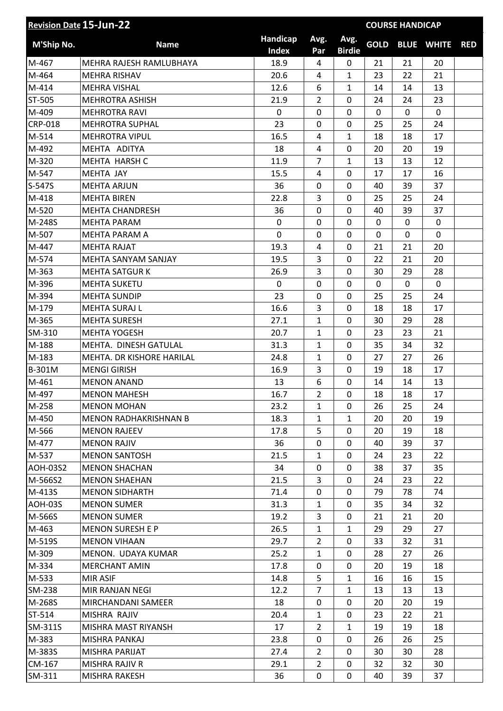|                 | <b>Revision Date 15-Jun-22</b> |                          |                |                       |             | <b>COURSE HANDICAP</b> |                   |            |
|-----------------|--------------------------------|--------------------------|----------------|-----------------------|-------------|------------------------|-------------------|------------|
| M'Ship No.      | <b>Name</b>                    | Handicap<br><b>Index</b> | Avg.<br>Par    | Avg.<br><b>Birdie</b> | <b>GOLD</b> |                        | <b>BLUE WHITE</b> | <b>RED</b> |
| M-467           | MEHRA RAJESH RAMLUBHAYA        | 18.9                     | 4              | 0                     | 21          | 21                     | 20                |            |
| M-464           | <b>MEHRA RISHAV</b>            | 20.6                     | 4              | 1                     | 23          | 22                     | 21                |            |
| M-414           | <b>MEHRA VISHAL</b>            | 12.6                     | 6              | $\mathbf{1}$          | 14          | 14                     | 13                |            |
| ST-505          | <b>MEHROTRA ASHISH</b>         | 21.9                     | 2              | 0                     | 24          | 24                     | 23                |            |
| M-409           | <b>MEHROTRA RAVI</b>           | 0                        | 0              | 0                     | $\mathbf 0$ | $\mathbf 0$            | $\mathbf 0$       |            |
| <b>CRP-018</b>  | <b>MEHROTRA SUPHAL</b>         | 23                       | 0              | 0                     | 25          | 25                     | 24                |            |
| M-514           | <b>MEHROTRA VIPUL</b>          | 16.5                     | 4              | $\mathbf{1}$          | 18          | 18                     | 17                |            |
| M-492           | MEHTA ADITYA                   | 18                       | 4              | 0                     | 20          | 20                     | 19                |            |
| M-320           | MEHTA HARSH C                  | 11.9                     | $\overline{7}$ | $\mathbf{1}$          | 13          | 13                     | 12                |            |
| M-547           | MEHTA JAY                      | 15.5                     | 4              | 0                     | 17          | 17                     | 16                |            |
| S-547S          | <b>MEHTA ARJUN</b>             | 36                       | 0              | 0                     | 40          | 39                     | 37                |            |
| M-418           | <b>MEHTA BIREN</b>             | 22.8                     | 3              | 0                     | 25          | 25                     | 24                |            |
| M-520           | <b>MEHTA CHANDRESH</b>         | 36                       | 0              | 0                     | 40          | 39                     | 37                |            |
| M-248S          | <b>MEHTA PARAM</b>             | 0                        | 0              | 0                     | 0           | 0                      | 0                 |            |
| M-507           | MEHTA PARAM A                  | $\overline{0}$           | 0              | 0                     | 0           | 0                      | $\mathbf 0$       |            |
| M-447           | <b>MEHTA RAJAT</b>             | 19.3                     | 4              | 0                     | 21          | 21                     | 20                |            |
| M-574           | MEHTA SANYAM SANJAY            | 19.5                     | 3              | 0                     | 22          | 21                     | 20                |            |
| M-363           | <b>MEHTA SATGUR K</b>          | 26.9                     | 3              | 0                     | 30          | 29                     | 28                |            |
| M-396           | <b>MEHTA SUKETU</b>            | 0                        | 0              | 0                     | $\mathbf 0$ | 0                      | $\mathbf 0$       |            |
| M-394           | <b>MEHTA SUNDIP</b>            | 23                       | 0              | $\mathbf 0$           | 25          | 25                     | 24                |            |
| M-179           | <b>MEHTA SURAJ L</b>           | 16.6                     | 3              | 0                     | 18          | 18                     | 17                |            |
| M-365           | <b>MEHTA SURESH</b>            | 27.1                     | $\mathbf{1}$   | 0                     | 30          | 29                     | 28                |            |
| SM-310          | <b>MEHTA YOGESH</b>            | 20.7                     | $\mathbf{1}$   | 0                     | 23          | 23                     | 21                |            |
| M-188           | MEHTA. DINESH GATULAL          | 31.3                     | 1              | 0                     | 35          | 34                     | 32                |            |
| M-183           | MEHTA. DR KISHORE HARILAL      | 24.8                     | $\mathbf{1}$   | 0                     | 27          | 27                     | 26                |            |
| B-301M          | <b>MENGI GIRISH</b>            | 16.9                     | 3              | 0                     | 19          | 18                     | 17                |            |
| M-461           | <b>MENON ANAND</b>             | 13                       | 6              | 0                     | 14          | 14                     | 13                |            |
| M-497           | <b>MENON MAHESH</b>            | 16.7                     | $\overline{2}$ | 0                     | 18          | 18                     | 17                |            |
| M-258           | <b>MENON MOHAN</b>             | 23.2                     | $\mathbf{1}$   | 0                     | 26          | 25                     | 24                |            |
| M-450           | MENON RADHAKRISHNAN B          | 18.3                     | $\mathbf{1}$   | $\mathbf{1}$          | 20          | 20                     | 19                |            |
| M-566           | <b>MENON RAJEEV</b>            | 17.8                     | 5              | 0                     | 20          | 19                     | 18                |            |
| M-477           | <b>MENON RAJIV</b>             | 36                       | 0              | 0                     | 40          | 39                     | 37                |            |
| M-537           | <b>MENON SANTOSH</b>           | 21.5                     | $\mathbf{1}$   | 0                     | 24          | 23                     | 22                |            |
| <b>AOH-03S2</b> | <b>MENON SHACHAN</b>           | 34                       | 0              | 0                     | 38          | 37                     | 35                |            |
| M-566S2         | <b>MENON SHAEHAN</b>           | 21.5                     | 3              | 0                     | 24          | 23                     | 22                |            |
| M-413S          | <b>MENON SIDHARTH</b>          | 71.4                     | 0              | 0                     | 79          | 78                     | 74                |            |
| <b>AOH-03S</b>  | <b>MENON SUMER</b>             | 31.3                     | $\mathbf{1}$   | 0                     | 35          | 34                     | 32                |            |
| M-566S          | <b>MENON SUMER</b>             | 19.2                     | 3              | 0                     | 21          | 21                     | 20                |            |
| M-463           | <b>MENON SURESH E P</b>        | 26.5                     | $\mathbf{1}$   | $\mathbf{1}$          | 29          | 29                     | 27                |            |
| M-519S          | <b>MENON VIHAAN</b>            | 29.7                     | $\overline{2}$ | 0                     | 33          | 32                     | 31                |            |
| M-309           | MENON. UDAYA KUMAR             | 25.2                     | $\mathbf{1}$   | 0                     | 28          | 27                     | 26                |            |
| M-334           | <b>MERCHANT AMIN</b>           | 17.8                     | 0              | 0                     | 20          | 19                     | 18                |            |
| M-533           | MIR ASIF                       | 14.8                     | 5              | $\mathbf{1}$          | 16          | 16                     | 15                |            |
| SM-238          | MIR RANJAN NEGI                | 12.2                     | $\overline{7}$ | $\mathbf{1}$          | 13          | 13                     | 13                |            |
| M-268S          | MIRCHANDANI SAMEER             | 18                       | 0              | 0                     | 20          | 20                     | 19                |            |
| ST-514          | MISHRA RAJIV                   | 20.4                     | $\mathbf{1}$   | 0                     | 23          | 22                     | 21                |            |
| SM-311S         | MISHRA MAST RIYANSH            | 17                       | $\overline{2}$ | $\mathbf{1}$          | 19          | 19                     | 18                |            |
| M-383           | MISHRA PANKAJ                  | 23.8                     | 0              | 0                     | 26          | 26                     | 25                |            |
| M-383S          | MISHRA PARIJAT                 | 27.4                     | $\overline{2}$ | 0                     | 30          | 30                     | 28                |            |
| CM-167          | MISHRA RAJIV R                 | 29.1                     | $\overline{2}$ | 0                     | 32          | 32                     | 30                |            |
| SM-311          | MISHRA RAKESH                  | 36                       | 0              | 0                     | 40          | 39                     | 37                |            |
|                 |                                |                          |                |                       |             |                        |                   |            |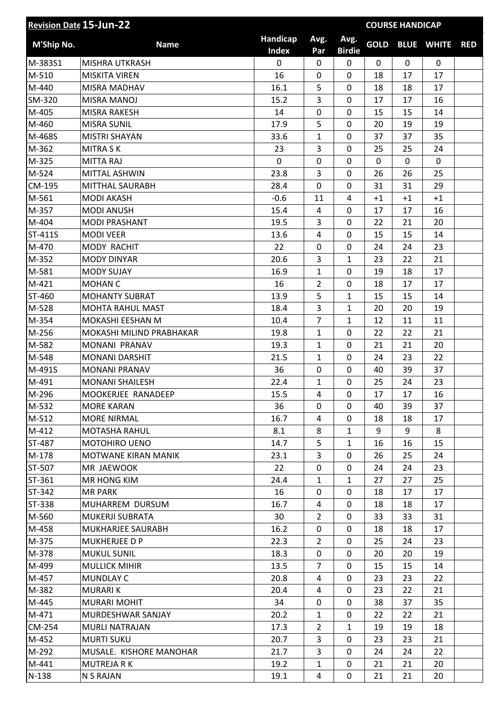| <b>Revision Date 15-Jun-22</b> |                          |                          |                | <b>COURSE HANDICAP</b> |             |             |                   |            |
|--------------------------------|--------------------------|--------------------------|----------------|------------------------|-------------|-------------|-------------------|------------|
| M'Ship No.                     | <b>Name</b>              | Handicap<br><b>Index</b> | Avg.<br>Par    | Avg.<br><b>Birdie</b>  | <b>GOLD</b> |             | <b>BLUE WHITE</b> | <b>RED</b> |
| M-383S1                        | <b>MISHRA UTKRASH</b>    | $\mathbf 0$              | 0              | 0                      | $\mathbf 0$ | $\mathbf 0$ | $\mathbf 0$       |            |
| M-510                          | <b>MISKITA VIREN</b>     | 16                       | 0              | 0                      | 18          | 17          | 17                |            |
| M-440                          | MISRA MADHAV             | 16.1                     | 5              | 0                      | 18          | 18          | 17                |            |
| SM-320                         | MISRA MANOJ              | 15.2                     | 3              | 0                      | 17          | 17          | 16                |            |
| M-405                          | <b>MISRA RAKESH</b>      | 14                       | 0              | 0                      | 15          | 15          | 14                |            |
| M-460                          | <b>MISRA SUNIL</b>       | 17.9                     | 5              | 0                      | 20          | 19          | 19                |            |
| M-468S                         | <b>MISTRI SHAYAN</b>     | 33.6                     | $\mathbf{1}$   | 0                      | 37          | 37          | 35                |            |
| M-362                          | <b>MITRA SK</b>          | 23                       | 3              | 0                      | 25          | 25          | 24                |            |
| M-325                          | <b>MITTA RAJ</b>         | 0                        | 0              | 0                      | 0           | 0           | $\mathbf 0$       |            |
| M-524                          | MITTAL ASHWIN            | 23.8                     | 3              | 0                      | 26          | 26          | 25                |            |
| CM-195                         | MITTHAL SAURABH          | 28.4                     | 0              | 0                      | 31          | 31          | 29                |            |
| M-561                          | <b>MODI AKASH</b>        | $-0.6$                   | 11             | 4                      | $+1$        | $+1$        | $+1$              |            |
| M-357                          | <b>MODI ANUSH</b>        | 15.4                     | 4              | $\mathbf 0$            | 17          | 17          | 16                |            |
| M-404                          | <b>MODI PRASHANT</b>     | 19.5                     | 3              | 0                      | 22          | 21          | 20                |            |
| ST-411S                        | <b>MODI VEER</b>         | 13.6                     | 4              | 0                      | 15          | 15          | 14                |            |
| M-470                          | MODY RACHIT              | 22                       | 0              | 0                      | 24          | 24          | 23                |            |
| M-352                          | <b>MODY DINYAR</b>       | 20.6                     | 3              | $\mathbf{1}$           | 23          | 22          | 21                |            |
| M-581                          | <b>MODY SUJAY</b>        | 16.9                     | $\mathbf{1}$   | $\mathbf 0$            | 19          | 18          | 17                |            |
| M-421                          | <b>MOHAN C</b>           | 16                       | $\overline{2}$ | 0                      | 18          | 17          | 17                |            |
| ST-460                         | <b>MOHANTY SUBRAT</b>    | 13.9                     | 5              | $\mathbf{1}$           | 15          | 15          | 14                |            |
| M-528                          | <b>MOHTA RAHUL MAST</b>  | 18.4                     | 3              | $\mathbf{1}$           | 20          | 20          | 19                |            |
| M-354                          | MOKASHI EESHAN M         | 10.4                     | $\overline{7}$ | $\mathbf{1}$           | 12          | 11          | 11                |            |
| M-256                          | MOKASHI MILIND PRABHAKAR | 19.8                     | 1              | 0                      | 22          | 22          | 21                |            |
| M-582                          | MONANI PRANAV            | 19.3                     | $\mathbf{1}$   | 0                      | 21          | 21          | 20                |            |
| M-548                          | <b>MONANI DARSHIT</b>    | 21.5                     | $\mathbf{1}$   | 0                      | 24          | 23          | 22                |            |
| M-491S                         | <b>MONANI PRANAV</b>     | 36                       | 0              | 0                      | 40          | 39          | 37                |            |
| M-491                          | <b>MONANI SHAILESH</b>   | 22.4                     | 1              | 0                      | 25          | 24          | 23                |            |
| M-296                          | MOOKERJEE RANADEEP       | 15.5                     | 4              | 0                      | 17          | 17          | 16                |            |
| M-532                          | <b>MORE KARAN</b>        | 36                       | 0              | 0                      | 40          | 39          | 37                |            |
| M-512                          | <b>MORE NIRMAL</b>       | 16.7                     | 4              | 0                      | 18          | 18          | 17                |            |
| M-412                          | <b>MOTASHA RAHUL</b>     | 8.1                      | 8              | $\mathbf{1}$           | 9           | 9           | 8                 |            |
| ST-487                         | <b>MOTOHIRO UENO</b>     | 14.7                     | 5              | $\mathbf{1}$           | 16          | 16          | 15                |            |
| M-178                          | MOTWANE KIRAN MANIK      | 23.1                     | 3              | 0                      | 26          | 25          | 24                |            |
| ST-507                         | MR JAEWOOK               | 22                       | 0              | 0                      | 24          | 24          | 23                |            |
| ST-361                         | MR HONG KIM              | 24.4                     | 1              | $\mathbf{1}$           | 27          | 27          | 25                |            |
| ST-342                         | <b>MR PARK</b>           | 16                       | 0              | 0                      | 18          | 17          | 17                |            |
| ST-338                         | MUHARREM DURSUM          | 16.7                     | 4              | 0                      | 18          | 18          | 17                |            |
| M-560                          | MUKERJI SUBRATA          | 30                       | $\overline{2}$ | 0                      | 33          | 33          | 31                |            |
| M-458                          | MUKHARJEE SAURABH        | 16.2                     | 0              | 0                      | 18          | 18          | 17                |            |
| M-375                          | MUKHERJEE D P            | 22.3                     | $\overline{2}$ | 0                      | 25          | 24          | 23                |            |
| M-378                          | <b>MUKUL SUNIL</b>       | 18.3                     | 0              | 0                      | 20          | 20          | 19                |            |
| M-499                          | <b>MULLICK MIHIR</b>     | 13.5                     | $\overline{7}$ | 0                      | 15          | 15          | 14                |            |
| M-457                          | <b>MUNDLAY C</b>         | 20.8                     | 4              | 0                      | 23          | 23          | 22                |            |
| M-382                          | <b>MURARIK</b>           | 20.4                     | 4              | 0                      | 23          | 22          | 21                |            |
| M-445                          | <b>MURARI MOHIT</b>      | 34                       | 0              | 0                      | 38          | 37          | 35                |            |
| M-471                          | MURDESHWAR SANJAY        | 20.2                     | $\mathbf{1}$   | 0                      | 22          | 22          | 21                |            |
| CM-254                         | MURLI NATRAJAN           | 17.3                     | $\overline{2}$ | $\mathbf{1}$           | 19          | 19          | 18                |            |
| M-452                          | <b>MURTI SUKU</b>        | 20.7                     | 3              | 0                      | 23          | 23          | 21                |            |
| M-292                          | MUSALE. KISHORE MANOHAR  | 21.7                     | 3              | 0                      | 24          | 24          | 22                |            |
| M-441                          | <b>MUTREJA R K</b>       | 19.2                     | $\mathbf{1}$   | 0                      | 21          | 21          | 20                |            |
| $N-138$                        | N S RAJAN                | 19.1                     | 4              | 0                      | 21          | 21          | 20                |            |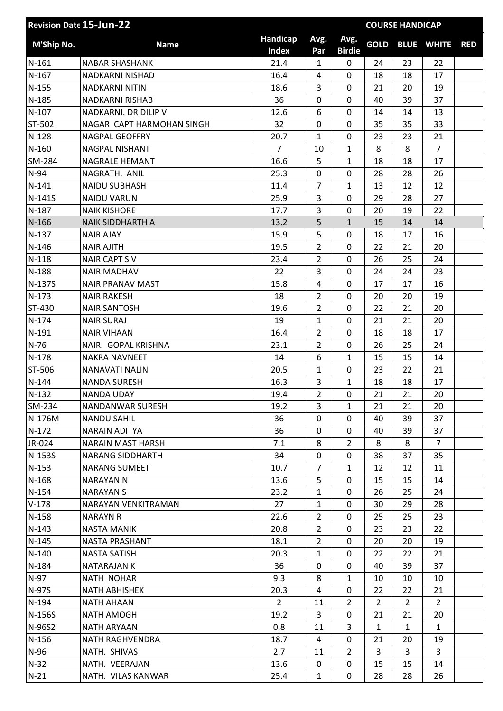| <b>Revision Date 15-Jun-22</b> |                           |                   |                  |                       |                | <b>COURSE HANDICAP</b> |                   |            |
|--------------------------------|---------------------------|-------------------|------------------|-----------------------|----------------|------------------------|-------------------|------------|
| M'Ship No.                     | <b>Name</b>               | Handicap<br>Index | Avg.<br>Par      | Avg.<br><b>Birdie</b> | <b>GOLD</b>    |                        | <b>BLUE WHITE</b> | <b>RED</b> |
| $N-161$                        | <b>NABAR SHASHANK</b>     | 21.4              | $\mathbf{1}$     | 0                     | 24             | 23                     | 22                |            |
| $N-167$                        | <b>NADKARNI NISHAD</b>    | 16.4              | $\overline{4}$   | 0                     | 18             | 18                     | 17                |            |
| $N-155$                        | <b>NADKARNI NITIN</b>     | 18.6              | 3                | $\mathbf 0$           | 21             | 20                     | 19                |            |
| $N-185$                        | NADKARNI RISHAB           | 36                | $\mathbf 0$      | 0                     | 40             | 39                     | 37                |            |
| $N-107$                        | NADKARNI. DR DILIP V      | 12.6              | 6                | 0                     | 14             | 14                     | 13                |            |
| ST-502                         | NAGAR CAPT HARMOHAN SINGH | 32                | $\mathbf 0$      | $\mathbf 0$           | 35             | 35                     | 33                |            |
| $N-128$                        | <b>NAGPAL GEOFFRY</b>     | 20.7              | $\mathbf{1}$     | 0                     | 23             | 23                     | 21                |            |
| $N-160$                        | NAGPAL NISHANT            | $\overline{7}$    | 10               | $\mathbf{1}$          | 8              | 8                      | $\overline{7}$    |            |
| SM-284                         | NAGRALE HEMANT            | 16.6              | 5                | $\mathbf{1}$          | 18             | 18                     | 17                |            |
| $N-94$                         | NAGRATH. ANIL             | 25.3              | $\mathbf 0$      | 0                     | 28             | 28                     | 26                |            |
| $N-141$                        | <b>NAIDU SUBHASH</b>      | 11.4              | $\overline{7}$   | $\mathbf{1}$          | 13             | 12                     | 12                |            |
| N-141S                         | <b>NAIDU VARUN</b>        | 25.9              | 3                | 0                     | 29             | 28                     | 27                |            |
| $N-187$                        | <b>NAIK KISHORE</b>       | 17.7              | 3                | $\pmb{0}$             | 20             | 19                     | 22                |            |
| $N-166$                        | <b>NAIK SIDDHARTH A</b>   | 13.2              | 5                | $\mathbf{1}$          | 15             | 14                     | 14                |            |
| $N-137$                        | <b>NAIR AJAY</b>          | 15.9              | 5                | 0                     | 18             | 17                     | 16                |            |
| $N-146$                        | <b>NAIR AJITH</b>         | 19.5              | $\overline{2}$   | $\mathbf 0$           | 22             | 21                     | 20                |            |
| $N-118$                        | <b>NAIR CAPT SV</b>       | 23.4              | $\overline{2}$   | 0                     | 26             | 25                     | 24                |            |
| $N-188$                        | <b>NAIR MADHAV</b>        | 22                | 3                | 0                     | 24             | 24                     | 23                |            |
| N-137S                         | <b>NAIR PRANAV MAST</b>   | 15.8              | 4                | 0                     | 17             | 17                     | 16                |            |
| $N-173$                        | <b>NAIR RAKESH</b>        | 18                | $\overline{2}$   | $\mathbf 0$           | 20             | 20                     | 19                |            |
| ST-430                         | <b>NAIR SANTOSH</b>       | 19.6              | $\overline{2}$   | 0                     | 22             | 21                     | 20                |            |
| $N-174$                        | <b>NAIR SURAJ</b>         | 19                | $\mathbf{1}$     | 0                     | 21             | 21                     | 20                |            |
| $N-191$                        | <b>NAIR VIHAAN</b>        | 16.4              | $\overline{2}$   | $\mathbf 0$           | 18             | 18                     | 17                |            |
| $N-76$                         | NAIR. GOPAL KRISHNA       | 23.1              | $\overline{2}$   | 0                     | 26             | 25                     | 24                |            |
| $N-178$                        | <b>NAKRA NAVNEET</b>      | 14                | $\boldsymbol{6}$ | $\mathbf{1}$          | 15             | 15                     | 14                |            |
| ST-506                         | NANAVATI NALIN            | 20.5              | $\mathbf{1}$     | 0                     | 23             | 22                     | 21                |            |
| $N-144$                        | <b>NANDA SURESH</b>       | 16.3              | 3                | $\mathbf{1}$          | 18             | 18                     | 17                |            |
| $N-132$                        | <b>NANDA UDAY</b>         | 19.4              | $\overline{2}$   | 0                     | 21             | 21                     | 20                |            |
| SM-234                         | NANDANWAR SURESH          | 19.2              | 3                | $\mathbf{1}$          | 21             | 21                     | 20                |            |
| N-176M                         | <b>NANDU SAHIL</b>        | 36                | 0                | 0                     | 40             | 39                     | 37                |            |
| $N-172$                        | <b>NARAIN ADITYA</b>      | 36                | 0                | 0                     | 40             | 39                     | 37                |            |
| JR-024                         | <b>NARAIN MAST HARSH</b>  | 7.1               | 8                | $\overline{2}$        | 8              | 8                      | $\overline{7}$    |            |
| N-153S                         | <b>NARANG SIDDHARTH</b>   | 34                | 0                | 0                     | 38             | 37                     | 35                |            |
| $N-153$                        | <b>NARANG SUMEET</b>      | 10.7              | $\overline{7}$   | $\mathbf{1}$          | 12             | 12                     | 11                |            |
| $N-168$                        | NARAYAN N                 | 13.6              | 5                | 0                     | 15             | 15                     | 14                |            |
| $N-154$                        | <b>NARAYAN S</b>          | 23.2              | $\mathbf{1}$     | 0                     | 26             | 25                     | 24                |            |
| $V-178$                        | NARAYAN VENKITRAMAN       | 27                | $\mathbf{1}$     | 0                     | 30             | 29                     | 28                |            |
| $N-158$                        | <b>NARAYN R</b>           | 22.6              | $\overline{2}$   | 0                     | 25             | 25                     | 23                |            |
| $N-143$                        | <b>NASTA MANIK</b>        | 20.8              | $\overline{2}$   | 0                     | 23             | 23                     | 22                |            |
| $N-145$                        | NASTA PRASHANT            | 18.1              | $\overline{2}$   | 0                     | 20             | 20                     | 19                |            |
| $N-140$                        | <b>NASTA SATISH</b>       | 20.3              | $\mathbf{1}$     | 0                     | 22             | 22                     | 21                |            |
| $N-184$                        | <b>NATARAJAN K</b>        | 36                | 0                | 0                     | 40             | 39                     | 37                |            |
| N-97                           | NATH NOHAR                | 9.3               | 8                | $\mathbf{1}$          | 10             | 10                     | 10                |            |
| N-97S                          | <b>NATH ABHISHEK</b>      | 20.3              | 4                | 0                     | 22             | 22                     | 21                |            |
| $N-194$                        | <b>NATH AHAAN</b>         | $\overline{2}$    | 11               | $\overline{2}$        | $\overline{2}$ | $\overline{2}$         | $\overline{2}$    |            |
| N-156S                         | <b>NATH AMOGH</b>         | 19.2              | 3                | 0                     | 21             | 21                     | 20                |            |
| N-96S2                         | <b>NATH ARYAAN</b>        | 0.8               | 11               | 3                     | 1              | $\mathbf{1}$           | $\mathbf{1}$      |            |
| $N-156$                        | NATH RAGHVENDRA           | 18.7              | 4                | 0                     | 21             | 20                     | 19                |            |
| $N-96$                         | NATH. SHIVAS              | 2.7               | 11               | $\overline{2}$        | 3              | 3                      | $\mathbf{3}$      |            |
| $N-32$                         | NATH. VEERAJAN            | 13.6              | 0                | 0                     | 15             | 15                     | 14                |            |
| $N-21$                         | NATH. VILAS KANWAR        | 25.4              | $\mathbf{1}$     | 0                     | 28             | 28                     | 26                |            |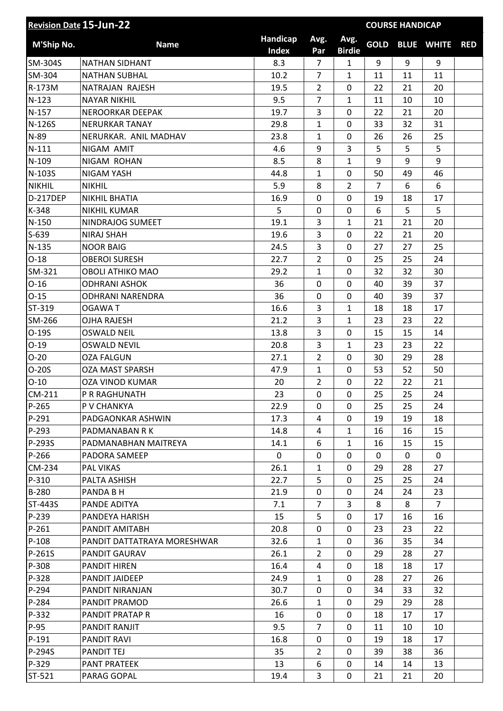| <b>Revision Date 15-Jun-22</b> |                             | <b>COURSE HANDICAP</b>   |                |                       |                |    |                   |            |
|--------------------------------|-----------------------------|--------------------------|----------------|-----------------------|----------------|----|-------------------|------------|
| M'Ship No.                     | <b>Name</b>                 | Handicap<br><b>Index</b> | Avg.<br>Par    | Avg.<br><b>Birdie</b> | <b>GOLD</b>    |    | <b>BLUE WHITE</b> | <b>RED</b> |
| SM-304S                        | <b>NATHAN SIDHANT</b>       | 8.3                      | $\overline{7}$ | $\mathbf{1}$          | 9              | 9  | 9                 |            |
| SM-304                         | <b>NATHAN SUBHAL</b>        | 10.2                     | $\overline{7}$ | 1                     | 11             | 11 | 11                |            |
| R-173M                         | NATRAJAN RAJESH             | 19.5                     | $\overline{2}$ | 0                     | 22             | 21 | 20                |            |
| $N-123$                        | <b>NAYAR NIKHIL</b>         | 9.5                      | $\overline{7}$ | 1                     | 11             | 10 | 10                |            |
| $N-157$                        | NEROORKAR DEEPAK            | 19.7                     | 3              | 0                     | 22             | 21 | 20                |            |
| N-126S                         | <b>NERURKAR TANAY</b>       | 29.8                     | $\mathbf{1}$   | 0                     | 33             | 32 | 31                |            |
| N-89                           | NERURKAR. ANIL MADHAV       | 23.8                     | $\mathbf{1}$   | 0                     | 26             | 26 | 25                |            |
| $N-111$                        | NIGAM AMIT                  | 4.6                      | 9              | 3                     | 5              | 5  | 5                 |            |
| $N-109$                        | NIGAM ROHAN                 | 8.5                      | 8              | $\mathbf{1}$          | 9              | 9  | 9                 |            |
| N-103S                         | <b>NIGAM YASH</b>           | 44.8                     | $\mathbf{1}$   | 0                     | 50             | 49 | 46                |            |
| <b>NIKHIL</b>                  | <b>NIKHIL</b>               | 5.9                      | 8              | $\overline{2}$        | $\overline{7}$ | 6  | 6                 |            |
| D-217DEP                       | <b>NIKHIL BHATIA</b>        | 16.9                     | 0              | 0                     | 19             | 18 | 17                |            |
| K-348                          | <b>NIKHIL KUMAR</b>         | 5                        | 0              | 0                     | 6              | 5  | 5                 |            |
| $N-150$                        | NINDRAJOG SUMEET            | 19.1                     | 3              | $\mathbf{1}$          | 21             | 21 | 20                |            |
| $S-639$                        | NIRAJ SHAH                  | 19.6                     | 3              | 0                     | 22             | 21 | 20                |            |
| $N-135$                        | <b>NOOR BAIG</b>            | 24.5                     | 3              | 0                     | 27             | 27 | 25                |            |
| $O-18$                         | <b>OBEROI SURESH</b>        | 22.7                     | $\overline{2}$ | 0                     | 25             | 25 | 24                |            |
| SM-321                         | <b>OBOLI ATHIKO MAO</b>     | 29.2                     | $\mathbf{1}$   | 0                     | 32             | 32 | 30                |            |
| $O-16$                         | <b>ODHRANI ASHOK</b>        | 36                       | 0              | 0                     | 40             | 39 | 37                |            |
| $O-15$                         | <b>ODHRANI NARENDRA</b>     | 36                       | 0              | $\mathbf 0$           | 40             | 39 | 37                |            |
| ST-319                         | <b>OGAWAT</b>               | 16.6                     | 3              | $\mathbf{1}$          | 18             | 18 | 17                |            |
| SM-266                         | <b>OJHA RAJESH</b>          | 21.2                     | 3              | $\mathbf{1}$          | 23             | 23 | 22                |            |
| $O-19S$                        | <b>OSWALD NEIL</b>          | 13.8                     | 3              | 0                     | 15             | 15 | 14                |            |
| $O-19$                         | <b>OSWALD NEVIL</b>         | 20.8                     | 3              | $\mathbf{1}$          | 23             | 23 | 22                |            |
| $O-20$                         | <b>OZA FALGUN</b>           | 27.1                     | $\overline{2}$ | $\mathbf 0$           | 30             | 29 | 28                |            |
| $O-20S$                        | <b>OZA MAST SPARSH</b>      | 47.9                     | $\mathbf{1}$   | 0                     | 53             | 52 | 50                |            |
| $O-10$                         | OZA VINOD KUMAR             | 20                       | $\overline{2}$ | 0                     | 22             | 22 | 21                |            |
| CM-211                         | P R RAGHUNATH               | 23                       | $\pmb{0}$      | 0                     | 25             | 25 | 24                |            |
| P-265                          | P V CHANKYA                 | 22.9                     | 0              | 0                     | 25             | 25 | 24                |            |
| P-291                          | PADGAONKAR ASHWIN           | 17.3                     | 4              | 0                     | 19             | 19 | 18                |            |
| P-293                          | PADMANABAN R K              | 14.8                     | 4              | $\mathbf{1}$          | 16             | 16 | 15                |            |
| P-293S                         | PADMANABHAN MAITREYA        | 14.1                     | 6              | $\mathbf{1}$          | 16             | 15 | 15                |            |
| P-266                          | PADORA SAMEEP               | 0                        | 0              | 0                     | 0              | 0  | 0                 |            |
| CM-234                         | PAL VIKAS                   | 26.1                     | $\mathbf{1}$   | 0                     | 29             | 28 | 27                |            |
| P-310                          | PALTA ASHISH                | 22.7                     | 5              | 0                     | 25             | 25 | 24                |            |
| B-280                          | PANDA B H                   | 21.9                     | 0              | 0                     | 24             | 24 | 23                |            |
| ST-443S                        | PANDE ADITYA                | 7.1                      | $\overline{7}$ | 3                     | 8              | 8  | $\overline{7}$    |            |
| P-239                          | PANDEYA HARISH              | 15                       | 5              | 0                     | 17             | 16 | 16                |            |
| P-261                          | PANDIT AMITABH              | 20.8                     | 0              | 0                     | 23             | 23 | 22                |            |
| $P-108$                        | PANDIT DATTATRAYA MORESHWAR | 32.6                     | $\mathbf{1}$   | 0                     | 36             | 35 | 34                |            |
| P-261S                         | PANDIT GAURAV               | 26.1                     | $\overline{2}$ | 0                     | 29             | 28 | 27                |            |
| P-308                          | PANDIT HIREN                | 16.4                     | 4              | 0                     | 18             | 18 | 17                |            |
| P-328                          | PANDIT JAIDEEP              | 24.9                     | $\mathbf{1}$   | 0                     | 28             | 27 | 26                |            |
| P-294                          | PANDIT NIRANJAN             | 30.7                     | 0              | 0                     | 34             | 33 | 32                |            |
| P-284                          | PANDIT PRAMOD               | 26.6                     | $\mathbf{1}$   | 0                     | 29             | 29 | 28                |            |
| P-332                          | PANDIT PRATAP R             | 16                       | 0              | 0                     | 18             | 17 | 17                |            |
| P-95                           | PANDIT RANJIT               | 9.5                      | 7              | 0                     | 11             | 10 | 10                |            |
| $P-191$                        | PANDIT RAVI                 | 16.8                     | 0              | 0                     | 19             | 18 | 17                |            |
| P-294S                         | <b>PANDIT TEJ</b>           | 35                       | $\overline{2}$ | $\Omega$              | 39             | 38 | 36                |            |
| P-329                          | <b>PANT PRATEEK</b>         | 13                       | 6              | 0                     | 14             | 14 | 13                |            |
| ST-521                         | PARAG GOPAL                 | 19.4                     | 3              | 0                     | 21             | 21 | 20                |            |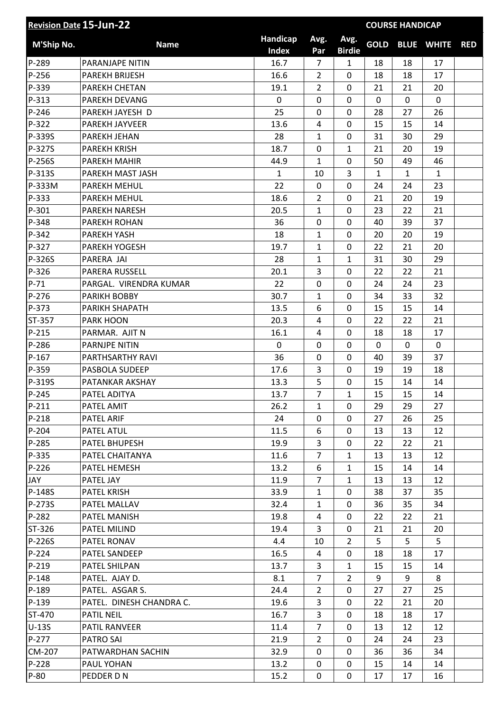| Handicap<br>Avg.<br>Avg.<br><b>GOLD</b><br><b>M'Ship No.</b><br><b>BLUE WHITE</b><br><b>Name</b><br><b>Index</b><br><b>Birdie</b><br>Par | <b>RED</b>   |
|------------------------------------------------------------------------------------------------------------------------------------------|--------------|
|                                                                                                                                          |              |
| P-289<br>16.7<br>PARANJAPE NITIN<br>7<br>$\mathbf{1}$<br>18<br>18                                                                        | 17           |
| P-256<br>16.6<br>0<br>18<br>18<br><b>PAREKH BRIJESH</b><br>$\overline{2}$                                                                | 17           |
| P-339<br>19.1<br>$\overline{2}$<br>PAREKH CHETAN<br>0<br>21<br>21                                                                        | 20           |
| P-313<br>0<br>0<br>0<br>0<br>0<br>PAREKH DEVANG                                                                                          | $\mathbf 0$  |
| 25<br>P-246<br>PAREKH JAYESH D<br>0<br>28<br>0<br>27                                                                                     | 26           |
| P-322<br>13.6<br>4<br>0<br>15<br><b>PAREKH JAYVEER</b><br>15                                                                             | 14           |
| P-339S<br>28<br>0<br>31<br>30<br>PAREKH JEHAN<br>1                                                                                       | 29           |
| P-327S<br>18.7<br>$\mathbf{1}$<br>21<br><b>PAREKH KRISH</b><br>0<br>20                                                                   | 19           |
| P-256S<br>0<br><b>PAREKH MAHIR</b><br>44.9<br>1<br>50<br>49                                                                              | 46           |
| 3<br>P-313S<br>PAREKH MAST JASH<br>$\mathbf{1}$<br>10<br>$\mathbf{1}$<br>$\mathbf{1}$                                                    | $\mathbf{1}$ |
| P-333M<br>22<br>0<br>24<br><b>PAREKH MEHUL</b><br>0<br>24                                                                                | 23           |
| P-333<br>18.6<br>$\overline{2}$<br>0<br>20<br><b>PAREKH MEHUL</b><br>21                                                                  | 19           |
| P-301<br>$\mathbf 0$<br>20.5<br>$\mathbf{1}$<br>23<br>22<br><b>PAREKH NARESH</b>                                                         | 21           |
| P-348<br><b>PAREKH ROHAN</b><br>36<br>0<br>39<br>0<br>40                                                                                 | 37           |
| P-342<br>PAREKH YASH<br>18<br>$\mathbf{1}$<br>0<br>20<br>20                                                                              | 19           |
| P-327<br>19.7<br>0<br>22<br>21<br><b>PAREKH YOGESH</b><br>$\mathbf{1}$                                                                   | 20           |
| P-326S<br>PARERA JAI<br>28<br>31<br>30<br>$\mathbf{1}$<br>$\mathbf{1}$                                                                   | 29           |
| 3<br>$\mathbf 0$<br>P-326<br>20.1<br>22<br>22<br>PARERA RUSSELL                                                                          | 21           |
| $P-71$<br>PARGAL. VIRENDRA KUMAR<br>22<br>0<br>24<br>0<br>24                                                                             | 23           |
| P-276<br>30.7<br>0<br><b>PARIKH BOBBY</b><br>$\mathbf{1}$<br>34<br>33                                                                    | 32           |
| P-373<br>13.5<br>PARIKH SHAPATH<br>6<br>0<br>15<br>15                                                                                    | 14           |
| 20.3<br>ST-357<br>0<br>22<br>22<br><b>PARK HOON</b><br>4                                                                                 | 21           |
| $P-215$<br>16.1<br>0<br>18<br>PARMAR. AJIT N<br>4<br>18                                                                                  | 17           |
| P-286<br><b>PARNJPE NITIN</b><br>0<br>0<br>0<br>$\mathbf{0}$<br>0                                                                        | $\mathbf 0$  |
| $P-167$<br>36<br>0<br>0<br>39<br>PARTHSARTHY RAVI<br>40                                                                                  | 37           |
| P-359<br>17.6<br>3<br>0<br>PASBOLA SUDEEP<br>19<br>19                                                                                    | 18           |
| 5<br>P-319S<br>13.3<br>0<br>15<br>PATANKAR AKSHAY<br>14                                                                                  | 14           |
| $\overline{7}$<br>15<br>15<br>P-245<br>PATEL ADITYA<br>13.7<br>1                                                                         | 14           |
| $P-211$<br>26.2<br>$\mathbf{1}$<br>29<br>29<br>PATEL AMIT<br>$\Omega$                                                                    | 27           |
| $P-218$<br>PATEL ARIF<br>24<br>0<br>27<br>26<br>0                                                                                        | 25           |
| P-204<br>PATEL ATUL<br>11.5<br>6<br>0<br>13<br>13                                                                                        | 12           |
| 3<br>P-285<br>19.9<br>0<br>PATEL BHUPESH<br>22<br>22                                                                                     | 21           |
| P-335<br>PATEL CHAITANYA<br>11.6<br>$\overline{7}$<br>$\mathbf{1}$<br>13<br>13                                                           | 12           |
| 13.2<br>P-226<br>PATEL HEMESH<br>6<br>$\mathbf{1}$<br>15<br>14                                                                           | 14           |
| JAY<br>11.9<br>$\overline{7}$<br>PATEL JAY<br>$\mathbf{1}$<br>13<br>13                                                                   | 12           |
| P-148S<br>PATEL KRISH<br>33.9<br>38<br>37<br>$\mathbf{1}$<br>0                                                                           | 35           |
| P-273S<br>PATEL MALLAV<br>32.4<br>0<br>36<br>35<br>$\mathbf{1}$                                                                          | 34           |
| P-282<br>PATEL MANISH<br>19.8<br>0<br>22<br>22<br>4                                                                                      | 21           |
| ST-326<br>19.4<br>3<br>PATEL MILIND<br>0<br>21<br>21                                                                                     | 20           |
| P-226S<br>PATEL RONAV<br>4.4<br>$\overline{2}$<br>5<br>5<br>10                                                                           | 5            |
| P-224<br>16.5<br>0<br>18<br>PATEL SANDEEP<br>4<br>18                                                                                     | 17           |
| $P-219$<br>3<br>PATEL SHILPAN<br>13.7<br>$\mathbf{1}$<br>15<br>15                                                                        | 14           |
| $P-148$<br>8.1<br>$\overline{7}$<br>$\overline{2}$<br>9<br>9<br>PATEL. AJAY D.                                                           | 8            |
| P-189<br>0<br>PATEL. ASGAR S.<br>24.4<br>$\overline{2}$<br>27<br>27                                                                      | 25           |
| P-139<br>3<br>PATEL. DINESH CHANDRA C.<br>19.6<br>0<br>22<br>21                                                                          | 20           |
| 3<br>ST-470<br><b>PATIL NEIL</b><br>16.7<br>0<br>18<br>18                                                                                | 17           |
| $U-13S$<br>PATIL RANVEER<br>11.4<br>$\overline{7}$<br>0<br>12<br>13                                                                      | 12           |
| 21.9<br>$P-277$<br>$\overline{2}$<br>0<br>PATRO SAI<br>24<br>24                                                                          | 23           |
| CM-207<br>PATWARDHAN SACHIN<br>32.9<br>0<br>0<br>36<br>36                                                                                | 34           |
| P-228<br>13.2<br>PAUL YOHAN<br>0<br>15<br>14<br>0                                                                                        | 14           |
| P-80<br>15.2<br>0<br>0<br>PEDDER D N<br>17<br>17                                                                                         | 16           |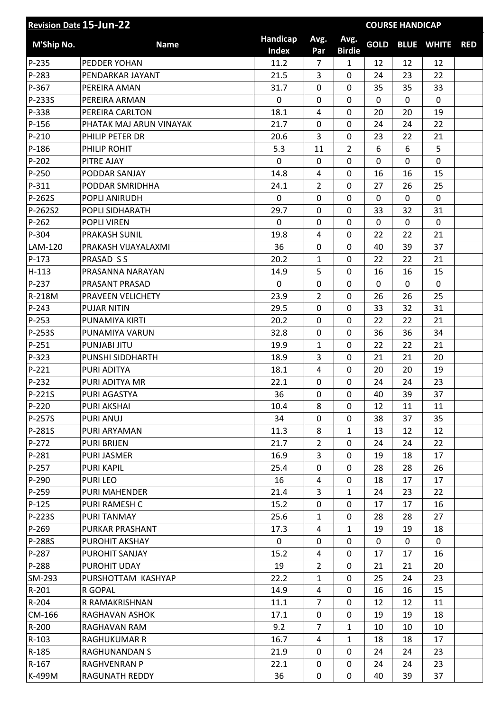| <b>Revision Date 15-Jun-22</b><br><b>COURSE HANDICAP</b> |                         |                          |                |                       |             |                |                   |            |
|----------------------------------------------------------|-------------------------|--------------------------|----------------|-----------------------|-------------|----------------|-------------------|------------|
| M'Ship No.                                               | <b>Name</b>             | Handicap<br><b>Index</b> | Avg.<br>Par    | Avg.<br><b>Birdie</b> | <b>GOLD</b> |                | <b>BLUE WHITE</b> | <b>RED</b> |
| P-235                                                    | PEDDER YOHAN            | 11.2                     | 7              | $\mathbf{1}$          | 12          | 12             | 12                |            |
| P-283                                                    | PENDARKAR JAYANT        | 21.5                     | 3              | 0                     | 24          | 23             | 22                |            |
| P-367                                                    | PEREIRA AMAN            | 31.7                     | 0              | 0                     | 35          | 35             | 33                |            |
| P-233S                                                   | PEREIRA ARMAN           | 0                        | 0              | 0                     | 0           | 0              | $\mathbf{0}$      |            |
| P-338                                                    | PEREIRA CARLTON         | 18.1                     | 4              | 0                     | 20          | 20             | 19                |            |
| $P-156$                                                  | PHATAK MAJ ARUN VINAYAK | 21.7                     | $\mathbf 0$    | $\mathbf 0$           | 24          | 24             | 22                |            |
| $P-210$                                                  | PHILIP PETER DR         | 20.6                     | 3              | 0                     | 23          | 22             | 21                |            |
| P-186                                                    | PHILIP ROHIT            | 5.3                      | 11             | $\overline{2}$        | 6           | 6              | 5                 |            |
| $P-202$                                                  | PITRE AJAY              | $\mathbf 0$              | $\mathbf 0$    | 0                     | 0           | $\overline{0}$ | $\mathbf 0$       |            |
| P-250                                                    | PODDAR SANJAY           | 14.8                     | 4              | 0                     | 16          | 16             | 15                |            |
| P-311                                                    | PODDAR SMRIDHHA         | 24.1                     | $\overline{2}$ | $\mathbf 0$           | 27          | 26             | 25                |            |
| P-262S                                                   | POPLI ANIRUDH           | 0                        | 0              | 0                     | 0           | $\mathbf 0$    | 0                 |            |
| P-262S2                                                  | POPLI SIDHARATH         | 29.7                     | $\mathbf 0$    | 0                     | 33          | 32             | 31                |            |
| $P-262$                                                  | <b>POPLI VIREN</b>      | 0                        | 0              | 0                     | 0           | 0              | $\mathbf 0$       |            |
| P-304                                                    | <b>PRAKASH SUNIL</b>    | 19.8                     | 4              | $\mathbf 0$           | 22          | 22             | 21                |            |
| LAM-120                                                  | PRAKASH VIJAYALAXMI     | 36                       | $\mathbf 0$    | 0                     | 40          | 39             | 37                |            |
| $P-173$                                                  | PRASAD S S              | 20.2                     | 1              | 0                     | 22          | 22             | 21                |            |
| $H-113$                                                  | PRASANNA NARAYAN        | 14.9                     | 5              | 0                     | 16          | 16             | 15                |            |
| P-237                                                    | PRASANT PRASAD          | $\mathbf 0$              | $\mathbf 0$    | 0                     | 0           | 0              | $\mathbf 0$       |            |
| R-218M                                                   | PRAVEEN VELICHETY       | 23.9                     | $\overline{2}$ | $\mathbf 0$           | 26          | 26             | 25                |            |
| $P-243$                                                  | <b>PUJAR NITIN</b>      | 29.5                     | 0              | 0                     | 33          | 32             | 31                |            |
| P-253                                                    | PUNAMIYA KIRTI          | 20.2                     | 0              | 0                     | 22          | 22             | 21                |            |
| P-253S                                                   | PUNAMIYA VARUN          | 32.8                     | 0              | 0                     | 36          | 36             | 34                |            |
| $P-251$                                                  | PUNJABI JITU            | 19.9                     | 1              | 0                     | 22          | 22             | 21                |            |
| P-323                                                    | PUNSHI SIDDHARTH        | 18.9                     | 3              | $\mathbf 0$           | 21          | 21             | 20                |            |
| $P-221$                                                  | PURI ADITYA             | 18.1                     | 4              | 0                     | 20          | 20             | 19                |            |
| P-232                                                    | PURI ADITYA MR          | 22.1                     | $\mathbf 0$    | 0                     | 24          | 24             | 23                |            |
| P-221S                                                   | PURI AGASTYA            | 36                       | $\mathbf 0$    | 0                     | 40          | 39             | 37                |            |
| P-220                                                    | <b>PURI AKSHAI</b>      | 10.4                     | 8              | 0                     | 12          | 11             | 11                |            |
| P-257S                                                   | <b>PURI ANUJ</b>        | 34                       | 0              | 0                     | 38          | 37             | 35                |            |
| P-281S                                                   | PURI ARYAMAN            | 11.3                     | 8              | $\mathbf{1}$          | 13          | 12             | 12                |            |
| $P-272$                                                  | <b>PURI BRIJEN</b>      | 21.7                     | $\overline{2}$ | 0                     | 24          | 24             | 22                |            |
| P-281                                                    | PURI JASMER             | 16.9                     | 3              | 0                     | 19          | 18             | 17                |            |
| P-257                                                    | <b>PURI KAPIL</b>       | 25.4                     | 0              | 0                     | 28          | 28             | 26                |            |
| P-290                                                    | <b>PURILEO</b>          | 16                       | 4              | 0                     | 18          | 17             | 17                |            |
| P-259                                                    | <b>PURI MAHENDER</b>    | 21.4                     | 3              | $\mathbf{1}$          | 24          | 23             | 22                |            |
| $P-125$                                                  | PURI RAMESH C           | 15.2                     | 0              | 0                     | 17          | 17             | 16                |            |
| P-223S                                                   | PURI TANMAY             | 25.6                     | $\mathbf{1}$   | 0                     | 28          | 28             | 27                |            |
| P-269                                                    | PURKAR PRASHANT         | 17.3                     | 4              | $\mathbf{1}$          | 19          | 19             | 18                |            |
| P-288S                                                   | PUROHIT AKSHAY          | 0                        | 0              | 0                     | 0           | 0              | 0                 |            |
| P-287                                                    | PUROHIT SANJAY          | 15.2                     | 4              | 0                     | 17          | 17             | 16                |            |
| P-288                                                    | PUROHIT UDAY            | 19                       | $\overline{2}$ | 0                     | 21          | 21             | 20                |            |
| SM-293                                                   | PURSHOTTAM KASHYAP      | 22.2                     | $\mathbf{1}$   | 0                     | 25          | 24             | 23                |            |
| $R-201$                                                  | R GOPAL                 | 14.9                     | 4              | 0                     | 16          | 16             | 15                |            |
| $R-204$                                                  | R RAMAKRISHNAN          | 11.1                     | $\overline{7}$ | 0                     | 12          | 12             | 11                |            |
| CM-166                                                   | RAGHAVAN ASHOK          | 17.1                     | 0              | 0                     | 19          | 19             | 18                |            |
| R-200                                                    | RAGHAVAN RAM            | 9.2                      | 7              | $\mathbf{1}$          | 10          | 10             | 10                |            |
| $R-103$                                                  | <b>RAGHUKUMAR R</b>     | 16.7                     | 4              | $\mathbf{1}$          | 18          | 18             | 17                |            |
| R-185                                                    | RAGHUNANDAN S           | 21.9                     | 0              | 0                     | 24          | 24             | 23                |            |
| $R-167$                                                  | RAGHVENRAN P            | 22.1                     | 0              | 0                     | 24          | 24             | 23                |            |
| K-499M                                                   | <b>RAGUNATH REDDY</b>   | 36                       | 0              | 0                     | 40          | 39             | 37                |            |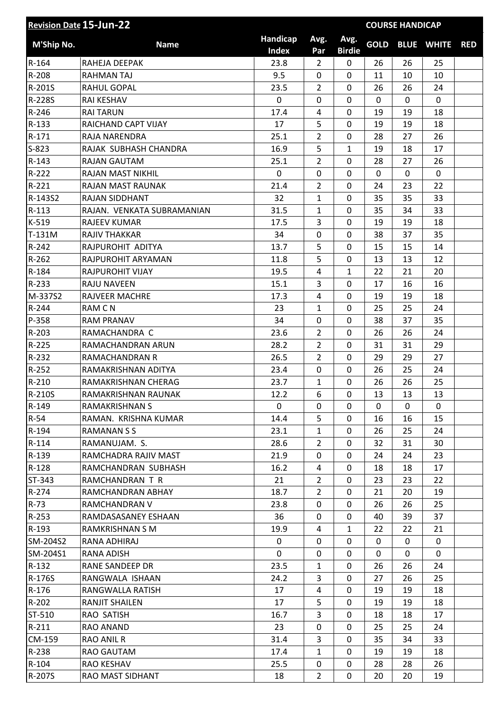| <b>Revision Date 15-Jun-22</b> |                            |                   | <b>COURSE HANDICAP</b> |                       |              |              |                   |            |
|--------------------------------|----------------------------|-------------------|------------------------|-----------------------|--------------|--------------|-------------------|------------|
| M'Ship No.                     | <b>Name</b>                | Handicap<br>Index | Avg.<br>Par            | Avg.<br><b>Birdie</b> | <b>GOLD</b>  |              | <b>BLUE WHITE</b> | <b>RED</b> |
| $R-164$                        | RAHEJA DEEPAK              | 23.8              | $\overline{2}$         | 0                     | 26           | 26           | 25                |            |
| R-208                          | <b>RAHMAN TAJ</b>          | 9.5               | 0                      | 0                     | 11           | 10           | 10                |            |
| R-201S                         | <b>RAHUL GOPAL</b>         | 23.5              | 2                      | 0                     | 26           | 26           | 24                |            |
| R-228S                         | RAI KESHAV                 | 0                 | 0                      | 0                     | 0            | 0            | $\mathbf 0$       |            |
| $R-246$                        | <b>RAI TARUN</b>           | 17.4              | 4                      | 0                     | 19           | 19           | 18                |            |
| $R - 133$                      | RAICHAND CAPT VIJAY        | 17                | 5                      | 0                     | 19           | 19           | 18                |            |
| $R-171$                        | RAJA NARENDRA              | 25.1              | $\overline{2}$         | 0                     | 28           | 27           | 26                |            |
| $S-823$                        | RAJAK SUBHASH CHANDRA      | 16.9              | 5                      | $\mathbf{1}$          | 19           | 18           | 17                |            |
| $R-143$                        | <b>RAJAN GAUTAM</b>        | 25.1              | 2                      | 0                     | 28           | 27           | 26                |            |
| R-222                          | <b>RAJAN MAST NIKHIL</b>   | 0                 | 0                      | 0                     | 0            | 0            | $\mathbf 0$       |            |
| $R-221$                        | RAJAN MAST RAUNAK          | 21.4              | $\overline{2}$         | 0                     | 24           | 23           | 22                |            |
| R-143S2                        | <b>RAJAN SIDDHANT</b>      | 32                | $\mathbf{1}$           | 0                     | 35           | 35           | 33                |            |
| $R-113$                        | RAJAN. VENKATA SUBRAMANIAN | 31.5              | $\mathbf{1}$           | $\mathbf 0$           | 35           | 34           | 33                |            |
| $K-519$                        | <b>RAJEEV KUMAR</b>        | 17.5              | 3                      | 0                     | 19           | 19           | 18                |            |
| T-131M                         | <b>RAJIV THAKKAR</b>       | 34                | 0                      | 0                     | 38           | 37           | 35                |            |
| R-242                          | RAJPUROHIT ADITYA          | 13.7              | 5                      | 0                     | 15           | 15           | 14                |            |
| $R-262$                        | RAJPUROHIT ARYAMAN         | 11.8              | 5                      | 0                     | 13           | 13           | 12                |            |
| $R-184$                        | <b>RAJPUROHIT VIJAY</b>    | 19.5              | 4                      | $\mathbf{1}$          | 22           | 21           | 20                |            |
| R-233                          | <b>RAJU NAVEEN</b>         | 15.1              | 3                      | 0                     | 17           | 16           | 16                |            |
| M-337S2                        | <b>RAJVEER MACHRE</b>      | 17.3              | 4                      | 0                     | 19           | 19           | 18                |            |
| R-244                          | <b>RAMCN</b>               | 23                | $\mathbf{1}$           | 0                     | 25           | 25           | 24                |            |
| P-358                          | <b>RAM PRANAV</b>          | 34                | 0                      | 0                     | 38           | 37           | 35                |            |
| $R-203$                        | RAMACHANDRA C              | 23.6              | $\overline{2}$         | 0                     | 26           | 26           | 24                |            |
| R-225                          | RAMACHANDRAN ARUN          | 28.2              | $\overline{2}$         | 0                     | 31           | 31           | 29                |            |
| R-232                          | RAMACHANDRAN R             | 26.5              | $\overline{2}$         | 0                     | 29           | 29           | 27                |            |
| $R-252$                        | RAMAKRISHNAN ADITYA        | 23.4              | 0                      | 0                     | 26           | 25           | 24                |            |
| R-210                          | RAMAKRISHNAN CHERAG        | 23.7              | 1                      | 0                     | 26           | 26           | 25                |            |
| R-210S                         | RAMAKRISHNAN RAUNAK        | 12.2              | 6                      | 0                     | 13           | 13           | 13                |            |
| R-149                          | <b>RAMAKRISHNAN S</b>      | 0                 | 0                      | 0                     | 0            | 0            | 0                 |            |
| $R-54$                         | RAMAN. KRISHNA KUMAR       | 14.4              | 5                      | 0                     | 16           | 16           | 15                |            |
| R-194                          | <b>RAMANANSS</b>           | 23.1              | $\mathbf{1}$           | 0                     | 26           | 25           | 24                |            |
| $R-114$                        | RAMANUJAM. S.              | 28.6              | $\overline{2}$         | 0                     | 32           | 31           | 30                |            |
| $R-139$                        | RAMCHADRA RAJIV MAST       | 21.9              | 0                      | 0                     | 24           | 24           | 23                |            |
| $R-128$                        | RAMCHANDRAN SUBHASH        | 16.2              | 4                      | 0                     | 18           | 18           | 17                |            |
| ST-343                         | RAMCHANDRAN T R            | 21                | $\overline{2}$         | 0                     | 23           | 23           | 22                |            |
| $R - 274$                      | RAMCHANDRAN ABHAY          | 18.7              | $\overline{2}$         | 0                     | 21           | 20           | 19                |            |
| $R-73$                         | RAMCHANDRAN V              | 23.8              | 0                      | 0                     | 26           | 26           | 25                |            |
| $R - 253$                      | RAMDASASANEY ESHAAN        | 36                | 0                      | 0                     | 40           | 39           | 37                |            |
| $R-193$                        | RAMKRISHNAN S M            | 19.9              | 4                      | $\mathbf{1}$          | 22           | 22           | 21                |            |
| SM-204S2                       | RANA ADHIRAJ               | 0                 | 0                      | 0                     | 0            | $\mathbf{0}$ | 0                 |            |
| SM-204S1                       | <b>RANA ADISH</b>          | 0                 | 0                      | 0                     | $\mathbf{0}$ | 0            | $\mathbf{0}$      |            |
| $R-132$                        | RANE SANDEEP DR            | 23.5              | $\mathbf{1}$           | 0                     | 26           | 26           | 24                |            |
| R-176S                         | RANGWALA ISHAAN            | 24.2              | 3                      | 0                     | 27           | 26           | 25                |            |
| $R-176$                        | RANGWALLA RATISH           | 17                | 4                      | 0                     | 19           | 19           | 18                |            |
| $R-202$                        | <b>RANJIT SHAILEN</b>      | 17                | 5                      | 0                     | 19           | 19           | 18                |            |
| ST-510                         | RAO SATISH                 | 16.7              | 3                      | $\mathbf 0$           | 18           | 18           | 17                |            |
| $R-211$                        | RAO ANAND                  | 23                | 0                      | 0                     | 25           | 25           | 24                |            |
| CM-159                         | RAO ANIL R                 | 31.4              | 3                      | 0                     | 35           | 34           | 33                |            |
| R-238                          | RAO GAUTAM                 | 17.4              | $\mathbf{1}$           | $\Omega$              | 19           | 19           | 18                |            |
| $R-104$                        | <b>RAO KESHAV</b>          | 25.5              | 0                      | 0                     | 28           | 28           | 26                |            |
| R-207S                         | RAO MAST SIDHANT           | 18                | $\overline{2}$         | 0                     | 20           | 20           | 19                |            |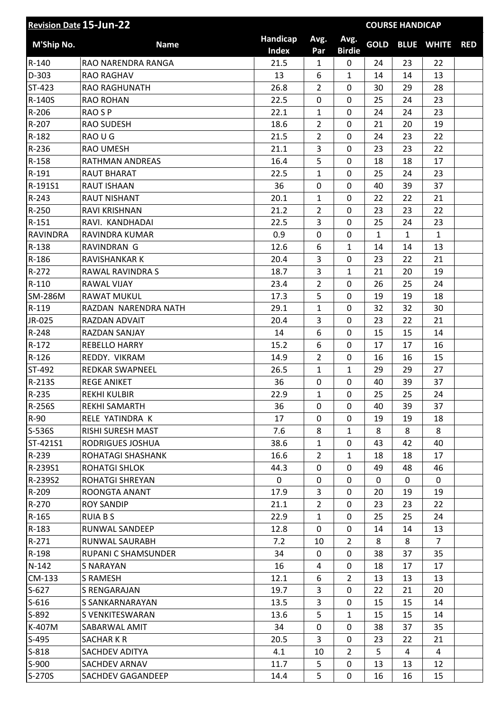| Handicap<br>Avg.<br>Avg.<br><b>GOLD</b><br><b>M'Ship No.</b><br><b>BLUE WHITE</b><br><b>Name</b><br><b>Index</b><br><b>Birdie</b><br>Par<br>R-140<br>21.5<br>RAO NARENDRA RANGA<br>$\mathbf{1}$<br>0<br>24<br>23<br>22<br>D-303<br>13<br>$\mathbf{1}$<br>14<br>14<br>13<br><b>RAO RAGHAV</b><br>6<br>ST-423<br>26.8<br>28<br>RAO RAGHUNATH<br>$\overline{2}$<br>0<br>30<br>29<br>R-140S<br>22.5<br>0<br>0<br>25<br>23<br><b>RAO ROHAN</b><br>24 | <b>RED</b> |
|-------------------------------------------------------------------------------------------------------------------------------------------------------------------------------------------------------------------------------------------------------------------------------------------------------------------------------------------------------------------------------------------------------------------------------------------------|------------|
|                                                                                                                                                                                                                                                                                                                                                                                                                                                 |            |
|                                                                                                                                                                                                                                                                                                                                                                                                                                                 |            |
|                                                                                                                                                                                                                                                                                                                                                                                                                                                 |            |
|                                                                                                                                                                                                                                                                                                                                                                                                                                                 |            |
|                                                                                                                                                                                                                                                                                                                                                                                                                                                 |            |
| R-206<br>23<br><b>RAO SP</b><br>22.1<br>$\mathbf 0$<br>24<br>24<br>$\mathbf{1}$                                                                                                                                                                                                                                                                                                                                                                 |            |
| $\overline{2}$<br>R-207<br><b>RAO SUDESH</b><br>18.6<br>0<br>21<br>20<br>19                                                                                                                                                                                                                                                                                                                                                                     |            |
| $R-182$<br>RAO U G<br>21.5<br>$\overline{2}$<br>$\mathbf 0$<br>24<br>23<br>22                                                                                                                                                                                                                                                                                                                                                                   |            |
| R-236<br>21.1<br>3<br>$\mathbf 0$<br>23<br>22<br><b>RAO UMESH</b><br>23                                                                                                                                                                                                                                                                                                                                                                         |            |
| 5<br>R-158<br>16.4<br>0<br><b>RATHMAN ANDREAS</b><br>18<br>18<br>17                                                                                                                                                                                                                                                                                                                                                                             |            |
| R-191<br>22.5<br>$\overline{0}$<br>25<br>24<br>23<br><b>RAUT BHARAT</b><br>$\mathbf{1}$                                                                                                                                                                                                                                                                                                                                                         |            |
| R-191S1<br>36<br>0<br>$\mathbf 0$<br>39<br>37<br><b>RAUT ISHAAN</b><br>40                                                                                                                                                                                                                                                                                                                                                                       |            |
| $R - 243$<br><b>RAUT NISHANT</b><br>20.1<br>$\mathbf 0$<br>22<br>21<br>1<br>22                                                                                                                                                                                                                                                                                                                                                                  |            |
| $\overline{2}$<br>$\mathbf 0$<br>R-250<br>RAVI KRISHNAN<br>21.2<br>23<br>23<br>22                                                                                                                                                                                                                                                                                                                                                               |            |
| $R-151$<br>RAVI. KANDHADAI<br>22.5<br>3<br>0<br>23<br>25<br>24                                                                                                                                                                                                                                                                                                                                                                                  |            |
| 0.9<br><b>RAVINDRA</b><br>RAVINDRA KUMAR<br>0<br>0<br>$\mathbf{1}$<br>$\mathbf{1}$<br>$\mathbf{1}$                                                                                                                                                                                                                                                                                                                                              |            |
| 6<br>R-138<br>12.6<br>$\mathbf{1}$<br>14<br>14<br>13<br>RAVINDRAN G                                                                                                                                                                                                                                                                                                                                                                             |            |
| 20.4<br>R-186<br><b>RAVISHANKAR K</b><br>3<br>0<br>23<br>22<br>21                                                                                                                                                                                                                                                                                                                                                                               |            |
| 3<br>R-272<br>18.7<br>$\mathbf{1}$<br>21<br>20<br>19<br>RAWAL RAVINDRA S                                                                                                                                                                                                                                                                                                                                                                        |            |
| $R-110$<br>23.4<br>$\overline{2}$<br>$\mathbf 0$<br>25<br>24<br>RAWAL VIJAY<br>26                                                                                                                                                                                                                                                                                                                                                               |            |
| <b>SM-286M</b><br>5<br>$\mathbf 0$<br>19<br>19<br>18<br><b>RAWAT MUKUL</b><br>17.3                                                                                                                                                                                                                                                                                                                                                              |            |
| $R-119$<br>29.1<br>32<br>30<br>RAZDAN NARENDRA NATH<br>$\mathbf{1}$<br>0<br>32                                                                                                                                                                                                                                                                                                                                                                  |            |
| JR-025<br>20.4<br>3<br>0<br>23<br>22<br>21<br>RAZDAN ADVAIT                                                                                                                                                                                                                                                                                                                                                                                     |            |
| R-248<br>6<br>0<br>15<br>14<br>RAZDAN SANJAY<br>14<br>15                                                                                                                                                                                                                                                                                                                                                                                        |            |
| $R-172$<br><b>REBELLO HARRY</b><br>15.2<br>6<br>$\mathbf 0$<br>17<br>17<br>16                                                                                                                                                                                                                                                                                                                                                                   |            |
| $\overline{2}$<br>$R-126$<br>14.9<br>0<br>REDDY, VIKRAM<br>16<br>16<br>15                                                                                                                                                                                                                                                                                                                                                                       |            |
| ST-492<br>REDKAR SWAPNEEL<br>26.5<br>$\mathbf{1}$<br>$\mathbf{1}$<br>29<br>29<br>27                                                                                                                                                                                                                                                                                                                                                             |            |
| R-213S<br>36<br>0<br>$\mathbf 0$<br>40<br>37<br><b>REGE ANIKET</b><br>39                                                                                                                                                                                                                                                                                                                                                                        |            |
| 25<br>R-235<br>22.9<br>0<br>25<br>24<br>1<br><b>REKHI KULBIR</b>                                                                                                                                                                                                                                                                                                                                                                                |            |
| R-256S<br>36<br>$\mathbf 0$<br>39<br>37<br>REKHI SAMARTH<br>$\Omega$<br>40                                                                                                                                                                                                                                                                                                                                                                      |            |
| R-90<br>RELE YATINDRA K<br>17<br>0<br>19<br>0<br>19<br>18                                                                                                                                                                                                                                                                                                                                                                                       |            |
| S-536S<br>RISHI SURESH MAST<br>7.6<br>8<br>$\mathbf{1}$<br>8<br>8<br>8                                                                                                                                                                                                                                                                                                                                                                          |            |
| 38.6<br>$\mathbf{1}$<br>0<br>40<br>ST-421S1<br>RODRIGUES JOSHUA<br>43<br>42                                                                                                                                                                                                                                                                                                                                                                     |            |
| 16.6<br>R-239<br>ROHATAGI SHASHANK<br>$\mathbf{1}$<br>18<br>17<br>$\overline{2}$<br>18                                                                                                                                                                                                                                                                                                                                                          |            |
| R-239S1<br>44.3<br>0<br><b>ROHATGI SHLOK</b><br>0<br>49<br>48<br>46                                                                                                                                                                                                                                                                                                                                                                             |            |
| R-239S2<br>0<br>ROHATGI SHREYAN<br>0<br>0<br>$\mathbf{0}$<br>$\mathbf{0}$<br>$\mathbf{0}$                                                                                                                                                                                                                                                                                                                                                       |            |
| R-209<br>ROONGTA ANANT<br>17.9<br>3<br>0<br>20<br>19<br>19                                                                                                                                                                                                                                                                                                                                                                                      |            |
| $\overline{2}$<br>R-270<br><b>ROY SANDIP</b><br>21.1<br>0<br>23<br>22<br>23                                                                                                                                                                                                                                                                                                                                                                     |            |
| 22.9<br>$R-165$<br><b>RUIA B S</b><br>0<br>25<br>25<br>24<br>$\mathbf{1}$                                                                                                                                                                                                                                                                                                                                                                       |            |
| R-183<br>12.8<br>0<br>0<br>14<br>13<br>RUNWAL SANDEEP<br>14                                                                                                                                                                                                                                                                                                                                                                                     |            |
| $R-271$<br>RUNWAL SAURABH<br>7.2<br>$\overline{2}$<br>8<br>$\overline{7}$<br>10<br>8                                                                                                                                                                                                                                                                                                                                                            |            |
| R-198<br>RUPANI C SHAMSUNDER<br>34<br>0<br>38<br>37<br>35<br>0                                                                                                                                                                                                                                                                                                                                                                                  |            |
| $N-142$<br><b>S NARAYAN</b><br>16<br>0<br>18<br>4<br>17<br>17                                                                                                                                                                                                                                                                                                                                                                                   |            |
| CM-133<br>12.1<br>$\overline{2}$<br>S RAMESH<br>6<br>13<br>13<br>13                                                                                                                                                                                                                                                                                                                                                                             |            |
| $S-627$<br>0<br>19.7<br>3<br>21<br>20<br>S RENGARAJAN<br>22                                                                                                                                                                                                                                                                                                                                                                                     |            |
| 3<br>$S-616$<br>S SANKARNARAYAN<br>13.5<br>0<br>15<br>15<br>14                                                                                                                                                                                                                                                                                                                                                                                  |            |
| 5<br>$S-892$<br>13.6<br>$\mathbf{1}$<br>S VENKITESWARAN<br>15<br>15<br>14                                                                                                                                                                                                                                                                                                                                                                       |            |
| K-407M<br>34<br>0<br>38<br>37<br>35<br>SABARWAL AMIT<br>0                                                                                                                                                                                                                                                                                                                                                                                       |            |
| $S-495$<br>20.5<br>3<br>SACHAR K R<br>0<br>23<br>22<br>21                                                                                                                                                                                                                                                                                                                                                                                       |            |
| $\overline{2}$<br>$S-818$<br>SACHDEV ADITYA<br>4.1<br>10<br>5<br>4<br>4                                                                                                                                                                                                                                                                                                                                                                         |            |
| $S-900$<br>SACHDEV ARNAV<br>11.7<br>5<br>0<br>12<br>13<br>13                                                                                                                                                                                                                                                                                                                                                                                    |            |
| S-270S<br>5<br>0<br>SACHDEV GAGANDEEP<br>14.4<br>16<br>16<br>15                                                                                                                                                                                                                                                                                                                                                                                 |            |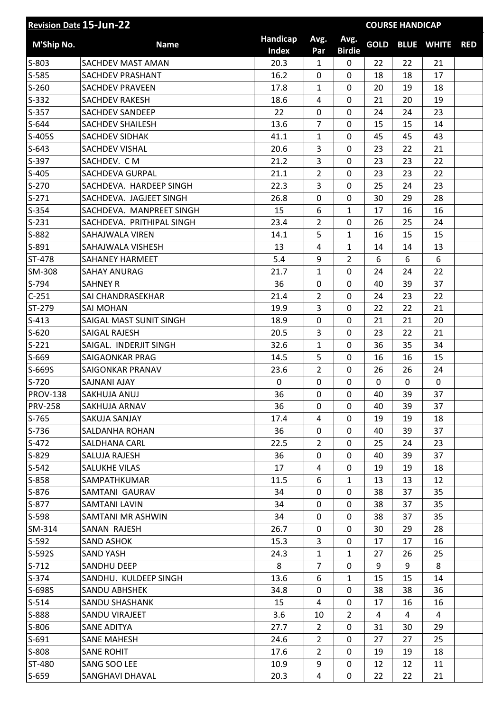| <b>Revision Date 15-Jun-22</b> |                           |                          |                |                       | <b>COURSE HANDICAP</b> |    |                   |            |
|--------------------------------|---------------------------|--------------------------|----------------|-----------------------|------------------------|----|-------------------|------------|
| M'Ship No.                     | <b>Name</b>               | Handicap<br><b>Index</b> | Avg.<br>Par    | Avg.<br><b>Birdie</b> | <b>GOLD</b>            |    | <b>BLUE WHITE</b> | <b>RED</b> |
| $S-803$                        | SACHDEV MAST AMAN         | 20.3                     | $\mathbf{1}$   | 0                     | 22                     | 22 | 21                |            |
| $S-585$                        | SACHDEV PRASHANT          | 16.2                     | 0              | 0                     | 18                     | 18 | 17                |            |
| $S-260$                        | <b>SACHDEV PRAVEEN</b>    | 17.8                     | 1              | 0                     | 20                     | 19 | 18                |            |
| $S-332$                        | <b>SACHDEV RAKESH</b>     | 18.6                     | 4              | 0                     | 21                     | 20 | 19                |            |
| $S-357$                        | <b>SACHDEV SANDEEP</b>    | 22                       | 0              | 0                     | 24                     | 24 | 23                |            |
| $S-644$                        | <b>SACHDEV SHAILESH</b>   | 13.6                     | $\overline{7}$ | 0                     | 15                     | 15 | 14                |            |
| S-405S                         | <b>SACHDEV SIDHAK</b>     | 41.1                     | $\mathbf{1}$   | 0                     | 45                     | 45 | 43                |            |
| $S-643$                        | SACHDEV VISHAL            | 20.6                     | 3              | 0                     | 23                     | 22 | 21                |            |
| S-397                          | SACHDEV. CM               | 21.2                     | 3              | 0                     | 23                     | 23 | 22                |            |
| $S-405$                        | <b>SACHDEVA GURPAL</b>    | 21.1                     | $\overline{2}$ | 0                     | 23                     | 23 | 22                |            |
| $S-270$                        | SACHDEVA. HARDEEP SINGH   | 22.3                     | 3              | 0                     | 25                     | 24 | 23                |            |
| $S-271$                        | SACHDEVA. JAGJEET SINGH   | 26.8                     | 0              | 0                     | 30                     | 29 | 28                |            |
| $S-354$                        | SACHDEVA. MANPREET SINGH  | 15                       | 6              | $\mathbf{1}$          | 17                     | 16 | 16                |            |
| $S-231$                        | SACHDEVA. PRITHIPAL SINGH | 23.4                     | $\overline{2}$ | 0                     | 26                     | 25 | 24                |            |
| S-882                          | SAHAJWALA VIREN           | 14.1                     | 5              | $\mathbf{1}$          | 16                     | 15 | 15                |            |
| S-891                          | SAHAJWALA VISHESH         | 13                       | 4              | $\mathbf{1}$          | 14                     | 14 | 13                |            |
| ST-478                         | SAHANEY HARMEET           | 5.4                      | 9              | $\overline{2}$        | 6                      | 6  | 6                 |            |
| SM-308                         | <b>SAHAY ANURAG</b>       | 21.7                     | 1              | 0                     | 24                     | 24 | 22                |            |
| S-794                          | <b>SAHNEY R</b>           | 36                       | 0              | 0                     | 40                     | 39 | 37                |            |
| $C-251$                        | SAI CHANDRASEKHAR         | 21.4                     | $\overline{2}$ | $\mathbf 0$           | 24                     | 23 | 22                |            |
| ST-279                         | <b>SAI MOHAN</b>          | 19.9                     | 3              | 0                     | 22                     | 22 | 21                |            |
| $S-413$                        | SAIGAL MAST SUNIT SINGH   | 18.9                     | 0              | 0                     | 21                     | 21 | 20                |            |
| $S-620$                        | <b>SAIGAL RAJESH</b>      | 20.5                     | 3              | 0                     | 23                     | 22 | 21                |            |
| $S-221$                        | SAIGAL. INDERJIT SINGH    | 32.6                     | 1              | 0                     | 36                     | 35 | 34                |            |
| S-669                          | SAIGAONKAR PRAG           | 14.5                     | 5              | 0                     | 16                     | 16 | 15                |            |
| S-669S                         | SAIGONKAR PRANAV          | 23.6                     | $\overline{2}$ | 0                     | 26                     | 26 | 24                |            |
| $S-720$                        | SAJNANI AJAY              | 0                        | 0              | 0                     | 0                      | 0  | $\mathbf 0$       |            |
| <b>PROV-138</b>                | SAKHUJA ANUJ              | 36                       | 0              | 0                     | 40                     | 39 | 37                |            |
| <b>PRV-258</b>                 | SAKHUJA ARNAV             | 36                       | 0              | 0                     | 40                     | 39 | 37                |            |
| $S-765$                        | SAKUJA SANJAY             | 17.4                     | 4              | 0                     | 19                     | 19 | 18                |            |
| $S-736$                        | SALDANHA ROHAN            | 36                       | 0              | 0                     | 40                     | 39 | 37                |            |
| $S-472$                        | <b>SALDHANA CARL</b>      | 22.5                     | $\overline{2}$ | 0                     | 25                     | 24 | 23                |            |
| S-829                          | SALUJA RAJESH             | 36                       | 0              | 0                     | 40                     | 39 | 37                |            |
| $S-542$                        | SALUKHE VILAS             | 17                       | 4              | 0                     | 19                     | 19 | 18                |            |
| $S-858$                        | SAMPATHKUMAR              | 11.5                     | 6              | $\mathbf{1}$          | 13                     | 13 | 12                |            |
| $S-876$                        | SAMTANI GAURAV            | 34                       | 0              | 0                     | 38                     | 37 | 35                |            |
| $S-877$                        | <b>SAMTANI LAVIN</b>      | 34                       | 0              | 0                     | 38                     | 37 | 35                |            |
| S-598                          | SAMTANI MR ASHWIN         | 34                       | 0              | 0                     | 38                     | 37 | 35                |            |
| SM-314                         | SANAN RAJESH              | 26.7                     | 0              | 0                     | 30                     | 29 | 28                |            |
| $S-592$                        | <b>SAND ASHOK</b>         | 15.3                     | 3              | 0                     | 17                     | 17 | 16                |            |
| S-592S                         | <b>SAND YASH</b>          | 24.3                     | $\mathbf{1}$   | $\mathbf{1}$          | 27                     | 26 | 25                |            |
| $S-712$                        | SANDHU DEEP               | 8                        | $\overline{7}$ | 0                     | 9                      | 9  | 8                 |            |
| $S-374$                        | SANDHU. KULDEEP SINGH     | 13.6                     | 6              | $\mathbf{1}$          | 15                     | 15 | 14                |            |
| S-698S                         | SANDU ABHSHEK             | 34.8                     | 0              | 0                     | 38                     | 38 | 36                |            |
| $S-514$                        | SANDU SHASHANK            | 15                       | 4              | 0                     | 17                     | 16 | 16                |            |
| S-888                          | SANDU VIRAJEET            | 3.6                      | 10             | $\overline{2}$        | 4                      | 4  | 4                 |            |
| S-806                          | <b>SANE ADITYA</b>        | 27.7                     | $\overline{2}$ | 0                     | 31                     | 30 | 29                |            |
| $S-691$                        | <b>SANE MAHESH</b>        | 24.6                     | $\overline{2}$ | 0                     | 27                     | 27 | 25                |            |
| S-808                          | <b>SANE ROHIT</b>         | 17.6                     | $\overline{2}$ | $\Omega$              | 19                     | 19 | 18                |            |
| ST-480                         | SANG SOO LEE              | 10.9                     | 9              | 0                     | 12                     | 12 | 11                |            |
| $S-659$                        | SANGHAVI DHAVAL           | 20.3                     | 4              | 0                     | 22                     | 22 | 21                |            |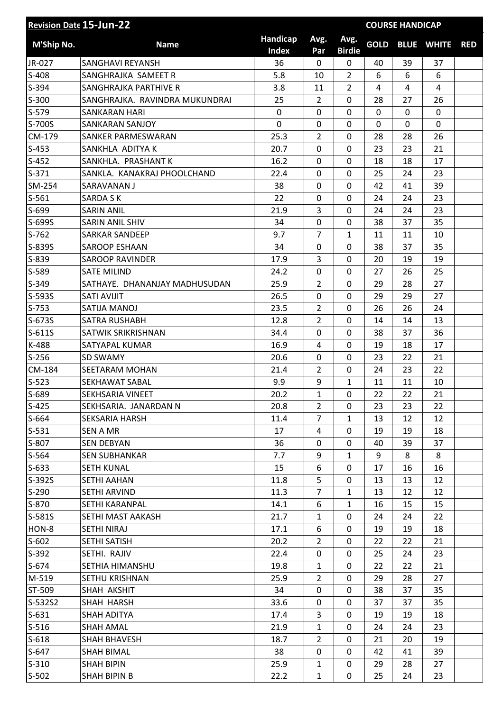| Handicap<br>Avg.<br>Avg.<br><b>GOLD</b><br><b>M'Ship No.</b><br><b>BLUE WHITE</b><br><b>Name</b><br><b>RED</b><br><b>Index</b><br><b>Birdie</b><br>Par<br>JR-027<br>36<br>39<br>SANGHAVI REYANSH<br>0<br>0<br>40<br>37<br>5.8<br>$\overline{2}$<br>6<br>SANGHRAJKA SAMEET R<br>10<br>6<br>6<br>$\overline{2}$<br>3.8<br>11<br>4<br>SANGHRAJKA PARTHIVE R<br>4<br>4<br>SANGHRAJKA. RAVINDRA MUKUNDRAI<br>25<br>$\overline{2}$<br>0<br>28<br>26<br>27<br>0<br>0<br>$\mathbf 0$<br><b>SANKARAN HARI</b><br>0<br>$\mathbf{0}$<br>0<br>$\mathbf 0$<br>$\mathbf 0$<br>S-700S<br>0<br>0<br>0<br>0<br><b>SANKARAN SANJOY</b><br>CM-179<br>25.3<br>$\overline{2}$<br>0<br>28<br>28<br>26<br>SANKER PARMESWARAN<br>20.7<br>0<br>23<br>21<br>SANKHLA ADITYA K<br>0<br>23<br>0<br>SANKHLA. PRASHANT K<br>16.2<br>0<br>18<br>18<br>17<br>$S-371$<br>22.4<br>$\overline{0}$<br>25<br>23<br>SANKLA. KANAKRAJ PHOOLCHAND<br>0<br>24<br>0<br>39<br>SM-254<br>SARAVANAN J<br>38<br>0<br>42<br>41<br>22<br>0<br>23<br><b>SARDA SK</b><br>0<br>24<br>24<br>3<br>21.9<br>0<br>24<br>23<br><b>SARIN ANIL</b><br>24<br>0<br>0<br>35<br><b>SARIN ANIL SHIV</b><br>34<br>38<br>37<br>$\overline{7}$<br><b>SARKAR SANDEEP</b><br>9.7<br>$\mathbf{1}$<br>11<br>11<br>10<br>S-839S<br>34<br>0<br>38<br>37<br>35<br><b>SAROOP ESHAAN</b><br>0<br>S-839<br><b>SAROOP RAVINDER</b><br>17.9<br>3<br>0<br>20<br>19<br>19<br>S-589<br>0<br>0<br>25<br><b>SATE MILIND</b><br>24.2<br>27<br>26<br>S-349<br>25.9<br>$\overline{2}$<br>28<br>27<br>SATHAYE. DHANANJAY MADHUSUDAN<br>0<br>29<br>26.5<br>0<br>0<br>29<br>29<br>27<br>S-593S<br><b>SATI AVIJIT</b><br>$S-753$<br>SATIJA MANOJ<br>23.5<br>$\overline{2}$<br>0<br>26<br>26<br>24<br>S-673S<br>12.8<br>$\overline{2}$<br>0<br>13<br><b>SATRA RUSHABH</b><br>14<br>14<br>$S-611S$<br>0<br>38<br>37<br>36<br>SATWIK SRIKRISHNAN<br>34.4<br>0<br>K-488<br>16.9<br>0<br>19<br>17<br>SATYAPAL KUMAR<br>4<br>18<br>$S-256$<br>0<br>0<br>21<br><b>SD SWAMY</b><br>20.6<br>23<br>22<br>CM-184<br>21.4<br>$\overline{2}$<br>$\mathbf 0$<br>23<br>22<br>SEETARAM MOHAN<br>24<br>$S-523$<br>9.9<br>9<br>$\mathbf{1}$<br>11<br>11<br>10<br>SEKHAWAT SABAL<br>S-689<br>20.2<br>$\mathbf{1}$<br>0<br>22<br>22<br>21<br>SEKHSARIA VINEET<br>$S-425$<br>SEKHSARIA. JANARDAN N<br>20.8<br>$\overline{2}$<br>22<br>$\Omega$<br>23<br>23<br>$S-664$<br><b>SEKSARIA HARSH</b><br>11.4<br>7<br>12<br>$\mathbf{1}$<br>13<br>12<br>$S-531$<br><b>SEN A MR</b><br>17<br>0<br>19<br>18<br>4<br>19<br>S-807<br>36<br>0<br>0<br>37<br><b>SEN DEBYAN</b><br>40<br>39<br>$S-564$<br>7.7<br>9<br>$\mathbf{1}$<br><b>SEN SUBHANKAR</b><br>9<br>8<br>8<br>$S-633$<br><b>SETH KUNAL</b><br>15<br>6<br>0<br>17<br>16<br>16<br>S-392S<br>11.8<br>5<br><b>SETHI AAHAN</b><br>0<br>12<br>13<br>13<br>$S-290$<br>11.3<br>$\overline{7}$<br>SETHI ARVIND<br>$\mathbf{1}$<br>13<br>12<br>12<br>$S-870$<br>SETHI KARANPAL<br>14.1<br>6<br>$\mathbf{1}$<br>15<br>16<br>15<br>S-581S<br>21.7<br>SETHI MAST AAKASH<br>0<br>22<br>$\mathbf{1}$<br>24<br>24<br>HON-8<br>17.1<br>6<br>0<br>19<br>19<br>18<br>SETHI NIRAJ<br>$S-602$<br><b>SETHI SATISH</b><br>20.2<br>0<br>22<br>22<br>21<br>$\overline{2}$<br>$S-392$<br>22.4<br>$\mathbf 0$<br>25<br>23<br>SETHI. RAJIV<br>0<br>24<br>$S-674$<br>SETHIA HIMANSHU<br>19.8<br>0<br>22<br>22<br>21<br>$\mathbf{1}$<br>25.9<br>M-519<br>SETHU KRISHNAN<br>$\overline{2}$<br>0<br>29<br>28<br>27<br>ST-509<br>34<br>0<br>0<br>37<br>SHAH AKSHIT<br>38<br>35<br>33.6<br>S-532S2<br>SHAH HARSH<br>0<br>0<br>37<br>35<br>37<br>$S-631$<br>17.4<br>3<br>$\mathbf 0$<br>SHAH ADITYA<br>19<br>19<br>18<br>$S-516$<br>21.9<br>0<br>23<br>SHAH AMAL<br>$\mathbf{1}$<br>24<br>24<br>$S-618$<br>18.7<br>$\overline{2}$<br>19<br>SHAH BHAVESH<br>0<br>21<br>20<br>$S-647$<br>38<br>0<br>0<br>39<br>SHAH BIMAL<br>42<br>41 | <b>Revision Date 15-Jun-22</b> |                   |      |              |   |    | <b>COURSE HANDICAP</b> |    |  |
|----------------------------------------------------------------------------------------------------------------------------------------------------------------------------------------------------------------------------------------------------------------------------------------------------------------------------------------------------------------------------------------------------------------------------------------------------------------------------------------------------------------------------------------------------------------------------------------------------------------------------------------------------------------------------------------------------------------------------------------------------------------------------------------------------------------------------------------------------------------------------------------------------------------------------------------------------------------------------------------------------------------------------------------------------------------------------------------------------------------------------------------------------------------------------------------------------------------------------------------------------------------------------------------------------------------------------------------------------------------------------------------------------------------------------------------------------------------------------------------------------------------------------------------------------------------------------------------------------------------------------------------------------------------------------------------------------------------------------------------------------------------------------------------------------------------------------------------------------------------------------------------------------------------------------------------------------------------------------------------------------------------------------------------------------------------------------------------------------------------------------------------------------------------------------------------------------------------------------------------------------------------------------------------------------------------------------------------------------------------------------------------------------------------------------------------------------------------------------------------------------------------------------------------------------------------------------------------------------------------------------------------------------------------------------------------------------------------------------------------------------------------------------------------------------------------------------------------------------------------------------------------------------------------------------------------------------------------------------------------------------------------------------------------------------------------------------------------------------------------------------------------------------------------------------------------------------------------------------------------------------------------------------------------------------------------------------------------------------------------------------------------------------------------------------------------------------------------------------------------------------------------------------------------------------------------------------------------------------------------------------------------------------------------------------------------------------------------------------------------------------------------------------------------------------------------------------------|--------------------------------|-------------------|------|--------------|---|----|------------------------|----|--|
|                                                                                                                                                                                                                                                                                                                                                                                                                                                                                                                                                                                                                                                                                                                                                                                                                                                                                                                                                                                                                                                                                                                                                                                                                                                                                                                                                                                                                                                                                                                                                                                                                                                                                                                                                                                                                                                                                                                                                                                                                                                                                                                                                                                                                                                                                                                                                                                                                                                                                                                                                                                                                                                                                                                                                                                                                                                                                                                                                                                                                                                                                                                                                                                                                                                                                                                                                                                                                                                                                                                                                                                                                                                                                                                                                                                                                                  |                                |                   |      |              |   |    |                        |    |  |
|                                                                                                                                                                                                                                                                                                                                                                                                                                                                                                                                                                                                                                                                                                                                                                                                                                                                                                                                                                                                                                                                                                                                                                                                                                                                                                                                                                                                                                                                                                                                                                                                                                                                                                                                                                                                                                                                                                                                                                                                                                                                                                                                                                                                                                                                                                                                                                                                                                                                                                                                                                                                                                                                                                                                                                                                                                                                                                                                                                                                                                                                                                                                                                                                                                                                                                                                                                                                                                                                                                                                                                                                                                                                                                                                                                                                                                  |                                |                   |      |              |   |    |                        |    |  |
|                                                                                                                                                                                                                                                                                                                                                                                                                                                                                                                                                                                                                                                                                                                                                                                                                                                                                                                                                                                                                                                                                                                                                                                                                                                                                                                                                                                                                                                                                                                                                                                                                                                                                                                                                                                                                                                                                                                                                                                                                                                                                                                                                                                                                                                                                                                                                                                                                                                                                                                                                                                                                                                                                                                                                                                                                                                                                                                                                                                                                                                                                                                                                                                                                                                                                                                                                                                                                                                                                                                                                                                                                                                                                                                                                                                                                                  | $S-408$                        |                   |      |              |   |    |                        |    |  |
|                                                                                                                                                                                                                                                                                                                                                                                                                                                                                                                                                                                                                                                                                                                                                                                                                                                                                                                                                                                                                                                                                                                                                                                                                                                                                                                                                                                                                                                                                                                                                                                                                                                                                                                                                                                                                                                                                                                                                                                                                                                                                                                                                                                                                                                                                                                                                                                                                                                                                                                                                                                                                                                                                                                                                                                                                                                                                                                                                                                                                                                                                                                                                                                                                                                                                                                                                                                                                                                                                                                                                                                                                                                                                                                                                                                                                                  | $S-394$                        |                   |      |              |   |    |                        |    |  |
|                                                                                                                                                                                                                                                                                                                                                                                                                                                                                                                                                                                                                                                                                                                                                                                                                                                                                                                                                                                                                                                                                                                                                                                                                                                                                                                                                                                                                                                                                                                                                                                                                                                                                                                                                                                                                                                                                                                                                                                                                                                                                                                                                                                                                                                                                                                                                                                                                                                                                                                                                                                                                                                                                                                                                                                                                                                                                                                                                                                                                                                                                                                                                                                                                                                                                                                                                                                                                                                                                                                                                                                                                                                                                                                                                                                                                                  | $S-300$                        |                   |      |              |   |    |                        |    |  |
|                                                                                                                                                                                                                                                                                                                                                                                                                                                                                                                                                                                                                                                                                                                                                                                                                                                                                                                                                                                                                                                                                                                                                                                                                                                                                                                                                                                                                                                                                                                                                                                                                                                                                                                                                                                                                                                                                                                                                                                                                                                                                                                                                                                                                                                                                                                                                                                                                                                                                                                                                                                                                                                                                                                                                                                                                                                                                                                                                                                                                                                                                                                                                                                                                                                                                                                                                                                                                                                                                                                                                                                                                                                                                                                                                                                                                                  | $S-579$                        |                   |      |              |   |    |                        |    |  |
|                                                                                                                                                                                                                                                                                                                                                                                                                                                                                                                                                                                                                                                                                                                                                                                                                                                                                                                                                                                                                                                                                                                                                                                                                                                                                                                                                                                                                                                                                                                                                                                                                                                                                                                                                                                                                                                                                                                                                                                                                                                                                                                                                                                                                                                                                                                                                                                                                                                                                                                                                                                                                                                                                                                                                                                                                                                                                                                                                                                                                                                                                                                                                                                                                                                                                                                                                                                                                                                                                                                                                                                                                                                                                                                                                                                                                                  |                                |                   |      |              |   |    |                        |    |  |
|                                                                                                                                                                                                                                                                                                                                                                                                                                                                                                                                                                                                                                                                                                                                                                                                                                                                                                                                                                                                                                                                                                                                                                                                                                                                                                                                                                                                                                                                                                                                                                                                                                                                                                                                                                                                                                                                                                                                                                                                                                                                                                                                                                                                                                                                                                                                                                                                                                                                                                                                                                                                                                                                                                                                                                                                                                                                                                                                                                                                                                                                                                                                                                                                                                                                                                                                                                                                                                                                                                                                                                                                                                                                                                                                                                                                                                  |                                |                   |      |              |   |    |                        |    |  |
|                                                                                                                                                                                                                                                                                                                                                                                                                                                                                                                                                                                                                                                                                                                                                                                                                                                                                                                                                                                                                                                                                                                                                                                                                                                                                                                                                                                                                                                                                                                                                                                                                                                                                                                                                                                                                                                                                                                                                                                                                                                                                                                                                                                                                                                                                                                                                                                                                                                                                                                                                                                                                                                                                                                                                                                                                                                                                                                                                                                                                                                                                                                                                                                                                                                                                                                                                                                                                                                                                                                                                                                                                                                                                                                                                                                                                                  | $S-453$                        |                   |      |              |   |    |                        |    |  |
|                                                                                                                                                                                                                                                                                                                                                                                                                                                                                                                                                                                                                                                                                                                                                                                                                                                                                                                                                                                                                                                                                                                                                                                                                                                                                                                                                                                                                                                                                                                                                                                                                                                                                                                                                                                                                                                                                                                                                                                                                                                                                                                                                                                                                                                                                                                                                                                                                                                                                                                                                                                                                                                                                                                                                                                                                                                                                                                                                                                                                                                                                                                                                                                                                                                                                                                                                                                                                                                                                                                                                                                                                                                                                                                                                                                                                                  | $S-452$                        |                   |      |              |   |    |                        |    |  |
|                                                                                                                                                                                                                                                                                                                                                                                                                                                                                                                                                                                                                                                                                                                                                                                                                                                                                                                                                                                                                                                                                                                                                                                                                                                                                                                                                                                                                                                                                                                                                                                                                                                                                                                                                                                                                                                                                                                                                                                                                                                                                                                                                                                                                                                                                                                                                                                                                                                                                                                                                                                                                                                                                                                                                                                                                                                                                                                                                                                                                                                                                                                                                                                                                                                                                                                                                                                                                                                                                                                                                                                                                                                                                                                                                                                                                                  |                                |                   |      |              |   |    |                        |    |  |
|                                                                                                                                                                                                                                                                                                                                                                                                                                                                                                                                                                                                                                                                                                                                                                                                                                                                                                                                                                                                                                                                                                                                                                                                                                                                                                                                                                                                                                                                                                                                                                                                                                                                                                                                                                                                                                                                                                                                                                                                                                                                                                                                                                                                                                                                                                                                                                                                                                                                                                                                                                                                                                                                                                                                                                                                                                                                                                                                                                                                                                                                                                                                                                                                                                                                                                                                                                                                                                                                                                                                                                                                                                                                                                                                                                                                                                  |                                |                   |      |              |   |    |                        |    |  |
|                                                                                                                                                                                                                                                                                                                                                                                                                                                                                                                                                                                                                                                                                                                                                                                                                                                                                                                                                                                                                                                                                                                                                                                                                                                                                                                                                                                                                                                                                                                                                                                                                                                                                                                                                                                                                                                                                                                                                                                                                                                                                                                                                                                                                                                                                                                                                                                                                                                                                                                                                                                                                                                                                                                                                                                                                                                                                                                                                                                                                                                                                                                                                                                                                                                                                                                                                                                                                                                                                                                                                                                                                                                                                                                                                                                                                                  | $S-561$                        |                   |      |              |   |    |                        |    |  |
|                                                                                                                                                                                                                                                                                                                                                                                                                                                                                                                                                                                                                                                                                                                                                                                                                                                                                                                                                                                                                                                                                                                                                                                                                                                                                                                                                                                                                                                                                                                                                                                                                                                                                                                                                                                                                                                                                                                                                                                                                                                                                                                                                                                                                                                                                                                                                                                                                                                                                                                                                                                                                                                                                                                                                                                                                                                                                                                                                                                                                                                                                                                                                                                                                                                                                                                                                                                                                                                                                                                                                                                                                                                                                                                                                                                                                                  | S-699                          |                   |      |              |   |    |                        |    |  |
|                                                                                                                                                                                                                                                                                                                                                                                                                                                                                                                                                                                                                                                                                                                                                                                                                                                                                                                                                                                                                                                                                                                                                                                                                                                                                                                                                                                                                                                                                                                                                                                                                                                                                                                                                                                                                                                                                                                                                                                                                                                                                                                                                                                                                                                                                                                                                                                                                                                                                                                                                                                                                                                                                                                                                                                                                                                                                                                                                                                                                                                                                                                                                                                                                                                                                                                                                                                                                                                                                                                                                                                                                                                                                                                                                                                                                                  | S-699S                         |                   |      |              |   |    |                        |    |  |
|                                                                                                                                                                                                                                                                                                                                                                                                                                                                                                                                                                                                                                                                                                                                                                                                                                                                                                                                                                                                                                                                                                                                                                                                                                                                                                                                                                                                                                                                                                                                                                                                                                                                                                                                                                                                                                                                                                                                                                                                                                                                                                                                                                                                                                                                                                                                                                                                                                                                                                                                                                                                                                                                                                                                                                                                                                                                                                                                                                                                                                                                                                                                                                                                                                                                                                                                                                                                                                                                                                                                                                                                                                                                                                                                                                                                                                  | $S-762$                        |                   |      |              |   |    |                        |    |  |
|                                                                                                                                                                                                                                                                                                                                                                                                                                                                                                                                                                                                                                                                                                                                                                                                                                                                                                                                                                                                                                                                                                                                                                                                                                                                                                                                                                                                                                                                                                                                                                                                                                                                                                                                                                                                                                                                                                                                                                                                                                                                                                                                                                                                                                                                                                                                                                                                                                                                                                                                                                                                                                                                                                                                                                                                                                                                                                                                                                                                                                                                                                                                                                                                                                                                                                                                                                                                                                                                                                                                                                                                                                                                                                                                                                                                                                  |                                |                   |      |              |   |    |                        |    |  |
|                                                                                                                                                                                                                                                                                                                                                                                                                                                                                                                                                                                                                                                                                                                                                                                                                                                                                                                                                                                                                                                                                                                                                                                                                                                                                                                                                                                                                                                                                                                                                                                                                                                                                                                                                                                                                                                                                                                                                                                                                                                                                                                                                                                                                                                                                                                                                                                                                                                                                                                                                                                                                                                                                                                                                                                                                                                                                                                                                                                                                                                                                                                                                                                                                                                                                                                                                                                                                                                                                                                                                                                                                                                                                                                                                                                                                                  |                                |                   |      |              |   |    |                        |    |  |
|                                                                                                                                                                                                                                                                                                                                                                                                                                                                                                                                                                                                                                                                                                                                                                                                                                                                                                                                                                                                                                                                                                                                                                                                                                                                                                                                                                                                                                                                                                                                                                                                                                                                                                                                                                                                                                                                                                                                                                                                                                                                                                                                                                                                                                                                                                                                                                                                                                                                                                                                                                                                                                                                                                                                                                                                                                                                                                                                                                                                                                                                                                                                                                                                                                                                                                                                                                                                                                                                                                                                                                                                                                                                                                                                                                                                                                  |                                |                   |      |              |   |    |                        |    |  |
|                                                                                                                                                                                                                                                                                                                                                                                                                                                                                                                                                                                                                                                                                                                                                                                                                                                                                                                                                                                                                                                                                                                                                                                                                                                                                                                                                                                                                                                                                                                                                                                                                                                                                                                                                                                                                                                                                                                                                                                                                                                                                                                                                                                                                                                                                                                                                                                                                                                                                                                                                                                                                                                                                                                                                                                                                                                                                                                                                                                                                                                                                                                                                                                                                                                                                                                                                                                                                                                                                                                                                                                                                                                                                                                                                                                                                                  |                                |                   |      |              |   |    |                        |    |  |
|                                                                                                                                                                                                                                                                                                                                                                                                                                                                                                                                                                                                                                                                                                                                                                                                                                                                                                                                                                                                                                                                                                                                                                                                                                                                                                                                                                                                                                                                                                                                                                                                                                                                                                                                                                                                                                                                                                                                                                                                                                                                                                                                                                                                                                                                                                                                                                                                                                                                                                                                                                                                                                                                                                                                                                                                                                                                                                                                                                                                                                                                                                                                                                                                                                                                                                                                                                                                                                                                                                                                                                                                                                                                                                                                                                                                                                  |                                |                   |      |              |   |    |                        |    |  |
|                                                                                                                                                                                                                                                                                                                                                                                                                                                                                                                                                                                                                                                                                                                                                                                                                                                                                                                                                                                                                                                                                                                                                                                                                                                                                                                                                                                                                                                                                                                                                                                                                                                                                                                                                                                                                                                                                                                                                                                                                                                                                                                                                                                                                                                                                                                                                                                                                                                                                                                                                                                                                                                                                                                                                                                                                                                                                                                                                                                                                                                                                                                                                                                                                                                                                                                                                                                                                                                                                                                                                                                                                                                                                                                                                                                                                                  |                                |                   |      |              |   |    |                        |    |  |
|                                                                                                                                                                                                                                                                                                                                                                                                                                                                                                                                                                                                                                                                                                                                                                                                                                                                                                                                                                                                                                                                                                                                                                                                                                                                                                                                                                                                                                                                                                                                                                                                                                                                                                                                                                                                                                                                                                                                                                                                                                                                                                                                                                                                                                                                                                                                                                                                                                                                                                                                                                                                                                                                                                                                                                                                                                                                                                                                                                                                                                                                                                                                                                                                                                                                                                                                                                                                                                                                                                                                                                                                                                                                                                                                                                                                                                  |                                |                   |      |              |   |    |                        |    |  |
|                                                                                                                                                                                                                                                                                                                                                                                                                                                                                                                                                                                                                                                                                                                                                                                                                                                                                                                                                                                                                                                                                                                                                                                                                                                                                                                                                                                                                                                                                                                                                                                                                                                                                                                                                                                                                                                                                                                                                                                                                                                                                                                                                                                                                                                                                                                                                                                                                                                                                                                                                                                                                                                                                                                                                                                                                                                                                                                                                                                                                                                                                                                                                                                                                                                                                                                                                                                                                                                                                                                                                                                                                                                                                                                                                                                                                                  |                                |                   |      |              |   |    |                        |    |  |
|                                                                                                                                                                                                                                                                                                                                                                                                                                                                                                                                                                                                                                                                                                                                                                                                                                                                                                                                                                                                                                                                                                                                                                                                                                                                                                                                                                                                                                                                                                                                                                                                                                                                                                                                                                                                                                                                                                                                                                                                                                                                                                                                                                                                                                                                                                                                                                                                                                                                                                                                                                                                                                                                                                                                                                                                                                                                                                                                                                                                                                                                                                                                                                                                                                                                                                                                                                                                                                                                                                                                                                                                                                                                                                                                                                                                                                  |                                |                   |      |              |   |    |                        |    |  |
|                                                                                                                                                                                                                                                                                                                                                                                                                                                                                                                                                                                                                                                                                                                                                                                                                                                                                                                                                                                                                                                                                                                                                                                                                                                                                                                                                                                                                                                                                                                                                                                                                                                                                                                                                                                                                                                                                                                                                                                                                                                                                                                                                                                                                                                                                                                                                                                                                                                                                                                                                                                                                                                                                                                                                                                                                                                                                                                                                                                                                                                                                                                                                                                                                                                                                                                                                                                                                                                                                                                                                                                                                                                                                                                                                                                                                                  |                                |                   |      |              |   |    |                        |    |  |
|                                                                                                                                                                                                                                                                                                                                                                                                                                                                                                                                                                                                                                                                                                                                                                                                                                                                                                                                                                                                                                                                                                                                                                                                                                                                                                                                                                                                                                                                                                                                                                                                                                                                                                                                                                                                                                                                                                                                                                                                                                                                                                                                                                                                                                                                                                                                                                                                                                                                                                                                                                                                                                                                                                                                                                                                                                                                                                                                                                                                                                                                                                                                                                                                                                                                                                                                                                                                                                                                                                                                                                                                                                                                                                                                                                                                                                  |                                |                   |      |              |   |    |                        |    |  |
|                                                                                                                                                                                                                                                                                                                                                                                                                                                                                                                                                                                                                                                                                                                                                                                                                                                                                                                                                                                                                                                                                                                                                                                                                                                                                                                                                                                                                                                                                                                                                                                                                                                                                                                                                                                                                                                                                                                                                                                                                                                                                                                                                                                                                                                                                                                                                                                                                                                                                                                                                                                                                                                                                                                                                                                                                                                                                                                                                                                                                                                                                                                                                                                                                                                                                                                                                                                                                                                                                                                                                                                                                                                                                                                                                                                                                                  |                                |                   |      |              |   |    |                        |    |  |
|                                                                                                                                                                                                                                                                                                                                                                                                                                                                                                                                                                                                                                                                                                                                                                                                                                                                                                                                                                                                                                                                                                                                                                                                                                                                                                                                                                                                                                                                                                                                                                                                                                                                                                                                                                                                                                                                                                                                                                                                                                                                                                                                                                                                                                                                                                                                                                                                                                                                                                                                                                                                                                                                                                                                                                                                                                                                                                                                                                                                                                                                                                                                                                                                                                                                                                                                                                                                                                                                                                                                                                                                                                                                                                                                                                                                                                  |                                |                   |      |              |   |    |                        |    |  |
|                                                                                                                                                                                                                                                                                                                                                                                                                                                                                                                                                                                                                                                                                                                                                                                                                                                                                                                                                                                                                                                                                                                                                                                                                                                                                                                                                                                                                                                                                                                                                                                                                                                                                                                                                                                                                                                                                                                                                                                                                                                                                                                                                                                                                                                                                                                                                                                                                                                                                                                                                                                                                                                                                                                                                                                                                                                                                                                                                                                                                                                                                                                                                                                                                                                                                                                                                                                                                                                                                                                                                                                                                                                                                                                                                                                                                                  |                                |                   |      |              |   |    |                        |    |  |
|                                                                                                                                                                                                                                                                                                                                                                                                                                                                                                                                                                                                                                                                                                                                                                                                                                                                                                                                                                                                                                                                                                                                                                                                                                                                                                                                                                                                                                                                                                                                                                                                                                                                                                                                                                                                                                                                                                                                                                                                                                                                                                                                                                                                                                                                                                                                                                                                                                                                                                                                                                                                                                                                                                                                                                                                                                                                                                                                                                                                                                                                                                                                                                                                                                                                                                                                                                                                                                                                                                                                                                                                                                                                                                                                                                                                                                  |                                |                   |      |              |   |    |                        |    |  |
|                                                                                                                                                                                                                                                                                                                                                                                                                                                                                                                                                                                                                                                                                                                                                                                                                                                                                                                                                                                                                                                                                                                                                                                                                                                                                                                                                                                                                                                                                                                                                                                                                                                                                                                                                                                                                                                                                                                                                                                                                                                                                                                                                                                                                                                                                                                                                                                                                                                                                                                                                                                                                                                                                                                                                                                                                                                                                                                                                                                                                                                                                                                                                                                                                                                                                                                                                                                                                                                                                                                                                                                                                                                                                                                                                                                                                                  |                                |                   |      |              |   |    |                        |    |  |
|                                                                                                                                                                                                                                                                                                                                                                                                                                                                                                                                                                                                                                                                                                                                                                                                                                                                                                                                                                                                                                                                                                                                                                                                                                                                                                                                                                                                                                                                                                                                                                                                                                                                                                                                                                                                                                                                                                                                                                                                                                                                                                                                                                                                                                                                                                                                                                                                                                                                                                                                                                                                                                                                                                                                                                                                                                                                                                                                                                                                                                                                                                                                                                                                                                                                                                                                                                                                                                                                                                                                                                                                                                                                                                                                                                                                                                  |                                |                   |      |              |   |    |                        |    |  |
|                                                                                                                                                                                                                                                                                                                                                                                                                                                                                                                                                                                                                                                                                                                                                                                                                                                                                                                                                                                                                                                                                                                                                                                                                                                                                                                                                                                                                                                                                                                                                                                                                                                                                                                                                                                                                                                                                                                                                                                                                                                                                                                                                                                                                                                                                                                                                                                                                                                                                                                                                                                                                                                                                                                                                                                                                                                                                                                                                                                                                                                                                                                                                                                                                                                                                                                                                                                                                                                                                                                                                                                                                                                                                                                                                                                                                                  |                                |                   |      |              |   |    |                        |    |  |
|                                                                                                                                                                                                                                                                                                                                                                                                                                                                                                                                                                                                                                                                                                                                                                                                                                                                                                                                                                                                                                                                                                                                                                                                                                                                                                                                                                                                                                                                                                                                                                                                                                                                                                                                                                                                                                                                                                                                                                                                                                                                                                                                                                                                                                                                                                                                                                                                                                                                                                                                                                                                                                                                                                                                                                                                                                                                                                                                                                                                                                                                                                                                                                                                                                                                                                                                                                                                                                                                                                                                                                                                                                                                                                                                                                                                                                  |                                |                   |      |              |   |    |                        |    |  |
|                                                                                                                                                                                                                                                                                                                                                                                                                                                                                                                                                                                                                                                                                                                                                                                                                                                                                                                                                                                                                                                                                                                                                                                                                                                                                                                                                                                                                                                                                                                                                                                                                                                                                                                                                                                                                                                                                                                                                                                                                                                                                                                                                                                                                                                                                                                                                                                                                                                                                                                                                                                                                                                                                                                                                                                                                                                                                                                                                                                                                                                                                                                                                                                                                                                                                                                                                                                                                                                                                                                                                                                                                                                                                                                                                                                                                                  |                                |                   |      |              |   |    |                        |    |  |
|                                                                                                                                                                                                                                                                                                                                                                                                                                                                                                                                                                                                                                                                                                                                                                                                                                                                                                                                                                                                                                                                                                                                                                                                                                                                                                                                                                                                                                                                                                                                                                                                                                                                                                                                                                                                                                                                                                                                                                                                                                                                                                                                                                                                                                                                                                                                                                                                                                                                                                                                                                                                                                                                                                                                                                                                                                                                                                                                                                                                                                                                                                                                                                                                                                                                                                                                                                                                                                                                                                                                                                                                                                                                                                                                                                                                                                  |                                |                   |      |              |   |    |                        |    |  |
|                                                                                                                                                                                                                                                                                                                                                                                                                                                                                                                                                                                                                                                                                                                                                                                                                                                                                                                                                                                                                                                                                                                                                                                                                                                                                                                                                                                                                                                                                                                                                                                                                                                                                                                                                                                                                                                                                                                                                                                                                                                                                                                                                                                                                                                                                                                                                                                                                                                                                                                                                                                                                                                                                                                                                                                                                                                                                                                                                                                                                                                                                                                                                                                                                                                                                                                                                                                                                                                                                                                                                                                                                                                                                                                                                                                                                                  |                                |                   |      |              |   |    |                        |    |  |
|                                                                                                                                                                                                                                                                                                                                                                                                                                                                                                                                                                                                                                                                                                                                                                                                                                                                                                                                                                                                                                                                                                                                                                                                                                                                                                                                                                                                                                                                                                                                                                                                                                                                                                                                                                                                                                                                                                                                                                                                                                                                                                                                                                                                                                                                                                                                                                                                                                                                                                                                                                                                                                                                                                                                                                                                                                                                                                                                                                                                                                                                                                                                                                                                                                                                                                                                                                                                                                                                                                                                                                                                                                                                                                                                                                                                                                  |                                |                   |      |              |   |    |                        |    |  |
|                                                                                                                                                                                                                                                                                                                                                                                                                                                                                                                                                                                                                                                                                                                                                                                                                                                                                                                                                                                                                                                                                                                                                                                                                                                                                                                                                                                                                                                                                                                                                                                                                                                                                                                                                                                                                                                                                                                                                                                                                                                                                                                                                                                                                                                                                                                                                                                                                                                                                                                                                                                                                                                                                                                                                                                                                                                                                                                                                                                                                                                                                                                                                                                                                                                                                                                                                                                                                                                                                                                                                                                                                                                                                                                                                                                                                                  |                                |                   |      |              |   |    |                        |    |  |
|                                                                                                                                                                                                                                                                                                                                                                                                                                                                                                                                                                                                                                                                                                                                                                                                                                                                                                                                                                                                                                                                                                                                                                                                                                                                                                                                                                                                                                                                                                                                                                                                                                                                                                                                                                                                                                                                                                                                                                                                                                                                                                                                                                                                                                                                                                                                                                                                                                                                                                                                                                                                                                                                                                                                                                                                                                                                                                                                                                                                                                                                                                                                                                                                                                                                                                                                                                                                                                                                                                                                                                                                                                                                                                                                                                                                                                  |                                |                   |      |              |   |    |                        |    |  |
|                                                                                                                                                                                                                                                                                                                                                                                                                                                                                                                                                                                                                                                                                                                                                                                                                                                                                                                                                                                                                                                                                                                                                                                                                                                                                                                                                                                                                                                                                                                                                                                                                                                                                                                                                                                                                                                                                                                                                                                                                                                                                                                                                                                                                                                                                                                                                                                                                                                                                                                                                                                                                                                                                                                                                                                                                                                                                                                                                                                                                                                                                                                                                                                                                                                                                                                                                                                                                                                                                                                                                                                                                                                                                                                                                                                                                                  |                                |                   |      |              |   |    |                        |    |  |
|                                                                                                                                                                                                                                                                                                                                                                                                                                                                                                                                                                                                                                                                                                                                                                                                                                                                                                                                                                                                                                                                                                                                                                                                                                                                                                                                                                                                                                                                                                                                                                                                                                                                                                                                                                                                                                                                                                                                                                                                                                                                                                                                                                                                                                                                                                                                                                                                                                                                                                                                                                                                                                                                                                                                                                                                                                                                                                                                                                                                                                                                                                                                                                                                                                                                                                                                                                                                                                                                                                                                                                                                                                                                                                                                                                                                                                  |                                |                   |      |              |   |    |                        |    |  |
|                                                                                                                                                                                                                                                                                                                                                                                                                                                                                                                                                                                                                                                                                                                                                                                                                                                                                                                                                                                                                                                                                                                                                                                                                                                                                                                                                                                                                                                                                                                                                                                                                                                                                                                                                                                                                                                                                                                                                                                                                                                                                                                                                                                                                                                                                                                                                                                                                                                                                                                                                                                                                                                                                                                                                                                                                                                                                                                                                                                                                                                                                                                                                                                                                                                                                                                                                                                                                                                                                                                                                                                                                                                                                                                                                                                                                                  |                                |                   |      |              |   |    |                        |    |  |
|                                                                                                                                                                                                                                                                                                                                                                                                                                                                                                                                                                                                                                                                                                                                                                                                                                                                                                                                                                                                                                                                                                                                                                                                                                                                                                                                                                                                                                                                                                                                                                                                                                                                                                                                                                                                                                                                                                                                                                                                                                                                                                                                                                                                                                                                                                                                                                                                                                                                                                                                                                                                                                                                                                                                                                                                                                                                                                                                                                                                                                                                                                                                                                                                                                                                                                                                                                                                                                                                                                                                                                                                                                                                                                                                                                                                                                  |                                |                   |      |              |   |    |                        |    |  |
|                                                                                                                                                                                                                                                                                                                                                                                                                                                                                                                                                                                                                                                                                                                                                                                                                                                                                                                                                                                                                                                                                                                                                                                                                                                                                                                                                                                                                                                                                                                                                                                                                                                                                                                                                                                                                                                                                                                                                                                                                                                                                                                                                                                                                                                                                                                                                                                                                                                                                                                                                                                                                                                                                                                                                                                                                                                                                                                                                                                                                                                                                                                                                                                                                                                                                                                                                                                                                                                                                                                                                                                                                                                                                                                                                                                                                                  |                                |                   |      |              |   |    |                        |    |  |
|                                                                                                                                                                                                                                                                                                                                                                                                                                                                                                                                                                                                                                                                                                                                                                                                                                                                                                                                                                                                                                                                                                                                                                                                                                                                                                                                                                                                                                                                                                                                                                                                                                                                                                                                                                                                                                                                                                                                                                                                                                                                                                                                                                                                                                                                                                                                                                                                                                                                                                                                                                                                                                                                                                                                                                                                                                                                                                                                                                                                                                                                                                                                                                                                                                                                                                                                                                                                                                                                                                                                                                                                                                                                                                                                                                                                                                  |                                |                   |      |              |   |    |                        |    |  |
|                                                                                                                                                                                                                                                                                                                                                                                                                                                                                                                                                                                                                                                                                                                                                                                                                                                                                                                                                                                                                                                                                                                                                                                                                                                                                                                                                                                                                                                                                                                                                                                                                                                                                                                                                                                                                                                                                                                                                                                                                                                                                                                                                                                                                                                                                                                                                                                                                                                                                                                                                                                                                                                                                                                                                                                                                                                                                                                                                                                                                                                                                                                                                                                                                                                                                                                                                                                                                                                                                                                                                                                                                                                                                                                                                                                                                                  |                                |                   |      |              |   |    |                        |    |  |
|                                                                                                                                                                                                                                                                                                                                                                                                                                                                                                                                                                                                                                                                                                                                                                                                                                                                                                                                                                                                                                                                                                                                                                                                                                                                                                                                                                                                                                                                                                                                                                                                                                                                                                                                                                                                                                                                                                                                                                                                                                                                                                                                                                                                                                                                                                                                                                                                                                                                                                                                                                                                                                                                                                                                                                                                                                                                                                                                                                                                                                                                                                                                                                                                                                                                                                                                                                                                                                                                                                                                                                                                                                                                                                                                                                                                                                  |                                |                   |      |              |   |    |                        |    |  |
|                                                                                                                                                                                                                                                                                                                                                                                                                                                                                                                                                                                                                                                                                                                                                                                                                                                                                                                                                                                                                                                                                                                                                                                                                                                                                                                                                                                                                                                                                                                                                                                                                                                                                                                                                                                                                                                                                                                                                                                                                                                                                                                                                                                                                                                                                                                                                                                                                                                                                                                                                                                                                                                                                                                                                                                                                                                                                                                                                                                                                                                                                                                                                                                                                                                                                                                                                                                                                                                                                                                                                                                                                                                                                                                                                                                                                                  |                                |                   |      |              |   |    |                        |    |  |
|                                                                                                                                                                                                                                                                                                                                                                                                                                                                                                                                                                                                                                                                                                                                                                                                                                                                                                                                                                                                                                                                                                                                                                                                                                                                                                                                                                                                                                                                                                                                                                                                                                                                                                                                                                                                                                                                                                                                                                                                                                                                                                                                                                                                                                                                                                                                                                                                                                                                                                                                                                                                                                                                                                                                                                                                                                                                                                                                                                                                                                                                                                                                                                                                                                                                                                                                                                                                                                                                                                                                                                                                                                                                                                                                                                                                                                  | $S-310$                        | <b>SHAH BIPIN</b> | 25.9 | $\mathbf{1}$ | 0 | 29 | 28                     | 27 |  |
| 22.2<br>$\mathbf{1}$<br>0<br>23<br><b>SHAH BIPIN B</b><br>25<br>24                                                                                                                                                                                                                                                                                                                                                                                                                                                                                                                                                                                                                                                                                                                                                                                                                                                                                                                                                                                                                                                                                                                                                                                                                                                                                                                                                                                                                                                                                                                                                                                                                                                                                                                                                                                                                                                                                                                                                                                                                                                                                                                                                                                                                                                                                                                                                                                                                                                                                                                                                                                                                                                                                                                                                                                                                                                                                                                                                                                                                                                                                                                                                                                                                                                                                                                                                                                                                                                                                                                                                                                                                                                                                                                                                               | $S-502$                        |                   |      |              |   |    |                        |    |  |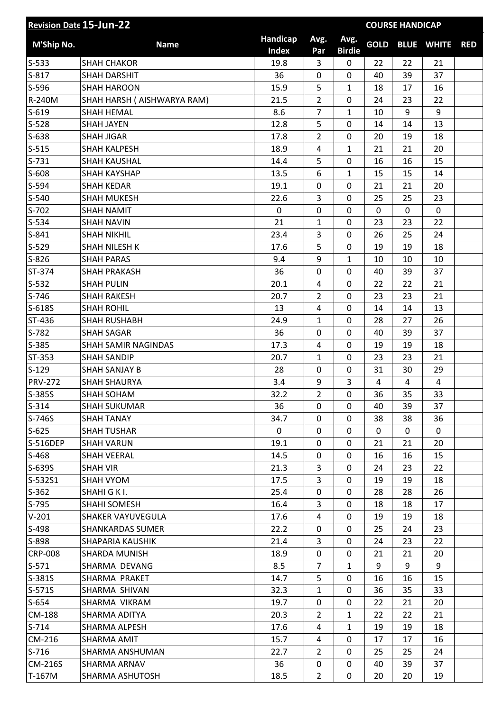| Handicap<br>Avg.<br>Avg.<br><b>GOLD</b><br>M'Ship No.<br><b>Name</b><br><b>Index</b><br><b>Birdie</b><br>Par | <b>BLUE WHITE</b> | <b>RED</b> |
|--------------------------------------------------------------------------------------------------------------|-------------------|------------|
| $S-533$<br>22<br><b>SHAH CHAKOR</b><br>19.8<br>3<br>0<br>22                                                  | 21                |            |
| $S-817$<br>36<br>$\mathbf 0$<br>40<br>39<br><b>SHAH DARSHIT</b><br>0                                         | 37                |            |
| $S-596$<br>15.9<br>5<br><b>SHAH HAROON</b><br>$\mathbf{1}$<br>18<br>17                                       | 16                |            |
| $\overline{2}$<br>R-240M<br>SHAH HARSH ( AISHWARYA RAM)<br>21.5<br>0<br>24<br>23                             | 22                |            |
| 8.6<br>$\overline{7}$<br>$S-619$<br><b>SHAH HEMAL</b><br>10<br>9<br>$\mathbf{1}$                             | 9                 |            |
| 5<br>$S-528$<br>12.8<br>0<br>14<br>14<br><b>SHAH JAYEN</b>                                                   | 13                |            |
| $S-638$<br>17.8<br>$\overline{2}$<br>$\mathbf 0$<br>20<br>19<br><b>SHAH JIGAR</b>                            | 18                |            |
| $S-515$<br>18.9<br>$\mathbf{1}$<br><b>SHAH KALPESH</b><br>4<br>21<br>21                                      | 20                |            |
| 5<br>$S-731$<br>0<br><b>SHAH KAUSHAL</b><br>14.4<br>16<br>16                                                 | 15                |            |
| S-608<br>13.5<br>6<br>$\mathbf{1}$<br>15<br>15<br><b>SHAH KAYSHAP</b>                                        | 14                |            |
| S-594<br>0<br>0<br>21<br><b>SHAH KEDAR</b><br>19.1<br>21                                                     | 20                |            |
| 3<br>$S-540$<br>22.6<br>$\mathbf 0$<br>25<br>25<br><b>SHAH MUKESH</b>                                        | 23                |            |
| $\mathbf 0$<br>$\mathbf 0$<br>$\mathbf 0$<br>S-702<br>0<br>0<br><b>SHAH NAMIT</b>                            | $\mathbf 0$       |            |
| $S-534$<br>21<br>0<br>23<br><b>SHAH NAVIN</b><br>$\mathbf{1}$<br>23                                          | 22                |            |
| $S-841$<br>23.4<br>3<br><b>SHAH NIKHIL</b><br>0<br>26<br>25                                                  | 24                |            |
| 5<br>$S-529$<br>0<br>19<br><b>SHAH NILESH K</b><br>17.6<br>19                                                | 18                |            |
| $S-826$<br><b>SHAH PARAS</b><br>9.4<br>9<br>$\mathbf{1}$<br>10<br>10                                         | 10                |            |
| 36<br>$\mathbf 0$<br>ST-374<br>0<br><b>SHAH PRAKASH</b><br>40<br>39                                          | 37                |            |
| $S-532$<br><b>SHAH PULIN</b><br>20.1<br>22<br>4<br>0<br>22                                                   | 21                |            |
| $S-746$<br>20.7<br>$\overline{2}$<br>0<br>23<br>23<br><b>SHAH RAKESH</b>                                     | 21                |            |
| S-618S<br>13<br><b>SHAH ROHIL</b><br>4<br>0<br>14<br>14                                                      | 13                |            |
| ST-436<br><b>SHAH RUSHABH</b><br>24.9<br>$\mathbf{1}$<br>0<br>28<br>27                                       | 26                |            |
| S-782<br><b>SHAH SAGAR</b><br>36<br>0<br>0<br>40<br>39                                                       | 37                |            |
| S-385<br><b>SHAH SAMIR NAGINDAS</b><br>17.3<br>4<br>$\mathbf 0$<br>19<br>19                                  | 18                |            |
| ST-353<br>1<br>0<br><b>SHAH SANDIP</b><br>20.7<br>23<br>23                                                   | 21                |            |
| $S-129$<br>28<br>0<br>$\mathbf 0$<br>31<br>30<br><b>SHAH SANJAY B</b>                                        | 29                |            |
| 3<br><b>PRV-272</b><br>3.4<br>9<br><b>SHAH SHAURYA</b><br>4<br>4                                             | 4                 |            |
| S-385S<br>$\overline{2}$<br>32.2<br>0<br>36<br>35<br>SHAH SOHAM                                              | 33                |            |
| $S-314$<br>36<br>$\mathbf 0$<br>39<br><b>SHAH SUKUMAR</b><br>$\Omega$<br>40                                  | 37                |            |
| S-746S<br>34.7<br><b>SHAH TANAY</b><br>0<br>38<br>38<br>0                                                    | 36                |            |
| $S-625$<br><b>SHAH TUSHAR</b><br>0<br>0<br>0<br>$\mathbf{0}$<br>0                                            | $\mathbf{0}$      |            |
| 19.1<br>0<br>$\mathbf 0$<br>S-516DEP<br><b>SHAH VARUN</b><br>21<br>21                                        | 20                |            |
| $S-468$<br><b>SHAH VEERAL</b><br>14.5<br>0<br>16<br>16<br>0                                                  | 15                |            |
| 21.3<br>S-639S<br>3<br>$\mathbf 0$<br><b>SHAH VIR</b><br>24<br>23                                            | 22                |            |
| 3<br>S-532S1<br>17.5<br>0<br>SHAH VYOM<br>19<br>19                                                           | 18                |            |
| $S-362$<br>SHAHI G K I.<br>25.4<br>0<br>0<br>28<br>28                                                        | 26                |            |
| 3<br>$S-795$<br>SHAHI SOMESH<br>16.4<br>0<br>18<br>18                                                        | 17                |            |
| $V-201$<br>SHAKER VAYUVEGULA<br>17.6<br>4<br>0<br>19<br>19                                                   | 18                |            |
| S-498<br>22.2<br><b>SHANKARDAS SUMER</b><br>0<br>0<br>25<br>24                                               | 23                |            |
| S-898<br>SHAPARIA KAUSHIK<br>21.4<br>3<br>0<br>24<br>23                                                      | 22                |            |
| <b>CRP-008</b><br>18.9<br>0<br>0<br>SHARDA MUNISH<br>21<br>21                                                | 20                |            |
| $S-571$<br>SHARMA DEVANG<br>8.5<br>$\overline{7}$<br>$\mathbf{1}$<br>9<br>9                                  | 9                 |            |
| S-381S<br>14.7<br>5<br>SHARMA PRAKET<br>0<br>16<br>16                                                        | 15                |            |
| $S-571S$<br>32.3<br>$\mathbf{1}$<br>0<br>35<br>SHARMA SHIVAN<br>36                                           | 33                |            |
| $S-654$<br>SHARMA VIKRAM<br>19.7<br>0<br>0<br>22<br>21                                                       | 20                |            |
| <b>CM-188</b><br>20.3<br>$\overline{2}$<br>$\mathbf{1}$<br>SHARMA ADITYA<br>22<br>22                         | 21                |            |
| $S-714$<br>17.6<br>SHARMA ALPESH<br>4<br>$\mathbf{1}$<br>19<br>19                                            | 18                |            |
| CM-216<br>15.7<br>0<br>SHARMA AMIT<br>4<br>17<br>17                                                          | 16                |            |
| $S-716$<br>22.7<br>$\overline{2}$<br>0<br>25<br>25<br>SHARMA ANSHUMAN                                        | 24                |            |
| <b>CM-216S</b><br>SHARMA ARNAV<br>36<br>0<br>39<br>0<br>40                                                   | 37                |            |
| $\overline{2}$<br>0<br>T-167M<br>18.5<br>20<br>20<br>SHARMA ASHUTOSH                                         | 19                |            |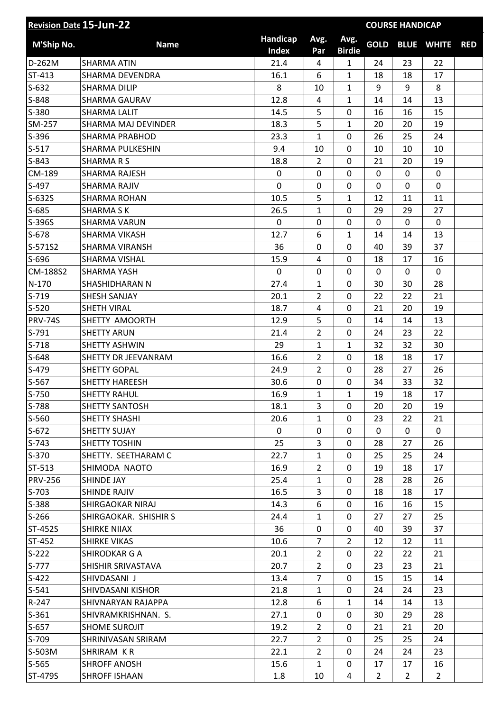| <b>Revision Date 15-Jun-22</b> |                            |                          |                |                       | <b>COURSE HANDICAP</b> |                |                   |            |
|--------------------------------|----------------------------|--------------------------|----------------|-----------------------|------------------------|----------------|-------------------|------------|
| M'Ship No.                     | <b>Name</b>                | Handicap<br><b>Index</b> | Avg.<br>Par    | Avg.<br><b>Birdie</b> | <b>GOLD</b>            |                | <b>BLUE WHITE</b> | <b>RED</b> |
| D-262M                         | <b>SHARMA ATIN</b>         | 21.4                     | 4              | $\mathbf{1}$          | 24                     | 23             | 22                |            |
| ST-413                         | <b>SHARMA DEVENDRA</b>     | 16.1                     | 6              | $\mathbf{1}$          | 18                     | 18             | 17                |            |
| $S-632$                        | <b>SHARMA DILIP</b>        | 8                        | 10             | $\mathbf{1}$          | 9                      | 9              | 8                 |            |
| S-848                          | SHARMA GAURAV              | 12.8                     | 4              | $\mathbf{1}$          | 14                     | 14             | 13                |            |
| S-380                          | <b>SHARMA LALIT</b>        | 14.5                     | 5              | 0                     | 16                     | 16             | 15                |            |
| SM-257                         | <b>SHARMA MAJ DEVINDER</b> | 18.3                     | 5              | $\mathbf{1}$          | 20                     | 20             | 19                |            |
| S-396                          | <b>SHARMA PRABHOD</b>      | 23.3                     | $\mathbf{1}$   | 0                     | 26                     | 25             | 24                |            |
| $S-517$                        | SHARMA PULKESHIN           | 9.4                      | 10             | 0                     | 10                     | 10             | 10                |            |
| $S-843$                        | <b>SHARMARS</b>            | 18.8                     | $\overline{2}$ | 0                     | 21                     | 20             | 19                |            |
| CM-189                         | <b>SHARMA RAJESH</b>       | $\mathbf 0$              | 0              | $\overline{0}$        | 0                      | $\mathbf 0$    | 0                 |            |
| S-497                          | <b>SHARMA RAJIV</b>        | 0                        | $\mathbf 0$    | 0                     | $\mathbf{0}$           | $\mathbf 0$    | 0                 |            |
| S-632S                         | <b>SHARMA ROHAN</b>        | 10.5                     | 5              | $\mathbf{1}$          | 12                     | 11             | 11                |            |
| S-685                          | <b>SHARMA SK</b>           | 26.5                     | 1              | $\mathbf 0$           | 29                     | 29             | 27                |            |
| S-396S                         | <b>SHARMA VARUN</b>        | $\mathbf 0$              | 0              | 0                     | 0                      | 0              | 0                 |            |
| S-678                          | <b>SHARMA VIKASH</b>       | 12.7                     | 6              | $\mathbf{1}$          | 14                     | 14             | 13                |            |
| S-571S2                        | <b>SHARMA VIRANSH</b>      | 36                       | $\mathbf 0$    | $\mathbf 0$           | 40                     | 39             | 37                |            |
| S-696                          | SHARMA VISHAL              | 15.9                     | 4              | 0                     | 18                     | 17             | 16                |            |
| CM-188S2                       | <b>SHARMA YASH</b>         | $\mathbf 0$              | $\mathbf 0$    | $\mathbf 0$           | 0                      | $\Omega$       | $\mathbf 0$       |            |
| $N-170$                        | SHASHIDHARAN N             | 27.4                     | $\mathbf{1}$   | 0                     | 30                     | 30             | 28                |            |
| $S-719$                        | SHESH SANJAY               | 20.1                     | $\overline{2}$ | 0                     | 22                     | 22             | 21                |            |
| $S-520$                        | <b>SHETH VIRAL</b>         | 18.7                     | 4              | 0                     | 21                     | 20             | 19                |            |
| <b>PRV-74S</b>                 | SHETTY AMOORTH             | 12.9                     | 5              | $\overline{0}$        | 14                     | 14             | 13                |            |
| $S-791$                        | <b>SHETTY ARUN</b>         | 21.4                     | $\overline{2}$ | 0                     | 24                     | 23             | 22                |            |
| $S-718$                        | <b>SHETTY ASHWIN</b>       | 29                       | $\mathbf{1}$   | $\mathbf{1}$          | 32                     | 32             | 30                |            |
| $S-648$                        | SHETTY DR JEEVANRAM        | 16.6                     | $\overline{2}$ | 0                     | 18                     | 18             | 17                |            |
| S-479                          | <b>SHETTY GOPAL</b>        | 24.9                     | $\overline{2}$ | 0                     | 28                     | 27             | 26                |            |
| S-567                          | <b>SHETTY HAREESH</b>      | 30.6                     | $\pmb{0}$      | 0                     | 34                     | 33             | 32                |            |
| S-750                          | <b>SHETTY RAHUL</b>        | 16.9                     | 1              | $\mathbf 1$           | 19                     | 18             | 17                |            |
| S-788                          | <b>SHETTY SANTOSH</b>      | 18.1                     | 3              | $\Omega$              | 20                     | 20             | 19                |            |
| S-560                          | SHETTY SHASHI              | 20.6                     | $\mathbf{1}$   | 0                     | 23                     | 22             | 21                |            |
| $S-672$                        | SHETTY SUJAY               | $\mathbf 0$              | 0              | 0                     | $\mathbf{0}$           | 0              | 0                 |            |
| $S-743$                        | <b>SHETTY TOSHIN</b>       | 25                       | 3              | 0                     | 28                     | 27             | 26                |            |
| $S-370$                        | SHETTY. SEETHARAM C        | 22.7                     | $\mathbf{1}$   | 0                     | 25                     | 25             | 24                |            |
| ST-513                         | SHIMODA NAOTO              | 16.9                     | $\overline{2}$ | 0                     | 19                     | 18             | 17                |            |
| <b>PRV-256</b>                 | SHINDE JAY                 | 25.4                     | $\mathbf{1}$   | 0                     | 28                     | 28             | 26                |            |
| $S-703$                        | <b>SHINDE RAJIV</b>        | 16.5                     | 3              | 0                     | 18                     | 18             | 17                |            |
| S-388                          | SHIRGAOKAR NIRAJ           | 14.3                     | 6              | 0                     | 16                     | 16             | 15                |            |
| $S-266$                        | SHIRGAOKAR. SHISHIR S      | 24.4                     | $\mathbf{1}$   | 0                     | 27                     | 27             | 25                |            |
| ST-452S                        | <b>SHIRKE NIIAX</b>        | 36                       | 0              | 0                     | 40                     | 39             | 37                |            |
| ST-452                         | <b>SHIRKE VIKAS</b>        | 10.6                     | $\overline{7}$ | $\overline{2}$        | 12                     | 12             | 11                |            |
| $S-222$                        | SHIRODKAR G A              | 20.1                     | $\overline{2}$ | 0                     | 22                     | 22             | 21                |            |
| $S-777$                        | SHISHIR SRIVASTAVA         | 20.7                     | $\overline{2}$ | 0                     | 23                     | 23             | 21                |            |
| $S-422$                        | SHIVDASANI J               | 13.4                     | $\overline{7}$ | 0                     | 15                     | 15             | 14                |            |
| $S-541$                        | SHIVDASANI KISHOR          | 21.8                     | $\mathbf{1}$   | 0                     | 24                     | 24             | 23                |            |
| $R-247$                        | SHIVNARYAN RAJAPPA         | 12.8                     | 6              | $\mathbf{1}$          | 14                     | 14             | 13                |            |
| $S-361$                        | SHIVRAMKRISHNAN. S.        | 27.1                     | 0              | 0                     | 30                     | 29             | 28                |            |
| $S-657$                        | SHOME SUROJIT              | 19.2                     | $\overline{2}$ | 0                     | 21                     | 21             | 20                |            |
| S-709                          | SHRINIVASAN SRIRAM         | 22.7                     | $\overline{2}$ | 0                     | 25                     | 25             | 24                |            |
| S-503M                         | SHRIRAM KR                 | 22.1                     | $\overline{2}$ | 0                     | 24                     | 24             | 23                |            |
| $S-565$                        | <b>SHROFF ANOSH</b>        | 15.6                     | $\mathbf{1}$   | 0                     | 17                     | 17             | 16                |            |
| ST-479S                        | <b>SHROFF ISHAAN</b>       | 1.8                      | 10             | 4                     | $\overline{2}$         | $\overline{2}$ | $\overline{2}$    |            |
|                                |                            |                          |                |                       |                        |                |                   |            |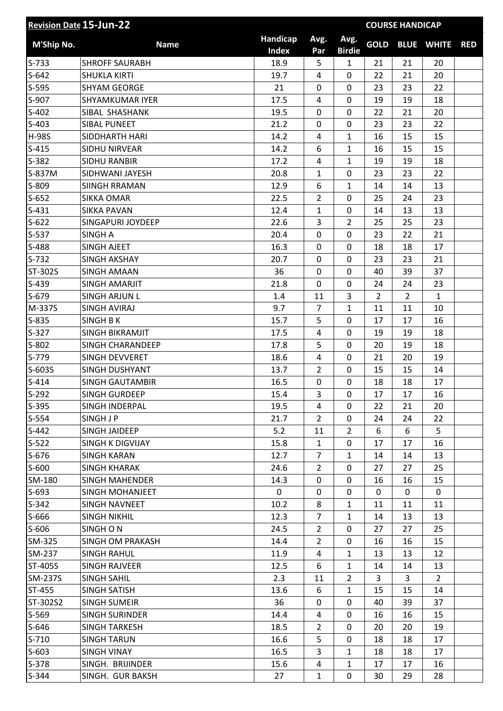| <b>Revision Date 15-Jun-22</b> |                        |                          |                |                       | <b>COURSE HANDICAP</b> |                |                   |            |
|--------------------------------|------------------------|--------------------------|----------------|-----------------------|------------------------|----------------|-------------------|------------|
| M'Ship No.                     | <b>Name</b>            | Handicap<br><b>Index</b> | Avg.<br>Par    | Avg.<br><b>Birdie</b> | <b>GOLD</b>            |                | <b>BLUE WHITE</b> | <b>RED</b> |
| $S-733$                        | <b>SHROFF SAURABH</b>  | 18.9                     | 5              | $\mathbf{1}$          | 21                     | 21             | 20                |            |
| $S-642$                        | <b>SHUKLA KIRTI</b>    | 19.7                     | 4              | 0                     | 22                     | 21             | 20                |            |
| $S-595$                        | <b>SHYAM GEORGE</b>    | 21                       | 0              | 0                     | 23                     | 23             | 22                |            |
| S-907                          | SHYAMKUMAR IYER        | 17.5                     | 4              | 0                     | 19                     | 19             | 18                |            |
| $S-402$                        | SIBAL SHASHANK         | 19.5                     | 0              | 0                     | 22                     | 21             | 20                |            |
| $S-403$                        | <b>SIBAL PUNEET</b>    | 21.2                     | 0              | 0                     | 23                     | 23             | 22                |            |
| <b>H-98S</b>                   | SIDDHARTH HARI         | 14.2                     | 4              | $\mathbf{1}$          | 16                     | 15             | 15                |            |
| $S-415$                        | SIDHU NIRVEAR          | 14.2                     | 6              | $\mathbf{1}$          | 16                     | 15             | 15                |            |
| S-382                          | <b>SIDHU RANBIR</b>    | 17.2                     | 4              | $\mathbf{1}$          | 19                     | 19             | 18                |            |
| S-837M                         | SIDHWANI JAYESH        | 20.8                     | $\mathbf{1}$   | 0                     | 23                     | 23             | 22                |            |
| S-809                          | <b>SIINGH RRAMAN</b>   | 12.9                     | 6              | $\mathbf{1}$          | 14                     | 14             | 13                |            |
| $S-652$                        | <b>SIKKA OMAR</b>      | 22.5                     | $\overline{2}$ | 0                     | 25                     | 24             | 23                |            |
| $S-431$                        | <b>SIKKA PAVAN</b>     | 12.4                     | $\mathbf{1}$   | 0                     | 14                     | 13             | 13                |            |
| $S-622$                        | SINGAPURI JOYDEEP      | 22.6                     | 3              | $\overline{2}$        | 25                     | 25             | 23                |            |
| S-537                          | <b>SINGH A</b>         | 20.4                     | 0              | 0                     | 23                     | 22             | 21                |            |
| S-488                          | <b>SINGH AJEET</b>     | 16.3                     | 0              | 0                     | 18                     | 18             | 17                |            |
| $S-732$                        | <b>SINGH AKSHAY</b>    | 20.7                     | 0              | 0                     | 23                     | 23             | 21                |            |
| ST-302S                        | <b>SINGH AMAAN</b>     | 36                       | 0              | 0                     | 40                     | 39             | 37                |            |
| $S-439$                        | SINGH AMARJIT          | 21.8                     | 0              | 0                     | 24                     | 24             | 23                |            |
| S-679                          | <b>SINGH ARJUN L</b>   | 1.4                      | 11             | 3                     | $\overline{2}$         | $\overline{2}$ | $\mathbf{1}$      |            |
| M-337S                         | <b>SINGH AVIRAJ</b>    | 9.7                      | 7              | $\mathbf{1}$          | 11                     | 11             | 10                |            |
| $S-835$                        | <b>SINGH BK</b>        | 15.7                     | 5              | 0                     | 17                     | 17             | 16                |            |
| $S-327$                        | SINGH BIKRAMJIT        | 17.5                     | 4              | 0                     | 19                     | 19             | 18                |            |
| $S-802$                        | SINGH CHARANDEEP       | 17.8                     | 5              | 0                     | 20                     | 19             | 18                |            |
| $S-779$                        | SINGH DEVVERET         | 18.6                     | 4              | 0                     | 21                     | 20             | 19                |            |
| S-603S                         | <b>SINGH DUSHYANT</b>  | 13.7                     | $\overline{2}$ | 0                     | 15                     | 15             | 14                |            |
| $S-414$                        | <b>SINGH GAUTAMBIR</b> | 16.5                     | 0              | 0                     | 18                     | 18             | 17                |            |
| S-292                          |                        | 15.4                     | 3              | 0                     | 17                     |                |                   |            |
|                                | SINGH GURDEEP          |                          |                |                       |                        | 17             | 16                |            |
| S-395                          | SINGH INDERPAL         | 19.5                     | 4              | 0                     | 22                     | 21             | 20                |            |
| $S-554$                        | SINGH J P              | 21.7                     | $\overline{2}$ | 0                     | 24                     | 24             | 22                |            |
| $S-442$                        | SINGH JAIDEEP          | 5.2                      | 11             | $\overline{2}$        | 6                      | 6              | 5                 |            |
| $S-522$                        | SINGH K DIGVIJAY       | 15.8                     | $\mathbf{1}$   | 0                     | 17                     | 17             | 16                |            |
| $S-676$                        | <b>SINGH KARAN</b>     | 12.7                     | 7              | $\mathbf{1}$          | 14                     | 14             | 13                |            |
| $S-600$                        | <b>SINGH KHARAK</b>    | 24.6                     | $\overline{2}$ | 0                     | 27                     | 27             | 25                |            |
| SM-180                         | <b>SINGH MAHENDER</b>  | 14.3                     | 0              | 0                     | 16                     | 16             | 15                |            |
| $S-693$                        | SINGH MOHANJEET        | 0                        | 0              | 0                     | 0                      | 0              | 0                 |            |
| $S-342$                        | SINGH NAVNEET          | 10.2                     | 8              | $\mathbf{1}$          | 11                     | 11             | 11                |            |
| S-666                          | <b>SINGH NIKHIL</b>    | 12.3                     | 7              | $\mathbf{1}$          | 14                     | 13             | 13                |            |
| $S-606$                        | SINGHON                | 24.5                     | $\overline{2}$ | 0                     | 27                     | 27             | 25                |            |
| SM-325                         | SINGH OM PRAKASH       | 14.4                     | $\overline{2}$ | 0                     | 16                     | 16             | 15                |            |
| SM-237                         | <b>SINGH RAHUL</b>     | 11.9                     | 4              | $\mathbf{1}$          | 13                     | 13             | 12                |            |
| ST-405S                        | <b>SINGH RAJVEER</b>   | 12.5                     | 6              | $\mathbf{1}$          | 14                     | 14             | 13                |            |
| SM-237S                        | <b>SINGH SAHIL</b>     | 2.3                      | 11             | $\overline{2}$        | 3                      | 3              | $\overline{2}$    |            |
| ST-455                         | SINGH SATISH           | 13.6                     | 6              | $\mathbf{1}$          | 15                     | 15             | 14                |            |
| ST-302S2                       | <b>SINGH SUMEIR</b>    | 36                       | 0              | 0                     | 40                     | 39             | 37                |            |
| $S-569$                        | <b>SINGH SURINDER</b>  | 14.4                     | 4              | 0                     | 16                     | 16             | 15                |            |
| $S-646$                        | <b>SINGH TARKESH</b>   | 18.5                     | $\overline{2}$ | 0                     | 20                     | 20             | 19                |            |
| $S-710$                        | <b>SINGH TARUN</b>     | 16.6                     | 5              | 0                     | 18                     | 18             | 17                |            |
| $S-603$                        | <b>SINGH VINAY</b>     | 16.5                     | 3              | $\mathbf{1}$          | 18                     | 18             | 17                |            |
| $S-378$                        | SINGH. BRIJINDER       | 15.6                     | 4              | $\mathbf{1}$          | 17                     | 17             | 16                |            |
| $S-344$                        | SINGH. GUR BAKSH       | 27                       | $\mathbf{1}$   | 0                     | 30                     | 29             | 28                |            |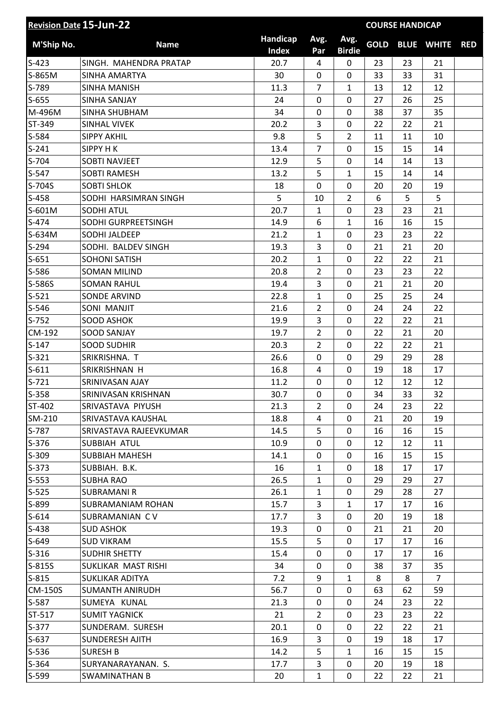| <b>Revision Date 15-Jun-22</b> |                        |                          |                |                       | <b>COURSE HANDICAP</b> |    |                   |            |
|--------------------------------|------------------------|--------------------------|----------------|-----------------------|------------------------|----|-------------------|------------|
| M'Ship No.                     | <b>Name</b>            | Handicap<br><b>Index</b> | Avg.<br>Par    | Avg.<br><b>Birdie</b> | <b>GOLD</b>            |    | <b>BLUE WHITE</b> | <b>RED</b> |
| $S-423$                        | SINGH. MAHENDRA PRATAP | 20.7                     | 4              | 0                     | 23                     | 23 | 21                |            |
| S-865M                         | SINHA AMARTYA          | 30                       | 0              | 0                     | 33                     | 33 | 31                |            |
| S-789                          | SINHA MANISH           | 11.3                     | $\overline{7}$ | $\mathbf{1}$          | 13                     | 12 | 12                |            |
| $S-655$                        | <b>SINHA SANJAY</b>    | 24                       | 0              | 0                     | 27                     | 26 | 25                |            |
| M-496M                         | SINHA SHUBHAM          | 34                       | 0              | 0                     | 38                     | 37 | 35                |            |
| ST-349                         | SINHAL VIVEK           | 20.2                     | 3              | 0                     | 22                     | 22 | 21                |            |
| S-584                          | <b>SIPPY AKHIL</b>     | 9.8                      | 5              | $\overline{2}$        | 11                     | 11 | 10                |            |
| $S-241$                        | SIPPY H K              | 13.4                     | $\overline{7}$ | 0                     | 15                     | 15 | 14                |            |
| $S-704$                        | <b>SOBTI NAVJEET</b>   | 12.9                     | 5              | 0                     | 14                     | 14 | 13                |            |
| $S-547$                        | <b>SOBTI RAMESH</b>    | 13.2                     | 5              | $\mathbf{1}$          | 15                     | 14 | 14                |            |
| S-704S                         | <b>SOBTI SHLOK</b>     | 18                       | 0              | 0                     | 20                     | 20 | 19                |            |
| $S-458$                        | SODHI HARSIMRAN SINGH  | 5                        | 10             | $\overline{2}$        | 6                      | 5  | 5                 |            |
| S-601M                         | <b>SODHI ATUL</b>      | 20.7                     | $\mathbf{1}$   | $\mathbf 0$           | 23                     | 23 | 21                |            |
| S-474                          | SODHI GURPREETSINGH    | 14.9                     | 6              | $\mathbf{1}$          | 16                     | 16 | 15                |            |
| S-634M                         | SODHI JALDEEP          | 21.2                     | $\mathbf{1}$   | 0                     | 23                     | 23 | 22                |            |
| $S-294$                        | SODHI. BALDEV SINGH    | 19.3                     | 3              | 0                     | 21                     | 21 | 20                |            |
| $S-651$                        | <b>SOHONI SATISH</b>   | 20.2                     | 1              | 0                     | 22                     | 22 | 21                |            |
| S-586                          | <b>SOMAN MILIND</b>    | 20.8                     | $\overline{2}$ | 0                     | 23                     | 23 | 22                |            |
| S-586S                         | <b>SOMAN RAHUL</b>     | 19.4                     | 3              | 0                     | 21                     | 21 | 20                |            |
| $S-521$                        | <b>SONDE ARVIND</b>    | 22.8                     | $\mathbf{1}$   | 0                     | 25                     | 25 | 24                |            |
| $S-546$                        | SONI MANJIT            | 21.6                     | $\overline{2}$ | 0                     | 24                     | 24 | 22                |            |
| $S-752$                        | <b>SOOD ASHOK</b>      | 19.9                     | 3              | 0                     | 22                     | 22 | 21                |            |
| CM-192                         | <b>SOOD SANJAY</b>     | 19.7                     | $\overline{2}$ | 0                     | 22                     | 21 | 20                |            |
| $S-147$                        | <b>SOOD SUDHIR</b>     | 20.3                     | $\overline{2}$ | 0                     | 22                     | 22 | 21                |            |
| $S-321$                        | SRIKRISHNA. T          | 26.6                     | 0              | 0                     | 29                     | 29 | 28                |            |
| $S-611$                        | SRIKRISHNAN H          | 16.8                     | 4              | 0                     | 19                     | 18 | 17                |            |
| $S-721$                        | SRINIVASAN AJAY        | 11.2                     | 0              | 0                     | 12                     | 12 | 12                |            |
| $S-358$                        | SRINIVASAN KRISHNAN    | 30.7                     | 0              | 0                     | 34                     | 33 | 32                |            |
| ST-402                         | SRIVASTAVA PIYUSH      | 21.3                     | $\overline{2}$ | $\Omega$              | 24                     | 23 | 22                |            |
| SM-210                         | SRIVASTAVA KAUSHAL     | 18.8                     | 4              | 0                     | 21                     | 20 | 19                |            |
| S-787                          | SRIVASTAVA RAJEEVKUMAR | 14.5                     | 5              | 0                     | 16                     | 16 | 15                |            |
| $S-376$                        | SUBBIAH ATUL           | 10.9                     | 0              | 0                     | 12                     | 12 | 11                |            |
| $S-309$                        | SUBBIAH MAHESH         | 14.1                     | 0              | 0                     | 16                     | 15 | 15                |            |
| $S-373$                        | SUBBIAH. B.K.          | 16                       | $\mathbf{1}$   | $\mathbf 0$           | 18                     | 17 | 17                |            |
| $S-553$                        | <b>SUBHA RAO</b>       | 26.5                     | $\mathbf{1}$   | $\mathbf 0$           | 29                     | 29 | 27                |            |
| $S-525$                        | <b>SUBRAMANI R</b>     | 26.1                     | $\mathbf{1}$   | 0                     | 29                     | 28 | 27                |            |
| S-899                          | SUBRAMANIAM ROHAN      | 15.7                     | 3              | $\mathbf{1}$          | 17                     | 17 | 16                |            |
| $S-614$                        | SUBRAMANIAN CV         | 17.7                     | 3              | 0                     | 20                     | 19 | 18                |            |
| $S-438$                        | <b>SUD ASHOK</b>       | 19.3                     | 0              | $\mathbf 0$           | 21                     | 21 | 20                |            |
| $S-649$                        | <b>SUD VIKRAM</b>      | 15.5                     | 5              | 0                     | 17                     | 17 | 16                |            |
| $S-316$                        | <b>SUDHIR SHETTY</b>   | 15.4                     | 0              | $\mathbf 0$           | 17                     | 17 | 16                |            |
| S-815S                         | SUKLIKAR MAST RISHI    | 34                       | 0              | 0                     | 38                     | 37 | 35                |            |
| $S-815$                        | <b>SUKLIKAR ADITYA</b> | 7.2                      | 9              | $\mathbf{1}$          | 8                      | 8  | $\overline{7}$    |            |
| <b>CM-150S</b>                 | SUMANTH ANIRUDH        | 56.7                     | 0              | $\mathbf 0$           | 63                     | 62 | 59                |            |
| S-587                          | SUMEYA KUNAL           | 21.3                     | 0              | 0                     | 24                     | 23 | 22                |            |
| ST-517                         | <b>SUMIT YAGNICK</b>   | 21                       | $\overline{2}$ | $\mathbf 0$           | 23                     | 23 | 22                |            |
| $S-377$                        | SUNDERAM. SURESH       | 20.1                     | 0              | 0                     | 22                     | 22 | 21                |            |
| $S-637$                        | SUNDERESH AJITH        | 16.9                     | 3              | 0                     | 19                     | 18 | 17                |            |
| $S-536$                        | <b>SURESH B</b>        | 14.2                     | 5              | $\mathbf{1}$          | 16                     | 15 | 15                |            |
| $S-364$                        | SURYANARAYANAN. S.     | 17.7                     | 3              | 0                     | 20                     | 19 | 18                |            |
| S-599                          | SWAMINATHAN B          | 20                       | $\mathbf{1}$   | 0                     | 22                     | 22 | 21                |            |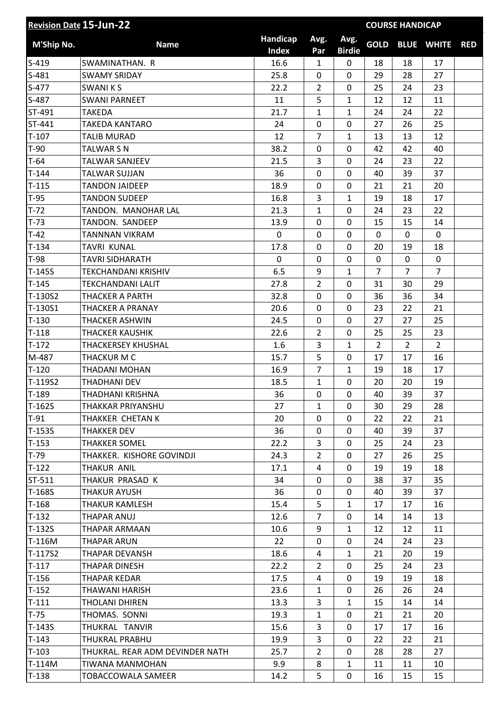| <b>Revision Date 15-Jun-22</b> |                                 |                          |                |                       | <b>COURSE HANDICAP</b> |                |                   |            |
|--------------------------------|---------------------------------|--------------------------|----------------|-----------------------|------------------------|----------------|-------------------|------------|
| M'Ship No.                     | <b>Name</b>                     | Handicap<br><b>Index</b> | Avg.<br>Par    | Avg.<br><b>Birdie</b> | <b>GOLD</b>            |                | <b>BLUE WHITE</b> | <b>RED</b> |
| $S-419$                        | SWAMINATHAN. R                  | 16.6                     | 1              | $\mathbf 0$           | 18                     | 18             | 17                |            |
| $S-481$                        | <b>SWAMY SRIDAY</b>             | 25.8                     | 0              | 0                     | 29                     | 28             | 27                |            |
| $S-477$                        | <b>SWANIKS</b>                  | 22.2                     | $\overline{2}$ | $\mathbf 0$           | 25                     | 24             | 23                |            |
| S-487                          | <b>SWANI PARNEET</b>            | 11                       | 5              | 1                     | 12                     | 12             | 11                |            |
| ST-491                         | <b>TAKEDA</b>                   | 21.7                     | $\mathbf{1}$   | 1                     | 24                     | 24             | 22                |            |
| ST-441                         | <b>TAKEDA KANTARO</b>           | 24                       | 0              | $\mathbf 0$           | 27                     | 26             | 25                |            |
| $T-107$                        | <b>TALIB MURAD</b>              | 12                       | $\overline{7}$ | 1                     | 13                     | 13             | 12                |            |
| $T-90$                         | <b>TALWAR S N</b>               | 38.2                     | 0              | $\mathbf 0$           | 42                     | 42             | 40                |            |
| $T-64$                         | <b>TALWAR SANJEEV</b>           | 21.5                     | 3              | 0                     | 24                     | 23             | 22                |            |
| $T-144$                        | <b>TALWAR SUJJAN</b>            | 36                       | 0              | $\mathbf 0$           | 40                     | 39             | 37                |            |
| $T-115$                        | <b>TANDON JAIDEEP</b>           | 18.9                     | 0              | $\mathbf 0$           | 21                     | 21             | 20                |            |
| $T-95$                         | <b>TANDON SUDEEP</b>            | 16.8                     | 3              | 1                     | 19                     | 18             | 17                |            |
| $T-72$                         | TANDON. MANOHAR LAL             | 21.3                     | $\mathbf{1}$   | $\mathbf 0$           | 24                     | 23             | 22                |            |
| $T-73$                         | TANDON. SANDEEP                 | 13.9                     | 0              | $\mathbf 0$           | 15                     | 15             | 14                |            |
| $T-42$                         | <b>TANNNAN VIKRAM</b>           | $\mathbf 0$              | 0              | $\mathbf 0$           | $\mathbf 0$            | $\mathbf 0$    | $\mathbf 0$       |            |
| $T-134$                        | <b>TAVRI KUNAL</b>              | 17.8                     | 0              | 0                     | 20                     | 19             | 18                |            |
| $T-98$                         | <b>TAVRI SIDHARATH</b>          | $\mathbf 0$              | 0              | 0                     | $\mathbf 0$            | 0              | $\mathbf 0$       |            |
| $T-145S$                       | <b>TEKCHANDANI KRISHIV</b>      | 6.5                      | 9              | 1                     | $\overline{7}$         | $\overline{7}$ | $\overline{7}$    |            |
| $T-145$                        | <b>TEKCHANDANI LALIT</b>        | 27.8                     | $\overline{2}$ | 0                     | 31                     | 30             | 29                |            |
| T-130S2                        | <b>THACKER A PARTH</b>          | 32.8                     | 0              | $\mathbf 0$           | 36                     | 36             | 34                |            |
| T-130S1                        | <b>THACKER A PRANAY</b>         | 20.6                     | 0              | 0                     | 23                     | 22             | 21                |            |
| $T-130$                        | <b>THACKER ASHWIN</b>           | 24.5                     | 0              | $\mathbf 0$           | 27                     | 27             | 25                |            |
| $T-118$                        | <b>THACKER KAUSHIK</b>          | 22.6                     | $\overline{2}$ | $\mathbf 0$           | 25                     | 25             | 23                |            |
| $T-172$                        | <b>THACKERSEY KHUSHAL</b>       | 1.6                      | 3              | 1                     | $\overline{2}$         | $\overline{2}$ | $\overline{2}$    |            |
| M-487                          | THACKUR M C                     | 15.7                     | 5              | $\mathbf 0$           | 17                     | 17             | 16                |            |
| $T-120$                        | THADANI MOHAN                   | 16.9                     | $\overline{7}$ | 1                     | 19                     | 18             | 17                |            |
| T-119S2                        | <b>THADHANI DEV</b>             | 18.5                     | $\mathbf{1}$   | $\mathbf 0$           | 20                     | 20             | 19                |            |
| $T-189$                        | THADHANI KRISHNA                | 36                       | 0              | 0                     | 40                     | 39             | 37                |            |
| $T-162S$                       | THAKKAR PRIYANSHU               | 27                       | 1              | 0                     | 30                     | 29             | 28                |            |
| $T-91$                         | THAKKER CHETAN K                | 20                       | 0              | $\mathbf{0}$          | 22                     | 22             | 21                |            |
| $T-153S$                       | <b>THAKKER DEV</b>              | 36                       | 0              | 0                     | 40                     | 39             | 37                |            |
| $T-153$                        | <b>THAKKER SOMEL</b>            | 22.2                     | 3              | $\mathbf 0$           | 25                     | 24             | 23                |            |
| $T-79$                         | THAKKER. KISHORE GOVINDJI       | 24.3                     | $\mathbf{2}$   | $\mathbf{0}$          | 27                     | 26             | 25                |            |
| $T-122$                        | THAKUR ANIL                     | 17.1                     | 4              | $\mathbf{0}$          | 19                     | 19             | 18                |            |
| ST-511                         | THAKUR PRASAD K                 | 34                       | 0              | $\mathbf{0}$          | 38                     | 37             | 35                |            |
| T-168S                         | <b>THAKUR AYUSH</b>             | 36                       | 0              | 0                     | 40                     | 39             | 37                |            |
| $T-168$                        | THAKUR KAMLESH                  | 15.4                     | 5              | $\mathbf{1}$          | 17                     | 17             | 16                |            |
| $T-132$                        | THAPAR ANUJ                     | 12.6                     | $\overline{7}$ | 0                     | 14                     | 14             | 13                |            |
| $T-132S$                       | THAPAR ARMAAN                   | 10.6                     | 9              | $\mathbf{1}$          | 12                     | 12             | 11                |            |
| T-116M                         | THAPAR ARUN                     | 22                       | 0              | 0                     | 24                     | 24             | 23                |            |
| T-117S2                        | THAPAR DEVANSH                  | 18.6                     | 4              | $\mathbf{1}$          | 21                     | 20             | 19                |            |
| $T-117$                        | THAPAR DINESH                   | 22.2                     | $\overline{2}$ | 0                     | 25                     | 24             | 23                |            |
| $T-156$                        | <b>THAPAR KEDAR</b>             | 17.5                     | 4              | 0                     | 19                     | 19             | 18                |            |
| $T-152$                        | THAWANI HARISH                  | 23.6                     | $\mathbf{1}$   | 0                     | 26                     | 26             | 24                |            |
| $T-111$                        | THOLANI DHIREN                  | 13.3                     | 3              | 1                     | 15                     | 14             | 14                |            |
| $T-75$                         | THOMAS. SONNI                   | 19.3                     | $\mathbf{1}$   | $\mathbf 0$           | 21                     | 21             | 20                |            |
| $T-143S$                       | THUKRAL TANVIR                  | 15.6                     | 3              | 0                     | 17                     | 17             | 16                |            |
| $T-143$                        | THUKRAL PRABHU                  | 19.9                     | 3              | 0                     | 22                     | 22             | 21                |            |
| $T-103$                        | THUKRAL. REAR ADM DEVINDER NATH | 25.7                     | $\overline{2}$ | $\mathbf{0}$          | 28                     | 28             | 27                |            |
| T-114M                         | TIWANA MANMOHAN                 | 9.9                      | 8              | $\mathbf{1}$          | 11                     | 11             | 10                |            |
| $T-138$                        | TOBACCOWALA SAMEER              | 14.2                     | 5              | $\mathbf 0$           | 16                     | 15             | 15                |            |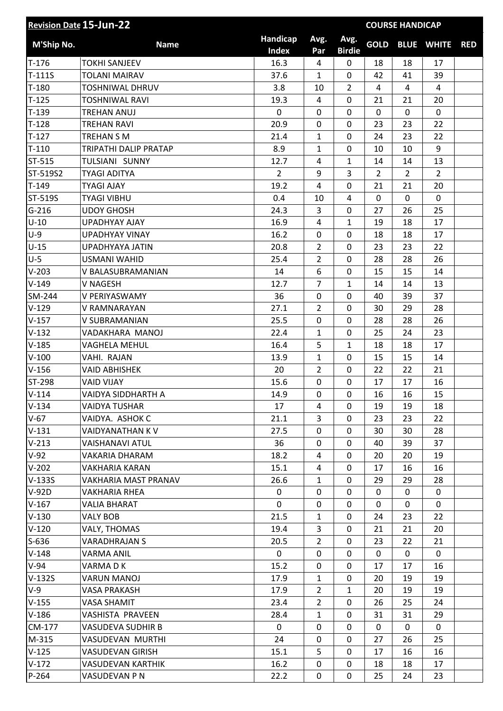| <b>Revision Date 15-Jun-22</b> |                          |                          |                |                       | <b>COURSE HANDICAP</b> |                |                   |            |  |
|--------------------------------|--------------------------|--------------------------|----------------|-----------------------|------------------------|----------------|-------------------|------------|--|
| <b>M'Ship No.</b>              | <b>Name</b>              | Handicap<br><b>Index</b> | Avg.<br>Par    | Avg.<br><b>Birdie</b> | <b>GOLD</b>            |                | <b>BLUE WHITE</b> | <b>RED</b> |  |
| $T-176$                        | <b>TOKHI SANJEEV</b>     | 16.3                     | 4              | 0                     | 18                     | 18             | 17                |            |  |
| $T-111S$                       | <b>TOLANI MAIRAV</b>     | 37.6                     | $\mathbf{1}$   | 0                     | 42                     | 41             | 39                |            |  |
| $T-180$                        | <b>TOSHNIWAL DHRUV</b>   | 3.8                      | 10             | $\overline{2}$        | 4                      | 4              | $\overline{4}$    |            |  |
| $T-125$                        | <b>TOSHNIWAL RAVI</b>    | 19.3                     | 4              | 0                     | 21                     | 21             | 20                |            |  |
| $T-139$                        | <b>TREHAN ANUJ</b>       | 0                        | 0              | 0                     | 0                      | 0              | $\mathbf 0$       |            |  |
| $T-128$                        | <b>TREHAN RAVI</b>       | 20.9                     | 0              | 0                     | 23                     | 23             | 22                |            |  |
| $T-127$                        | <b>TREHAN S M</b>        | 21.4                     | 1              | 0                     | 24                     | 23             | 22                |            |  |
| $T-110$                        | TRIPATHI DALIP PRATAP    | 8.9                      | $\mathbf{1}$   | 0                     | 10                     | 10             | 9                 |            |  |
| ST-515                         | TULSIANI SUNNY           | 12.7                     | 4              | $\mathbf{1}$          | 14                     | 14             | 13                |            |  |
| ST-519S2                       | <b>TYAGI ADITYA</b>      | $\overline{2}$           | 9              | 3                     | $\overline{2}$         | $\overline{2}$ | $\overline{2}$    |            |  |
| $T-149$                        | <b>TYAGI AJAY</b>        | 19.2                     | $\overline{4}$ | 0                     | 21                     | 21             | 20                |            |  |
| ST-519S                        | <b>TYAGI VIBHU</b>       | 0.4                      | 10             | $\overline{4}$        | 0                      | $\mathbf 0$    | $\mathbf{0}$      |            |  |
| $G-216$                        | <b>UDOY GHOSH</b>        | 24.3                     | 3              | $\mathbf 0$           | 27                     | 26             | 25                |            |  |
| $U-10$                         | <b>UPADHYAY AJAY</b>     | 16.9                     | 4              | $\mathbf{1}$          | 19                     | 18             | 17                |            |  |
| $U-9$                          | <b>UPADHYAY VINAY</b>    | 16.2                     | 0              | 0                     | 18                     | 18             | 17                |            |  |
| $U-15$                         | UPADHYAYA JATIN          | 20.8                     | $\overline{2}$ | 0                     | 23                     | 23             | 22                |            |  |
| $U-5$                          | <b>USMANI WAHID</b>      | 25.4                     | $\overline{2}$ | 0                     | 28                     | 28             | 26                |            |  |
| $V-203$                        | V BALASUBRAMANIAN        | 14                       | 6              | 0                     | 15                     | 15             | 14                |            |  |
| $V-149$                        | <b>V NAGESH</b>          | 12.7                     | $\overline{7}$ | $\mathbf{1}$          | 14                     | 14             | 13                |            |  |
| SM-244                         | V PERIYASWAMY            | 36                       | 0              | 0                     | 40                     | 39             | 37                |            |  |
| $V-129$                        | V RAMNARAYAN             | 27.1                     | $\overline{2}$ | 0                     | 30                     | 29             | 28                |            |  |
| $V-157$                        | V SUBRAMANIAN            | 25.5                     | 0              | 0                     | 28                     | 28             | 26                |            |  |
| $V-132$                        | VADAKHARA MANOJ          | 22.4                     | $\mathbf{1}$   | 0                     | 25                     | 24             | 23                |            |  |
| $V-185$                        | <b>VAGHELA MEHUL</b>     | 16.4                     | 5              | $\mathbf{1}$          | 18                     | 18             | 17                |            |  |
| $V-100$                        | VAHI. RAJAN              | 13.9                     | $\mathbf{1}$   | 0                     | 15                     | 15             | 14                |            |  |
| $V-156$                        | <b>VAID ABHISHEK</b>     | 20                       | $\overline{2}$ | 0                     | 22                     | 22             | 21                |            |  |
| ST-298                         | <b>VAID VIJAY</b>        | 15.6                     | 0              | 0                     | 17                     | 17             | 16                |            |  |
| $V-114$                        | VAIDYA SIDDHARTH A       | 14.9                     | 0              | 0                     | 16                     | 16             | 15                |            |  |
| $V-134$                        | <b>VAIDYA TUSHAR</b>     | 17                       | 4              | 0                     | 19                     | 19             | 18                |            |  |
| $V-67$                         | VAIDYA. ASHOK C          | 21.1                     | 3              | 0                     | 23                     | 23             | 22                |            |  |
| $V-131$                        | VAIDYANATHAN KV          | 27.5                     | 0              | 0                     | 30                     | 30             | 28                |            |  |
| $V-213$                        | <b>VAISHANAVI ATUL</b>   | 36                       | 0              | 0                     | 40                     | 39             | 37                |            |  |
| $V-92$                         | VAKARIA DHARAM           | 18.2                     | 4              | 0                     | 20                     | 20             | 19                |            |  |
| $V-202$                        | <b>VAKHARIA KARAN</b>    | 15.1                     | 4              | 0                     | 17                     | 16             | 16                |            |  |
| $V-133S$                       | VAKHARIA MAST PRANAV     | 26.6                     | $\mathbf{1}$   | 0                     | 29                     | 29             | 28                |            |  |
| $V-92D$                        | <b>VAKHARIA RHEA</b>     | 0                        | 0              | 0                     | 0                      | 0              | 0                 |            |  |
| $V-167$                        | VALIA BHARAT             | $\mathbf 0$              | 0              | 0                     | $\mathbf{0}$           | $\mathbf{0}$   | $\mathbf 0$       |            |  |
| $V-130$                        | <b>VALY BOB</b>          | 21.5                     | $\mathbf{1}$   | 0                     | 24                     | 23             | 22                |            |  |
| $V-120$                        | VALY, THOMAS             | 19.4                     | 3              | 0                     | 21                     | 21             | 20                |            |  |
| $S-636$                        | <b>VARADHRAJAN S</b>     | 20.5                     | $\overline{2}$ | 0                     | 23                     | 22             | 21                |            |  |
| $V-148$                        | <b>VARMA ANIL</b>        | 0                        | 0              | 0                     | $\mathbf{0}$           | $\mathbf 0$    | $\mathbf 0$       |            |  |
| $V-94$                         | VARMA D K                | 15.2                     | 0              | 0                     | 17                     | 17             | 16                |            |  |
| $V-132S$                       | <b>VARUN MANOJ</b>       | 17.9                     | $\mathbf{1}$   | 0                     | 20                     | 19             | 19                |            |  |
| $V-9$                          | VASA PRAKASH             | 17.9                     | $\overline{2}$ | $\mathbf{1}$          | 20                     | 19             | 19                |            |  |
| $V-155$                        | <b>VASA SHAMIT</b>       | 23.4                     | $\overline{2}$ | 0                     | 26                     | 25             | 24                |            |  |
| $V-186$                        | VASHISTA PRAVEEN         | 28.4                     | $\mathbf{1}$   | 0                     | 31                     | 31             | 29                |            |  |
| CM-177                         | <b>VASUDEVA SUDHIR B</b> | $\mathbf{0}$             | 0              | 0                     | 0                      | 0              | 0                 |            |  |
| M-315                          | VASUDEVAN MURTHI         | 24                       | 0              | 0                     | 27                     | 26             | 25                |            |  |
| $V-125$                        | <b>VASUDEVAN GIRISH</b>  | 15.1                     | 5              | 0                     | 17                     | 16             | 16                |            |  |
| $V-172$                        | <b>VASUDEVAN KARTHIK</b> | 16.2                     | 0              | 0                     | 18                     | 18             | 17                |            |  |
| P-264                          | VASUDEVAN P N            | 22.2                     | 0              | 0                     | 25                     | 24             | 23                |            |  |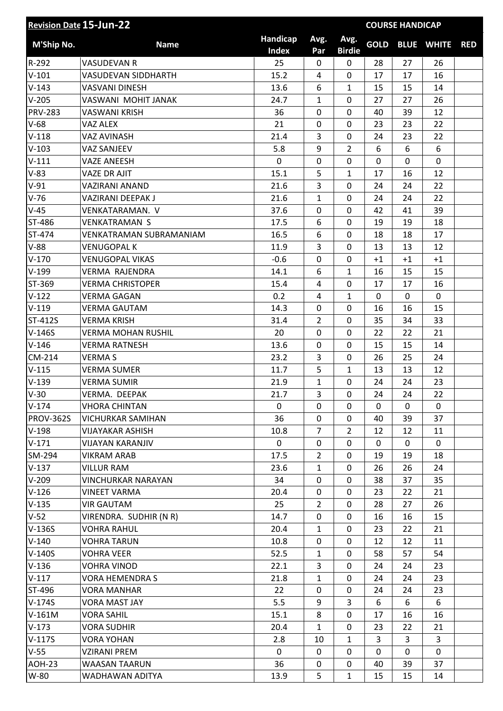| Handicap<br>Avg.<br>Avg.<br><b>GOLD</b><br>M'Ship No.<br><b>BLUE WHITE</b><br><b>Name</b><br><b>RED</b><br><b>Index</b><br><b>Birdie</b><br>Par<br>R-292<br>25<br><b>VASUDEVAN R</b><br>0<br>$\mathbf{0}$<br>28<br>27<br>26<br>$V-101$<br>15.2<br>0<br>16<br><b>VASUDEVAN SIDDHARTH</b><br>4<br>17<br>17<br>$V-143$<br>13.6<br>6<br>$\mathbf{1}$<br>15<br>15<br><b>VASVANI DINESH</b><br>14<br>$V-205$<br>$\mathbf{1}$<br>0<br>27<br>27<br>26<br>VASWANI MOHIT JANAK<br>24.7<br><b>PRV-283</b><br><b>VASWANI KRISH</b><br>36<br>0<br>39<br>12<br>0<br>40<br>22<br>$V-68$<br>21<br>0<br>0<br>23<br>23<br>VAZ ALEX<br>$V-118$<br>21.4<br>3<br>0<br>22<br><b>VAZ AVINASH</b><br>24<br>23<br>9<br>$\overline{2}$<br>6<br>6<br>$V-103$<br>5.8<br>6<br><b>VAZ SANJEEV</b><br>$V-111$<br>0<br>$\mathbf 0$<br><b>VAZE ANEESH</b><br>0<br>0<br>0<br>0<br>$V-83$<br>5<br><b>VAZE DR AJIT</b><br>15.1<br>$\mathbf{1}$<br>17<br>16<br>12<br>3<br>$V-91$<br>21.6<br>0<br>24<br>24<br>22<br>VAZIRANI ANAND<br>$V-76$<br>21.6<br>22<br>VAZIRANI DEEPAK J<br>$\mathbf{1}$<br>0<br>24<br>24<br>$V-45$<br>0<br>0<br>39<br>37.6<br>42<br>41<br>VENKATARAMAN. V<br>ST-486<br><b>VENKATRAMAN S</b><br>17.5<br>6<br>0<br>19<br>19<br>18<br>ST-474<br>16.5<br>6<br>0<br>18<br>17<br>VENKATRAMAN SUBRAMANIAM<br>18<br>3<br>$V-88$<br>0<br><b>VENUGOPAL K</b><br>11.9<br>13<br>13<br>12<br>$V-170$<br>$-0.6$<br><b>VENUGOPAL VIKAS</b><br>0<br>0<br>$+1$<br>$+1$<br>$+1$<br>$V-199$<br>6<br>$\mathbf{1}$<br><b>VERMA RAJENDRA</b><br>14.1<br>16<br>15<br>15<br>ST-369<br>15.4<br>0<br>16<br><b>VERMA CHRISTOPER</b><br>4<br>17<br>17<br>0.2<br>$\overline{4}$<br>$\mathbf 0$<br>$V-122$<br><b>VERMA GAGAN</b><br>$\mathbf{1}$<br>0<br>$\mathbf 0$<br>$V-119$<br>0<br><b>VERMA GAUTAM</b><br>14.3<br>0<br>16<br>16<br>15<br>ST-412S<br>31.4<br>$\overline{2}$<br>0<br>35<br>34<br>33<br><b>VERMA KRISH</b><br>$V-146S$<br>0<br>0<br>22<br>21<br><b>VERMA MOHAN RUSHIL</b><br>20<br>22<br>$V-146$<br><b>VERMA RATNESH</b><br>13.6<br>0<br>15<br>15<br>14<br>0<br>3<br>CM-214<br>23.2<br>0<br>26<br>25<br>24<br><b>VERMAS</b><br>5<br>$V-115$<br>11.7<br>$\mathbf{1}$<br>13<br>12<br><b>VERMA SUMER</b><br>13<br>$\mathbf 0$<br>$V-139$<br><b>VERMA SUMIR</b><br>21.9<br>$\mathbf{1}$<br>24<br>24<br>23<br>$V-30$<br>3<br>24<br>24<br>22<br>21.7<br>0<br>VERMA. DEEPAK<br>0<br>$\mathbf 0$<br>0<br>$\Omega$<br>$\Omega$<br>$V-174$<br><b>VHORA CHINTAN</b><br>$\mathbf{0}$<br>36<br><b>PROV-362S</b><br>0<br>VICHURKAR SAMIHAN<br>0<br>40<br>39<br>37<br>$\overline{2}$<br>$V-198$<br>10.8<br>$\overline{7}$<br>12<br><b>VIJAYAKAR ASHISH</b><br>12<br>11<br>$V-171$<br>0<br>0<br>0<br><b>VIJAYAN KARANJIV</b><br>0<br>$\mathbf{0}$<br>0<br>SM-294<br><b>VIKRAM ARAB</b><br>17.5<br>$\overline{2}$<br>0<br>19<br>19<br>18<br>$V-137$<br>23.6<br>0<br><b>VILLUR RAM</b><br>$\mathbf{1}$<br>26<br>26<br>24<br>0<br>35<br>$V-209$<br><b>VINCHURKAR NARAYAN</b><br>34<br>0<br>38<br>37<br>$V-126$<br><b>VINEET VARMA</b><br>20.4<br>0<br>0<br>23<br>22<br>21<br>$V-135$<br><b>VIR GAUTAM</b><br>25<br>$\overline{2}$<br>0<br>28<br>27<br>26<br>$V-52$<br>14.7<br>VIRENDRA. SUDHIR (N R)<br>0<br>0<br>16<br>16<br>15<br>$V-136S$<br>20.4<br>$\mathbf{1}$<br>0<br>21<br>23<br>22<br><b>VOHRA RAHUL</b><br>$V-140$<br><b>VOHRA TARUN</b><br>10.8<br>0<br>0<br>12<br>12<br>11<br>52.5<br><b>VOHRA VEER</b><br>0<br>58<br>$V-140S$<br>$\mathbf{1}$<br>57<br>54<br>$V-136$<br><b>VOHRA VINOD</b><br>22.1<br>3<br>0<br>23<br>24<br>24<br>$V-117$<br>21.8<br>23<br><b>VORA HEMENDRA S</b><br>0<br>24<br>24<br>$\mathbf{1}$<br>ST-496<br>0<br>22<br>0<br>23<br><b>VORA MANHAR</b><br>24<br>24<br>$V-174S$<br>5.5<br>9<br>3<br>6<br><b>VORA MAST JAY</b><br>6<br>6<br>8<br>0<br>$V-161M$<br><b>VORA SAHIL</b><br>15.1<br>17<br>16<br>16<br>$V-173$<br>20.4<br><b>VORA SUDHIR</b><br>0<br>23<br>22<br>21<br>$\mathbf{1}$<br>$V-117S$<br>2.8<br>$\mathbf{1}$<br>3<br><b>VORA YOHAN</b><br>10<br>3<br>3<br>$V-55$<br>0<br>0<br>0<br>0<br><b>VZIRANI PREM</b><br>0<br>$\mathbf{0}$<br><b>AOH-23</b><br>36<br>0<br>37<br><b>WAASAN TAARUN</b><br>0<br>40<br>39<br>W-80<br>5<br>13.9<br>$\mathbf{1}$<br>15<br>15<br>14<br>WADHAWAN ADITYA | <b>Revision Date 15-Jun-22</b> |  |  | <b>COURSE HANDICAP</b> |  |  |  |  |
|-------------------------------------------------------------------------------------------------------------------------------------------------------------------------------------------------------------------------------------------------------------------------------------------------------------------------------------------------------------------------------------------------------------------------------------------------------------------------------------------------------------------------------------------------------------------------------------------------------------------------------------------------------------------------------------------------------------------------------------------------------------------------------------------------------------------------------------------------------------------------------------------------------------------------------------------------------------------------------------------------------------------------------------------------------------------------------------------------------------------------------------------------------------------------------------------------------------------------------------------------------------------------------------------------------------------------------------------------------------------------------------------------------------------------------------------------------------------------------------------------------------------------------------------------------------------------------------------------------------------------------------------------------------------------------------------------------------------------------------------------------------------------------------------------------------------------------------------------------------------------------------------------------------------------------------------------------------------------------------------------------------------------------------------------------------------------------------------------------------------------------------------------------------------------------------------------------------------------------------------------------------------------------------------------------------------------------------------------------------------------------------------------------------------------------------------------------------------------------------------------------------------------------------------------------------------------------------------------------------------------------------------------------------------------------------------------------------------------------------------------------------------------------------------------------------------------------------------------------------------------------------------------------------------------------------------------------------------------------------------------------------------------------------------------------------------------------------------------------------------------------------------------------------------------------------------------------------------------------------------------------------------------------------------------------------------------------------------------------------------------------------------------------------------------------------------------------------------------------------------------------------------------------------------------------------------------------------------------------------------------------------------------------------------------------------------------------------------------------------------------------------------------------------------------------------------------------------------------------------------------------------------------------------------------------------------------------------------------------------------------------------------------------------------------------------------------------------------------------------------------------------------------------------------------------------------|--------------------------------|--|--|------------------------|--|--|--|--|
|                                                                                                                                                                                                                                                                                                                                                                                                                                                                                                                                                                                                                                                                                                                                                                                                                                                                                                                                                                                                                                                                                                                                                                                                                                                                                                                                                                                                                                                                                                                                                                                                                                                                                                                                                                                                                                                                                                                                                                                                                                                                                                                                                                                                                                                                                                                                                                                                                                                                                                                                                                                                                                                                                                                                                                                                                                                                                                                                                                                                                                                                                                                                                                                                                                                                                                                                                                                                                                                                                                                                                                                                                                                                                                                                                                                                                                                                                                                                                                                                                                                                                                                                                                                           |                                |  |  |                        |  |  |  |  |
|                                                                                                                                                                                                                                                                                                                                                                                                                                                                                                                                                                                                                                                                                                                                                                                                                                                                                                                                                                                                                                                                                                                                                                                                                                                                                                                                                                                                                                                                                                                                                                                                                                                                                                                                                                                                                                                                                                                                                                                                                                                                                                                                                                                                                                                                                                                                                                                                                                                                                                                                                                                                                                                                                                                                                                                                                                                                                                                                                                                                                                                                                                                                                                                                                                                                                                                                                                                                                                                                                                                                                                                                                                                                                                                                                                                                                                                                                                                                                                                                                                                                                                                                                                                           |                                |  |  |                        |  |  |  |  |
|                                                                                                                                                                                                                                                                                                                                                                                                                                                                                                                                                                                                                                                                                                                                                                                                                                                                                                                                                                                                                                                                                                                                                                                                                                                                                                                                                                                                                                                                                                                                                                                                                                                                                                                                                                                                                                                                                                                                                                                                                                                                                                                                                                                                                                                                                                                                                                                                                                                                                                                                                                                                                                                                                                                                                                                                                                                                                                                                                                                                                                                                                                                                                                                                                                                                                                                                                                                                                                                                                                                                                                                                                                                                                                                                                                                                                                                                                                                                                                                                                                                                                                                                                                                           |                                |  |  |                        |  |  |  |  |
|                                                                                                                                                                                                                                                                                                                                                                                                                                                                                                                                                                                                                                                                                                                                                                                                                                                                                                                                                                                                                                                                                                                                                                                                                                                                                                                                                                                                                                                                                                                                                                                                                                                                                                                                                                                                                                                                                                                                                                                                                                                                                                                                                                                                                                                                                                                                                                                                                                                                                                                                                                                                                                                                                                                                                                                                                                                                                                                                                                                                                                                                                                                                                                                                                                                                                                                                                                                                                                                                                                                                                                                                                                                                                                                                                                                                                                                                                                                                                                                                                                                                                                                                                                                           |                                |  |  |                        |  |  |  |  |
|                                                                                                                                                                                                                                                                                                                                                                                                                                                                                                                                                                                                                                                                                                                                                                                                                                                                                                                                                                                                                                                                                                                                                                                                                                                                                                                                                                                                                                                                                                                                                                                                                                                                                                                                                                                                                                                                                                                                                                                                                                                                                                                                                                                                                                                                                                                                                                                                                                                                                                                                                                                                                                                                                                                                                                                                                                                                                                                                                                                                                                                                                                                                                                                                                                                                                                                                                                                                                                                                                                                                                                                                                                                                                                                                                                                                                                                                                                                                                                                                                                                                                                                                                                                           |                                |  |  |                        |  |  |  |  |
|                                                                                                                                                                                                                                                                                                                                                                                                                                                                                                                                                                                                                                                                                                                                                                                                                                                                                                                                                                                                                                                                                                                                                                                                                                                                                                                                                                                                                                                                                                                                                                                                                                                                                                                                                                                                                                                                                                                                                                                                                                                                                                                                                                                                                                                                                                                                                                                                                                                                                                                                                                                                                                                                                                                                                                                                                                                                                                                                                                                                                                                                                                                                                                                                                                                                                                                                                                                                                                                                                                                                                                                                                                                                                                                                                                                                                                                                                                                                                                                                                                                                                                                                                                                           |                                |  |  |                        |  |  |  |  |
|                                                                                                                                                                                                                                                                                                                                                                                                                                                                                                                                                                                                                                                                                                                                                                                                                                                                                                                                                                                                                                                                                                                                                                                                                                                                                                                                                                                                                                                                                                                                                                                                                                                                                                                                                                                                                                                                                                                                                                                                                                                                                                                                                                                                                                                                                                                                                                                                                                                                                                                                                                                                                                                                                                                                                                                                                                                                                                                                                                                                                                                                                                                                                                                                                                                                                                                                                                                                                                                                                                                                                                                                                                                                                                                                                                                                                                                                                                                                                                                                                                                                                                                                                                                           |                                |  |  |                        |  |  |  |  |
|                                                                                                                                                                                                                                                                                                                                                                                                                                                                                                                                                                                                                                                                                                                                                                                                                                                                                                                                                                                                                                                                                                                                                                                                                                                                                                                                                                                                                                                                                                                                                                                                                                                                                                                                                                                                                                                                                                                                                                                                                                                                                                                                                                                                                                                                                                                                                                                                                                                                                                                                                                                                                                                                                                                                                                                                                                                                                                                                                                                                                                                                                                                                                                                                                                                                                                                                                                                                                                                                                                                                                                                                                                                                                                                                                                                                                                                                                                                                                                                                                                                                                                                                                                                           |                                |  |  |                        |  |  |  |  |
|                                                                                                                                                                                                                                                                                                                                                                                                                                                                                                                                                                                                                                                                                                                                                                                                                                                                                                                                                                                                                                                                                                                                                                                                                                                                                                                                                                                                                                                                                                                                                                                                                                                                                                                                                                                                                                                                                                                                                                                                                                                                                                                                                                                                                                                                                                                                                                                                                                                                                                                                                                                                                                                                                                                                                                                                                                                                                                                                                                                                                                                                                                                                                                                                                                                                                                                                                                                                                                                                                                                                                                                                                                                                                                                                                                                                                                                                                                                                                                                                                                                                                                                                                                                           |                                |  |  |                        |  |  |  |  |
|                                                                                                                                                                                                                                                                                                                                                                                                                                                                                                                                                                                                                                                                                                                                                                                                                                                                                                                                                                                                                                                                                                                                                                                                                                                                                                                                                                                                                                                                                                                                                                                                                                                                                                                                                                                                                                                                                                                                                                                                                                                                                                                                                                                                                                                                                                                                                                                                                                                                                                                                                                                                                                                                                                                                                                                                                                                                                                                                                                                                                                                                                                                                                                                                                                                                                                                                                                                                                                                                                                                                                                                                                                                                                                                                                                                                                                                                                                                                                                                                                                                                                                                                                                                           |                                |  |  |                        |  |  |  |  |
|                                                                                                                                                                                                                                                                                                                                                                                                                                                                                                                                                                                                                                                                                                                                                                                                                                                                                                                                                                                                                                                                                                                                                                                                                                                                                                                                                                                                                                                                                                                                                                                                                                                                                                                                                                                                                                                                                                                                                                                                                                                                                                                                                                                                                                                                                                                                                                                                                                                                                                                                                                                                                                                                                                                                                                                                                                                                                                                                                                                                                                                                                                                                                                                                                                                                                                                                                                                                                                                                                                                                                                                                                                                                                                                                                                                                                                                                                                                                                                                                                                                                                                                                                                                           |                                |  |  |                        |  |  |  |  |
|                                                                                                                                                                                                                                                                                                                                                                                                                                                                                                                                                                                                                                                                                                                                                                                                                                                                                                                                                                                                                                                                                                                                                                                                                                                                                                                                                                                                                                                                                                                                                                                                                                                                                                                                                                                                                                                                                                                                                                                                                                                                                                                                                                                                                                                                                                                                                                                                                                                                                                                                                                                                                                                                                                                                                                                                                                                                                                                                                                                                                                                                                                                                                                                                                                                                                                                                                                                                                                                                                                                                                                                                                                                                                                                                                                                                                                                                                                                                                                                                                                                                                                                                                                                           |                                |  |  |                        |  |  |  |  |
|                                                                                                                                                                                                                                                                                                                                                                                                                                                                                                                                                                                                                                                                                                                                                                                                                                                                                                                                                                                                                                                                                                                                                                                                                                                                                                                                                                                                                                                                                                                                                                                                                                                                                                                                                                                                                                                                                                                                                                                                                                                                                                                                                                                                                                                                                                                                                                                                                                                                                                                                                                                                                                                                                                                                                                                                                                                                                                                                                                                                                                                                                                                                                                                                                                                                                                                                                                                                                                                                                                                                                                                                                                                                                                                                                                                                                                                                                                                                                                                                                                                                                                                                                                                           |                                |  |  |                        |  |  |  |  |
|                                                                                                                                                                                                                                                                                                                                                                                                                                                                                                                                                                                                                                                                                                                                                                                                                                                                                                                                                                                                                                                                                                                                                                                                                                                                                                                                                                                                                                                                                                                                                                                                                                                                                                                                                                                                                                                                                                                                                                                                                                                                                                                                                                                                                                                                                                                                                                                                                                                                                                                                                                                                                                                                                                                                                                                                                                                                                                                                                                                                                                                                                                                                                                                                                                                                                                                                                                                                                                                                                                                                                                                                                                                                                                                                                                                                                                                                                                                                                                                                                                                                                                                                                                                           |                                |  |  |                        |  |  |  |  |
|                                                                                                                                                                                                                                                                                                                                                                                                                                                                                                                                                                                                                                                                                                                                                                                                                                                                                                                                                                                                                                                                                                                                                                                                                                                                                                                                                                                                                                                                                                                                                                                                                                                                                                                                                                                                                                                                                                                                                                                                                                                                                                                                                                                                                                                                                                                                                                                                                                                                                                                                                                                                                                                                                                                                                                                                                                                                                                                                                                                                                                                                                                                                                                                                                                                                                                                                                                                                                                                                                                                                                                                                                                                                                                                                                                                                                                                                                                                                                                                                                                                                                                                                                                                           |                                |  |  |                        |  |  |  |  |
|                                                                                                                                                                                                                                                                                                                                                                                                                                                                                                                                                                                                                                                                                                                                                                                                                                                                                                                                                                                                                                                                                                                                                                                                                                                                                                                                                                                                                                                                                                                                                                                                                                                                                                                                                                                                                                                                                                                                                                                                                                                                                                                                                                                                                                                                                                                                                                                                                                                                                                                                                                                                                                                                                                                                                                                                                                                                                                                                                                                                                                                                                                                                                                                                                                                                                                                                                                                                                                                                                                                                                                                                                                                                                                                                                                                                                                                                                                                                                                                                                                                                                                                                                                                           |                                |  |  |                        |  |  |  |  |
|                                                                                                                                                                                                                                                                                                                                                                                                                                                                                                                                                                                                                                                                                                                                                                                                                                                                                                                                                                                                                                                                                                                                                                                                                                                                                                                                                                                                                                                                                                                                                                                                                                                                                                                                                                                                                                                                                                                                                                                                                                                                                                                                                                                                                                                                                                                                                                                                                                                                                                                                                                                                                                                                                                                                                                                                                                                                                                                                                                                                                                                                                                                                                                                                                                                                                                                                                                                                                                                                                                                                                                                                                                                                                                                                                                                                                                                                                                                                                                                                                                                                                                                                                                                           |                                |  |  |                        |  |  |  |  |
|                                                                                                                                                                                                                                                                                                                                                                                                                                                                                                                                                                                                                                                                                                                                                                                                                                                                                                                                                                                                                                                                                                                                                                                                                                                                                                                                                                                                                                                                                                                                                                                                                                                                                                                                                                                                                                                                                                                                                                                                                                                                                                                                                                                                                                                                                                                                                                                                                                                                                                                                                                                                                                                                                                                                                                                                                                                                                                                                                                                                                                                                                                                                                                                                                                                                                                                                                                                                                                                                                                                                                                                                                                                                                                                                                                                                                                                                                                                                                                                                                                                                                                                                                                                           |                                |  |  |                        |  |  |  |  |
|                                                                                                                                                                                                                                                                                                                                                                                                                                                                                                                                                                                                                                                                                                                                                                                                                                                                                                                                                                                                                                                                                                                                                                                                                                                                                                                                                                                                                                                                                                                                                                                                                                                                                                                                                                                                                                                                                                                                                                                                                                                                                                                                                                                                                                                                                                                                                                                                                                                                                                                                                                                                                                                                                                                                                                                                                                                                                                                                                                                                                                                                                                                                                                                                                                                                                                                                                                                                                                                                                                                                                                                                                                                                                                                                                                                                                                                                                                                                                                                                                                                                                                                                                                                           |                                |  |  |                        |  |  |  |  |
|                                                                                                                                                                                                                                                                                                                                                                                                                                                                                                                                                                                                                                                                                                                                                                                                                                                                                                                                                                                                                                                                                                                                                                                                                                                                                                                                                                                                                                                                                                                                                                                                                                                                                                                                                                                                                                                                                                                                                                                                                                                                                                                                                                                                                                                                                                                                                                                                                                                                                                                                                                                                                                                                                                                                                                                                                                                                                                                                                                                                                                                                                                                                                                                                                                                                                                                                                                                                                                                                                                                                                                                                                                                                                                                                                                                                                                                                                                                                                                                                                                                                                                                                                                                           |                                |  |  |                        |  |  |  |  |
|                                                                                                                                                                                                                                                                                                                                                                                                                                                                                                                                                                                                                                                                                                                                                                                                                                                                                                                                                                                                                                                                                                                                                                                                                                                                                                                                                                                                                                                                                                                                                                                                                                                                                                                                                                                                                                                                                                                                                                                                                                                                                                                                                                                                                                                                                                                                                                                                                                                                                                                                                                                                                                                                                                                                                                                                                                                                                                                                                                                                                                                                                                                                                                                                                                                                                                                                                                                                                                                                                                                                                                                                                                                                                                                                                                                                                                                                                                                                                                                                                                                                                                                                                                                           |                                |  |  |                        |  |  |  |  |
|                                                                                                                                                                                                                                                                                                                                                                                                                                                                                                                                                                                                                                                                                                                                                                                                                                                                                                                                                                                                                                                                                                                                                                                                                                                                                                                                                                                                                                                                                                                                                                                                                                                                                                                                                                                                                                                                                                                                                                                                                                                                                                                                                                                                                                                                                                                                                                                                                                                                                                                                                                                                                                                                                                                                                                                                                                                                                                                                                                                                                                                                                                                                                                                                                                                                                                                                                                                                                                                                                                                                                                                                                                                                                                                                                                                                                                                                                                                                                                                                                                                                                                                                                                                           |                                |  |  |                        |  |  |  |  |
|                                                                                                                                                                                                                                                                                                                                                                                                                                                                                                                                                                                                                                                                                                                                                                                                                                                                                                                                                                                                                                                                                                                                                                                                                                                                                                                                                                                                                                                                                                                                                                                                                                                                                                                                                                                                                                                                                                                                                                                                                                                                                                                                                                                                                                                                                                                                                                                                                                                                                                                                                                                                                                                                                                                                                                                                                                                                                                                                                                                                                                                                                                                                                                                                                                                                                                                                                                                                                                                                                                                                                                                                                                                                                                                                                                                                                                                                                                                                                                                                                                                                                                                                                                                           |                                |  |  |                        |  |  |  |  |
|                                                                                                                                                                                                                                                                                                                                                                                                                                                                                                                                                                                                                                                                                                                                                                                                                                                                                                                                                                                                                                                                                                                                                                                                                                                                                                                                                                                                                                                                                                                                                                                                                                                                                                                                                                                                                                                                                                                                                                                                                                                                                                                                                                                                                                                                                                                                                                                                                                                                                                                                                                                                                                                                                                                                                                                                                                                                                                                                                                                                                                                                                                                                                                                                                                                                                                                                                                                                                                                                                                                                                                                                                                                                                                                                                                                                                                                                                                                                                                                                                                                                                                                                                                                           |                                |  |  |                        |  |  |  |  |
|                                                                                                                                                                                                                                                                                                                                                                                                                                                                                                                                                                                                                                                                                                                                                                                                                                                                                                                                                                                                                                                                                                                                                                                                                                                                                                                                                                                                                                                                                                                                                                                                                                                                                                                                                                                                                                                                                                                                                                                                                                                                                                                                                                                                                                                                                                                                                                                                                                                                                                                                                                                                                                                                                                                                                                                                                                                                                                                                                                                                                                                                                                                                                                                                                                                                                                                                                                                                                                                                                                                                                                                                                                                                                                                                                                                                                                                                                                                                                                                                                                                                                                                                                                                           |                                |  |  |                        |  |  |  |  |
|                                                                                                                                                                                                                                                                                                                                                                                                                                                                                                                                                                                                                                                                                                                                                                                                                                                                                                                                                                                                                                                                                                                                                                                                                                                                                                                                                                                                                                                                                                                                                                                                                                                                                                                                                                                                                                                                                                                                                                                                                                                                                                                                                                                                                                                                                                                                                                                                                                                                                                                                                                                                                                                                                                                                                                                                                                                                                                                                                                                                                                                                                                                                                                                                                                                                                                                                                                                                                                                                                                                                                                                                                                                                                                                                                                                                                                                                                                                                                                                                                                                                                                                                                                                           |                                |  |  |                        |  |  |  |  |
|                                                                                                                                                                                                                                                                                                                                                                                                                                                                                                                                                                                                                                                                                                                                                                                                                                                                                                                                                                                                                                                                                                                                                                                                                                                                                                                                                                                                                                                                                                                                                                                                                                                                                                                                                                                                                                                                                                                                                                                                                                                                                                                                                                                                                                                                                                                                                                                                                                                                                                                                                                                                                                                                                                                                                                                                                                                                                                                                                                                                                                                                                                                                                                                                                                                                                                                                                                                                                                                                                                                                                                                                                                                                                                                                                                                                                                                                                                                                                                                                                                                                                                                                                                                           |                                |  |  |                        |  |  |  |  |
|                                                                                                                                                                                                                                                                                                                                                                                                                                                                                                                                                                                                                                                                                                                                                                                                                                                                                                                                                                                                                                                                                                                                                                                                                                                                                                                                                                                                                                                                                                                                                                                                                                                                                                                                                                                                                                                                                                                                                                                                                                                                                                                                                                                                                                                                                                                                                                                                                                                                                                                                                                                                                                                                                                                                                                                                                                                                                                                                                                                                                                                                                                                                                                                                                                                                                                                                                                                                                                                                                                                                                                                                                                                                                                                                                                                                                                                                                                                                                                                                                                                                                                                                                                                           |                                |  |  |                        |  |  |  |  |
|                                                                                                                                                                                                                                                                                                                                                                                                                                                                                                                                                                                                                                                                                                                                                                                                                                                                                                                                                                                                                                                                                                                                                                                                                                                                                                                                                                                                                                                                                                                                                                                                                                                                                                                                                                                                                                                                                                                                                                                                                                                                                                                                                                                                                                                                                                                                                                                                                                                                                                                                                                                                                                                                                                                                                                                                                                                                                                                                                                                                                                                                                                                                                                                                                                                                                                                                                                                                                                                                                                                                                                                                                                                                                                                                                                                                                                                                                                                                                                                                                                                                                                                                                                                           |                                |  |  |                        |  |  |  |  |
|                                                                                                                                                                                                                                                                                                                                                                                                                                                                                                                                                                                                                                                                                                                                                                                                                                                                                                                                                                                                                                                                                                                                                                                                                                                                                                                                                                                                                                                                                                                                                                                                                                                                                                                                                                                                                                                                                                                                                                                                                                                                                                                                                                                                                                                                                                                                                                                                                                                                                                                                                                                                                                                                                                                                                                                                                                                                                                                                                                                                                                                                                                                                                                                                                                                                                                                                                                                                                                                                                                                                                                                                                                                                                                                                                                                                                                                                                                                                                                                                                                                                                                                                                                                           |                                |  |  |                        |  |  |  |  |
|                                                                                                                                                                                                                                                                                                                                                                                                                                                                                                                                                                                                                                                                                                                                                                                                                                                                                                                                                                                                                                                                                                                                                                                                                                                                                                                                                                                                                                                                                                                                                                                                                                                                                                                                                                                                                                                                                                                                                                                                                                                                                                                                                                                                                                                                                                                                                                                                                                                                                                                                                                                                                                                                                                                                                                                                                                                                                                                                                                                                                                                                                                                                                                                                                                                                                                                                                                                                                                                                                                                                                                                                                                                                                                                                                                                                                                                                                                                                                                                                                                                                                                                                                                                           |                                |  |  |                        |  |  |  |  |
|                                                                                                                                                                                                                                                                                                                                                                                                                                                                                                                                                                                                                                                                                                                                                                                                                                                                                                                                                                                                                                                                                                                                                                                                                                                                                                                                                                                                                                                                                                                                                                                                                                                                                                                                                                                                                                                                                                                                                                                                                                                                                                                                                                                                                                                                                                                                                                                                                                                                                                                                                                                                                                                                                                                                                                                                                                                                                                                                                                                                                                                                                                                                                                                                                                                                                                                                                                                                                                                                                                                                                                                                                                                                                                                                                                                                                                                                                                                                                                                                                                                                                                                                                                                           |                                |  |  |                        |  |  |  |  |
|                                                                                                                                                                                                                                                                                                                                                                                                                                                                                                                                                                                                                                                                                                                                                                                                                                                                                                                                                                                                                                                                                                                                                                                                                                                                                                                                                                                                                                                                                                                                                                                                                                                                                                                                                                                                                                                                                                                                                                                                                                                                                                                                                                                                                                                                                                                                                                                                                                                                                                                                                                                                                                                                                                                                                                                                                                                                                                                                                                                                                                                                                                                                                                                                                                                                                                                                                                                                                                                                                                                                                                                                                                                                                                                                                                                                                                                                                                                                                                                                                                                                                                                                                                                           |                                |  |  |                        |  |  |  |  |
|                                                                                                                                                                                                                                                                                                                                                                                                                                                                                                                                                                                                                                                                                                                                                                                                                                                                                                                                                                                                                                                                                                                                                                                                                                                                                                                                                                                                                                                                                                                                                                                                                                                                                                                                                                                                                                                                                                                                                                                                                                                                                                                                                                                                                                                                                                                                                                                                                                                                                                                                                                                                                                                                                                                                                                                                                                                                                                                                                                                                                                                                                                                                                                                                                                                                                                                                                                                                                                                                                                                                                                                                                                                                                                                                                                                                                                                                                                                                                                                                                                                                                                                                                                                           |                                |  |  |                        |  |  |  |  |
|                                                                                                                                                                                                                                                                                                                                                                                                                                                                                                                                                                                                                                                                                                                                                                                                                                                                                                                                                                                                                                                                                                                                                                                                                                                                                                                                                                                                                                                                                                                                                                                                                                                                                                                                                                                                                                                                                                                                                                                                                                                                                                                                                                                                                                                                                                                                                                                                                                                                                                                                                                                                                                                                                                                                                                                                                                                                                                                                                                                                                                                                                                                                                                                                                                                                                                                                                                                                                                                                                                                                                                                                                                                                                                                                                                                                                                                                                                                                                                                                                                                                                                                                                                                           |                                |  |  |                        |  |  |  |  |
|                                                                                                                                                                                                                                                                                                                                                                                                                                                                                                                                                                                                                                                                                                                                                                                                                                                                                                                                                                                                                                                                                                                                                                                                                                                                                                                                                                                                                                                                                                                                                                                                                                                                                                                                                                                                                                                                                                                                                                                                                                                                                                                                                                                                                                                                                                                                                                                                                                                                                                                                                                                                                                                                                                                                                                                                                                                                                                                                                                                                                                                                                                                                                                                                                                                                                                                                                                                                                                                                                                                                                                                                                                                                                                                                                                                                                                                                                                                                                                                                                                                                                                                                                                                           |                                |  |  |                        |  |  |  |  |
|                                                                                                                                                                                                                                                                                                                                                                                                                                                                                                                                                                                                                                                                                                                                                                                                                                                                                                                                                                                                                                                                                                                                                                                                                                                                                                                                                                                                                                                                                                                                                                                                                                                                                                                                                                                                                                                                                                                                                                                                                                                                                                                                                                                                                                                                                                                                                                                                                                                                                                                                                                                                                                                                                                                                                                                                                                                                                                                                                                                                                                                                                                                                                                                                                                                                                                                                                                                                                                                                                                                                                                                                                                                                                                                                                                                                                                                                                                                                                                                                                                                                                                                                                                                           |                                |  |  |                        |  |  |  |  |
|                                                                                                                                                                                                                                                                                                                                                                                                                                                                                                                                                                                                                                                                                                                                                                                                                                                                                                                                                                                                                                                                                                                                                                                                                                                                                                                                                                                                                                                                                                                                                                                                                                                                                                                                                                                                                                                                                                                                                                                                                                                                                                                                                                                                                                                                                                                                                                                                                                                                                                                                                                                                                                                                                                                                                                                                                                                                                                                                                                                                                                                                                                                                                                                                                                                                                                                                                                                                                                                                                                                                                                                                                                                                                                                                                                                                                                                                                                                                                                                                                                                                                                                                                                                           |                                |  |  |                        |  |  |  |  |
|                                                                                                                                                                                                                                                                                                                                                                                                                                                                                                                                                                                                                                                                                                                                                                                                                                                                                                                                                                                                                                                                                                                                                                                                                                                                                                                                                                                                                                                                                                                                                                                                                                                                                                                                                                                                                                                                                                                                                                                                                                                                                                                                                                                                                                                                                                                                                                                                                                                                                                                                                                                                                                                                                                                                                                                                                                                                                                                                                                                                                                                                                                                                                                                                                                                                                                                                                                                                                                                                                                                                                                                                                                                                                                                                                                                                                                                                                                                                                                                                                                                                                                                                                                                           |                                |  |  |                        |  |  |  |  |
|                                                                                                                                                                                                                                                                                                                                                                                                                                                                                                                                                                                                                                                                                                                                                                                                                                                                                                                                                                                                                                                                                                                                                                                                                                                                                                                                                                                                                                                                                                                                                                                                                                                                                                                                                                                                                                                                                                                                                                                                                                                                                                                                                                                                                                                                                                                                                                                                                                                                                                                                                                                                                                                                                                                                                                                                                                                                                                                                                                                                                                                                                                                                                                                                                                                                                                                                                                                                                                                                                                                                                                                                                                                                                                                                                                                                                                                                                                                                                                                                                                                                                                                                                                                           |                                |  |  |                        |  |  |  |  |
|                                                                                                                                                                                                                                                                                                                                                                                                                                                                                                                                                                                                                                                                                                                                                                                                                                                                                                                                                                                                                                                                                                                                                                                                                                                                                                                                                                                                                                                                                                                                                                                                                                                                                                                                                                                                                                                                                                                                                                                                                                                                                                                                                                                                                                                                                                                                                                                                                                                                                                                                                                                                                                                                                                                                                                                                                                                                                                                                                                                                                                                                                                                                                                                                                                                                                                                                                                                                                                                                                                                                                                                                                                                                                                                                                                                                                                                                                                                                                                                                                                                                                                                                                                                           |                                |  |  |                        |  |  |  |  |
|                                                                                                                                                                                                                                                                                                                                                                                                                                                                                                                                                                                                                                                                                                                                                                                                                                                                                                                                                                                                                                                                                                                                                                                                                                                                                                                                                                                                                                                                                                                                                                                                                                                                                                                                                                                                                                                                                                                                                                                                                                                                                                                                                                                                                                                                                                                                                                                                                                                                                                                                                                                                                                                                                                                                                                                                                                                                                                                                                                                                                                                                                                                                                                                                                                                                                                                                                                                                                                                                                                                                                                                                                                                                                                                                                                                                                                                                                                                                                                                                                                                                                                                                                                                           |                                |  |  |                        |  |  |  |  |
|                                                                                                                                                                                                                                                                                                                                                                                                                                                                                                                                                                                                                                                                                                                                                                                                                                                                                                                                                                                                                                                                                                                                                                                                                                                                                                                                                                                                                                                                                                                                                                                                                                                                                                                                                                                                                                                                                                                                                                                                                                                                                                                                                                                                                                                                                                                                                                                                                                                                                                                                                                                                                                                                                                                                                                                                                                                                                                                                                                                                                                                                                                                                                                                                                                                                                                                                                                                                                                                                                                                                                                                                                                                                                                                                                                                                                                                                                                                                                                                                                                                                                                                                                                                           |                                |  |  |                        |  |  |  |  |
|                                                                                                                                                                                                                                                                                                                                                                                                                                                                                                                                                                                                                                                                                                                                                                                                                                                                                                                                                                                                                                                                                                                                                                                                                                                                                                                                                                                                                                                                                                                                                                                                                                                                                                                                                                                                                                                                                                                                                                                                                                                                                                                                                                                                                                                                                                                                                                                                                                                                                                                                                                                                                                                                                                                                                                                                                                                                                                                                                                                                                                                                                                                                                                                                                                                                                                                                                                                                                                                                                                                                                                                                                                                                                                                                                                                                                                                                                                                                                                                                                                                                                                                                                                                           |                                |  |  |                        |  |  |  |  |
|                                                                                                                                                                                                                                                                                                                                                                                                                                                                                                                                                                                                                                                                                                                                                                                                                                                                                                                                                                                                                                                                                                                                                                                                                                                                                                                                                                                                                                                                                                                                                                                                                                                                                                                                                                                                                                                                                                                                                                                                                                                                                                                                                                                                                                                                                                                                                                                                                                                                                                                                                                                                                                                                                                                                                                                                                                                                                                                                                                                                                                                                                                                                                                                                                                                                                                                                                                                                                                                                                                                                                                                                                                                                                                                                                                                                                                                                                                                                                                                                                                                                                                                                                                                           |                                |  |  |                        |  |  |  |  |
|                                                                                                                                                                                                                                                                                                                                                                                                                                                                                                                                                                                                                                                                                                                                                                                                                                                                                                                                                                                                                                                                                                                                                                                                                                                                                                                                                                                                                                                                                                                                                                                                                                                                                                                                                                                                                                                                                                                                                                                                                                                                                                                                                                                                                                                                                                                                                                                                                                                                                                                                                                                                                                                                                                                                                                                                                                                                                                                                                                                                                                                                                                                                                                                                                                                                                                                                                                                                                                                                                                                                                                                                                                                                                                                                                                                                                                                                                                                                                                                                                                                                                                                                                                                           |                                |  |  |                        |  |  |  |  |
|                                                                                                                                                                                                                                                                                                                                                                                                                                                                                                                                                                                                                                                                                                                                                                                                                                                                                                                                                                                                                                                                                                                                                                                                                                                                                                                                                                                                                                                                                                                                                                                                                                                                                                                                                                                                                                                                                                                                                                                                                                                                                                                                                                                                                                                                                                                                                                                                                                                                                                                                                                                                                                                                                                                                                                                                                                                                                                                                                                                                                                                                                                                                                                                                                                                                                                                                                                                                                                                                                                                                                                                                                                                                                                                                                                                                                                                                                                                                                                                                                                                                                                                                                                                           |                                |  |  |                        |  |  |  |  |
|                                                                                                                                                                                                                                                                                                                                                                                                                                                                                                                                                                                                                                                                                                                                                                                                                                                                                                                                                                                                                                                                                                                                                                                                                                                                                                                                                                                                                                                                                                                                                                                                                                                                                                                                                                                                                                                                                                                                                                                                                                                                                                                                                                                                                                                                                                                                                                                                                                                                                                                                                                                                                                                                                                                                                                                                                                                                                                                                                                                                                                                                                                                                                                                                                                                                                                                                                                                                                                                                                                                                                                                                                                                                                                                                                                                                                                                                                                                                                                                                                                                                                                                                                                                           |                                |  |  |                        |  |  |  |  |
|                                                                                                                                                                                                                                                                                                                                                                                                                                                                                                                                                                                                                                                                                                                                                                                                                                                                                                                                                                                                                                                                                                                                                                                                                                                                                                                                                                                                                                                                                                                                                                                                                                                                                                                                                                                                                                                                                                                                                                                                                                                                                                                                                                                                                                                                                                                                                                                                                                                                                                                                                                                                                                                                                                                                                                                                                                                                                                                                                                                                                                                                                                                                                                                                                                                                                                                                                                                                                                                                                                                                                                                                                                                                                                                                                                                                                                                                                                                                                                                                                                                                                                                                                                                           |                                |  |  |                        |  |  |  |  |
|                                                                                                                                                                                                                                                                                                                                                                                                                                                                                                                                                                                                                                                                                                                                                                                                                                                                                                                                                                                                                                                                                                                                                                                                                                                                                                                                                                                                                                                                                                                                                                                                                                                                                                                                                                                                                                                                                                                                                                                                                                                                                                                                                                                                                                                                                                                                                                                                                                                                                                                                                                                                                                                                                                                                                                                                                                                                                                                                                                                                                                                                                                                                                                                                                                                                                                                                                                                                                                                                                                                                                                                                                                                                                                                                                                                                                                                                                                                                                                                                                                                                                                                                                                                           |                                |  |  |                        |  |  |  |  |
|                                                                                                                                                                                                                                                                                                                                                                                                                                                                                                                                                                                                                                                                                                                                                                                                                                                                                                                                                                                                                                                                                                                                                                                                                                                                                                                                                                                                                                                                                                                                                                                                                                                                                                                                                                                                                                                                                                                                                                                                                                                                                                                                                                                                                                                                                                                                                                                                                                                                                                                                                                                                                                                                                                                                                                                                                                                                                                                                                                                                                                                                                                                                                                                                                                                                                                                                                                                                                                                                                                                                                                                                                                                                                                                                                                                                                                                                                                                                                                                                                                                                                                                                                                                           |                                |  |  |                        |  |  |  |  |
|                                                                                                                                                                                                                                                                                                                                                                                                                                                                                                                                                                                                                                                                                                                                                                                                                                                                                                                                                                                                                                                                                                                                                                                                                                                                                                                                                                                                                                                                                                                                                                                                                                                                                                                                                                                                                                                                                                                                                                                                                                                                                                                                                                                                                                                                                                                                                                                                                                                                                                                                                                                                                                                                                                                                                                                                                                                                                                                                                                                                                                                                                                                                                                                                                                                                                                                                                                                                                                                                                                                                                                                                                                                                                                                                                                                                                                                                                                                                                                                                                                                                                                                                                                                           |                                |  |  |                        |  |  |  |  |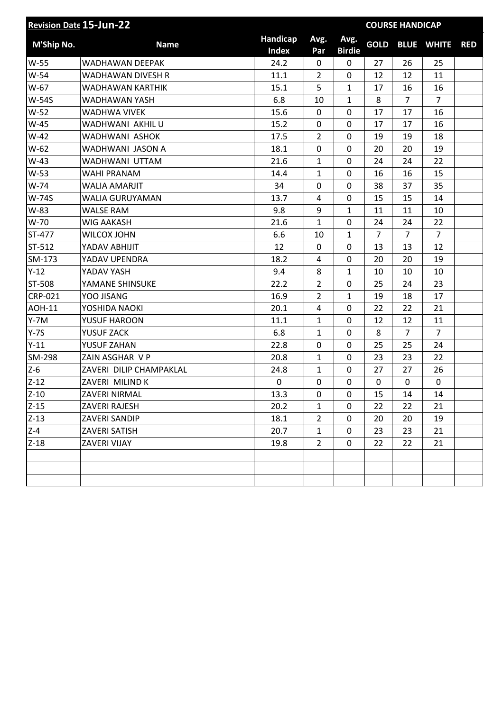| <b>Revision Date 15-Jun-22</b> |                          |              | <b>COURSE HANDICAP</b> |               |                |                |                   |            |
|--------------------------------|--------------------------|--------------|------------------------|---------------|----------------|----------------|-------------------|------------|
| M'Ship No.                     | <b>Name</b>              | Handicap     | Avg.                   | Avg.          | <b>GOLD</b>    |                | <b>BLUE WHITE</b> | <b>RED</b> |
|                                |                          | <b>Index</b> | Par                    | <b>Birdie</b> |                |                |                   |            |
| W-55                           | <b>WADHAWAN DEEPAK</b>   | 24.2         | 0                      | 0             | 27             | 26             | 25                |            |
| $W-54$                         | <b>WADHAWAN DIVESH R</b> | 11.1         | $\overline{2}$         | 0             | 12             | 12             | 11                |            |
| W-67                           | WADHAWAN KARTHIK         | 15.1         | 5                      | $\mathbf{1}$  | 17             | 16             | 16                |            |
| <b>W-54S</b>                   | WADHAWAN YASH            | 6.8          | 10                     | $\mathbf{1}$  | 8              | $\overline{7}$ | $\overline{7}$    |            |
| W-52                           | <b>WADHWA VIVEK</b>      | 15.6         | $\mathbf 0$            | 0             | 17             | 17             | 16                |            |
| W-45                           | <b>WADHWANI AKHILU</b>   | 15.2         | 0                      | 0             | 17             | 17             | 16                |            |
| $W-42$                         | WADHWANI ASHOK           | 17.5         | $\overline{2}$         | 0             | 19             | 19             | 18                |            |
| W-62                           | WADHWANI JASON A         | 18.1         | $\mathbf 0$            | 0             | 20             | 20             | 19                |            |
| $W-43$                         | WADHWANI UTTAM           | 21.6         | 1                      | 0             | 24             | 24             | 22                |            |
| W-53                           | WAHI PRANAM              | 14.4         | 1                      | 0             | 16             | 16             | 15                |            |
| W-74                           | <b>WALIA AMARJIT</b>     | 34           | $\mathbf 0$            | 0             | 38             | 37             | 35                |            |
| <b>W-74S</b>                   | WALIA GURUYAMAN          | 13.7         | 4                      | 0             | 15             | 15             | 14                |            |
| W-83                           | <b>WALSE RAM</b>         | 9.8          | 9                      | $\mathbf{1}$  | 11             | 11             | 10                |            |
| W-70                           | <b>WIG AAKASH</b>        | 21.6         | $\mathbf{1}$           | 0             | 24             | 24             | 22                |            |
| ST-477                         | <b>WILCOX JOHN</b>       | 6.6          | 10                     | $\mathbf{1}$  | $\overline{7}$ | $\overline{7}$ | $\overline{7}$    |            |
| ST-512                         | YADAV ABHIJIT            | 12           | 0                      | 0             | 13             | 13             | 12                |            |
| SM-173                         | YADAV UPENDRA            | 18.2         | 4                      | $\mathbf 0$   | 20             | 20             | 19                |            |
| $Y-12$                         | YADAV YASH               | 9.4          | 8                      | $\mathbf{1}$  | 10             | 10             | 10                |            |
| ST-508                         | YAMANE SHINSUKE          | 22.2         | $\overline{2}$         | 0             | 25             | 24             | 23                |            |
| <b>CRP-021</b>                 | YOO JISANG               | 16.9         | $\overline{2}$         | $\mathbf{1}$  | 19             | 18             | 17                |            |
| <b>AOH-11</b>                  | YOSHIDA NAOKI            | 20.1         | 4                      | 0             | 22             | 22             | 21                |            |
| $Y - 7M$                       | YUSUF HAROON             | 11.1         | 1                      | 0             | 12             | 12             | 11                |            |
| $Y-7S$                         | YUSUF ZACK               | 6.8          | 1                      | 0             | 8              | $\overline{7}$ | $\overline{7}$    |            |
| $Y-11$                         | YUSUF ZAHAN              | 22.8         | $\mathbf 0$            | 0             | 25             | 25             | 24                |            |
| SM-298                         | ZAIN ASGHAR V P          | 20.8         | $\mathbf{1}$           | 0             | 23             | 23             | 22                |            |
| $Z-6$                          | ZAVERI DILIP CHAMPAKLAL  | 24.8         | $\mathbf{1}$           | 0             | 27             | 27             | 26                |            |
| $Z-12$                         | ZAVERI MILIND K          | 0            | $\mathbf 0$            | 0             | 0              | 0              | 0                 |            |
| $Z-10$                         | ZAVERI NIRMAL            | 13.3         | 0                      | 0             | 15             | 14             | 14                |            |
| $Z-15$                         | ZAVERI RAJESH            | 20.2         | 1                      | 0             | 22             | 22             | 21                |            |
| $Z-13$                         | ZAVERI SANDIP            | 18.1         | $\overline{2}$         | 0             | 20             | 20             | 19                |            |
| $Z - 4$                        | ZAVERI SATISH            | 20.7         | $\mathbf{1}$           | 0             | 23             | 23             | 21                |            |
| $Z-18$                         | ZAVERI VIJAY             | 19.8         | $\overline{2}$         | 0             | 22             | 22             | 21                |            |
|                                |                          |              |                        |               |                |                |                   |            |
|                                |                          |              |                        |               |                |                |                   |            |
|                                |                          |              |                        |               |                |                |                   |            |
|                                |                          |              |                        |               |                |                |                   |            |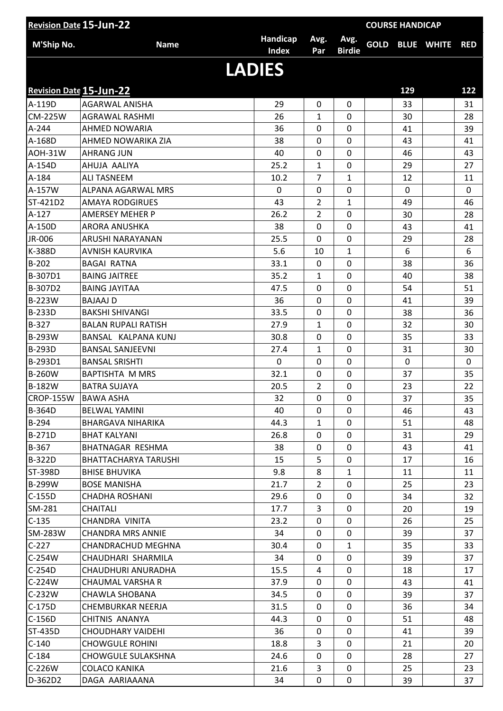|                                | <b>Revision Date 15-Jun-22</b> |               |                |                | <b>COURSE HANDICAP</b> |             |                        |             |
|--------------------------------|--------------------------------|---------------|----------------|----------------|------------------------|-------------|------------------------|-------------|
| M'Ship No.                     | <b>Name</b>                    | Handicap      | Avg.           | Avg.           |                        |             | <b>GOLD BLUE WHITE</b> | <b>RED</b>  |
|                                |                                | <b>Index</b>  | Par            | <b>Birdie</b>  |                        |             |                        |             |
|                                |                                | <b>LADIES</b> |                |                |                        |             |                        |             |
|                                |                                |               |                |                |                        |             |                        |             |
| <b>Revision Date 15-Jun-22</b> |                                |               |                |                |                        | 129         |                        | $122$       |
| A-119D                         | <b>AGARWAL ANISHA</b>          | 29            | $\mathbf{0}$   | 0              |                        | 33          |                        | 31          |
| <b>CM-225W</b>                 | <b>AGRAWAL RASHMI</b>          | 26            | 1              | 0              |                        | 30          |                        | 28          |
| A-244                          | <b>AHMED NOWARIA</b>           | 36            | 0              | 0              |                        | 41          |                        | 39          |
| A-168D                         | AHMED NOWARIKA ZIA             | 38            | 0              | $\overline{0}$ |                        | 43          |                        | 41          |
| AOH-31W                        | <b>AHRANG JUN</b>              | 40            | 0              | $\mathbf 0$    |                        | 46          |                        | 43          |
| A-154D                         | AHUJA AALIYA                   | 25.2          | 1              | $\mathbf 0$    |                        | 29          |                        | 27          |
| A-184                          | <b>ALI TASNEEM</b>             | 10.2          | $\overline{7}$ | 1              |                        | 12          |                        | 11          |
| A-157W                         | ALPANA AGARWAL MRS             | 0             | 0              | 0              |                        | $\mathbf 0$ |                        | $\mathbf 0$ |
| ST-421D2                       | <b>AMAYA RODGIRUES</b>         | 43            | $\overline{2}$ | 1              |                        | 49          |                        | 46          |
| A-127                          | <b>AMERSEY MEHER P</b>         | 26.2          | $\overline{2}$ | $\overline{0}$ |                        | 30          |                        | 28          |
| A-150D                         | <b>ARORA ANUSHKA</b>           | 38            | 0              | 0              |                        | 43          |                        | 41          |
| JR-006                         | ARUSHI NARAYANAN               | 25.5          | 0              | $\overline{0}$ |                        | 29          |                        | 28          |
| K-388D                         | <b>AVNISH KAURVIKA</b>         | 5.6           | 10             | $\mathbf{1}$   |                        | 6           |                        | 6           |
| B-202                          | <b>BAGAI RATNA</b>             | 33.1          | 0              | 0              |                        | 38          |                        | 36          |
| B-307D1                        | <b>BAING JAITREE</b>           | 35.2          | $\mathbf{1}$   | $\mathbf 0$    |                        | 40          |                        | 38          |
| B-307D2                        | <b>BAING JAYITAA</b>           | 47.5          | 0              | 0              |                        | 54          |                        | 51          |
| <b>B-223W</b>                  | <b>BAJAAJ D</b>                | 36            | 0              | $\overline{0}$ |                        | 41          |                        | 39          |
| <b>B-233D</b>                  | <b>BAKSHI SHIVANGI</b>         | 33.5          | 0              | 0              |                        | 38          |                        | 36          |
| B-327                          | <b>BALAN RUPALI RATISH</b>     | 27.9          | 1              | 0              |                        | 32          |                        | 30          |
| B-293W                         | BANSAL KALPANA KUNJ            | 30.8          | 0              | $\overline{0}$ |                        | 35          |                        | 33          |
| <b>B-293D</b>                  | <b>BANSAL SANJEEVNI</b>        | 27.4          | 1              | 0              |                        | 31          |                        | 30          |
| B-293D1                        | <b>BANSAL SRISHTI</b>          | $\mathbf 0$   | 0              | $\mathbf 0$    |                        | $\mathbf 0$ |                        | $\mathbf 0$ |
| <b>B-260W</b>                  | <b>BAPTISHTA M MRS</b>         | 32.1          | 0              | 0              |                        | 37          |                        | 35          |
| <b>B-182W</b>                  | <b>BATRA SUJAYA</b>            | 20.5          | 2              | 0              |                        | 23          |                        | 22          |
| CROP-155W BAWA ASHA            |                                | 32            | $\mathbf 0$    | $\mathbf 0$    |                        | 37          |                        | 35          |
| <b>B-364D</b>                  | <b>BELWAL YAMINI</b>           | 40            | 0              | 0              |                        | 46          |                        | 43          |
| B-294                          | BHARGAVA NIHARIKA              | 44.3          | $\mathbf{1}$   | 0              |                        | 51          |                        | 48          |
| <b>B-271D</b>                  | <b>BHAT KALYANI</b>            | 26.8          | 0              | 0              |                        | 31          |                        | 29          |
| $B-367$                        | BHATNAGAR RESHMA               | 38            | 0              | 0              |                        | 43          |                        | 41          |
| <b>B-322D</b>                  | BHATTACHARYA TARUSHI           | 15            | 5              | 0              |                        | 17          |                        | 16          |
| <b>ST-398D</b>                 | <b>BHISE BHUVIKA</b>           | 9.8           | 8              | $\mathbf{1}$   |                        | 11          |                        | 11          |
| <b>B-299W</b>                  | <b>BOSE MANISHA</b>            | 21.7          | $\overline{2}$ | 0              |                        | 25          |                        | 23          |
| $C-155D$                       | <b>CHADHA ROSHANI</b>          | 29.6          | 0              | 0              |                        | 34          |                        | 32          |
| SM-281                         | <b>CHAITALI</b>                | 17.7          | 3              | 0              |                        | 20          |                        | 19          |
| $C-135$                        | CHANDRA VINITA                 | 23.2          | 0              | 0              |                        | 26          |                        | 25          |
| SM-283W                        | <b>CHANDRA MRS ANNIE</b>       | 34            | 0              | 0              |                        | 39          |                        | 37          |
| $C-227$                        | CHANDRACHUD MEGHNA             | 30.4          | 0              | $\mathbf{1}$   |                        | 35          |                        | 33          |
| $C-254W$                       | CHAUDHARI SHARMILA             | 34            | 0              | 0              |                        | 39          |                        | 37          |
| $C-254D$                       | CHAUDHURI ANURADHA             | 15.5          | 4              | 0              |                        | 18          |                        | 17          |
| $C-224W$                       | CHAUMAL VARSHA R               | 37.9          | 0              | 0              |                        | 43          |                        | 41          |
| C-232W                         | CHAWLA SHOBANA                 | 34.5          | 0              | 0              |                        | 39          |                        | 37          |
| C-175D                         | CHEMBURKAR NEERJA              | 31.5          | 0              | 0              |                        | 36          |                        | 34          |
| C-156D                         | CHITNIS ANANYA                 | 44.3          | 0              | 0              |                        | 51          |                        | 48          |
| ST-435D                        | CHOUDHARY VAIDEHI              | 36            | 0              | 0              |                        | 41          |                        | 39          |
| $C-140$                        | <b>CHOWGULE ROHINI</b>         | 18.8          | 3              | 0              |                        | 21          |                        | 20          |
| $C-184$                        | CHOWGULE SULAKSHNA             | 24.6          | 0              | 0              |                        | 28          |                        | 27          |
| C-226W                         | COLACO KANIKA                  | 21.6          | 3              | 0              |                        | 25          |                        | 23          |
| D-362D2                        | DAGA AARIAAANA                 | 34            | 0              | 0              |                        | 39          |                        | 37          |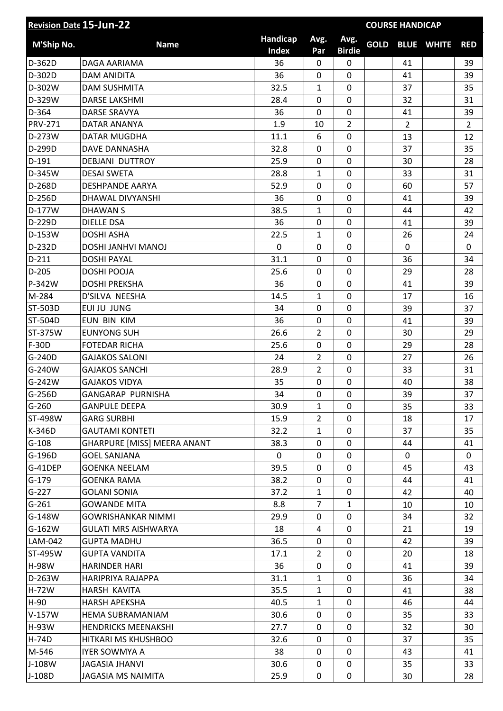|                | <b>Revision Date 15-Jun-22</b>     |                          |                |                       | <b>COURSE HANDICAP</b> |                |                   |                |
|----------------|------------------------------------|--------------------------|----------------|-----------------------|------------------------|----------------|-------------------|----------------|
| M'Ship No.     | <b>Name</b>                        | Handicap<br><b>Index</b> | Avg.           | Avg.<br><b>Birdie</b> | <b>GOLD</b>            |                | <b>BLUE WHITE</b> | <b>RED</b>     |
| D-362D         | DAGA AARIAMA                       | 36                       | Par<br>0       | $\mathbf 0$           |                        | 41             |                   | 39             |
| D-302D         | <b>DAM ANIDITA</b>                 | 36                       | 0              | $\overline{0}$        |                        | 41             |                   | 39             |
| D-302W         | <b>DAM SUSHMITA</b>                | 32.5                     | 1              | 0                     |                        | 37             |                   | 35             |
| D-329W         | <b>DARSE LAKSHMI</b>               | 28.4                     | 0              | 0                     |                        | 32             |                   | 31             |
| D-364          | <b>DARSE SRAVYA</b>                | 36                       | 0              | 0                     |                        | 41             |                   | 39             |
| <b>PRV-271</b> | DATAR ANANYA                       | 1.9                      | 10             | $\overline{2}$        |                        | $\overline{2}$ |                   | $\overline{2}$ |
| D-273W         | DATAR MUGDHA                       | 11.1                     | 6              | $\mathbf 0$           |                        | 13             |                   | 12             |
| D-299D         | DAVE DANNASHA                      | 32.8                     | 0              | $\overline{0}$        |                        | 37             |                   | 35             |
| $D-191$        | <b>DEBJANI DUTTROY</b>             | 25.9                     | 0              | 0                     |                        | 30             |                   | 28             |
| D-345W         | <b>DESAI SWETA</b>                 | 28.8                     | 1              | 0                     |                        | 33             |                   | 31             |
| D-268D         | <b>DESHPANDE AARYA</b>             | 52.9                     | 0              | $\mathbf 0$           |                        | 60             |                   | 57             |
| D-256D         | DHAWAL DIVYANSHI                   | 36                       | $\mathbf 0$    | 0                     |                        | 41             |                   | 39             |
| D-177W         | <b>DHAWANS</b>                     | 38.5                     | 1              | 0                     |                        | 44             |                   | 42             |
| D-229D         | <b>DIELLE DSA</b>                  | 36                       | 0              | 0                     |                        | 41             |                   | 39             |
| D-153W         | <b>DOSHI ASHA</b>                  | 22.5                     | 1              | $\overline{0}$        |                        | 26             |                   | 24             |
| D-232D         | DOSHI JANHVI MANOJ                 | 0                        | 0              | 0                     |                        | 0              |                   | $\mathbf{0}$   |
| $D-211$        | <b>DOSHI PAYAL</b>                 | 31.1                     | 0              | 0                     |                        | 36             |                   | 34             |
| D-205          | DOSHI POOJA                        | 25.6                     | 0              | $\overline{0}$        |                        | 29             |                   | 28             |
| P-342W         | <b>DOSHI PREKSHA</b>               | 36                       | 0              | 0                     |                        | 41             |                   | 39             |
| M-284          | D'SILVA NEESHA                     | 14.5                     | $\mathbf{1}$   | $\overline{0}$        |                        | 17             |                   | 16             |
| ST-503D        | EUI JU JUNG                        | 34                       | 0              | $\overline{0}$        |                        | 39             |                   | 37             |
| ST-504D        | EUN BIN KIM                        | 36                       | 0              | 0                     |                        | 41             |                   | 39             |
| ST-375W        | <b>EUNYONG SUH</b>                 | 26.6                     | $\overline{2}$ | 0                     |                        | 30             |                   | 29             |
| F-30D          | <b>FOTEDAR RICHA</b>               | 25.6                     | $\mathbf 0$    | $\overline{0}$        |                        | 29             |                   | 28             |
| G-240D         | <b>GAJAKOS SALONI</b>              | 24                       | $\overline{2}$ | 0                     |                        | 27             |                   | 26             |
| G-240W         | <b>GAJAKOS SANCHI</b>              | 28.9                     | $\overline{2}$ | 0                     |                        | 33             |                   | 31             |
| G-242W         | <b>GAJAKOS VIDYA</b>               | 35                       | 0              | $\mathbf 0$           |                        | 40             |                   | 38             |
| G-256D         | GANGARAP PURNISHA                  | 34                       | 0              | 0                     |                        | 39             |                   | 37             |
| $G-260$        | <b>GANPULE DEEPA</b>               | 30.9                     | $\mathbf{1}$   | $\Omega$              |                        | 35             |                   | 33             |
| ST-498W        | <b>GARG SURBHI</b>                 | 15.9                     | $\overline{2}$ | 0                     |                        | 18             |                   | 17             |
| K-346D         | <b>GAUTAMI KONTETI</b>             | 32.2                     | 1              | 0                     |                        | 37             |                   | 35             |
| $G-108$        | <b>GHARPURE [MISS] MEERA ANANT</b> | 38.3                     | 0              | $\mathbf 0$           |                        | 44             |                   | 41             |
| G-196D         | <b>GOEL SANJANA</b>                | $\Omega$                 | 0              | 0                     |                        | 0              |                   | 0              |
| G-41DEP        | <b>GOENKA NEELAM</b>               | 39.5                     | 0              | 0                     |                        | 45             |                   | 43             |
| $G-179$        | <b>GOENKA RAMA</b>                 | 38.2                     | 0              | 0                     |                        | 44             |                   | 41             |
| $G-227$        | <b>GOLANI SONIA</b>                | 37.2                     | 1              | 0                     |                        | 42             |                   | 40             |
| $G-261$        | <b>GOWANDE MITA</b>                | 8.8                      | $\overline{7}$ | $\mathbf{1}$          |                        | 10             |                   | 10             |
| G-148W         | <b>GOWRISHANKAR NIMMI</b>          | 29.9                     | 0              | 0                     |                        | 34             |                   | 32             |
| G-162W         | <b>GULATI MRS AISHWARYA</b>        | 18                       | 4              | 0                     |                        | 21             |                   | 19             |
| LAM-042        | <b>GUPTA MADHU</b>                 | 36.5                     | 0              | 0                     |                        | 42             |                   | 39             |
| ST-495W        | <b>GUPTA VANDITA</b>               | 17.1                     | $\overline{2}$ | 0                     |                        | 20             |                   | 18             |
| <b>H-98W</b>   | <b>HARINDER HARI</b>               | 36                       | 0              | 0                     |                        | 41             |                   | 39             |
| D-263W         | HARIPRIYA RAJAPPA                  | 31.1                     | 1              | 0                     |                        | 36             |                   | 34             |
| <b>H-72W</b>   | HARSH KAVITA                       | 35.5                     | $\mathbf{1}$   | 0                     |                        | 41             |                   | 38             |
| $H-90$         | <b>HARSH APEKSHA</b>               | 40.5                     | $\mathbf{1}$   | 0                     |                        | 46             |                   | 44             |
| $V-157W$       | <b>HEMA SUBRAMANIAM</b>            | 30.6                     | 0              | 0                     |                        | 35             |                   | 33             |
| H-93W          | <b>HENDRICKS MEENAKSHI</b>         | 27.7                     | 0              | $\mathbf 0$           |                        | 32             |                   | 30             |
| H-74D          | HITKARI MS KHUSHBOO                | 32.6                     | 0              | 0                     |                        | 37             |                   | 35             |
| M-546          | <b>IYER SOWMYA A</b>               | 38                       | 0              | 0                     |                        | 43             |                   | 41             |
| J-108W         | <b>JAGASIA JHANVI</b>              | 30.6                     | 0              | 0                     |                        | 35             |                   | 33             |
| J-108D         | <b>JAGASIA MS NAIMITA</b>          | 25.9                     | 0              | $\pmb{0}$             |                        | 30             |                   | 28             |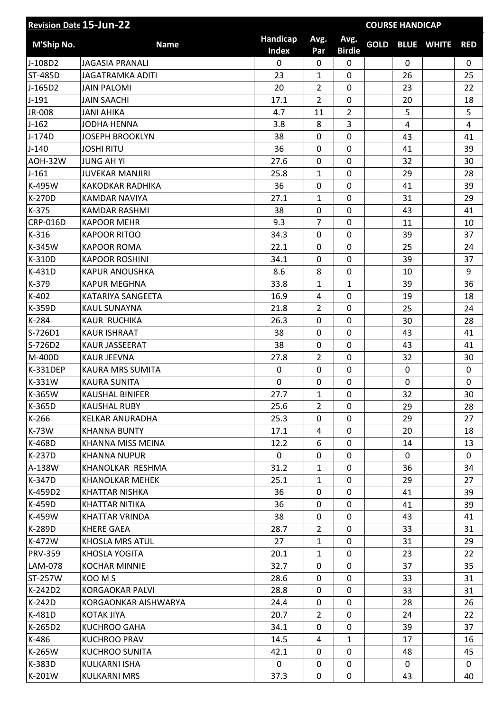| Handicap<br>Avg.<br>Avg.<br><b>Name</b><br><b>GOLD BLUE WHITE</b><br>M'Ship No.<br><b>RED</b><br><b>Index</b><br><b>Birdie</b><br>Par<br>J-108D2<br>0<br>$\mathbf 0$<br><b>JAGASIA PRANALI</b><br>0<br>0<br>0<br>ST-485D<br>0<br>26<br><b>JAGATRAMKA ADITI</b><br>23<br>25<br>1<br>20<br>$\overline{2}$<br>$\mathbf 0$<br>J-165D2<br><b>JAIN PALOMI</b><br>23<br>22<br>$J-191$<br>2<br>0<br><b>JAIN SAACHI</b><br>17.1<br>20<br>18<br>$\overline{2}$<br>5<br>JR-008<br><b>JANI AHIKA</b><br>4.7<br>5<br>11<br>3<br>$J-162$<br>8<br>$\overline{4}$<br>4<br><b>JODHA HENNA</b><br>3.8<br>J-174D<br>0<br><b>JOSEPH BROOKLYN</b><br>38<br>0<br>43<br>41<br>$\mathbf 0$<br>$J-140$<br><b>JOSHI RITU</b><br>36<br>$\mathbf 0$<br>41<br>39<br>$\mathbf 0$<br><b>AOH-32W</b><br><b>JUNG AH YI</b><br>27.6<br>$\mathbf 0$<br>32<br>30<br>$J-161$<br><b>JUVEKAR MANJIRI</b><br>25.8<br>0<br>29<br>28<br>1<br>$\mathbf 0$<br>K-495W<br>36<br>$\mathbf 0$<br><b>KAKODKAR RADHIKA</b><br>41<br>39<br>K-270D<br>1<br>0<br>31<br>29<br><b>KAMDAR NAVIYA</b><br>27.1<br>K-375<br>38<br>$\mathbf 0$<br>0<br><b>KAMDAR RASHMI</b><br>43<br>41<br><b>CRP-016D</b><br>9.3<br>$\overline{7}$<br>0<br><b>KAPOOR MEHR</b><br>11<br>10<br>$K-316$<br>34.3<br>$\mathbf 0$<br><b>KAPOOR RITOO</b><br>$\mathbf 0$<br>39<br>37<br>$\mathbf 0$<br>K-345W<br><b>KAPOOR ROMA</b><br>22.1<br>$\mathbf 0$<br>25<br>24<br>K-310D<br><b>KAPOOR ROSHINI</b><br>34.1<br>0<br>39<br>37<br>0<br>$\mathbf 0$<br>K-431D<br>8.6<br>8<br><b>KAPUR ANOUSHKA</b><br>9<br>10<br>$\mathbf{1}$<br>K-379<br><b>KAPUR MEGHNA</b><br>33.8<br>1<br>39<br>36<br>K-402<br>$\mathbf 0$<br>16.9<br>4<br>19<br>KATARIYA SANGEETA<br>18<br>K-359D<br>$\overline{2}$<br>0<br>25<br><b>KAUL SUNAYNA</b><br>21.8<br>24<br>K-284<br>26.3<br>$\overline{0}$<br><b>KAUR RUCHIKA</b><br>$\mathbf 0$<br>28<br>30<br>S-726D1<br><b>KAUR ISHRAAT</b><br>0<br>38<br>0<br>43<br>41<br>$\mathbf 0$<br>S-726D2<br>KAUR JASSEERAT<br>38<br>43<br>0<br>41<br>$\overline{2}$<br>$\overline{0}$<br>M-400D<br><b>KAUR JEEVNA</b><br>27.8<br>32<br>30<br>0<br><b>K-331DEP</b><br>KAURA MRS SUMITA<br>0<br>0<br>0<br>0<br>K-331W<br><b>KAURA SUNITA</b><br>0<br>0<br>$\mathbf 0$<br>$\pmb{0}$<br>0<br>$\overline{0}$<br>32<br>30<br>1<br>KAUSHAL BINIFER<br>27.7<br>K-365D<br><b>KAUSHAL RUBY</b><br>25.6<br>$\overline{2}$<br>0<br>29<br>28<br>$K-266$<br>25.3<br>0<br>KELKAR ANURADHA<br>0<br>29<br>27<br>0<br>K-73W<br><b>KHANNA BUNTY</b><br>17.1<br>20<br>18<br>4<br>0<br>K-468D<br>KHANNA MISS MEINA<br>12.2<br>6<br>14<br>13<br>K-237D<br>0<br>KHANNA NUPUR<br>0<br>0<br>0<br>0<br>31.2<br>0<br>A-138W<br>KHANOLKAR RESHMA<br>$\mathbf{1}$<br>36<br>34<br>K-347D<br><b>KHANOLKAR MEHEK</b><br>25.1<br>0<br>29<br>1<br>27<br>K-459D2<br>36<br>0<br><b>KHATTAR NISHKA</b><br>0<br>41<br>39<br>0<br>K-459D<br>36<br>0<br>KHATTAR NITIKA<br>41<br>39<br>38<br>0<br>K-459W<br>KHATTAR VRINDA<br>43<br>0<br>41<br>$\overline{2}$<br>0<br>K-289D<br><b>KHERE GAEA</b><br>28.7<br>33<br>31<br>K-472W<br>KHOSLA MRS ATUL<br>27<br>0<br>31<br>29<br>1<br><b>PRV-359</b><br><b>KHOSLA YOGITA</b><br>20.1<br>0<br>$\mathbf{1}$<br>23<br>22<br>LAM-078<br><b>KOCHAR MINNIE</b><br>32.7<br>0<br>37<br>35<br>0<br>ST-257W<br>KOO M S<br>28.6<br>0<br>33<br>31<br>0<br>0<br>K-242D2<br><b>KORGAOKAR PALVI</b><br>28.8<br>0<br>31<br>33<br>K-242D<br>KORGAONKAR AISHWARYA<br>24.4<br>0<br>0<br>28<br>26<br>K-481D<br>$\overline{2}$<br>0<br>KOTAK JIYA<br>20.7<br>24<br>22<br>0<br>K-265D2<br><b>KUCHROO GAHA</b><br>34.1<br>$\mathbf{0}$<br>39<br>37<br>14.5<br>K-486<br><b>KUCHROO PRAV</b><br>$\mathbf{1}$<br>4<br>17<br>16<br>0<br>K-265W<br><b>KUCHROO SUNITA</b><br>42.1<br>45<br>0<br>48<br>K-383D<br>0<br>0<br>KULKARNI ISHA<br>0<br>0<br>0<br>0<br>K-201W<br>37.3<br>0<br>43<br>40<br>KULKARNI MRS | <b>Revision Date 15-Jun-22</b> |  |  | <b>COURSE HANDICAP</b> |  |  |  |
|--------------------------------------------------------------------------------------------------------------------------------------------------------------------------------------------------------------------------------------------------------------------------------------------------------------------------------------------------------------------------------------------------------------------------------------------------------------------------------------------------------------------------------------------------------------------------------------------------------------------------------------------------------------------------------------------------------------------------------------------------------------------------------------------------------------------------------------------------------------------------------------------------------------------------------------------------------------------------------------------------------------------------------------------------------------------------------------------------------------------------------------------------------------------------------------------------------------------------------------------------------------------------------------------------------------------------------------------------------------------------------------------------------------------------------------------------------------------------------------------------------------------------------------------------------------------------------------------------------------------------------------------------------------------------------------------------------------------------------------------------------------------------------------------------------------------------------------------------------------------------------------------------------------------------------------------------------------------------------------------------------------------------------------------------------------------------------------------------------------------------------------------------------------------------------------------------------------------------------------------------------------------------------------------------------------------------------------------------------------------------------------------------------------------------------------------------------------------------------------------------------------------------------------------------------------------------------------------------------------------------------------------------------------------------------------------------------------------------------------------------------------------------------------------------------------------------------------------------------------------------------------------------------------------------------------------------------------------------------------------------------------------------------------------------------------------------------------------------------------------------------------------------------------------------------------------------------------------------------------------------------------------------------------------------------------------------------------------------------------------------------------------------------------------------------------------------------------------------------------------------------------------------------------------------------------------------------------------------------------------------------------------------------------------------------------------------------------------------------------------------------------------------------------------------------------------|--------------------------------|--|--|------------------------|--|--|--|
|                                                                                                                                                                                                                                                                                                                                                                                                                                                                                                                                                                                                                                                                                                                                                                                                                                                                                                                                                                                                                                                                                                                                                                                                                                                                                                                                                                                                                                                                                                                                                                                                                                                                                                                                                                                                                                                                                                                                                                                                                                                                                                                                                                                                                                                                                                                                                                                                                                                                                                                                                                                                                                                                                                                                                                                                                                                                                                                                                                                                                                                                                                                                                                                                                                                                                                                                                                                                                                                                                                                                                                                                                                                                                                                                                                                                                    |                                |  |  |                        |  |  |  |
|                                                                                                                                                                                                                                                                                                                                                                                                                                                                                                                                                                                                                                                                                                                                                                                                                                                                                                                                                                                                                                                                                                                                                                                                                                                                                                                                                                                                                                                                                                                                                                                                                                                                                                                                                                                                                                                                                                                                                                                                                                                                                                                                                                                                                                                                                                                                                                                                                                                                                                                                                                                                                                                                                                                                                                                                                                                                                                                                                                                                                                                                                                                                                                                                                                                                                                                                                                                                                                                                                                                                                                                                                                                                                                                                                                                                                    |                                |  |  |                        |  |  |  |
|                                                                                                                                                                                                                                                                                                                                                                                                                                                                                                                                                                                                                                                                                                                                                                                                                                                                                                                                                                                                                                                                                                                                                                                                                                                                                                                                                                                                                                                                                                                                                                                                                                                                                                                                                                                                                                                                                                                                                                                                                                                                                                                                                                                                                                                                                                                                                                                                                                                                                                                                                                                                                                                                                                                                                                                                                                                                                                                                                                                                                                                                                                                                                                                                                                                                                                                                                                                                                                                                                                                                                                                                                                                                                                                                                                                                                    |                                |  |  |                        |  |  |  |
|                                                                                                                                                                                                                                                                                                                                                                                                                                                                                                                                                                                                                                                                                                                                                                                                                                                                                                                                                                                                                                                                                                                                                                                                                                                                                                                                                                                                                                                                                                                                                                                                                                                                                                                                                                                                                                                                                                                                                                                                                                                                                                                                                                                                                                                                                                                                                                                                                                                                                                                                                                                                                                                                                                                                                                                                                                                                                                                                                                                                                                                                                                                                                                                                                                                                                                                                                                                                                                                                                                                                                                                                                                                                                                                                                                                                                    |                                |  |  |                        |  |  |  |
|                                                                                                                                                                                                                                                                                                                                                                                                                                                                                                                                                                                                                                                                                                                                                                                                                                                                                                                                                                                                                                                                                                                                                                                                                                                                                                                                                                                                                                                                                                                                                                                                                                                                                                                                                                                                                                                                                                                                                                                                                                                                                                                                                                                                                                                                                                                                                                                                                                                                                                                                                                                                                                                                                                                                                                                                                                                                                                                                                                                                                                                                                                                                                                                                                                                                                                                                                                                                                                                                                                                                                                                                                                                                                                                                                                                                                    |                                |  |  |                        |  |  |  |
|                                                                                                                                                                                                                                                                                                                                                                                                                                                                                                                                                                                                                                                                                                                                                                                                                                                                                                                                                                                                                                                                                                                                                                                                                                                                                                                                                                                                                                                                                                                                                                                                                                                                                                                                                                                                                                                                                                                                                                                                                                                                                                                                                                                                                                                                                                                                                                                                                                                                                                                                                                                                                                                                                                                                                                                                                                                                                                                                                                                                                                                                                                                                                                                                                                                                                                                                                                                                                                                                                                                                                                                                                                                                                                                                                                                                                    |                                |  |  |                        |  |  |  |
|                                                                                                                                                                                                                                                                                                                                                                                                                                                                                                                                                                                                                                                                                                                                                                                                                                                                                                                                                                                                                                                                                                                                                                                                                                                                                                                                                                                                                                                                                                                                                                                                                                                                                                                                                                                                                                                                                                                                                                                                                                                                                                                                                                                                                                                                                                                                                                                                                                                                                                                                                                                                                                                                                                                                                                                                                                                                                                                                                                                                                                                                                                                                                                                                                                                                                                                                                                                                                                                                                                                                                                                                                                                                                                                                                                                                                    |                                |  |  |                        |  |  |  |
|                                                                                                                                                                                                                                                                                                                                                                                                                                                                                                                                                                                                                                                                                                                                                                                                                                                                                                                                                                                                                                                                                                                                                                                                                                                                                                                                                                                                                                                                                                                                                                                                                                                                                                                                                                                                                                                                                                                                                                                                                                                                                                                                                                                                                                                                                                                                                                                                                                                                                                                                                                                                                                                                                                                                                                                                                                                                                                                                                                                                                                                                                                                                                                                                                                                                                                                                                                                                                                                                                                                                                                                                                                                                                                                                                                                                                    |                                |  |  |                        |  |  |  |
|                                                                                                                                                                                                                                                                                                                                                                                                                                                                                                                                                                                                                                                                                                                                                                                                                                                                                                                                                                                                                                                                                                                                                                                                                                                                                                                                                                                                                                                                                                                                                                                                                                                                                                                                                                                                                                                                                                                                                                                                                                                                                                                                                                                                                                                                                                                                                                                                                                                                                                                                                                                                                                                                                                                                                                                                                                                                                                                                                                                                                                                                                                                                                                                                                                                                                                                                                                                                                                                                                                                                                                                                                                                                                                                                                                                                                    |                                |  |  |                        |  |  |  |
|                                                                                                                                                                                                                                                                                                                                                                                                                                                                                                                                                                                                                                                                                                                                                                                                                                                                                                                                                                                                                                                                                                                                                                                                                                                                                                                                                                                                                                                                                                                                                                                                                                                                                                                                                                                                                                                                                                                                                                                                                                                                                                                                                                                                                                                                                                                                                                                                                                                                                                                                                                                                                                                                                                                                                                                                                                                                                                                                                                                                                                                                                                                                                                                                                                                                                                                                                                                                                                                                                                                                                                                                                                                                                                                                                                                                                    |                                |  |  |                        |  |  |  |
|                                                                                                                                                                                                                                                                                                                                                                                                                                                                                                                                                                                                                                                                                                                                                                                                                                                                                                                                                                                                                                                                                                                                                                                                                                                                                                                                                                                                                                                                                                                                                                                                                                                                                                                                                                                                                                                                                                                                                                                                                                                                                                                                                                                                                                                                                                                                                                                                                                                                                                                                                                                                                                                                                                                                                                                                                                                                                                                                                                                                                                                                                                                                                                                                                                                                                                                                                                                                                                                                                                                                                                                                                                                                                                                                                                                                                    |                                |  |  |                        |  |  |  |
|                                                                                                                                                                                                                                                                                                                                                                                                                                                                                                                                                                                                                                                                                                                                                                                                                                                                                                                                                                                                                                                                                                                                                                                                                                                                                                                                                                                                                                                                                                                                                                                                                                                                                                                                                                                                                                                                                                                                                                                                                                                                                                                                                                                                                                                                                                                                                                                                                                                                                                                                                                                                                                                                                                                                                                                                                                                                                                                                                                                                                                                                                                                                                                                                                                                                                                                                                                                                                                                                                                                                                                                                                                                                                                                                                                                                                    |                                |  |  |                        |  |  |  |
|                                                                                                                                                                                                                                                                                                                                                                                                                                                                                                                                                                                                                                                                                                                                                                                                                                                                                                                                                                                                                                                                                                                                                                                                                                                                                                                                                                                                                                                                                                                                                                                                                                                                                                                                                                                                                                                                                                                                                                                                                                                                                                                                                                                                                                                                                                                                                                                                                                                                                                                                                                                                                                                                                                                                                                                                                                                                                                                                                                                                                                                                                                                                                                                                                                                                                                                                                                                                                                                                                                                                                                                                                                                                                                                                                                                                                    |                                |  |  |                        |  |  |  |
|                                                                                                                                                                                                                                                                                                                                                                                                                                                                                                                                                                                                                                                                                                                                                                                                                                                                                                                                                                                                                                                                                                                                                                                                                                                                                                                                                                                                                                                                                                                                                                                                                                                                                                                                                                                                                                                                                                                                                                                                                                                                                                                                                                                                                                                                                                                                                                                                                                                                                                                                                                                                                                                                                                                                                                                                                                                                                                                                                                                                                                                                                                                                                                                                                                                                                                                                                                                                                                                                                                                                                                                                                                                                                                                                                                                                                    |                                |  |  |                        |  |  |  |
|                                                                                                                                                                                                                                                                                                                                                                                                                                                                                                                                                                                                                                                                                                                                                                                                                                                                                                                                                                                                                                                                                                                                                                                                                                                                                                                                                                                                                                                                                                                                                                                                                                                                                                                                                                                                                                                                                                                                                                                                                                                                                                                                                                                                                                                                                                                                                                                                                                                                                                                                                                                                                                                                                                                                                                                                                                                                                                                                                                                                                                                                                                                                                                                                                                                                                                                                                                                                                                                                                                                                                                                                                                                                                                                                                                                                                    |                                |  |  |                        |  |  |  |
|                                                                                                                                                                                                                                                                                                                                                                                                                                                                                                                                                                                                                                                                                                                                                                                                                                                                                                                                                                                                                                                                                                                                                                                                                                                                                                                                                                                                                                                                                                                                                                                                                                                                                                                                                                                                                                                                                                                                                                                                                                                                                                                                                                                                                                                                                                                                                                                                                                                                                                                                                                                                                                                                                                                                                                                                                                                                                                                                                                                                                                                                                                                                                                                                                                                                                                                                                                                                                                                                                                                                                                                                                                                                                                                                                                                                                    |                                |  |  |                        |  |  |  |
|                                                                                                                                                                                                                                                                                                                                                                                                                                                                                                                                                                                                                                                                                                                                                                                                                                                                                                                                                                                                                                                                                                                                                                                                                                                                                                                                                                                                                                                                                                                                                                                                                                                                                                                                                                                                                                                                                                                                                                                                                                                                                                                                                                                                                                                                                                                                                                                                                                                                                                                                                                                                                                                                                                                                                                                                                                                                                                                                                                                                                                                                                                                                                                                                                                                                                                                                                                                                                                                                                                                                                                                                                                                                                                                                                                                                                    |                                |  |  |                        |  |  |  |
|                                                                                                                                                                                                                                                                                                                                                                                                                                                                                                                                                                                                                                                                                                                                                                                                                                                                                                                                                                                                                                                                                                                                                                                                                                                                                                                                                                                                                                                                                                                                                                                                                                                                                                                                                                                                                                                                                                                                                                                                                                                                                                                                                                                                                                                                                                                                                                                                                                                                                                                                                                                                                                                                                                                                                                                                                                                                                                                                                                                                                                                                                                                                                                                                                                                                                                                                                                                                                                                                                                                                                                                                                                                                                                                                                                                                                    |                                |  |  |                        |  |  |  |
|                                                                                                                                                                                                                                                                                                                                                                                                                                                                                                                                                                                                                                                                                                                                                                                                                                                                                                                                                                                                                                                                                                                                                                                                                                                                                                                                                                                                                                                                                                                                                                                                                                                                                                                                                                                                                                                                                                                                                                                                                                                                                                                                                                                                                                                                                                                                                                                                                                                                                                                                                                                                                                                                                                                                                                                                                                                                                                                                                                                                                                                                                                                                                                                                                                                                                                                                                                                                                                                                                                                                                                                                                                                                                                                                                                                                                    |                                |  |  |                        |  |  |  |
|                                                                                                                                                                                                                                                                                                                                                                                                                                                                                                                                                                                                                                                                                                                                                                                                                                                                                                                                                                                                                                                                                                                                                                                                                                                                                                                                                                                                                                                                                                                                                                                                                                                                                                                                                                                                                                                                                                                                                                                                                                                                                                                                                                                                                                                                                                                                                                                                                                                                                                                                                                                                                                                                                                                                                                                                                                                                                                                                                                                                                                                                                                                                                                                                                                                                                                                                                                                                                                                                                                                                                                                                                                                                                                                                                                                                                    |                                |  |  |                        |  |  |  |
|                                                                                                                                                                                                                                                                                                                                                                                                                                                                                                                                                                                                                                                                                                                                                                                                                                                                                                                                                                                                                                                                                                                                                                                                                                                                                                                                                                                                                                                                                                                                                                                                                                                                                                                                                                                                                                                                                                                                                                                                                                                                                                                                                                                                                                                                                                                                                                                                                                                                                                                                                                                                                                                                                                                                                                                                                                                                                                                                                                                                                                                                                                                                                                                                                                                                                                                                                                                                                                                                                                                                                                                                                                                                                                                                                                                                                    |                                |  |  |                        |  |  |  |
|                                                                                                                                                                                                                                                                                                                                                                                                                                                                                                                                                                                                                                                                                                                                                                                                                                                                                                                                                                                                                                                                                                                                                                                                                                                                                                                                                                                                                                                                                                                                                                                                                                                                                                                                                                                                                                                                                                                                                                                                                                                                                                                                                                                                                                                                                                                                                                                                                                                                                                                                                                                                                                                                                                                                                                                                                                                                                                                                                                                                                                                                                                                                                                                                                                                                                                                                                                                                                                                                                                                                                                                                                                                                                                                                                                                                                    |                                |  |  |                        |  |  |  |
|                                                                                                                                                                                                                                                                                                                                                                                                                                                                                                                                                                                                                                                                                                                                                                                                                                                                                                                                                                                                                                                                                                                                                                                                                                                                                                                                                                                                                                                                                                                                                                                                                                                                                                                                                                                                                                                                                                                                                                                                                                                                                                                                                                                                                                                                                                                                                                                                                                                                                                                                                                                                                                                                                                                                                                                                                                                                                                                                                                                                                                                                                                                                                                                                                                                                                                                                                                                                                                                                                                                                                                                                                                                                                                                                                                                                                    |                                |  |  |                        |  |  |  |
|                                                                                                                                                                                                                                                                                                                                                                                                                                                                                                                                                                                                                                                                                                                                                                                                                                                                                                                                                                                                                                                                                                                                                                                                                                                                                                                                                                                                                                                                                                                                                                                                                                                                                                                                                                                                                                                                                                                                                                                                                                                                                                                                                                                                                                                                                                                                                                                                                                                                                                                                                                                                                                                                                                                                                                                                                                                                                                                                                                                                                                                                                                                                                                                                                                                                                                                                                                                                                                                                                                                                                                                                                                                                                                                                                                                                                    |                                |  |  |                        |  |  |  |
|                                                                                                                                                                                                                                                                                                                                                                                                                                                                                                                                                                                                                                                                                                                                                                                                                                                                                                                                                                                                                                                                                                                                                                                                                                                                                                                                                                                                                                                                                                                                                                                                                                                                                                                                                                                                                                                                                                                                                                                                                                                                                                                                                                                                                                                                                                                                                                                                                                                                                                                                                                                                                                                                                                                                                                                                                                                                                                                                                                                                                                                                                                                                                                                                                                                                                                                                                                                                                                                                                                                                                                                                                                                                                                                                                                                                                    |                                |  |  |                        |  |  |  |
|                                                                                                                                                                                                                                                                                                                                                                                                                                                                                                                                                                                                                                                                                                                                                                                                                                                                                                                                                                                                                                                                                                                                                                                                                                                                                                                                                                                                                                                                                                                                                                                                                                                                                                                                                                                                                                                                                                                                                                                                                                                                                                                                                                                                                                                                                                                                                                                                                                                                                                                                                                                                                                                                                                                                                                                                                                                                                                                                                                                                                                                                                                                                                                                                                                                                                                                                                                                                                                                                                                                                                                                                                                                                                                                                                                                                                    |                                |  |  |                        |  |  |  |
|                                                                                                                                                                                                                                                                                                                                                                                                                                                                                                                                                                                                                                                                                                                                                                                                                                                                                                                                                                                                                                                                                                                                                                                                                                                                                                                                                                                                                                                                                                                                                                                                                                                                                                                                                                                                                                                                                                                                                                                                                                                                                                                                                                                                                                                                                                                                                                                                                                                                                                                                                                                                                                                                                                                                                                                                                                                                                                                                                                                                                                                                                                                                                                                                                                                                                                                                                                                                                                                                                                                                                                                                                                                                                                                                                                                                                    |                                |  |  |                        |  |  |  |
|                                                                                                                                                                                                                                                                                                                                                                                                                                                                                                                                                                                                                                                                                                                                                                                                                                                                                                                                                                                                                                                                                                                                                                                                                                                                                                                                                                                                                                                                                                                                                                                                                                                                                                                                                                                                                                                                                                                                                                                                                                                                                                                                                                                                                                                                                                                                                                                                                                                                                                                                                                                                                                                                                                                                                                                                                                                                                                                                                                                                                                                                                                                                                                                                                                                                                                                                                                                                                                                                                                                                                                                                                                                                                                                                                                                                                    |                                |  |  |                        |  |  |  |
|                                                                                                                                                                                                                                                                                                                                                                                                                                                                                                                                                                                                                                                                                                                                                                                                                                                                                                                                                                                                                                                                                                                                                                                                                                                                                                                                                                                                                                                                                                                                                                                                                                                                                                                                                                                                                                                                                                                                                                                                                                                                                                                                                                                                                                                                                                                                                                                                                                                                                                                                                                                                                                                                                                                                                                                                                                                                                                                                                                                                                                                                                                                                                                                                                                                                                                                                                                                                                                                                                                                                                                                                                                                                                                                                                                                                                    | K-365W                         |  |  |                        |  |  |  |
|                                                                                                                                                                                                                                                                                                                                                                                                                                                                                                                                                                                                                                                                                                                                                                                                                                                                                                                                                                                                                                                                                                                                                                                                                                                                                                                                                                                                                                                                                                                                                                                                                                                                                                                                                                                                                                                                                                                                                                                                                                                                                                                                                                                                                                                                                                                                                                                                                                                                                                                                                                                                                                                                                                                                                                                                                                                                                                                                                                                                                                                                                                                                                                                                                                                                                                                                                                                                                                                                                                                                                                                                                                                                                                                                                                                                                    |                                |  |  |                        |  |  |  |
|                                                                                                                                                                                                                                                                                                                                                                                                                                                                                                                                                                                                                                                                                                                                                                                                                                                                                                                                                                                                                                                                                                                                                                                                                                                                                                                                                                                                                                                                                                                                                                                                                                                                                                                                                                                                                                                                                                                                                                                                                                                                                                                                                                                                                                                                                                                                                                                                                                                                                                                                                                                                                                                                                                                                                                                                                                                                                                                                                                                                                                                                                                                                                                                                                                                                                                                                                                                                                                                                                                                                                                                                                                                                                                                                                                                                                    |                                |  |  |                        |  |  |  |
|                                                                                                                                                                                                                                                                                                                                                                                                                                                                                                                                                                                                                                                                                                                                                                                                                                                                                                                                                                                                                                                                                                                                                                                                                                                                                                                                                                                                                                                                                                                                                                                                                                                                                                                                                                                                                                                                                                                                                                                                                                                                                                                                                                                                                                                                                                                                                                                                                                                                                                                                                                                                                                                                                                                                                                                                                                                                                                                                                                                                                                                                                                                                                                                                                                                                                                                                                                                                                                                                                                                                                                                                                                                                                                                                                                                                                    |                                |  |  |                        |  |  |  |
|                                                                                                                                                                                                                                                                                                                                                                                                                                                                                                                                                                                                                                                                                                                                                                                                                                                                                                                                                                                                                                                                                                                                                                                                                                                                                                                                                                                                                                                                                                                                                                                                                                                                                                                                                                                                                                                                                                                                                                                                                                                                                                                                                                                                                                                                                                                                                                                                                                                                                                                                                                                                                                                                                                                                                                                                                                                                                                                                                                                                                                                                                                                                                                                                                                                                                                                                                                                                                                                                                                                                                                                                                                                                                                                                                                                                                    |                                |  |  |                        |  |  |  |
|                                                                                                                                                                                                                                                                                                                                                                                                                                                                                                                                                                                                                                                                                                                                                                                                                                                                                                                                                                                                                                                                                                                                                                                                                                                                                                                                                                                                                                                                                                                                                                                                                                                                                                                                                                                                                                                                                                                                                                                                                                                                                                                                                                                                                                                                                                                                                                                                                                                                                                                                                                                                                                                                                                                                                                                                                                                                                                                                                                                                                                                                                                                                                                                                                                                                                                                                                                                                                                                                                                                                                                                                                                                                                                                                                                                                                    |                                |  |  |                        |  |  |  |
|                                                                                                                                                                                                                                                                                                                                                                                                                                                                                                                                                                                                                                                                                                                                                                                                                                                                                                                                                                                                                                                                                                                                                                                                                                                                                                                                                                                                                                                                                                                                                                                                                                                                                                                                                                                                                                                                                                                                                                                                                                                                                                                                                                                                                                                                                                                                                                                                                                                                                                                                                                                                                                                                                                                                                                                                                                                                                                                                                                                                                                                                                                                                                                                                                                                                                                                                                                                                                                                                                                                                                                                                                                                                                                                                                                                                                    |                                |  |  |                        |  |  |  |
|                                                                                                                                                                                                                                                                                                                                                                                                                                                                                                                                                                                                                                                                                                                                                                                                                                                                                                                                                                                                                                                                                                                                                                                                                                                                                                                                                                                                                                                                                                                                                                                                                                                                                                                                                                                                                                                                                                                                                                                                                                                                                                                                                                                                                                                                                                                                                                                                                                                                                                                                                                                                                                                                                                                                                                                                                                                                                                                                                                                                                                                                                                                                                                                                                                                                                                                                                                                                                                                                                                                                                                                                                                                                                                                                                                                                                    |                                |  |  |                        |  |  |  |
|                                                                                                                                                                                                                                                                                                                                                                                                                                                                                                                                                                                                                                                                                                                                                                                                                                                                                                                                                                                                                                                                                                                                                                                                                                                                                                                                                                                                                                                                                                                                                                                                                                                                                                                                                                                                                                                                                                                                                                                                                                                                                                                                                                                                                                                                                                                                                                                                                                                                                                                                                                                                                                                                                                                                                                                                                                                                                                                                                                                                                                                                                                                                                                                                                                                                                                                                                                                                                                                                                                                                                                                                                                                                                                                                                                                                                    |                                |  |  |                        |  |  |  |
|                                                                                                                                                                                                                                                                                                                                                                                                                                                                                                                                                                                                                                                                                                                                                                                                                                                                                                                                                                                                                                                                                                                                                                                                                                                                                                                                                                                                                                                                                                                                                                                                                                                                                                                                                                                                                                                                                                                                                                                                                                                                                                                                                                                                                                                                                                                                                                                                                                                                                                                                                                                                                                                                                                                                                                                                                                                                                                                                                                                                                                                                                                                                                                                                                                                                                                                                                                                                                                                                                                                                                                                                                                                                                                                                                                                                                    |                                |  |  |                        |  |  |  |
|                                                                                                                                                                                                                                                                                                                                                                                                                                                                                                                                                                                                                                                                                                                                                                                                                                                                                                                                                                                                                                                                                                                                                                                                                                                                                                                                                                                                                                                                                                                                                                                                                                                                                                                                                                                                                                                                                                                                                                                                                                                                                                                                                                                                                                                                                                                                                                                                                                                                                                                                                                                                                                                                                                                                                                                                                                                                                                                                                                                                                                                                                                                                                                                                                                                                                                                                                                                                                                                                                                                                                                                                                                                                                                                                                                                                                    |                                |  |  |                        |  |  |  |
|                                                                                                                                                                                                                                                                                                                                                                                                                                                                                                                                                                                                                                                                                                                                                                                                                                                                                                                                                                                                                                                                                                                                                                                                                                                                                                                                                                                                                                                                                                                                                                                                                                                                                                                                                                                                                                                                                                                                                                                                                                                                                                                                                                                                                                                                                                                                                                                                                                                                                                                                                                                                                                                                                                                                                                                                                                                                                                                                                                                                                                                                                                                                                                                                                                                                                                                                                                                                                                                                                                                                                                                                                                                                                                                                                                                                                    |                                |  |  |                        |  |  |  |
|                                                                                                                                                                                                                                                                                                                                                                                                                                                                                                                                                                                                                                                                                                                                                                                                                                                                                                                                                                                                                                                                                                                                                                                                                                                                                                                                                                                                                                                                                                                                                                                                                                                                                                                                                                                                                                                                                                                                                                                                                                                                                                                                                                                                                                                                                                                                                                                                                                                                                                                                                                                                                                                                                                                                                                                                                                                                                                                                                                                                                                                                                                                                                                                                                                                                                                                                                                                                                                                                                                                                                                                                                                                                                                                                                                                                                    |                                |  |  |                        |  |  |  |
|                                                                                                                                                                                                                                                                                                                                                                                                                                                                                                                                                                                                                                                                                                                                                                                                                                                                                                                                                                                                                                                                                                                                                                                                                                                                                                                                                                                                                                                                                                                                                                                                                                                                                                                                                                                                                                                                                                                                                                                                                                                                                                                                                                                                                                                                                                                                                                                                                                                                                                                                                                                                                                                                                                                                                                                                                                                                                                                                                                                                                                                                                                                                                                                                                                                                                                                                                                                                                                                                                                                                                                                                                                                                                                                                                                                                                    |                                |  |  |                        |  |  |  |
|                                                                                                                                                                                                                                                                                                                                                                                                                                                                                                                                                                                                                                                                                                                                                                                                                                                                                                                                                                                                                                                                                                                                                                                                                                                                                                                                                                                                                                                                                                                                                                                                                                                                                                                                                                                                                                                                                                                                                                                                                                                                                                                                                                                                                                                                                                                                                                                                                                                                                                                                                                                                                                                                                                                                                                                                                                                                                                                                                                                                                                                                                                                                                                                                                                                                                                                                                                                                                                                                                                                                                                                                                                                                                                                                                                                                                    |                                |  |  |                        |  |  |  |
|                                                                                                                                                                                                                                                                                                                                                                                                                                                                                                                                                                                                                                                                                                                                                                                                                                                                                                                                                                                                                                                                                                                                                                                                                                                                                                                                                                                                                                                                                                                                                                                                                                                                                                                                                                                                                                                                                                                                                                                                                                                                                                                                                                                                                                                                                                                                                                                                                                                                                                                                                                                                                                                                                                                                                                                                                                                                                                                                                                                                                                                                                                                                                                                                                                                                                                                                                                                                                                                                                                                                                                                                                                                                                                                                                                                                                    |                                |  |  |                        |  |  |  |
|                                                                                                                                                                                                                                                                                                                                                                                                                                                                                                                                                                                                                                                                                                                                                                                                                                                                                                                                                                                                                                                                                                                                                                                                                                                                                                                                                                                                                                                                                                                                                                                                                                                                                                                                                                                                                                                                                                                                                                                                                                                                                                                                                                                                                                                                                                                                                                                                                                                                                                                                                                                                                                                                                                                                                                                                                                                                                                                                                                                                                                                                                                                                                                                                                                                                                                                                                                                                                                                                                                                                                                                                                                                                                                                                                                                                                    |                                |  |  |                        |  |  |  |
|                                                                                                                                                                                                                                                                                                                                                                                                                                                                                                                                                                                                                                                                                                                                                                                                                                                                                                                                                                                                                                                                                                                                                                                                                                                                                                                                                                                                                                                                                                                                                                                                                                                                                                                                                                                                                                                                                                                                                                                                                                                                                                                                                                                                                                                                                                                                                                                                                                                                                                                                                                                                                                                                                                                                                                                                                                                                                                                                                                                                                                                                                                                                                                                                                                                                                                                                                                                                                                                                                                                                                                                                                                                                                                                                                                                                                    |                                |  |  |                        |  |  |  |
|                                                                                                                                                                                                                                                                                                                                                                                                                                                                                                                                                                                                                                                                                                                                                                                                                                                                                                                                                                                                                                                                                                                                                                                                                                                                                                                                                                                                                                                                                                                                                                                                                                                                                                                                                                                                                                                                                                                                                                                                                                                                                                                                                                                                                                                                                                                                                                                                                                                                                                                                                                                                                                                                                                                                                                                                                                                                                                                                                                                                                                                                                                                                                                                                                                                                                                                                                                                                                                                                                                                                                                                                                                                                                                                                                                                                                    |                                |  |  |                        |  |  |  |
|                                                                                                                                                                                                                                                                                                                                                                                                                                                                                                                                                                                                                                                                                                                                                                                                                                                                                                                                                                                                                                                                                                                                                                                                                                                                                                                                                                                                                                                                                                                                                                                                                                                                                                                                                                                                                                                                                                                                                                                                                                                                                                                                                                                                                                                                                                                                                                                                                                                                                                                                                                                                                                                                                                                                                                                                                                                                                                                                                                                                                                                                                                                                                                                                                                                                                                                                                                                                                                                                                                                                                                                                                                                                                                                                                                                                                    |                                |  |  |                        |  |  |  |
|                                                                                                                                                                                                                                                                                                                                                                                                                                                                                                                                                                                                                                                                                                                                                                                                                                                                                                                                                                                                                                                                                                                                                                                                                                                                                                                                                                                                                                                                                                                                                                                                                                                                                                                                                                                                                                                                                                                                                                                                                                                                                                                                                                                                                                                                                                                                                                                                                                                                                                                                                                                                                                                                                                                                                                                                                                                                                                                                                                                                                                                                                                                                                                                                                                                                                                                                                                                                                                                                                                                                                                                                                                                                                                                                                                                                                    |                                |  |  |                        |  |  |  |
|                                                                                                                                                                                                                                                                                                                                                                                                                                                                                                                                                                                                                                                                                                                                                                                                                                                                                                                                                                                                                                                                                                                                                                                                                                                                                                                                                                                                                                                                                                                                                                                                                                                                                                                                                                                                                                                                                                                                                                                                                                                                                                                                                                                                                                                                                                                                                                                                                                                                                                                                                                                                                                                                                                                                                                                                                                                                                                                                                                                                                                                                                                                                                                                                                                                                                                                                                                                                                                                                                                                                                                                                                                                                                                                                                                                                                    |                                |  |  |                        |  |  |  |
|                                                                                                                                                                                                                                                                                                                                                                                                                                                                                                                                                                                                                                                                                                                                                                                                                                                                                                                                                                                                                                                                                                                                                                                                                                                                                                                                                                                                                                                                                                                                                                                                                                                                                                                                                                                                                                                                                                                                                                                                                                                                                                                                                                                                                                                                                                                                                                                                                                                                                                                                                                                                                                                                                                                                                                                                                                                                                                                                                                                                                                                                                                                                                                                                                                                                                                                                                                                                                                                                                                                                                                                                                                                                                                                                                                                                                    |                                |  |  |                        |  |  |  |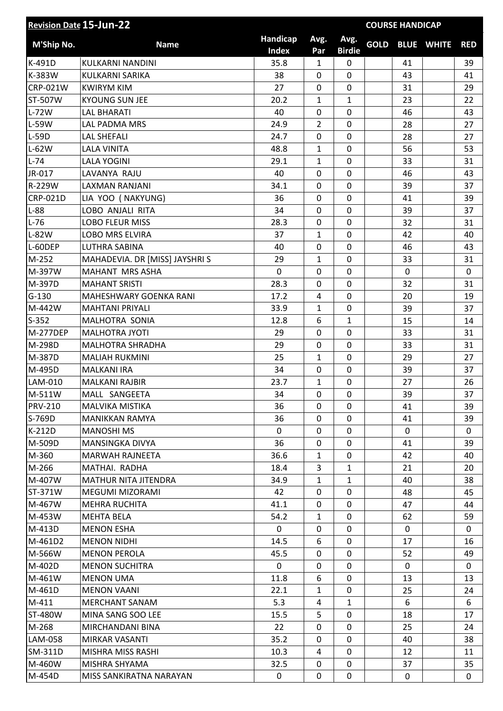|                 | <b>Revision Date 15-Jun-22</b> |                   |                |                       |             | <b>COURSE HANDICAP</b> |                   |              |
|-----------------|--------------------------------|-------------------|----------------|-----------------------|-------------|------------------------|-------------------|--------------|
| M'Ship No.      | <b>Name</b>                    | Handicap<br>Index | Avg.<br>Par    | Avg.<br><b>Birdie</b> | <b>GOLD</b> |                        | <b>BLUE WHITE</b> | <b>RED</b>   |
| K-491D          | KULKARNI NANDINI               | 35.8              | $\mathbf{1}$   | 0                     |             | 41                     |                   | 39           |
| K-383W          | <b>KULKARNI SARIKA</b>         | 38                | 0              | $\mathbf 0$           |             | 43                     |                   | 41           |
| <b>CRP-021W</b> | <b>KWIRYM KIM</b>              | 27                | 0              | $\mathbf 0$           |             | 31                     |                   | 29           |
| ST-507W         | <b>KYOUNG SUN JEE</b>          | 20.2              | 1              | $\mathbf{1}$          |             | 23                     |                   | 22           |
| $L-72W$         | <b>LAL BHARATI</b>             | 40                | 0              | 0                     |             | 46                     |                   | 43           |
| L-59W           | <b>LAL PADMA MRS</b>           | 24.9              | $\overline{2}$ | $\overline{0}$        |             | 28                     |                   | 27           |
| L-59D           | <b>LAL SHEFALI</b>             | 24.7              | 0              | $\overline{0}$        |             | 28                     |                   | 27           |
| $L-62W$         | <b>LALA VINITA</b>             | 48.8              | 1              | $\overline{0}$        |             | 56                     |                   | 53           |
| $L-74$          | <b>LALA YOGINI</b>             | 29.1              | 1              | 0                     |             | 33                     |                   | 31           |
| JR-017          | LAVANYA RAJU                   | 40                | $\mathbf 0$    | $\mathbf 0$           |             | 46                     |                   | 43           |
| R-229W          | LAXMAN RANJANI                 | 34.1              | 0              | $\overline{0}$        |             | 39                     |                   | 37           |
| <b>CRP-021D</b> | LIA YOO (NAKYUNG)              | 36                | 0              | 0                     |             | 41                     |                   | 39           |
| $L-88$          | LOBO ANJALI RITA               | 34                | 0              | $\overline{0}$        |             | 39                     |                   | 37           |
| $L-76$          | <b>LOBO FLEUR MISS</b>         | 28.3              | 0              | $\overline{0}$        |             | 32                     |                   | 31           |
| L-82W           | <b>LOBO MRS ELVIRA</b>         | 37                | 1              | 0                     |             | 42                     |                   | 40           |
| L-60DEP         | <b>LUTHRA SABINA</b>           | 40                | 0              | $\mathbf 0$           |             | 46                     |                   | 43           |
| M-252           | MAHADEVIA. DR [MISS] JAYSHRI S | 29                | 1              | $\mathbf 0$           |             | 33                     |                   | 31           |
| M-397W          | MAHANT MRS ASHA                | 0                 | 0              | 0                     |             | $\mathbf 0$            |                   | 0            |
| M-397D          | <b>MAHANT SRISTI</b>           | 28.3              | 0              | 0                     |             | 32                     |                   | 31           |
| $G-130$         | MAHESHWARY GOENKA RANI         | 17.2              | 4              | $\overline{0}$        |             | 20                     |                   | 19           |
| M-442W          | <b>MAHTANI PRIYALI</b>         | 33.9              | 1              | $\mathbf 0$           |             | 39                     |                   | 37           |
| $S-352$         | MALHOTRA SONIA                 | 12.8              | 6              | 1                     |             | 15                     |                   | 14           |
| <b>M-277DEP</b> | MALHOTRA JYOTI                 | 29                | 0              | $\overline{0}$        |             | 33                     |                   | 31           |
| M-298D          | <b>MALHOTRA SHRADHA</b>        | 29                | 0              | 0                     |             | 33                     |                   | 31           |
| M-387D          | <b>MALIAH RUKMINI</b>          | 25                | $\mathbf{1}$   | $\mathbf 0$           |             | 29                     |                   | 27           |
| M-495D          | MALKANI IRA                    | 34                | 0              | 0                     |             | 39                     |                   | 37           |
| LAM-010         | <b>MALKANI RAJBIR</b>          | 23.7              | 1              | $\mathbf 0$           |             | 27                     |                   | 26           |
| M-511W          | MALL SANGEETA                  | 34                | 0              | $\mathbf 0$           |             | 39                     |                   | 37           |
| <b>PRV-210</b>  | MALVIKA MISTIKA                | 36                | 0              | $\Omega$              |             | 41                     |                   | 39           |
| S-769D          | <b>MANIKKAN RAMYA</b>          | 36                | 0              | 0                     |             | 41                     |                   | 39           |
| K-212D          | <b>MANOSHI MS</b>              | $\Omega$          | 0              | 0                     |             | 0                      |                   | 0            |
| M-509D          | <b>MANSINGKA DIVYA</b>         | 36                | 0              | 0                     |             | 41                     |                   | 39           |
| M-360           | MARWAH RAJNEETA                | 36.6              | 1              | 0                     |             | 42                     |                   | 40           |
| M-266           | MATHAI. RADHA                  | 18.4              | 3              | $\mathbf{1}$          |             | 21                     |                   | 20           |
| M-407W          | <b>MATHUR NITA JITENDRA</b>    | 34.9              | 1              | $\mathbf{1}$          |             | 40                     |                   | 38           |
| ST-371W         | MEGUMI MIZORAMI                | 42                | 0              | 0                     |             | 48                     |                   | 45           |
| M-467W          | MEHRA RUCHITA                  | 41.1              | 0              | 0                     |             | 47                     |                   | 44           |
| M-453W          | <b>MEHTA BELA</b>              | 54.2              | 1              | 0                     |             | 62                     |                   | 59           |
| M-413D          | <b>MENON ESHA</b>              | 0                 | $\mathbf{0}$   | 0                     |             | 0                      |                   | 0            |
| M-461D2         | <b>MENON NIDHI</b>             | 14.5              | 6              | $\Omega$              |             | 17                     |                   | 16           |
| M-566W          | <b>MENON PEROLA</b>            | 45.5              | 0              | $\Omega$              |             | 52                     |                   | 49           |
| M-402D          | <b>MENON SUCHITRA</b>          | 0                 | 0              | 0                     |             | 0                      |                   | 0            |
| M-461W          | <b>MENON UMA</b>               | 11.8              | 6              | 0                     |             | 13                     |                   | 13           |
| M-461D          | <b>MENON VAANI</b>             | 22.1              | 1              | 0                     |             | 25                     |                   | 24           |
| M-411           | <b>MERCHANT SANAM</b>          | 5.3               | 4              | $\mathbf{1}$          |             | 6                      |                   | 6            |
| ST-480W         | MINA SANG SOO LEE              | 15.5              | 5              | 0                     |             | 18                     |                   | 17           |
| M-268           | MIRCHANDANI BINA               | 22                | 0              | $\mathbf 0$           |             | 25                     |                   | 24           |
| LAM-058         | MIRKAR VASANTI                 | 35.2              | 0              | 0                     |             | 40                     |                   | 38           |
| SM-311D         | MISHRA MISS RASHI              | 10.3              | 4              | 0                     |             | 12                     |                   | 11           |
| M-460W          | MISHRA SHYAMA                  | 32.5              | 0              | 0                     |             | 37                     |                   | 35           |
| M-454D          | MISS SANKIRATNA NARAYAN        | 0                 | 0              | 0                     |             | 0                      |                   | $\mathbf{0}$ |
|                 |                                |                   |                |                       |             |                        |                   |              |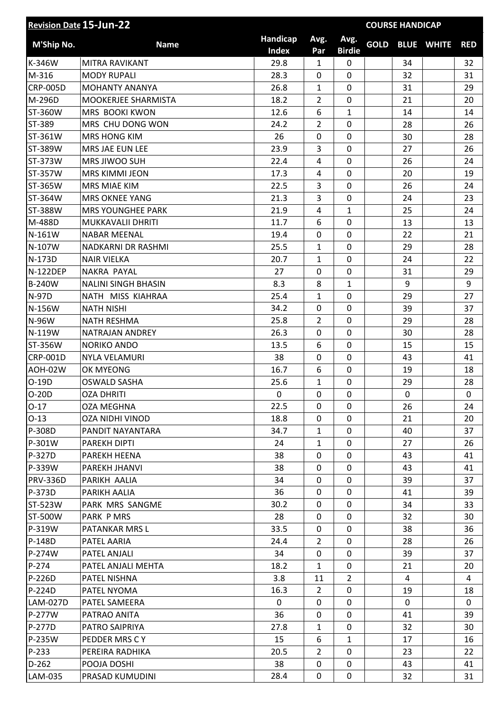|                 | <b>Revision Date 15-Jun-22</b> |                          |                | <b>COURSE HANDICAP</b> |             |             |                   |            |  |  |  |
|-----------------|--------------------------------|--------------------------|----------------|------------------------|-------------|-------------|-------------------|------------|--|--|--|
| M'Ship No.      | <b>Name</b>                    | Handicap<br><b>Index</b> | Avg.<br>Par    | Avg.<br><b>Birdie</b>  | <b>GOLD</b> |             | <b>BLUE WHITE</b> | <b>RED</b> |  |  |  |
| K-346W          | MITRA RAVIKANT                 | 29.8                     | 1              | 0                      |             | 34          |                   | 32         |  |  |  |
| M-316           | <b>MODY RUPALI</b>             | 28.3                     | 0              | $\mathbf 0$            |             | 32          |                   | 31         |  |  |  |
| <b>CRP-005D</b> | <b>MOHANTY ANANYA</b>          | 26.8                     | 1              | 0                      |             | 31          |                   | 29         |  |  |  |
| M-296D          | MOOKERJEE SHARMISTA            | 18.2                     | $\overline{2}$ | $\overline{0}$         |             | 21          |                   | 20         |  |  |  |
| ST-360W         | MRS BOOKI KWON                 | 12.6                     | 6              | $\mathbf{1}$           |             | 14          |                   | 14         |  |  |  |
| ST-389          | MRS CHU DONG WON               | 24.2                     | $\overline{2}$ | $\overline{0}$         |             | 28          |                   | 26         |  |  |  |
| ST-361W         | <b>MRS HONG KIM</b>            | 26                       | 0              | $\overline{0}$         |             | 30          |                   | 28         |  |  |  |
| ST-389W         | MRS JAE EUN LEE                | 23.9                     | 3              | 0                      |             | 27          |                   | 26         |  |  |  |
| ST-373W         | MRS JIWOO SUH                  | 22.4                     | 4              | 0                      |             | 26          |                   | 24         |  |  |  |
| ST-357W         | <b>MRS KIMMI JEON</b>          | 17.3                     | 4              | $\mathbf 0$            |             | 20          |                   | 19         |  |  |  |
| ST-365W         | MRS MIAE KIM                   | 22.5                     | 3              | 0                      |             | 26          |                   | 24         |  |  |  |
| ST-364W         | <b>MRS OKNEE YANG</b>          | 21.3                     | 3              | 0                      |             | 24          |                   | 23         |  |  |  |
| ST-388W         | <b>MRS YOUNGHEE PARK</b>       | 21.9                     | 4              | $\mathbf{1}$           |             | 25          |                   | 24         |  |  |  |
| M-488D          | MUKKAVALII DHRITI              | 11.7                     | 6              | 0                      |             | 13          |                   | 13         |  |  |  |
| N-161W          | <b>NABAR MEENAL</b>            | 19.4                     | 0              | 0                      |             | 22          |                   | 21         |  |  |  |
| N-107W          | <b>NADKARNI DR RASHMI</b>      | 25.5                     | 1              | $\overline{0}$         |             | 29          |                   | 28         |  |  |  |
| N-173D          | <b>NAIR VIELKA</b>             | 20.7                     | 1              | 0                      |             | 24          |                   | 22         |  |  |  |
| <b>N-122DEP</b> | NAKRA PAYAL                    | 27                       | 0              | $\mathbf 0$            |             | 31          |                   | 29         |  |  |  |
| <b>B-240W</b>   | <b>NALINI SINGH BHASIN</b>     | 8.3                      | 8              | $\mathbf{1}$           |             | 9           |                   | 9          |  |  |  |
| <b>N-97D</b>    | NATH MISS KIAHRAA              | 25.4                     | 1              | $\mathbf 0$            |             | 29          |                   | 27         |  |  |  |
| N-156W          | <b>NATH NISHI</b>              | 34.2                     | 0              | 0                      |             | 39          |                   | 37         |  |  |  |
| N-96W           | <b>NATH RESHMA</b>             | 25.8                     | $\overline{2}$ | 0                      |             | 29          |                   | 28         |  |  |  |
| N-119W          | NATRAJAN ANDREY                | 26.3                     | 0              | $\overline{0}$         |             | 30          |                   | 28         |  |  |  |
| ST-356W         | <b>NORIKO ANDO</b>             | 13.5                     | 6              | 0                      |             | 15          |                   | 15         |  |  |  |
| <b>CRP-001D</b> | <b>NYLA VELAMURI</b>           | 38                       | 0              | $\overline{0}$         |             | 43          |                   | 41         |  |  |  |
| AOH-02W         | OK MYEONG                      | 16.7                     | 6              | $\overline{0}$         |             | 19          |                   | 18         |  |  |  |
| O-19D           | <b>OSWALD SASHA</b>            | 25.6                     | 1              | 0                      |             | 29          |                   | 28         |  |  |  |
| $O-20D$         | <b>OZA DHRITI</b>              | 0                        | 0              | 0                      |             | $\mathbf 0$ |                   | 0          |  |  |  |
| $O-17$          | <b>OZA MEGHNA</b>              | 22.5                     | $\mathbf{0}$   | $\Omega$               |             | 26          |                   | 24         |  |  |  |
| $O-13$          | <b>OZA NIDHI VINOD</b>         | 18.8                     | 0              | $\Omega$               |             | 21          |                   | 20         |  |  |  |
| P-308D          | PANDIT NAYANTARA               | 34.7                     | $\mathbf{1}$   | $\Omega$               |             | 40          |                   | 37         |  |  |  |
| P-301W          | PAREKH DIPTI                   | 24                       | 1              | 0                      |             | 27          |                   | 26         |  |  |  |
| P-327D          | PAREKH HEENA                   | 38                       | 0              | $\Omega$               |             | 43          |                   | 41         |  |  |  |
| P-339W          | PAREKH JHANVI                  | 38                       | 0              | 0                      |             | 43          |                   | 41         |  |  |  |
| <b>PRV-336D</b> | PARIKH AALIA                   | 34                       | $\mathbf{0}$   | 0                      |             | 39          |                   | 37         |  |  |  |
| P-373D          | PARIKH AALIA                   | 36                       | 0              | 0                      |             | 41          |                   | 39         |  |  |  |
| ST-523W         | PARK MRS SANGME                | 30.2                     | $\Omega$       | 0                      |             | 34          |                   | 33         |  |  |  |
| ST-500W         | PARK P MRS                     | 28                       | 0              | $\Omega$               |             | 32          |                   | 30         |  |  |  |
| P-319W          | PATANKAR MRS L                 | 33.5                     | 0              | 0                      |             | 38          |                   | 36         |  |  |  |
| $P-148D$        | PATEL AARIA                    | 24.4                     | $\overline{2}$ | 0                      |             | 28          |                   | 26         |  |  |  |
| P-274W          | PATEL ANJALI                   | 34                       | 0              | 0                      |             | 39          |                   | 37         |  |  |  |
| P-274           | PATEL ANJALI MEHTA             | 18.2                     | 1              | 0                      |             | 21          |                   | 20         |  |  |  |
| $P-226D$        | PATEL NISHNA                   | 3.8                      | 11             | $\overline{2}$         |             | 4           |                   | 4          |  |  |  |
| P-224D          | PATEL NYOMA                    | 16.3                     | $\overline{2}$ | 0                      |             | 19          |                   | 18         |  |  |  |
| LAM-027D        | PATEL SAMEERA                  | $\Omega$                 | 0              | 0                      |             | 0           |                   | 0          |  |  |  |
| P-277W          | PATRAO ANITA                   | 36                       | 0              | 0                      |             | 41          |                   | 39         |  |  |  |
| P-277D          | PATRO SAIPRIYA                 | 27.8                     | 1              | 0                      |             | 32          |                   | 30         |  |  |  |
| P-235W          | PEDDER MRS C Y                 | 15                       | 6              | $\mathbf{1}$           |             | 17          |                   | 16         |  |  |  |
| P-233           | PEREIRA RADHIKA                | 20.5                     | $\overline{2}$ | 0                      |             | 23          |                   | 22         |  |  |  |
| $D-262$         | POOJA DOSHI                    | 38                       | 0              | 0                      |             | 43          |                   | 41         |  |  |  |
| LAM-035         | PRASAD KUMUDINI                | 28.4                     | 0              | $\mathbf 0$            |             | 32          |                   | 31         |  |  |  |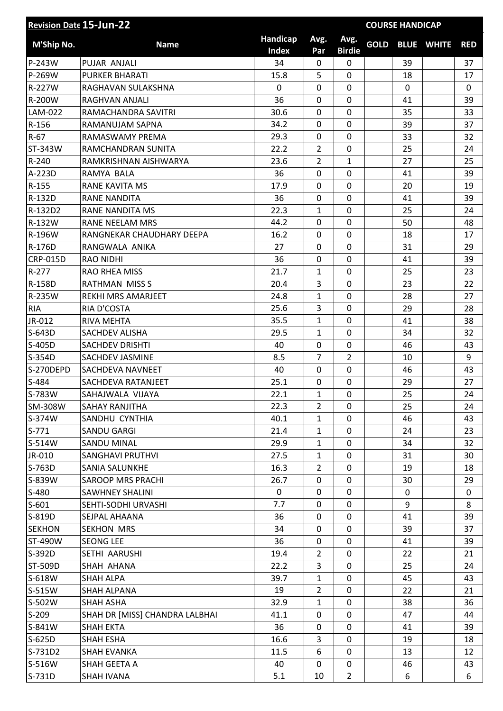| <b>Revision Date 15-Jun-22</b> |                                |                          |                |                       | <b>COURSE HANDICAP</b> |             |                        |            |
|--------------------------------|--------------------------------|--------------------------|----------------|-----------------------|------------------------|-------------|------------------------|------------|
| M'Ship No.                     | <b>Name</b>                    | Handicap<br><b>Index</b> | Avg.<br>Par    | Avg.<br><b>Birdie</b> |                        |             | <b>GOLD BLUE WHITE</b> | <b>RED</b> |
| P-243W                         | PUJAR ANJALI                   | 34                       | 0              | 0                     |                        | 39          |                        | 37         |
| P-269W                         | <b>PURKER BHARATI</b>          | 15.8                     | 5              | 0                     |                        | 18          |                        | 17         |
| R-227W                         | RAGHAVAN SULAKSHNA             | $\mathbf 0$              | 0              | $\mathbf 0$           |                        | $\mathbf 0$ |                        | 0          |
| R-200W                         | RAGHVAN ANJALI                 | 36                       | 0              | $\overline{0}$        |                        | 41          |                        | 39         |
| LAM-022                        | RAMACHANDRA SAVITRI            | 30.6                     | $\mathbf 0$    | $\mathbf 0$           |                        | 35          |                        | 33         |
| R-156                          | RAMANUJAM SAPNA                | 34.2                     | 0              | 0                     |                        | 39          |                        | 37         |
| $R-67$                         | RAMASWAMY PREMA                | 29.3                     | 0              | $\mathbf 0$           |                        | 33          |                        | 32         |
| ST-343W                        | RAMCHANDRAN SUNITA             | 22.2                     | $\overline{2}$ | 0                     |                        | 25          |                        | 24         |
| R-240                          | RAMKRISHNAN AISHWARYA          | 23.6                     | $\overline{2}$ | $\mathbf{1}$          |                        | 27          |                        | 25         |
| A-223D                         | RAMYA BALA                     | 36                       | 0              | $\overline{0}$        |                        | 41          |                        | 39         |
| R-155                          | RANE KAVITA MS                 | 17.9                     | 0              | $\mathbf 0$           |                        | 20          |                        | 19         |
| R-132D                         | <b>RANE NANDITA</b>            | 36                       | 0              | 0                     |                        | 41          |                        | 39         |
| R-132D2                        | <b>RANE NANDITA MS</b>         | 22.3                     | $\mathbf{1}$   | $\overline{0}$        |                        | 25          |                        | 24         |
| R-132W                         | <b>RANE NEELAM MRS</b>         | 44.2                     | 0              | 0                     |                        | 50          |                        | 48         |
| R-196W                         | RANGNEKAR CHAUDHARY DEEPA      | 16.2                     | $\mathbf 0$    | $\overline{0}$        |                        | 18          |                        | 17         |
| R-176D                         | RANGWALA ANIKA                 | 27                       | 0              | $\mathbf 0$           |                        | 31          |                        | 29         |
| <b>CRP-015D</b>                | <b>RAO NIDHI</b>               | 36                       | 0              | $\mathbf 0$           |                        | 41          |                        | 39         |
| R-277                          | <b>RAO RHEA MISS</b>           | 21.7                     | 1              | $\mathbf 0$           |                        | 25          |                        | 23         |
| R-158D                         | <b>RATHMAN MISS S</b>          | 20.4                     | 3              | 0                     |                        | 23          |                        | 22         |
| R-235W                         | REKHI MRS AMARJEET             | 24.8                     | 1              | $\mathbf 0$           |                        | 28          |                        | 27         |
| <b>RIA</b>                     | RIA D'COSTA                    | 25.6                     | 3              | 0                     |                        | 29          |                        | 28         |
| JR-012                         | RIVA MEHTA                     | 35.5                     | $\mathbf{1}$   | $\mathbf 0$           |                        | 41          |                        | 38         |
| S-643D                         | SACHDEV ALISHA                 | 29.5                     | 1              | $\overline{0}$        |                        | 34          |                        | 32         |
| S-405D                         | <b>SACHDEV DRISHTI</b>         | 40                       | 0              | 0                     |                        | 46          |                        | 43         |
| S-354D                         | <b>SACHDEV JASMINE</b>         | 8.5                      | 7              | $\overline{2}$        |                        | 10          |                        | 9          |
| S-270DEPD                      | SACHDEVA NAVNEET               | 40                       | $\mathbf 0$    | 0                     |                        | 46          |                        | 43         |
| S-484                          | SACHDEVA RATANJEET             | 25.1                     | 0              | 0                     |                        | 29          |                        | 27         |
| S-783W                         | SAHAJWALA VIJAYA               | 22.1                     | 1              | $\mathbf 0$           |                        | 25          |                        | 24         |
| SM-308W                        | SAHAY RANJITHA                 | 22.3                     | $\overline{2}$ | $\Omega$              |                        | 25          |                        | 24         |
| S-374W                         | SANDHU CYNTHIA                 | 40.1                     | 1              | 0                     |                        | 46          |                        | 43         |
| $S-771$                        | SANDU GARGI                    | 21.4                     | 1              | 0                     |                        | 24          |                        | 23         |
| S-514W                         | <b>SANDU MINAL</b>             | 29.9                     | $\mathbf{1}$   | $\mathbf 0$           |                        | 34          |                        | 32         |
| JR-010                         | <b>SANGHAVI PRUTHVI</b>        | 27.5                     | 1              | 0                     |                        | 31          |                        | 30         |
| S-763D                         | <b>SANIA SALUNKHE</b>          | 16.3                     | $\overline{2}$ | 0                     |                        | 19          |                        | 18         |
| S-839W                         | <b>SAROOP MRS PRACHI</b>       | 26.7                     | 0              | 0                     |                        | 30          |                        | 29         |
| $S-480$                        | <b>SAWHNEY SHALINI</b>         | 0                        | 0              | 0                     |                        | 0           |                        | 0          |
| $S-601$                        | SEHTI-SODHI URVASHI            | 7.7                      | 0              | 0                     |                        | 9           |                        | 8          |
| S-819D                         | SEJPAL AHAANA                  | 36                       | 0              | 0                     |                        | 41          |                        | 39         |
| <b>SEKHON</b>                  | SEKHON MRS                     | 34                       | 0              | $\mathbf 0$           |                        | 39          |                        | 37         |
| ST-490W                        | <b>SEONG LEE</b>               | 36                       | 0              | 0                     |                        | 41          |                        | 39         |
| S-392D                         | SETHI AARUSHI                  | 19.4                     | $\overline{2}$ | 0                     |                        | 22          |                        | 21         |
| ST-509D                        | SHAH AHANA                     | 22.2                     | 3              | 0                     |                        | 25          |                        | 24         |
| S-618W                         | <b>SHAH ALPA</b>               | 39.7                     | 1              | 0                     |                        | 45          |                        | 43         |
| S-515W                         | SHAH ALPANA                    | 19                       | $\overline{2}$ | 0                     |                        | 22          |                        | 21         |
| S-502W                         | <b>SHAH ASHA</b>               | 32.9                     | $\mathbf{1}$   | 0                     |                        | 38          |                        | 36         |
| $S-209$                        | SHAH DR [MISS] CHANDRA LALBHAI | 41.1                     | 0              | 0                     |                        | 47          |                        | 44         |
| S-841W                         | <b>SHAH EKTA</b>               | 36                       | 0              | $\Omega$              |                        | 41          |                        | 39         |
| S-625D                         | <b>SHAH ESHA</b>               | 16.6                     | 3              | 0                     |                        | 19          |                        | 18         |
| S-731D2                        | SHAH EVANKA                    | 11.5                     | 6              | 0                     |                        | 13          |                        | 12         |
| S-516W                         | SHAH GEETA A                   | 40                       | 0              | 0                     |                        | 46          |                        | 43         |
| S-731D                         | <b>SHAH IVANA</b>              | 5.1                      | 10             | $\overline{2}$        |                        | 6           |                        | 6          |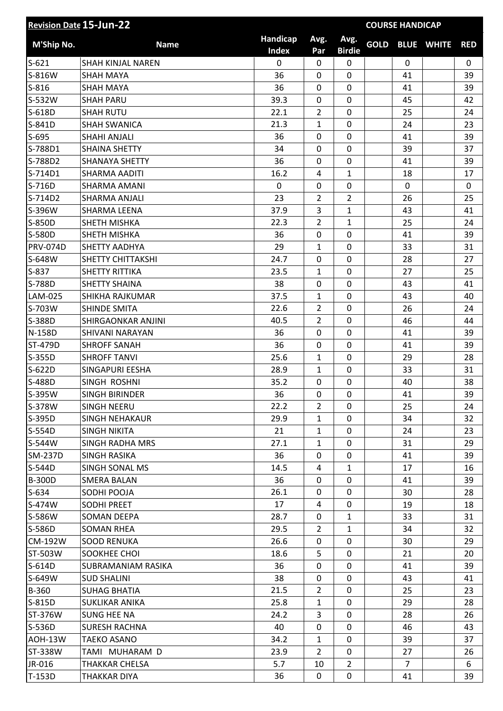| <b>Revision Date 15-Jun-22</b> |                          |                          |                |                       | <b>COURSE HANDICAP</b> |                |                   |            |
|--------------------------------|--------------------------|--------------------------|----------------|-----------------------|------------------------|----------------|-------------------|------------|
| M'Ship No.                     | <b>Name</b>              | Handicap<br><b>Index</b> | Avg.<br>Par    | Avg.<br><b>Birdie</b> | <b>GOLD</b>            |                | <b>BLUE WHITE</b> | <b>RED</b> |
| $S-621$                        | <b>SHAH KINJAL NAREN</b> | 0                        | 0              | $\mathbf 0$           |                        | $\mathbf 0$    |                   | 0          |
| S-816W                         | <b>SHAH MAYA</b>         | 36                       | 0              | $\overline{0}$        |                        | 41             |                   | 39         |
| $S-816$                        | <b>SHAH MAYA</b>         | 36                       | 0              | $\mathbf 0$           |                        | 41             |                   | 39         |
| S-532W                         | <b>SHAH PARU</b>         | 39.3                     | 0              | 0                     |                        | 45             |                   | 42         |
| S-618D                         | <b>SHAH RUTU</b>         | 22.1                     | $\overline{2}$ | 0                     |                        | 25             |                   | 24         |
| S-841D                         | <b>SHAH SWANICA</b>      | 21.3                     | 1              | $\mathbf 0$           |                        | 24             |                   | 23         |
| $S-695$                        | <b>SHAHI ANJALI</b>      | 36                       | 0              | 0                     |                        | 41             |                   | 39         |
| S-788D1                        | <b>SHAINA SHETTY</b>     | 34                       | 0              | $\overline{0}$        |                        | 39             |                   | 37         |
| S-788D2                        | <b>SHANAYA SHETTY</b>    | 36                       | 0              | 0                     |                        | 41             |                   | 39         |
| S-714D1                        | SHARMA AADITI            | 16.2                     | 4              | $\mathbf{1}$          |                        | 18             |                   | 17         |
| S-716D                         | <b>SHARMA AMANI</b>      | 0                        | 0              | $\mathbf 0$           |                        | $\mathbf 0$    |                   | 0          |
| S-714D2                        | <b>SHARMA ANJALI</b>     | 23                       | $\overline{2}$ | $\overline{2}$        |                        | 26             |                   | 25         |
| S-396W                         | SHARMA LEENA             | 37.9                     | 3              | $\mathbf{1}$          |                        | 43             |                   | 41         |
| S-850D                         | SHETH MISHKA             | 22.3                     | $\overline{2}$ | $\mathbf{1}$          |                        | 25             |                   | 24         |
| S-580D                         | SHETH MISHKA             | 36                       | 0              | $\overline{0}$        |                        | 41             |                   | 39         |
| <b>PRV-074D</b>                | <b>SHETTY AADHYA</b>     | 29                       | 1              | 0                     |                        | 33             |                   | 31         |
| S-648W                         | SHETTY CHITTAKSHI        | 24.7                     | 0              | 0                     |                        | 28             |                   | 27         |
| S-837                          | <b>SHETTY RITTIKA</b>    | 23.5                     | 1              | $\overline{0}$        |                        | 27             |                   | 25         |
| S-788D                         | <b>SHETTY SHAINA</b>     | 38                       | 0              | 0                     |                        | 43             |                   | 41         |
| LAM-025                        | SHIKHA RAJKUMAR          | 37.5                     | $\mathbf{1}$   | $\overline{0}$        |                        | 43             |                   | 40         |
| S-703W                         | <b>SHINDE SMITA</b>      | 22.6                     | 2              | $\mathbf 0$           |                        | 26             |                   | 24         |
| S-388D                         | SHIRGAONKAR ANJINI       | 40.5                     | 2              | 0                     |                        | 46             |                   | 44         |
| N-158D                         | SHIVANI NARAYAN          | 36                       | 0              | 0                     |                        | 41             |                   | 39         |
| <b>ST-479D</b>                 | <b>SHROFF SANAH</b>      | 36                       | $\mathbf 0$    | $\mathbf 0$           |                        | 41             |                   | 39         |
| S-355D                         | <b>SHROFF TANVI</b>      | 25.6                     | 1              | $\mathbf 0$           |                        | 29             |                   | 28         |
| S-622D                         | SINGAPURI EESHA          | 28.9                     | $\mathbf{1}$   | 0                     |                        | 33             |                   | 31         |
| S-488D                         | SINGH ROSHNI             | 35.2                     | 0              | $\mathbf 0$           |                        | 40             |                   | 38         |
| S-395W                         | <b>SINGH BIRINDER</b>    | 36                       | 0              | $\mathbf 0$           |                        | 41             |                   | 39         |
| S-378W                         | SINGH NEERU              | 22.2                     | $\overline{2}$ | $\Omega$              |                        | 25             |                   | 24         |
| S-395D                         | <b>SINGH NEHAKAUR</b>    | 29.9                     | $\mathbf{1}$   | 0                     |                        | 34             |                   | 32         |
| $S-554D$                       | <b>SINGH NIKITA</b>      | 21                       | 1              | 0                     |                        | 24             |                   | 23         |
| S-544W                         | <b>SINGH RADHA MRS</b>   | 27.1                     | $\mathbf{1}$   | 0                     |                        | 31             |                   | 29         |
| <b>SM-237D</b>                 | <b>SINGH RASIKA</b>      | 36                       | 0              | $\Omega$              |                        | 41             |                   | 39         |
| S-544D                         | SINGH SONAL MS           | 14.5                     | 4              | $\mathbf{1}$          |                        | 17             |                   | 16         |
| <b>B-300D</b>                  | <b>SMERA BALAN</b>       | 36                       | 0              | $\mathbf 0$           |                        | 41             |                   | 39         |
| $S-634$                        | SODHI POOJA              | 26.1                     | 0              | 0                     |                        | 30             |                   | 28         |
| S-474W                         | <b>SODHI PREET</b>       | 17                       | 4              | 0                     |                        | 19             |                   | 18         |
| S-586W                         | SOMAN DEEPA              | 28.7                     | 0              | $\mathbf{1}$          |                        | 33             |                   | 31         |
| S-586D                         | <b>SOMAN RHEA</b>        | 29.5                     | $\overline{2}$ | $\mathbf{1}$          |                        | 34             |                   | 32         |
| <b>CM-192W</b>                 | <b>SOOD RENUKA</b>       | 26.6                     | 0              | 0                     |                        | 30             |                   | 29         |
| ST-503W                        | SOOKHEE CHOI             | 18.6                     | 5              | 0                     |                        | 21             |                   | 20         |
| S-614D                         | SUBRAMANIAM RASIKA       | 36                       | 0              | 0                     |                        | 41             |                   | 39         |
| S-649W                         | <b>SUD SHALINI</b>       | 38                       | 0              | 0                     |                        | 43             |                   | 41         |
| <b>B-360</b>                   | <b>SUHAG BHATIA</b>      | 21.5                     | $\overline{2}$ | 0                     |                        | 25             |                   | 23         |
| S-815D                         | SUKLIKAR ANIKA           | 25.8                     | $\mathbf{1}$   | 0                     |                        | 29             |                   | 28         |
| ST-376W                        | <b>SUNG HEE NA</b>       | 24.2                     | 3              | 0                     |                        | 28             |                   | 26         |
| S-536D                         | <b>SURESH RACHNA</b>     | 40                       | 0              | $\Omega$              |                        | 46             |                   | 43         |
| AOH-13W                        | <b>TAEKO ASANO</b>       | 34.2                     | 1              | 0                     |                        | 39             |                   | 37         |
| ST-338W                        | TAMI MUHARAM D           | 23.9                     | $\overline{2}$ | 0                     |                        | 27             |                   | 26         |
| JR-016                         | THAKKAR CHELSA           | 5.7                      | 10             | $\overline{2}$        |                        | $\overline{7}$ |                   | 6          |
| T-153D                         | THAKKAR DIYA             | 36                       | 0              | 0                     |                        | 41             |                   | 39         |